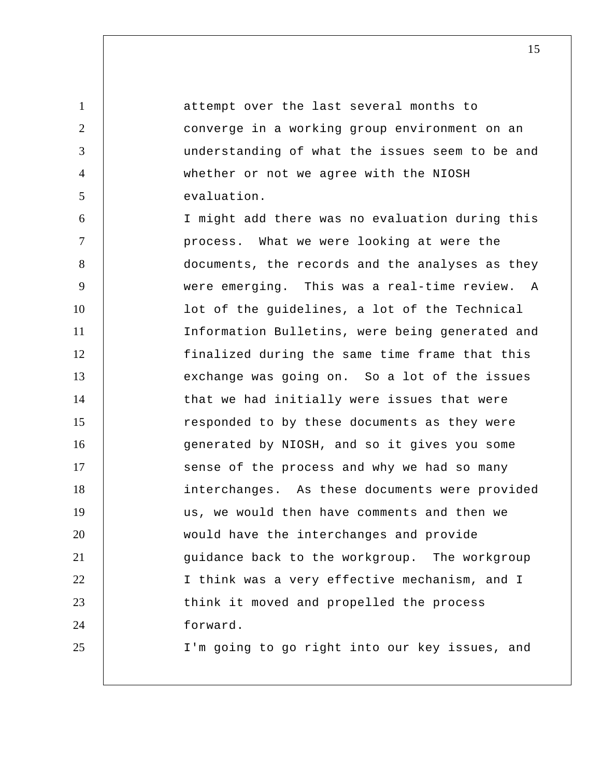attempt over the last several months to converge in a working group environment on an understanding of what the issues seem to be and whether or not we agree with the NIOSH evaluation. I might add there was no evaluation during this process. What we were looking at were the documents, the records and the analyses as they were emerging. This was a real-time review. A

1

2

3

4

5

6

7

8

9

10 11 12 13 14 15 16 17 18 19 20 21 22 23 24 25 lot of the guidelines, a lot of the Technical Information Bulletins, were being generated and finalized during the same time frame that this exchange was going on. So a lot of the issues that we had initially were issues that were responded to by these documents as they were generated by NIOSH, and so it gives you some sense of the process and why we had so many interchanges. As these documents were provided us, we would then have comments and then we would have the interchanges and provide guidance back to the workgroup. The workgroup I think was a very effective mechanism, and I think it moved and propelled the process forward. I'm going to go right into our key issues, and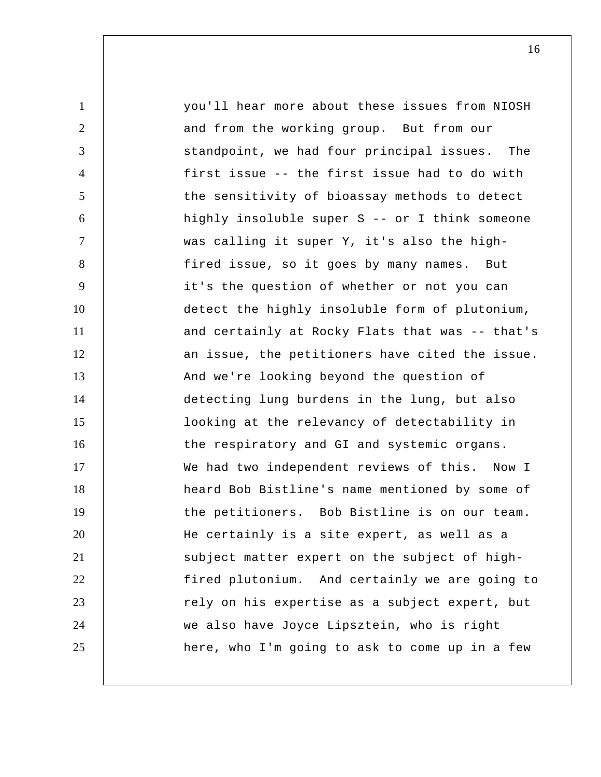1 2 3 4 5 6 7 8 9 10 11 12 13 14 15 16 17 18 19 20 21 22 23 24 25 you'll hear more about these issues from NIOSH and from the working group. But from our standpoint, we had four principal issues. The first issue -- the first issue had to do with the sensitivity of bioassay methods to detect highly insoluble super S -- or I think someone was calling it super Y, it's also the highfired issue, so it goes by many names. But it's the question of whether or not you can detect the highly insoluble form of plutonium, and certainly at Rocky Flats that was -- that's an issue, the petitioners have cited the issue. And we're looking beyond the question of detecting lung burdens in the lung, but also looking at the relevancy of detectability in the respiratory and GI and systemic organs. We had two independent reviews of this. Now I heard Bob Bistline's name mentioned by some of the petitioners. Bob Bistline is on our team. He certainly is a site expert, as well as a subject matter expert on the subject of high fired plutonium. And certainly we are going to rely on his expertise as a subject expert, but we also have Joyce Lipsztein, who is right here, who I'm going to ask to come up in a few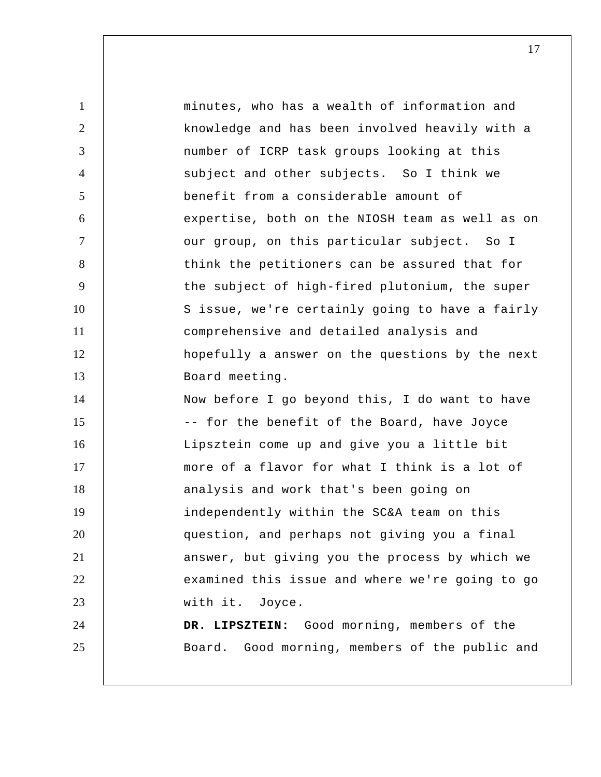1 2 3 4 5 6 7 8 9 10 11 12 13 14 15 16 17 18 19 20 21 22 23 24 25 minutes, who has a wealth of information and knowledge and has been involved heavily with a number of ICRP task groups looking at this subject and other subjects. So I think we benefit from a considerable amount of expertise, both on the NIOSH team as well as on our group, on this particular subject. So I think the petitioners can be assured that for the subject of high-fired plutonium, the super S issue, we're certainly going to have a fairly comprehensive and detailed analysis and hopefully a answer on the questions by the next Board meeting. Now before I go beyond this, I do want to have -- for the benefit of the Board, have Joyce Lipsztein come up and give you a little bit more of a flavor for what I think is a lot of analysis and work that's been going on independently within the SC&A team on this question, and perhaps not giving you a final answer, but giving you the process by which we examined this issue and where we're going to go with it. Joyce.  **DR. LIPSZTEIN:** Good morning, members of the Board. Good morning, members of the public and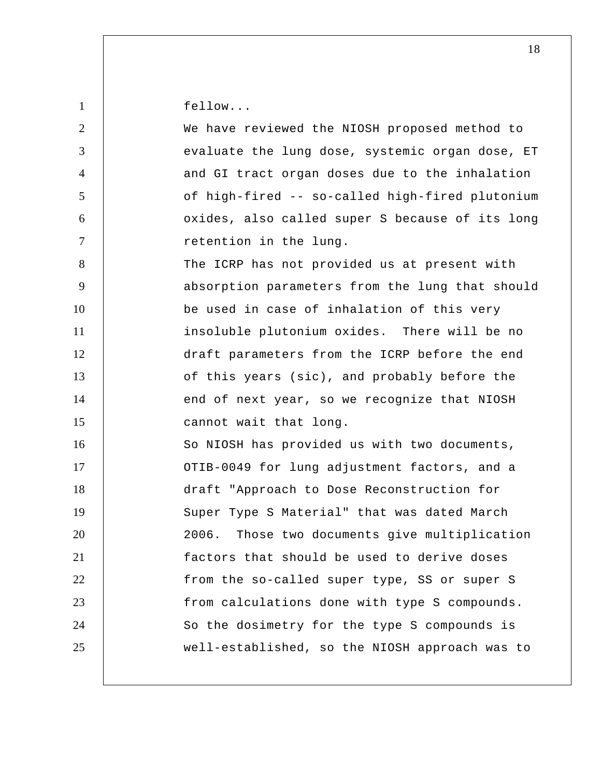| $\mathbf{1}$   | fellow                                           |
|----------------|--------------------------------------------------|
| $\overline{2}$ | We have reviewed the NIOSH proposed method to    |
| 3              | evaluate the lung dose, systemic organ dose, ET  |
| $\overline{4}$ | and GI tract organ doses due to the inhalation   |
| 5              | of high-fired -- so-called high-fired plutonium  |
| 6              | oxides, also called super S because of its long  |
| $\tau$         | retention in the lung.                           |
| 8              | The ICRP has not provided us at present with     |
| 9              | absorption parameters from the lung that should  |
| 10             | be used in case of inhalation of this very       |
| 11             | insoluble plutonium oxides. There will be no     |
| 12             | draft parameters from the ICRP before the end    |
| 13             | of this years (sic), and probably before the     |
| 14             | end of next year, so we recognize that NIOSH     |
| 15             | cannot wait that long.                           |
| 16             | So NIOSH has provided us with two documents,     |
| 17             | OTIB-0049 for lung adjustment factors, and a     |
| 18             | draft "Approach to Dose Reconstruction for       |
| 19             | Super Type S Material" that was dated March      |
| 20             | Those two documents give multiplication<br>2006. |
| 21             | factors that should be used to derive doses      |
| 22             | from the so-called super type, SS or super S     |
| 23             | from calculations done with type S compounds.    |
| 24             | So the dosimetry for the type S compounds is     |
| 25             | well-established, so the NIOSH approach was to   |
|                |                                                  |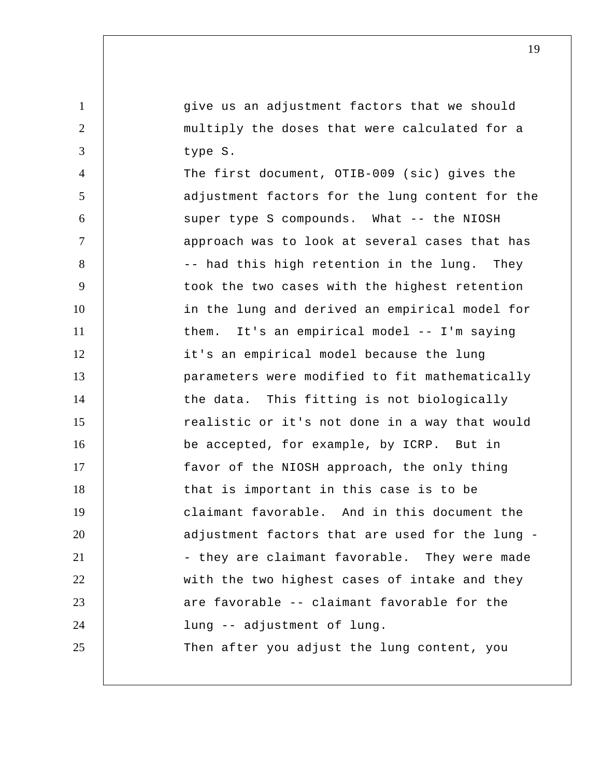give us an adjustment factors that we should multiply the doses that were calculated for a type S.

1

2

3

4 5 6 7 8 9 10 11 12 13 14 15 16 17 18 19 20 21 22 23 24 25 The first document, OTIB-009 (sic) gives the adjustment factors for the lung content for the super type S compounds. What -- the NIOSH approach was to look at several cases that has -- had this high retention in the lung. They took the two cases with the highest retention in the lung and derived an empirical model for them. It's an empirical model -- I'm saying it's an empirical model because the lung parameters were modified to fit mathematically the data. This fitting is not biologically realistic or it's not done in a way that would be accepted, for example, by ICRP. But in favor of the NIOSH approach, the only thing that is important in this case is to be claimant favorable. And in this document the adjustment factors that are used for the lung - they are claimant favorable. They were made with the two highest cases of intake and they are favorable -- claimant favorable for the lung -- adjustment of lung. Then after you adjust the lung content, you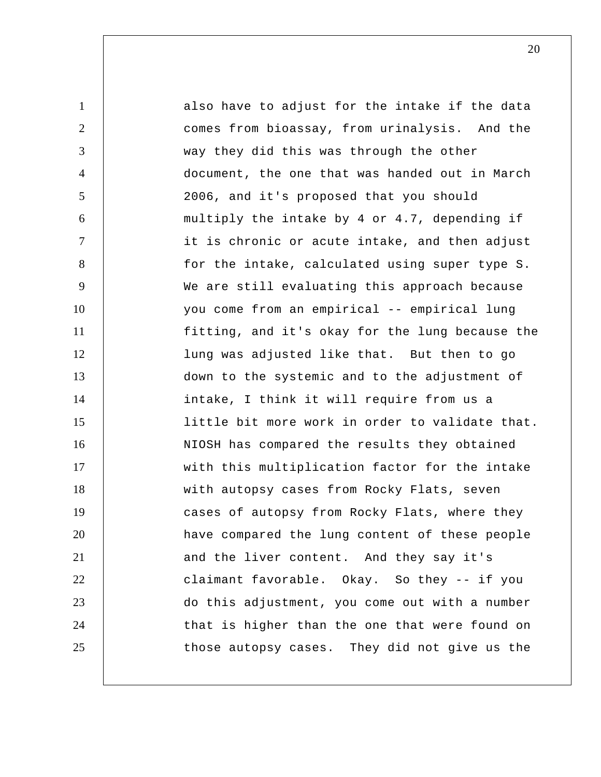1 2 3 4 5 6 7 8 9 10 11 12 13 14 15 16 17 18 19 20 21 22 23 24 25 also have to adjust for the intake if the data comes from bioassay, from urinalysis. And the way they did this was through the other document, the one that was handed out in March 2006, and it's proposed that you should multiply the intake by 4 or 4.7, depending if it is chronic or acute intake, and then adjust for the intake, calculated using super type S. We are still evaluating this approach because you come from an empirical -- empirical lung fitting, and it's okay for the lung because the lung was adjusted like that. But then to go down to the systemic and to the adjustment of intake, I think it will require from us a little bit more work in order to validate that. NIOSH has compared the results they obtained with this multiplication factor for the intake with autopsy cases from Rocky Flats, seven cases of autopsy from Rocky Flats, where they have compared the lung content of these people and the liver content. And they say it's claimant favorable. Okay. So they -- if you do this adjustment, you come out with a number that is higher than the one that were found on those autopsy cases. They did not give us the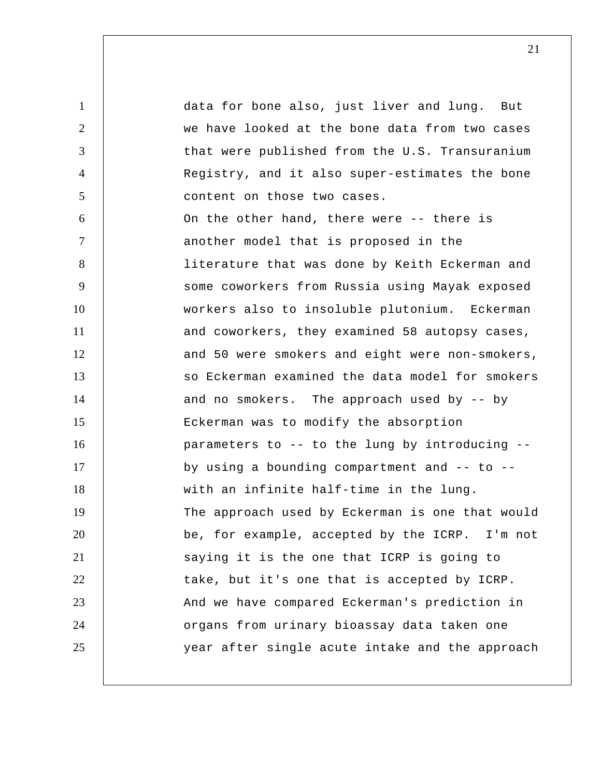1 2 3 4 5 6 7 8 9 10 11 12 13 14 15 16 17 18 19 20 21 22 23 24 25 data for bone also, just liver and lung. But we have looked at the bone data from two cases that were published from the U.S. Transuranium Registry, and it also super-estimates the bone content on those two cases. On the other hand, there were -- there is another model that is proposed in the literature that was done by Keith Eckerman and some coworkers from Russia using Mayak exposed workers also to insoluble plutonium. Eckerman and coworkers, they examined 58 autopsy cases, and 50 were smokers and eight were non-smokers, so Eckerman examined the data model for smokers and no smokers. The approach used by -- by Eckerman was to modify the absorption parameters to -- to the lung by introducing - by using a bounding compartment and  $--$  to  $-$ with an infinite half-time in the lung. The approach used by Eckerman is one that would be, for example, accepted by the ICRP. I'm not saying it is the one that ICRP is going to take, but it's one that is accepted by ICRP. And we have compared Eckerman's prediction in organs from urinary bioassay data taken one year after single acute intake and the approach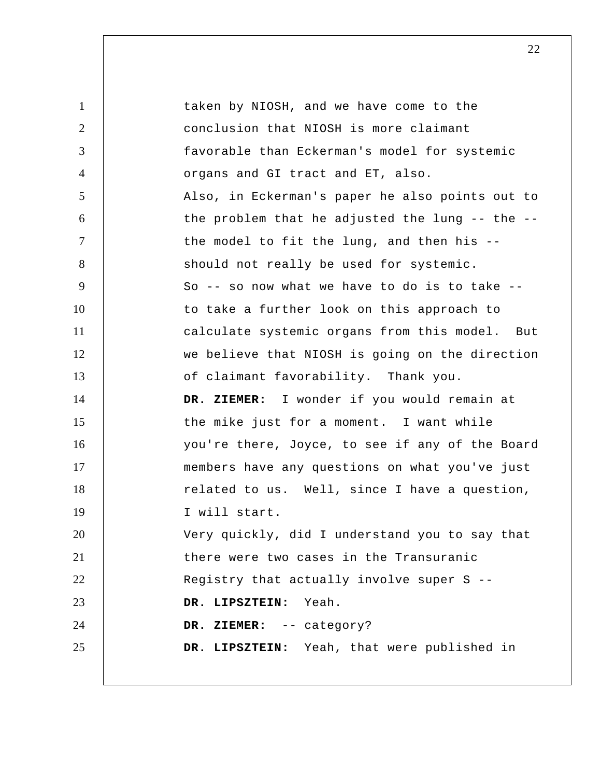| $\mathbf{1}$   | taken by NIOSH, and we have come to the         |
|----------------|-------------------------------------------------|
| 2              | conclusion that NIOSH is more claimant          |
| 3              | favorable than Eckerman's model for systemic    |
| $\overline{4}$ | organs and GI tract and ET, also.               |
| 5              | Also, in Eckerman's paper he also points out to |
| 6              | the problem that he adjusted the lung -- the -- |
| $\tau$         | the model to fit the lung, and then his --      |
| 8              | should not really be used for systemic.         |
| 9              | So -- so now what we have to do is to take --   |
| 10             | to take a further look on this approach to      |
| 11             | calculate systemic organs from this model. But  |
| 12             | we believe that NIOSH is going on the direction |
| 13             | of claimant favorability. Thank you.            |
| 14             | DR. ZIEMER: I wonder if you would remain at     |
| 15             | the mike just for a moment. I want while        |
| 16             | you're there, Joyce, to see if any of the Board |
| 17             | members have any questions on what you've just  |
| 18             | related to us. Well, since I have a question,   |
| 19             | I will start.                                   |
| 20             | Very quickly, did I understand you to say that  |
| 21             | there were two cases in the Transuranic         |
| 22             | Registry that actually involve super S --       |
| 23             | DR. LIPSZTEIN: Yeah.                            |
| 24             | DR. ZIEMER: -- category?                        |
| 25             | DR. LIPSZTEIN: Yeah, that were published in     |
|                |                                                 |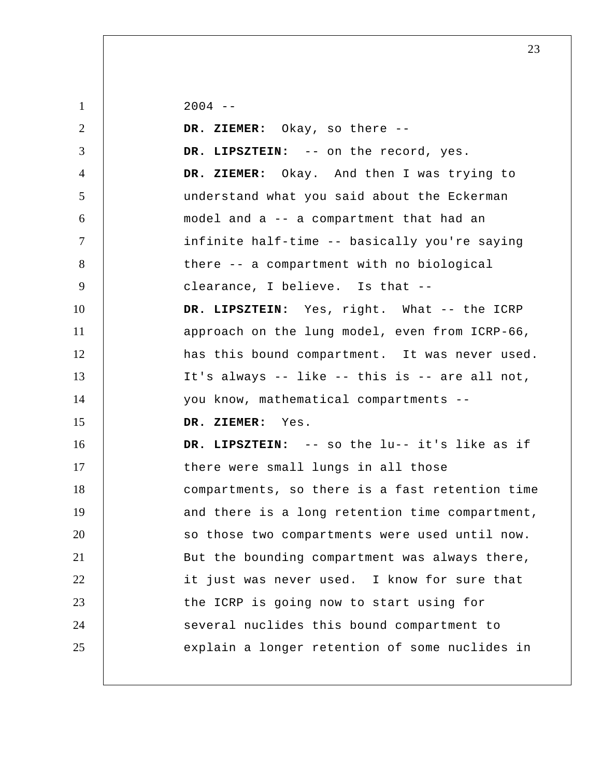1 2 3 4 5 6 7 8 9 10 11 12 13 14 15 16 17 18 19 20 21 22 23 24 25  $2004 - -$  **DR. ZIEMER:** Okay, so there -- **DR. LIPSZTEIN:** -- on the record, yes.  **DR. ZIEMER:** Okay. And then I was trying to understand what you said about the Eckerman model and a -- a compartment that had an infinite half-time -- basically you're saying there -- a compartment with no biological clearance, I believe. Is that -- **DR. LIPSZTEIN:** Yes, right. What -- the ICRP approach on the lung model, even from ICRP-66, has this bound compartment. It was never used. It's always -- like -- this is -- are all not, you know, mathematical compartments --  **DR. ZIEMER:** Yes.  **DR. LIPSZTEIN:** -- so the lu-- it's like as if there were small lungs in all those compartments, so there is a fast retention time and there is a long retention time compartment, so those two compartments were used until now. But the bounding compartment was always there, it just was never used. I know for sure that the ICRP is going now to start using for several nuclides this bound compartment to explain a longer retention of some nuclides in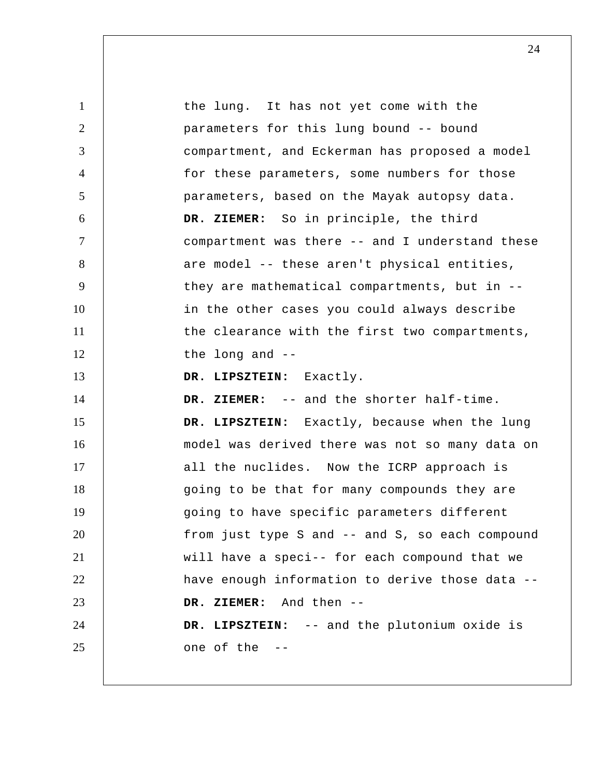1 2 3 4 5 6 7 8 9 10 11 12 13 14 15 16 17 18 19 20 21 22 23 24 25 the lung. It has not yet come with the parameters for this lung bound -- bound compartment, and Eckerman has proposed a model for these parameters, some numbers for those parameters, based on the Mayak autopsy data.  **DR. ZIEMER:** So in principle, the third compartment was there -- and I understand these are model -- these aren't physical entities, they are mathematical compartments, but in - in the other cases you could always describe the clearance with the first two compartments, the long and -- **DR. LIPSZTEIN:** Exactly.  **DR. ZIEMER:** -- and the shorter half-time.  **DR. LIPSZTEIN:** Exactly, because when the lung model was derived there was not so many data on all the nuclides. Now the ICRP approach is going to be that for many compounds they are going to have specific parameters different from just type S and -- and S, so each compound will have a speci-- for each compound that we have enough information to derive those data --  **DR. ZIEMER:** And then -- **DR. LIPSZTEIN:** -- and the plutonium oxide is one of the --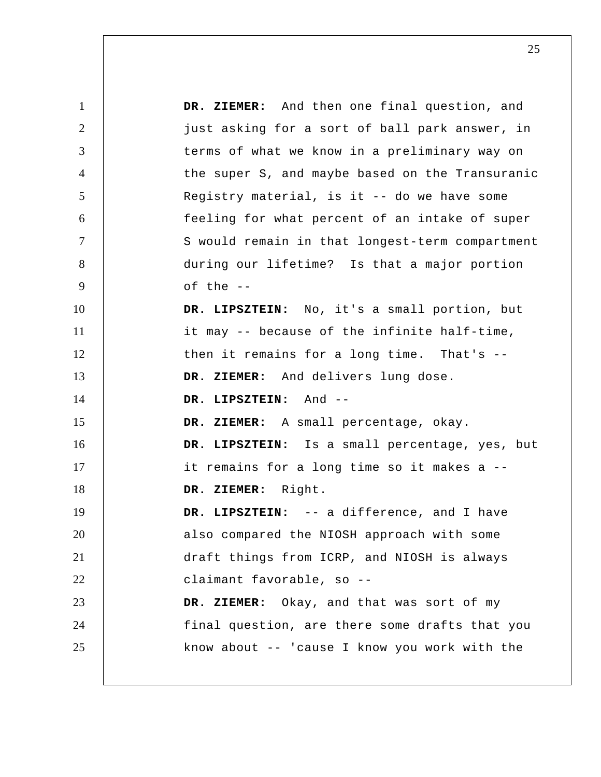1 2 3 4 5 6 7 8 9 10 11 12 13 14 15 16 17 18 19 20 21 22 23 24 25  **DR. ZIEMER:** And then one final question, and just asking for a sort of ball park answer, in terms of what we know in a preliminary way on the super S, and maybe based on the Transuranic Registry material, is it -- do we have some feeling for what percent of an intake of super S would remain in that longest-term compartment during our lifetime? Is that a major portion of the --  **DR. LIPSZTEIN:** No, it's a small portion, but it may -- because of the infinite half-time, then it remains for a long time. That's --  **DR. ZIEMER:** And delivers lung dose.  **DR. LIPSZTEIN:** And -- **DR. ZIEMER:** A small percentage, okay.  **DR. LIPSZTEIN:** Is a small percentage, yes, but it remains for a long time so it makes a --  **DR. ZIEMER:** Right.  **DR. LIPSZTEIN:** -- a difference, and I have also compared the NIOSH approach with some draft things from ICRP, and NIOSH is always claimant favorable, so -- **DR. ZIEMER:** Okay, and that was sort of my final question, are there some drafts that you know about -- 'cause I know you work with the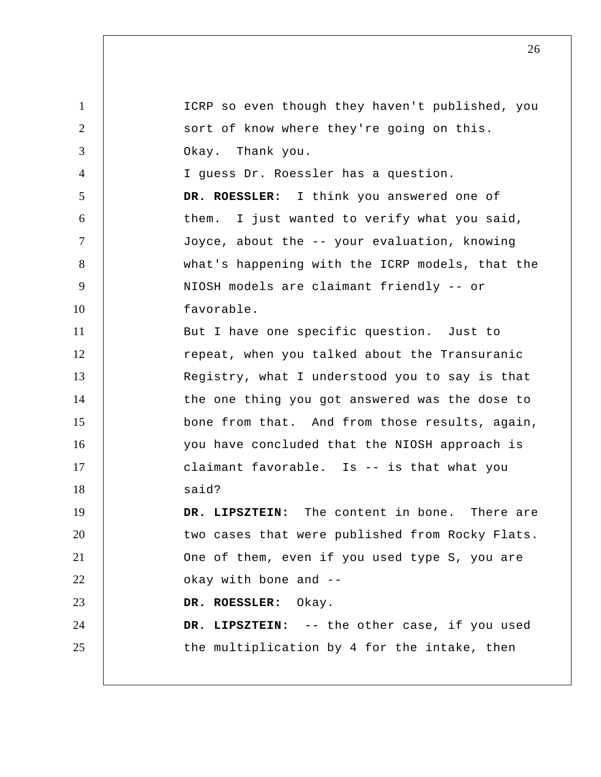1 2 3 4 5 6 7 8 9 10 11 12 13 14 15 16 17 18 19 20 21 22 23 24 25 ICRP so even though they haven't published, you sort of know where they're going on this. Okay. Thank you. I guess Dr. Roessler has a question. **DR. ROESSLER:** I think you answered one of them. I just wanted to verify what you said, Joyce, about the -- your evaluation, knowing what's happening with the ICRP models, that the NIOSH models are claimant friendly -- or favorable. But I have one specific question. Just to repeat, when you talked about the Transuranic Registry, what I understood you to say is that the one thing you got answered was the dose to bone from that. And from those results, again, you have concluded that the NIOSH approach is claimant favorable. Is -- is that what you said?  **DR. LIPSZTEIN:** The content in bone. There are two cases that were published from Rocky Flats. One of them, even if you used type S, you are okay with bone and --**DR. ROESSLER:** Okay.  **DR. LIPSZTEIN:** -- the other case, if you used the multiplication by 4 for the intake, then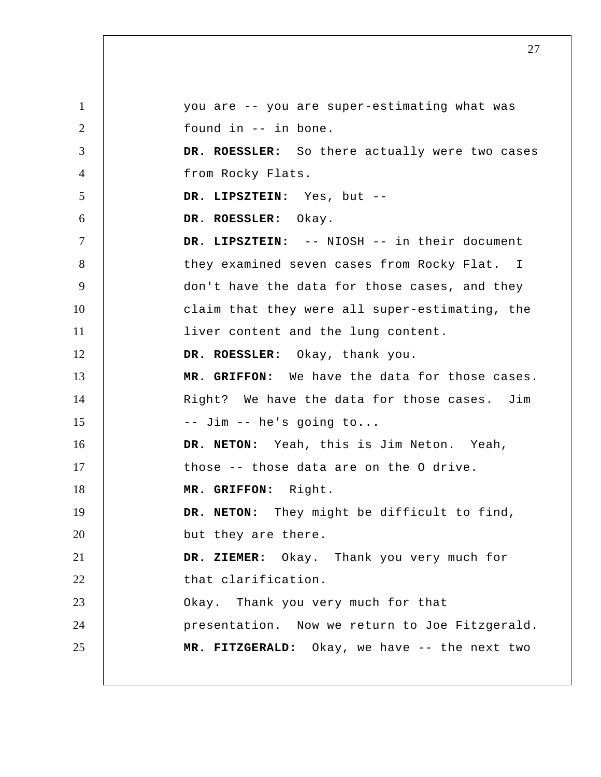1 2 3 4 5 6 7 8 9 10 11 12 13 14 15 16 17 18 19 20 21 22 23 24 25 you are -- you are super-estimating what was found in -- in bone. **DR. ROESSLER:** So there actually were two cases from Rocky Flats.  **DR. LIPSZTEIN:** Yes, but --**DR. ROESSLER:** Okay.  **DR. LIPSZTEIN:** -- NIOSH -- in their document they examined seven cases from Rocky Flat. I don't have the data for those cases, and they claim that they were all super-estimating, the liver content and the lung content. **DR. ROESSLER:** Okay, thank you.  **MR. GRIFFON:** We have the data for those cases. Right? We have the data for those cases. Jim -- Jim -- he's going to... **DR. NETON:** Yeah, this is Jim Neton. Yeah, those -- those data are on the O drive.  **MR. GRIFFON:** Right. **DR. NETON:** They might be difficult to find, but they are there.  **DR. ZIEMER:** Okay. Thank you very much for that clarification. Okay. Thank you very much for that presentation. Now we return to Joe Fitzgerald.  **MR. FITZGERALD:** Okay, we have -- the next two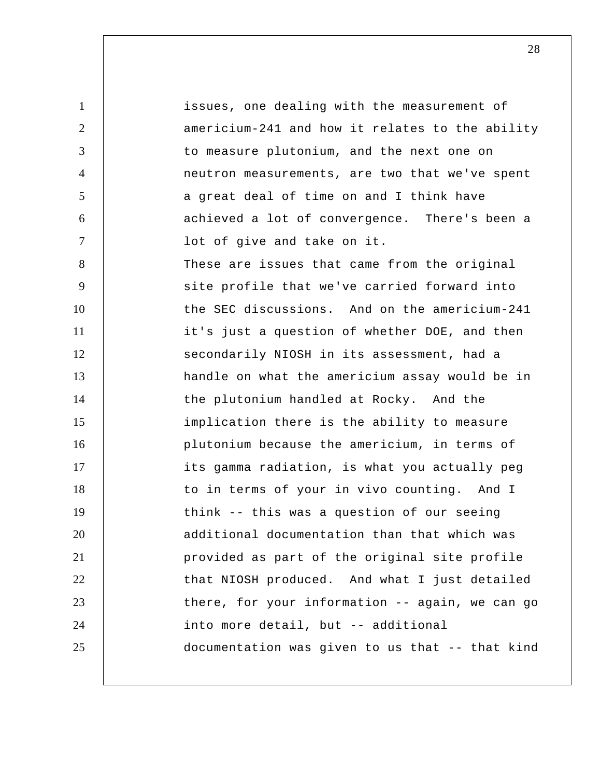1 2 3 4 5 6 7 8 9 10 11 12 13 14 15 16 17 18 19 20 21 22 23 24 25 issues, one dealing with the measurement of americium-241 and how it relates to the ability to measure plutonium, and the next one on neutron measurements, are two that we've spent a great deal of time on and I think have achieved a lot of convergence. There's been a lot of give and take on it. These are issues that came from the original site profile that we've carried forward into the SEC discussions. And on the americium-241 it's just a question of whether DOE, and then secondarily NIOSH in its assessment, had a handle on what the americium assay would be in the plutonium handled at Rocky. And the implication there is the ability to measure plutonium because the americium, in terms of its gamma radiation, is what you actually peg to in terms of your in vivo counting. And I think -- this was a question of our seeing additional documentation than that which was provided as part of the original site profile that NIOSH produced. And what I just detailed there, for your information -- again, we can go into more detail, but -- additional documentation was given to us that -- that kind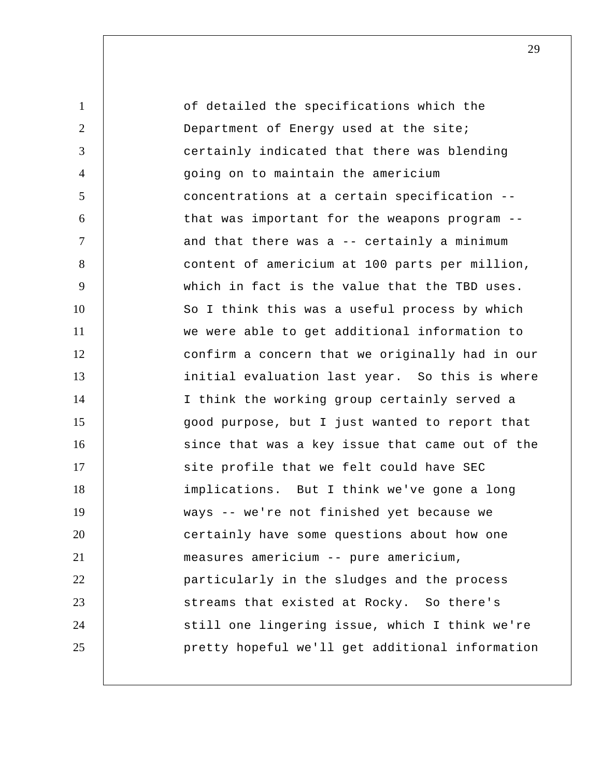1 2 3 4 5 6 7 8 9 10 11 12 13 14 15 16 17 18 19 20 21 22 23 24 25 of detailed the specifications which the Department of Energy used at the site; certainly indicated that there was blending going on to maintain the americium concentrations at a certain specification - that was important for the weapons program - and that there was a -- certainly a minimum content of americium at 100 parts per million, which in fact is the value that the TBD uses. So I think this was a useful process by which we were able to get additional information to confirm a concern that we originally had in our initial evaluation last year. So this is where I think the working group certainly served a good purpose, but I just wanted to report that since that was a key issue that came out of the site profile that we felt could have SEC implications. But I think we've gone a long ways -- we're not finished yet because we certainly have some questions about how one measures americium -- pure americium, particularly in the sludges and the process streams that existed at Rocky. So there's still one lingering issue, which I think we're pretty hopeful we'll get additional information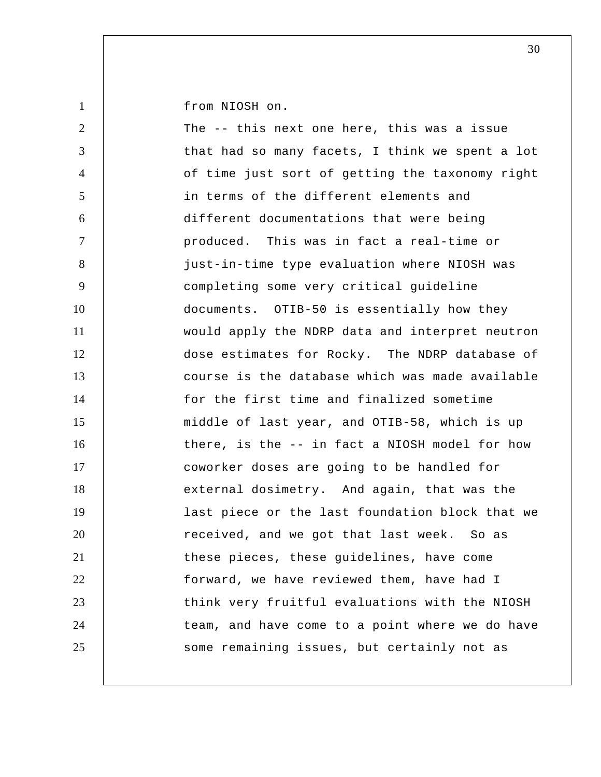from NIOSH on.

| $\overline{2}$ | The -- this next one here, this was a issue     |
|----------------|-------------------------------------------------|
| 3              | that had so many facets, I think we spent a lot |
| $\overline{4}$ | of time just sort of getting the taxonomy right |
| 5              | in terms of the different elements and          |
| 6              | different documentations that were being        |
| $\tau$         | produced. This was in fact a real-time or       |
| 8              | just-in-time type evaluation where NIOSH was    |
| 9              | completing some very critical guideline         |
| 10             | documents. OTIB-50 is essentially how they      |
| 11             | would apply the NDRP data and interpret neutron |
| 12             | dose estimates for Rocky. The NDRP database of  |
| 13             | course is the database which was made available |
| 14             | for the first time and finalized sometime       |
| 15             | middle of last year, and OTIB-58, which is up   |
| 16             | there, is the -- in fact a NIOSH model for how  |
| 17             | coworker doses are going to be handled for      |
| 18             | external dosimetry. And again, that was the     |
| 19             | last piece or the last foundation block that we |
| 20             | received, and we got that last week. So as      |
| 21             | these pieces, these guidelines, have come       |
| 22             | forward, we have reviewed them, have had I      |
| 23             | think very fruitful evaluations with the NIOSH  |
| 24             | team, and have come to a point where we do have |
| 25             | some remaining issues, but certainly not as     |
|                |                                                 |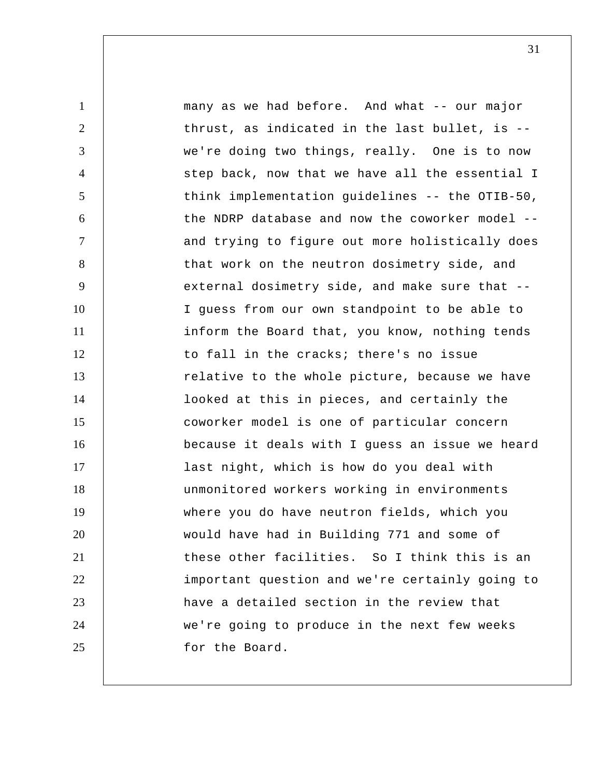1 2 3 4 5 6 7 8 9 10 11 12 13 14 15 16 17 18 19 20 21 22 23 24 25 many as we had before. And what -- our major thrust, as indicated in the last bullet, is - we're doing two things, really. One is to now step back, now that we have all the essential I think implementation guidelines -- the OTIB-50, the NDRP database and now the coworker model - and trying to figure out more holistically does that work on the neutron dosimetry side, and external dosimetry side, and make sure that -- I guess from our own standpoint to be able to inform the Board that, you know, nothing tends to fall in the cracks; there's no issue relative to the whole picture, because we have looked at this in pieces, and certainly the coworker model is one of particular concern because it deals with I guess an issue we heard last night, which is how do you deal with unmonitored workers working in environments where you do have neutron fields, which you would have had in Building 771 and some of these other facilities. So I think this is an important question and we're certainly going to have a detailed section in the review that we're going to produce in the next few weeks for the Board.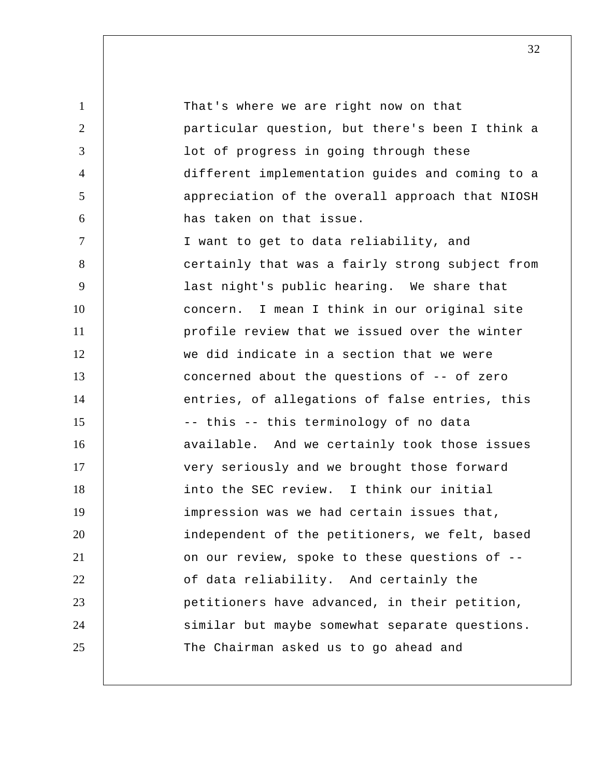1 2 3 4 5 6 7 8 9 10 11 12 13 14 15 16 17 18 19 20 21 22 23 24 25 That's where we are right now on that particular question, but there's been I think a lot of progress in going through these different implementation guides and coming to a appreciation of the overall approach that NIOSH has taken on that issue. I want to get to data reliability, and certainly that was a fairly strong subject from last night's public hearing. We share that concern. I mean I think in our original site profile review that we issued over the winter we did indicate in a section that we were concerned about the questions of -- of zero entries, of allegations of false entries, this -- this -- this terminology of no data available. And we certainly took those issues very seriously and we brought those forward into the SEC review. I think our initial impression was we had certain issues that, independent of the petitioners, we felt, based on our review, spoke to these questions of - of data reliability. And certainly the petitioners have advanced, in their petition, similar but maybe somewhat separate questions. The Chairman asked us to go ahead and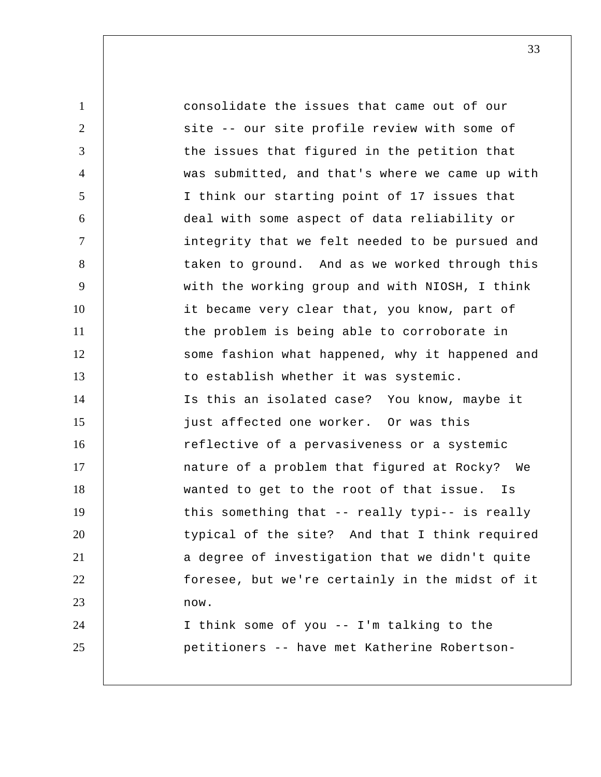1 2 3 4 5 6 7 8 9 10 11 12 13 14 15 16 17 18 19 20 21 22 23 24 25 consolidate the issues that came out of our site -- our site profile review with some of the issues that figured in the petition that was submitted, and that's where we came up with I think our starting point of 17 issues that deal with some aspect of data reliability or integrity that we felt needed to be pursued and taken to ground. And as we worked through this with the working group and with NIOSH, I think it became very clear that, you know, part of the problem is being able to corroborate in some fashion what happened, why it happened and to establish whether it was systemic. Is this an isolated case? You know, maybe it just affected one worker. Or was this reflective of a pervasiveness or a systemic nature of a problem that figured at Rocky? We wanted to get to the root of that issue. Is this something that -- really typi-- is really typical of the site? And that I think required a degree of investigation that we didn't quite foresee, but we're certainly in the midst of it now. I think some of you -- I'm talking to the petitioners -- have met Katherine Robertson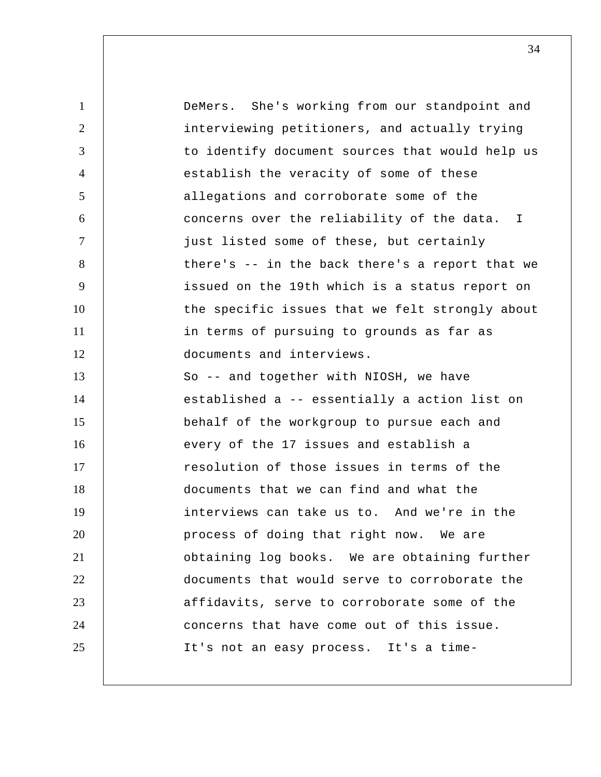1 2 3 4 5 6 7 8 9 10 11 12 13 14 15 16 17 18 19 20 21 22 23 24 25 DeMers. She's working from our standpoint and interviewing petitioners, and actually trying to identify document sources that would help us establish the veracity of some of these allegations and corroborate some of the concerns over the reliability of the data. I just listed some of these, but certainly there's -- in the back there's a report that we issued on the 19th which is a status report on the specific issues that we felt strongly about in terms of pursuing to grounds as far as documents and interviews. So -- and together with NIOSH, we have established a -- essentially a action list on behalf of the workgroup to pursue each and every of the 17 issues and establish a resolution of those issues in terms of the documents that we can find and what the interviews can take us to. And we're in the process of doing that right now. We are obtaining log books. We are obtaining further documents that would serve to corroborate the affidavits, serve to corroborate some of the concerns that have come out of this issue. It's not an easy process. It's a time-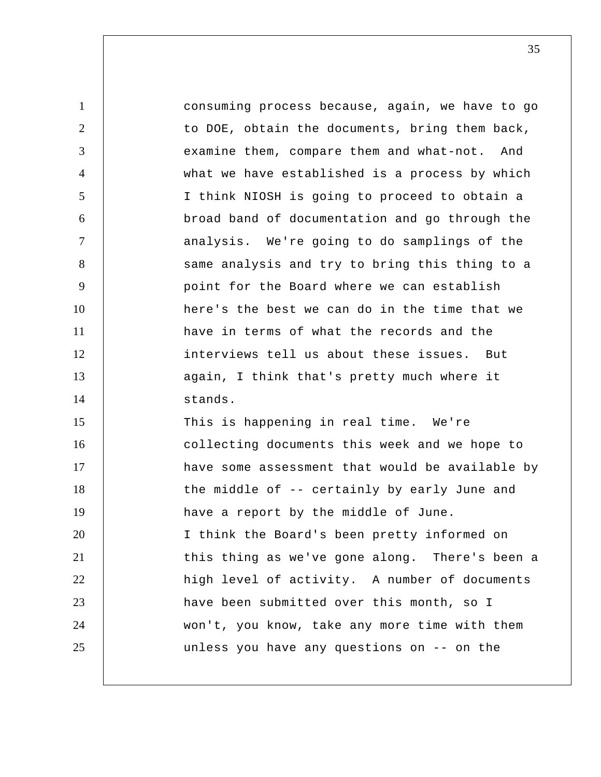1 2 3 4 5 6 7 8 9 10 11 12 13 14 15 16 17 18 19 20 21 22 23 24 25 consuming process because, again, we have to go to DOE, obtain the documents, bring them back, examine them, compare them and what-not. And what we have established is a process by which I think NIOSH is going to proceed to obtain a broad band of documentation and go through the analysis. We're going to do samplings of the same analysis and try to bring this thing to a point for the Board where we can establish here's the best we can do in the time that we have in terms of what the records and the interviews tell us about these issues. But again, I think that's pretty much where it stands. This is happening in real time. We're collecting documents this week and we hope to have some assessment that would be available by the middle of -- certainly by early June and have a report by the middle of June. I think the Board's been pretty informed on this thing as we've gone along. There's been a high level of activity. A number of documents have been submitted over this month, so I won't, you know, take any more time with them unless you have any questions on -- on the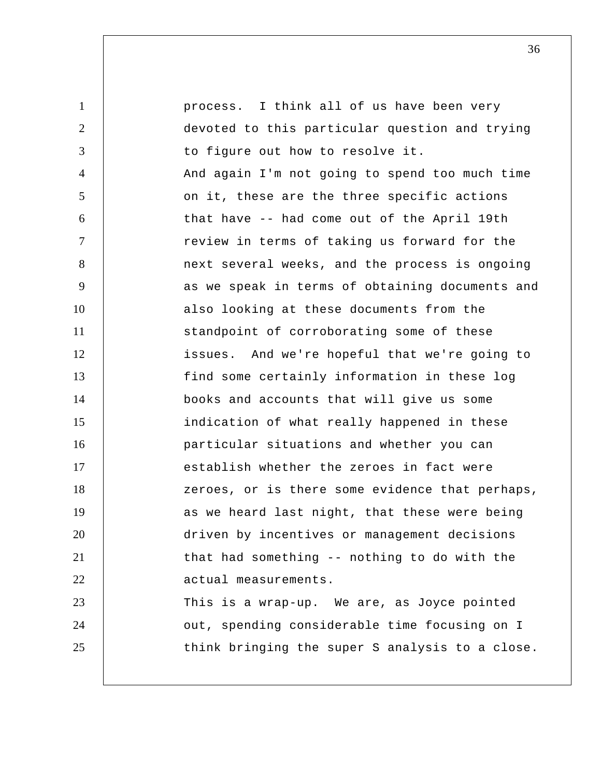1 2 3 4 5 6 7 8 9 10 11 12 13 14 15 16 17 18 19 20 21 22 23 24 25 process. I think all of us have been very devoted to this particular question and trying to figure out how to resolve it. And again I'm not going to spend too much time on it, these are the three specific actions that have -- had come out of the April 19th review in terms of taking us forward for the next several weeks, and the process is ongoing as we speak in terms of obtaining documents and also looking at these documents from the standpoint of corroborating some of these issues. And we're hopeful that we're going to find some certainly information in these log books and accounts that will give us some indication of what really happened in these particular situations and whether you can establish whether the zeroes in fact were zeroes, or is there some evidence that perhaps, as we heard last night, that these were being driven by incentives or management decisions that had something -- nothing to do with the actual measurements. This is a wrap-up. We are, as Joyce pointed out, spending considerable time focusing on I think bringing the super S analysis to a close.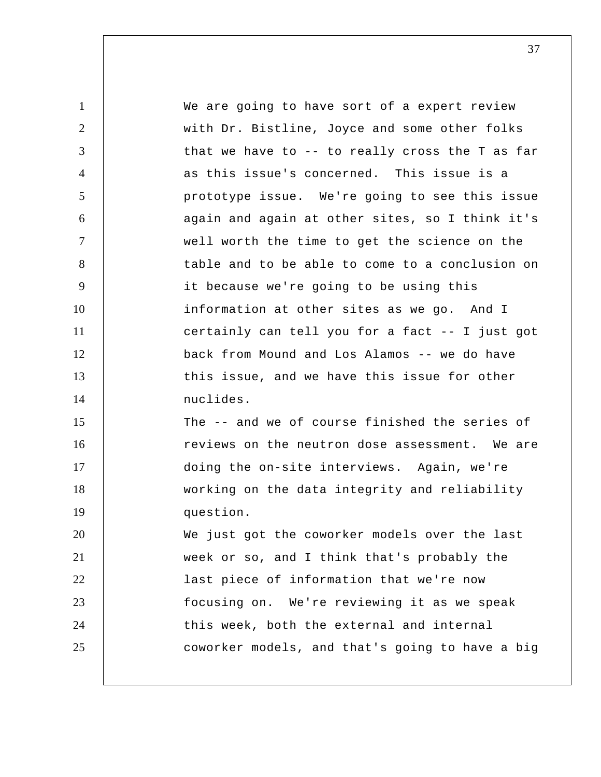| $\mathbf{1}$   | We are going to have sort of a expert review    |
|----------------|-------------------------------------------------|
| 2              | with Dr. Bistline, Joyce and some other folks   |
| 3              | that we have to -- to really cross the T as far |
| $\overline{4}$ | as this issue's concerned. This issue is a      |
| 5              | prototype issue. We're going to see this issue  |
| 6              | again and again at other sites, so I think it's |
| $\tau$         | well worth the time to get the science on the   |
| 8              | table and to be able to come to a conclusion on |
| 9              | it because we're going to be using this         |
| 10             | information at other sites as we go. And I      |
| 11             | certainly can tell you for a fact -- I just got |
| 12             | back from Mound and Los Alamos -- we do have    |
| 13             | this issue, and we have this issue for other    |
| 14             | nuclides.                                       |
| 15             | The -- and we of course finished the series of  |
| 16             | reviews on the neutron dose assessment. We are  |
| 17             | doing the on-site interviews. Again, we're      |
| 18             | working on the data integrity and reliability   |
| 19             | question.                                       |
| 20             | We just got the coworker models over the last   |
| 21             | week or so, and I think that's probably the     |
| 22             | last piece of information that we're now        |
| 23             | focusing on. We're reviewing it as we speak     |
| 24             | this week, both the external and internal       |
| 25             | coworker models, and that's going to have a big |
|                |                                                 |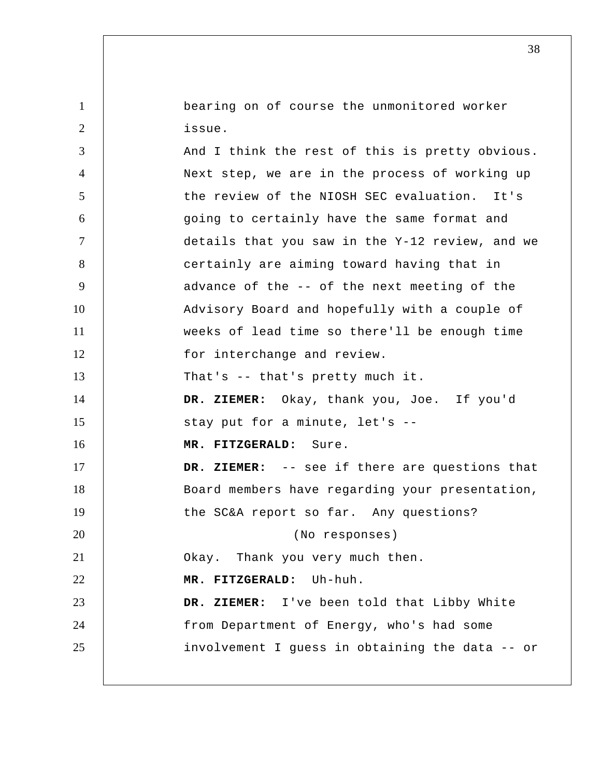bearing on of course the unmonitored worker issue.

1

| 3              | And I think the rest of this is pretty obvious. |
|----------------|-------------------------------------------------|
| $\overline{4}$ | Next step, we are in the process of working up  |
| 5              | the review of the NIOSH SEC evaluation. It's    |
| 6              | going to certainly have the same format and     |
| $\tau$         | details that you saw in the Y-12 review, and we |
| 8              | certainly are aiming toward having that in      |
| 9              | advance of the -- of the next meeting of the    |
| 10             | Advisory Board and hopefully with a couple of   |
| 11             | weeks of lead time so there'll be enough time   |
| 12             | for interchange and review.                     |
| 13             | That's $-$ that's pretty much it.               |
| 14             | DR. ZIEMER: Okay, thank you, Joe. If you'd      |
| 15             | stay put for a minute, let's --                 |
| 16             | MR. FITZGERALD: Sure.                           |
| 17             | DR. ZIEMER: -- see if there are questions that  |
| 18             | Board members have regarding your presentation, |
| 19             | the SC&A report so far. Any questions?          |
| 20             | (No responses)                                  |
| 21             | Okay. Thank you very much then.                 |
| 22             | MR. FITZGERALD: Uh-huh.                         |
| 23             | DR. ZIEMER: I've been told that Libby White     |
| 24             | from Department of Energy, who's had some       |
| 25             | involvement I guess in obtaining the data -- or |
|                |                                                 |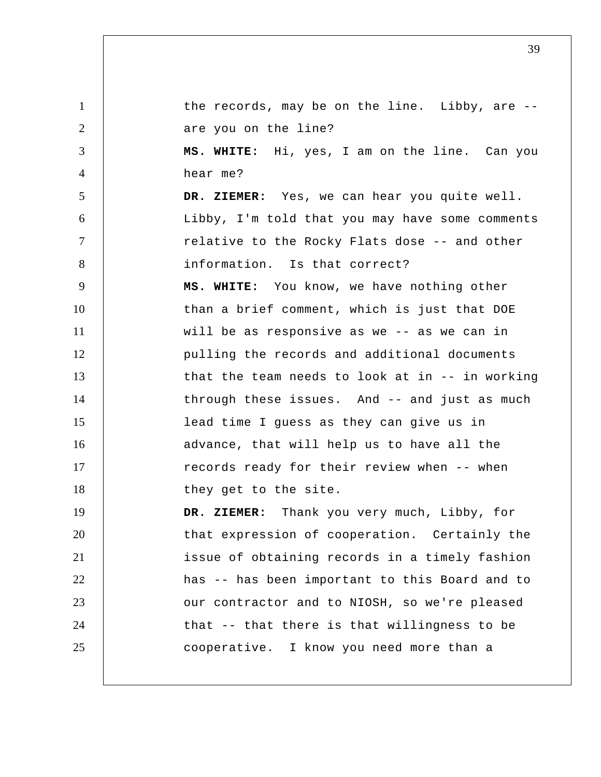1 2 3 4 5 6 7 8 9 10 11 12 13 14 15 16 17 18 19 20 21 22 23 24 25 the records, may be on the line. Libby, are -are you on the line? **MS. WHITE:** Hi, yes, I am on the line. Can you hear me?  **DR. ZIEMER:** Yes, we can hear you quite well. Libby, I'm told that you may have some comments relative to the Rocky Flats dose -- and other information. Is that correct? **MS. WHITE:** You know, we have nothing other than a brief comment, which is just that DOE will be as responsive as we -- as we can in pulling the records and additional documents that the team needs to look at in -- in working through these issues. And -- and just as much lead time I guess as they can give us in advance, that will help us to have all the records ready for their review when -- when they get to the site.  **DR. ZIEMER:** Thank you very much, Libby, for that expression of cooperation. Certainly the issue of obtaining records in a timely fashion has -- has been important to this Board and to our contractor and to NIOSH, so we're pleased that -- that there is that willingness to be cooperative. I know you need more than a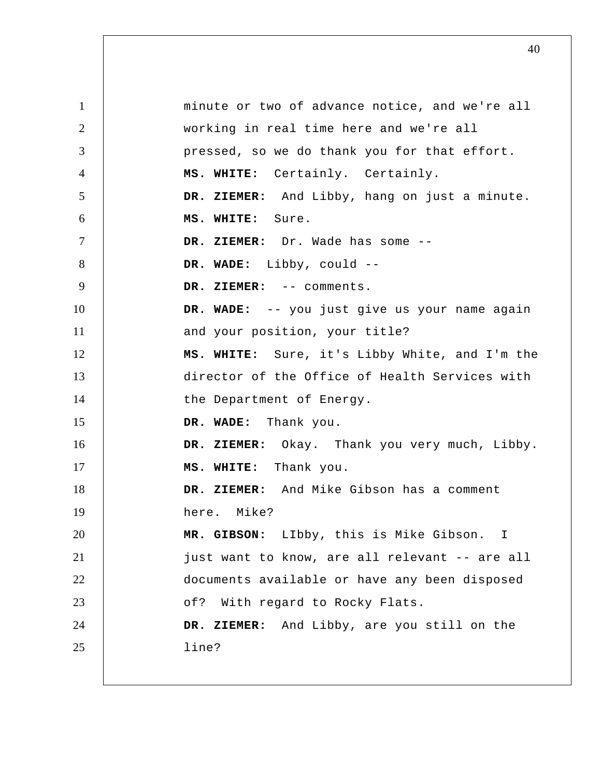1 2 3 4 5 6 7 8 9 10 11 12 13 14 15 16 17 18 19 20 21 22 23 24 25 minute or two of advance notice, and we're all working in real time here and we're all pressed, so we do thank you for that effort. **MS. WHITE:** Certainly. Certainly.  **DR. ZIEMER:** And Libby, hang on just a minute. **MS. WHITE:** Sure.  **DR. ZIEMER:** Dr. Wade has some -- **DR. WADE:** Libby, could -- **DR. ZIEMER:** -- comments.  **DR. WADE:** -- you just give us your name again and your position, your title? **MS. WHITE:** Sure, it's Libby White, and I'm the director of the Office of Health Services with the Department of Energy.  **DR. WADE:** Thank you.  **DR. ZIEMER:** Okay. Thank you very much, Libby. **MS. WHITE:** Thank you.  **DR. ZIEMER:** And Mike Gibson has a comment here. Mike?  **MR. GIBSON:** LIbby, this is Mike Gibson. I just want to know, are all relevant -- are all documents available or have any been disposed of? With regard to Rocky Flats.  **DR. ZIEMER:** And Libby, are you still on the line?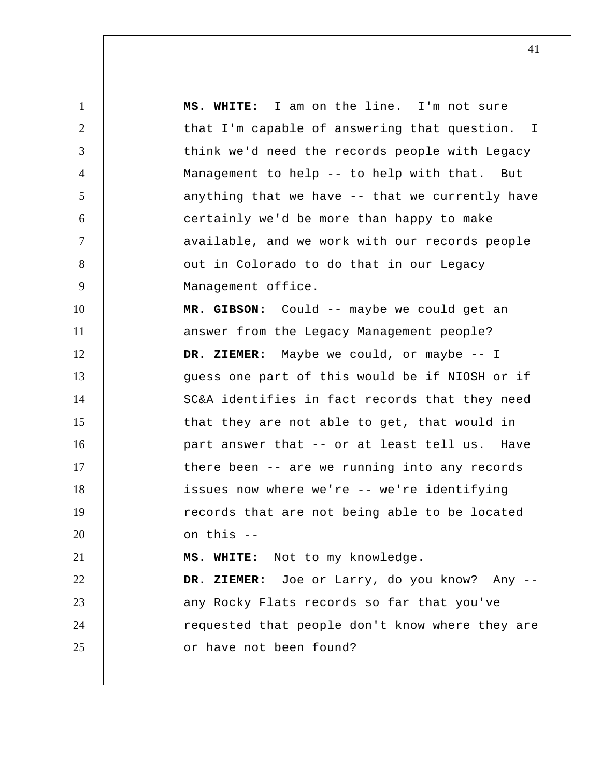1 2 3 4 5 6 7 8 9 10 11 12 13 14 15 16 17 18 19 20 21 22 23 24 25 I **MS. WHITE:** I am on the line. I'm not sure that I'm capable of answering that question. think we'd need the records people with Legacy Management to help -- to help with that. But anything that we have -- that we currently have certainly we'd be more than happy to make available, and we work with our records people out in Colorado to do that in our Legacy Management office.  **MR. GIBSON:** Could -- maybe we could get an answer from the Legacy Management people?  **DR. ZIEMER:** Maybe we could, or maybe -- I guess one part of this would be if NIOSH or if SC&A identifies in fact records that they need that they are not able to get, that would in part answer that -- or at least tell us. Have there been -- are we running into any records issues now where we're -- we're identifying records that are not being able to be located on this --**MS. WHITE:** Not to my knowledge.  **DR. ZIEMER:** Joe or Larry, do you know? Any -any Rocky Flats records so far that you've requested that people don't know where they are or have not been found?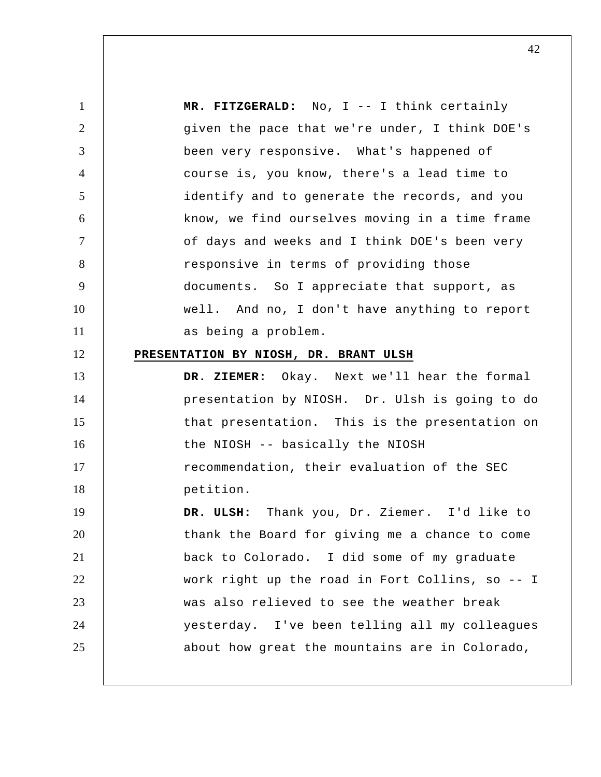1 2 3 4 5 6 7 8 9 10 11 12 13 14 15 16 17 18 19 20 21 22 23 24 25  **MR. FITZGERALD:** No, I -- I think certainly given the pace that we're under, I think DOE's been very responsive. What's happened of course is, you know, there's a lead time to identify and to generate the records, and you know, we find ourselves moving in a time frame of days and weeks and I think DOE's been very responsive in terms of providing those documents. So I appreciate that support, as well. And no, I don't have anything to report as being a problem. **PRESENTATION BY NIOSH, DR. BRANT ULSH DR. ZIEMER:** Okay. Next we'll hear the formal presentation by NIOSH. Dr. Ulsh is going to do that presentation. This is the presentation on the NIOSH -- basically the NIOSH recommendation, their evaluation of the SEC petition.  **DR. ULSH:** Thank you, Dr. Ziemer. I'd like to thank the Board for giving me a chance to come back to Colorado. I did some of my graduate work right up the road in Fort Collins, so -- I was also relieved to see the weather break yesterday. I've been telling all my colleagues about how great the mountains are in Colorado,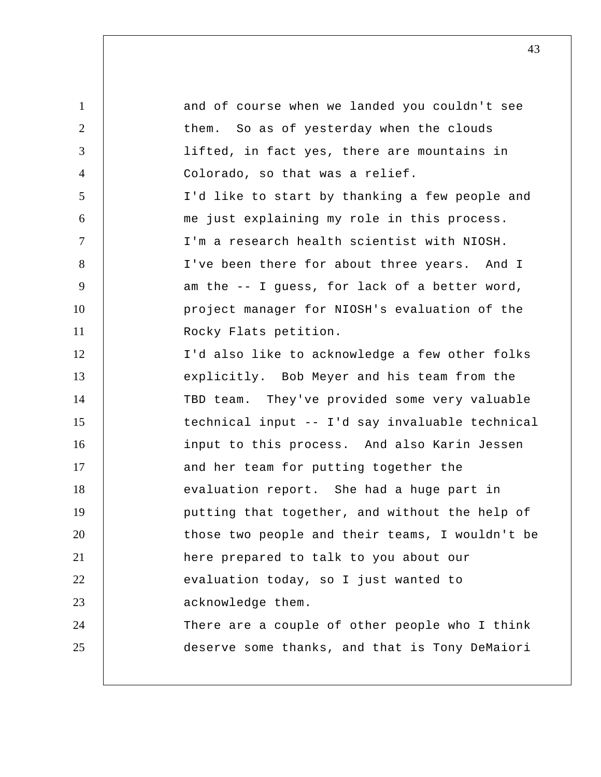| $\mathbf{1}$   | and of course when we landed you couldn't see   |
|----------------|-------------------------------------------------|
| $\overline{2}$ | them. So as of yesterday when the clouds        |
| 3              | lifted, in fact yes, there are mountains in     |
| $\overline{4}$ | Colorado, so that was a relief.                 |
| 5              | I'd like to start by thanking a few people and  |
| 6              | me just explaining my role in this process.     |
| $\tau$         | I'm a research health scientist with NIOSH.     |
| 8              | I've been there for about three years. And I    |
| 9              | am the -- I guess, for lack of a better word,   |
| 10             | project manager for NIOSH's evaluation of the   |
| 11             | Rocky Flats petition.                           |
| 12             | I'd also like to acknowledge a few other folks  |
| 13             | explicitly. Bob Meyer and his team from the     |
| 14             | TBD team. They've provided some very valuable   |
| 15             | technical input -- I'd say invaluable technical |
| 16             | input to this process. And also Karin Jessen    |
| 17             | and her team for putting together the           |
| 18             | evaluation report. She had a huge part in       |
| 19             | putting that together, and without the help of  |
| 20             | those two people and their teams, I wouldn't be |
| 21             | here prepared to talk to you about our          |
| 22             | evaluation today, so I just wanted to           |
| 23             | acknowledge them.                               |
| 24             | There are a couple of other people who I think  |
| 25             | deserve some thanks, and that is Tony DeMaiori  |
|                |                                                 |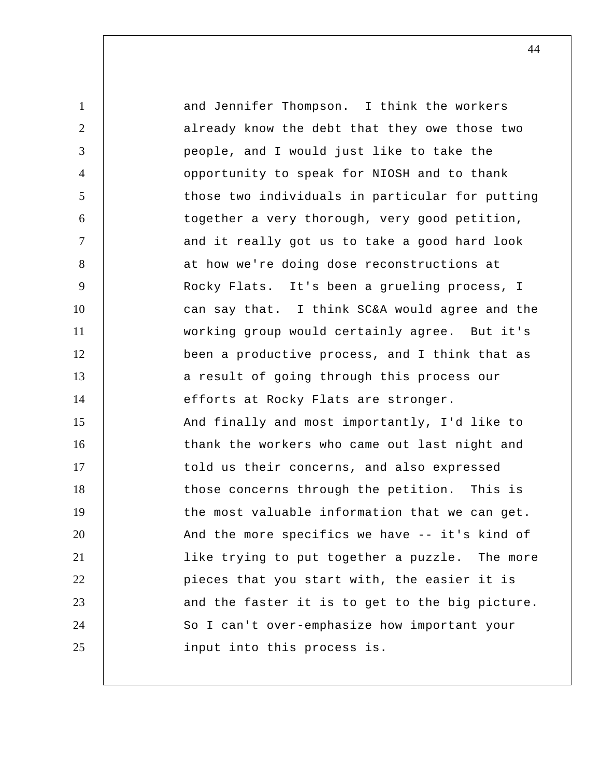1 2 3 4 5 6 7 8 9 10 11 12 13 14 15 16 17 18 19 20 21 22 23 24 25 and Jennifer Thompson. I think the workers already know the debt that they owe those two people, and I would just like to take the opportunity to speak for NIOSH and to thank those two individuals in particular for putting together a very thorough, very good petition, and it really got us to take a good hard look at how we're doing dose reconstructions at Rocky Flats. It's been a grueling process, I can say that. I think SC&A would agree and the working group would certainly agree. But it's been a productive process, and I think that as a result of going through this process our efforts at Rocky Flats are stronger. And finally and most importantly, I'd like to thank the workers who came out last night and told us their concerns, and also expressed those concerns through the petition. This is the most valuable information that we can get. And the more specifics we have -- it's kind of like trying to put together a puzzle. The more pieces that you start with, the easier it is and the faster it is to get to the big picture. So I can't over-emphasize how important your input into this process is.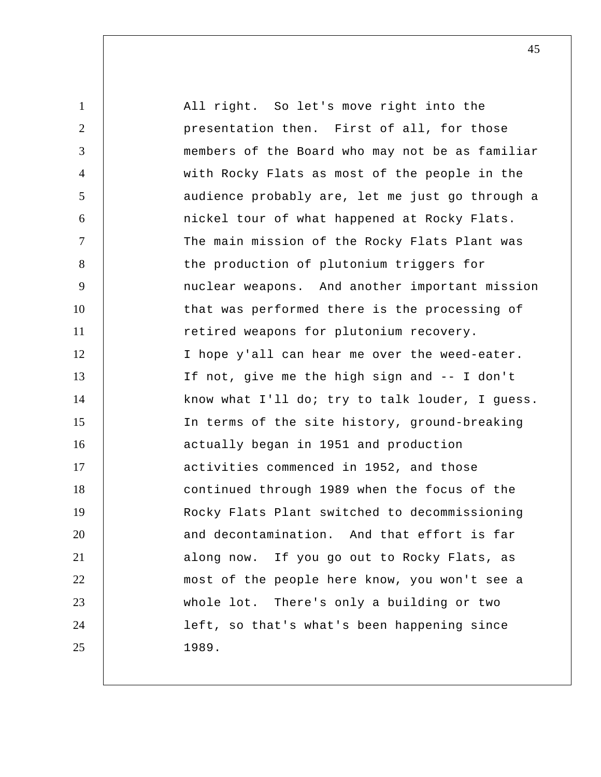| $\mathbf{1}$   | All right. So let's move right into the         |
|----------------|-------------------------------------------------|
| $\overline{2}$ | presentation then. First of all, for those      |
| 3              | members of the Board who may not be as familiar |
| $\overline{4}$ | with Rocky Flats as most of the people in the   |
| 5              | audience probably are, let me just go through a |
| 6              | nickel tour of what happened at Rocky Flats.    |
| $\overline{7}$ | The main mission of the Rocky Flats Plant was   |
| 8              | the production of plutonium triggers for        |
| 9              | nuclear weapons. And another important mission  |
| 10             | that was performed there is the processing of   |
| 11             | retired weapons for plutonium recovery.         |
| 12             | I hope y'all can hear me over the weed-eater.   |
| 13             | If not, give me the high sign and -- I don't    |
| 14             | know what I'll do; try to talk louder, I guess. |
| 15             | In terms of the site history, ground-breaking   |
| 16             | actually began in 1951 and production           |
| 17             | activities commenced in 1952, and those         |
| 18             | continued through 1989 when the focus of the    |
| 19             | Rocky Flats Plant switched to decommissioning   |
| 20             | and decontamination. And that effort is far     |
| 21             | along now. If you go out to Rocky Flats, as     |
| 22             | most of the people here know, you won't see a   |
| 23             | whole lot. There's only a building or two       |
| 24             | left, so that's what's been happening since     |
| 25             | 1989.                                           |
|                |                                                 |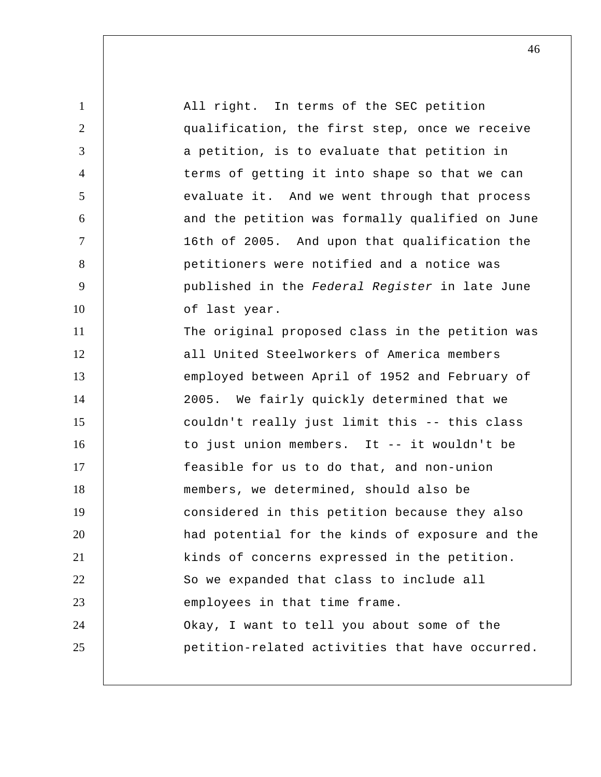| $\mathbf{1}$   | All right. In terms of the SEC petition         |
|----------------|-------------------------------------------------|
| $\overline{2}$ | qualification, the first step, once we receive  |
| 3              | a petition, is to evaluate that petition in     |
| 4              | terms of getting it into shape so that we can   |
| 5              | evaluate it. And we went through that process   |
| 6              | and the petition was formally qualified on June |
| $\overline{7}$ | 16th of 2005. And upon that qualification the   |
| 8              | petitioners were notified and a notice was      |
| 9              | published in the Federal Register in late June  |
| 10             | of last year.                                   |
| 11             | The original proposed class in the petition was |
| 12             | all United Steelworkers of America members      |
| 13             | employed between April of 1952 and February of  |
| 14             | 2005. We fairly quickly determined that we      |
| 15             | couldn't really just limit this -- this class   |
| 16             | to just union members. It -- it wouldn't be     |
| 17             | feasible for us to do that, and non-union       |
| 18             | members, we determined, should also be          |
| 19             | considered in this petition because they also   |
| 20             | had potential for the kinds of exposure and the |
| 21             | kinds of concerns expressed in the petition.    |
| 22             | So we expanded that class to include all        |
| 23             | employees in that time frame.                   |
| 24             | Okay, I want to tell you about some of the      |
| 25             | petition-related activities that have occurred. |
|                |                                                 |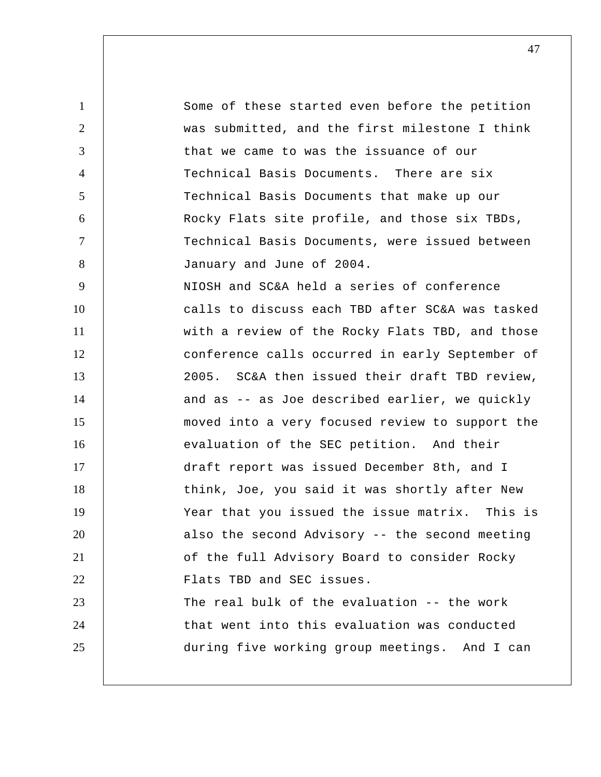1 2 3 4 5 6 7 8 9 10 11 12 13 14 15 16 17 18 19 20 21 22 23 24 25 Some of these started even before the petition was submitted, and the first milestone I think that we came to was the issuance of our Technical Basis Documents. There are six Technical Basis Documents that make up our Rocky Flats site profile, and those six TBDs, Technical Basis Documents, were issued between January and June of 2004. NIOSH and SC&A held a series of conference calls to discuss each TBD after SC&A was tasked with a review of the Rocky Flats TBD, and those conference calls occurred in early September of 2005. SC&A then issued their draft TBD review, and as -- as Joe described earlier, we quickly moved into a very focused review to support the evaluation of the SEC petition. And their draft report was issued December 8th, and I think, Joe, you said it was shortly after New Year that you issued the issue matrix. This is also the second Advisory -- the second meeting of the full Advisory Board to consider Rocky Flats TBD and SEC issues. The real bulk of the evaluation -- the work that went into this evaluation was conducted during five working group meetings. And I can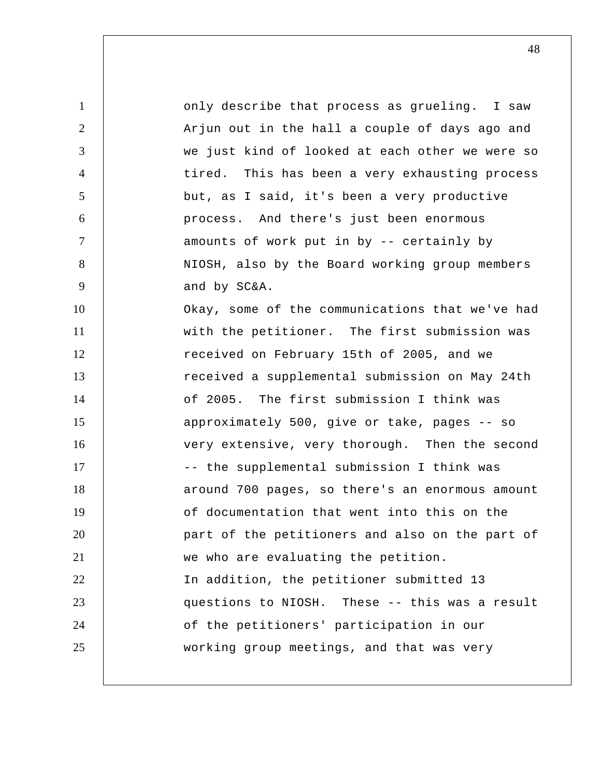1 2 3 4 5 6 7 8 9 10 11 12 13 14 15 16 17 18 19 20 21 22 23 24 25 only describe that process as grueling. I saw Arjun out in the hall a couple of days ago and we just kind of looked at each other we were so tired. This has been a very exhausting process but, as I said, it's been a very productive process. And there's just been enormous amounts of work put in by -- certainly by NIOSH, also by the Board working group members and by SC&A. Okay, some of the communications that we've had with the petitioner. The first submission was received on February 15th of 2005, and we received a supplemental submission on May 24th of 2005. The first submission I think was approximately 500, give or take, pages -- so very extensive, very thorough. Then the second -- the supplemental submission I think was around 700 pages, so there's an enormous amount of documentation that went into this on the part of the petitioners and also on the part of we who are evaluating the petition. In addition, the petitioner submitted 13 questions to NIOSH. These -- this was a result of the petitioners' participation in our working group meetings, and that was very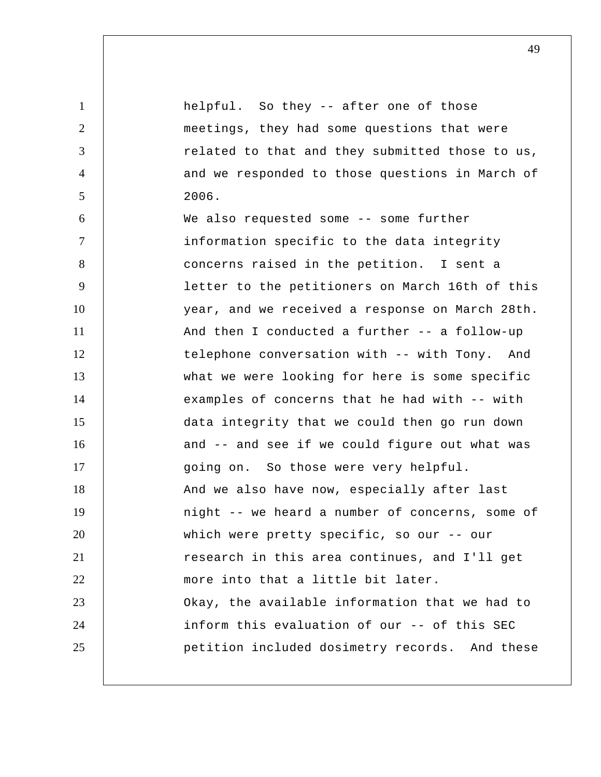1 2 3 4 5 6 7 8 9 10 11 12 13 14 15 16 17 18 19 20 21 22 23 24 25 helpful. So they -- after one of those meetings, they had some questions that were related to that and they submitted those to us, and we responded to those questions in March of 2006. We also requested some -- some further information specific to the data integrity concerns raised in the petition. I sent a letter to the petitioners on March 16th of this year, and we received a response on March 28th. And then I conducted a further -- a follow-up telephone conversation with -- with Tony. And what we were looking for here is some specific examples of concerns that he had with -- with data integrity that we could then go run down and -- and see if we could figure out what was going on. So those were very helpful. And we also have now, especially after last night -- we heard a number of concerns, some of which were pretty specific, so our -- our research in this area continues, and I'll get more into that a little bit later. Okay, the available information that we had to inform this evaluation of our -- of this SEC petition included dosimetry records. And these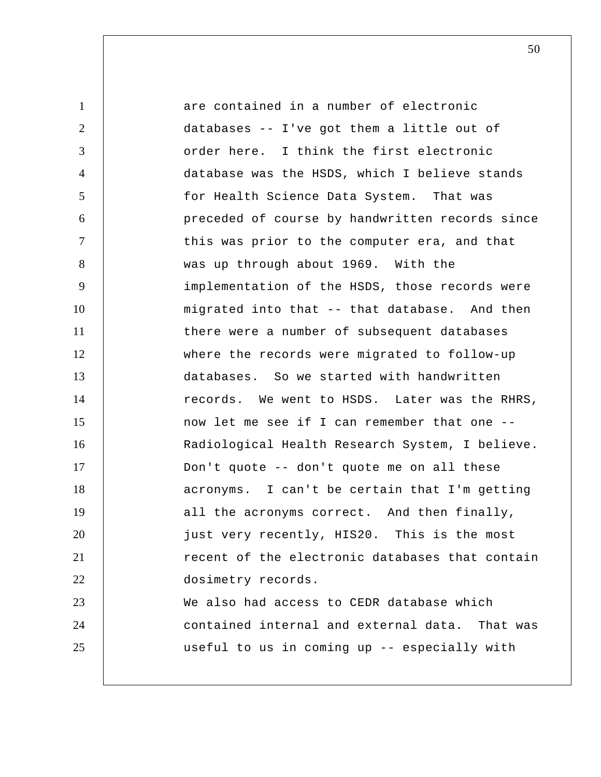1 2 3 4 5 6 7 8 9 10 11 12 13 14 15 16 17 18 19 20 21 22 23 24 25 are contained in a number of electronic databases -- I've got them a little out of order here. I think the first electronic database was the HSDS, which I believe stands for Health Science Data System. That was preceded of course by handwritten records since this was prior to the computer era, and that was up through about 1969. With the implementation of the HSDS, those records were migrated into that -- that database. And then there were a number of subsequent databases where the records were migrated to follow-up databases. So we started with handwritten records. We went to HSDS. Later was the RHRS, now let me see if I can remember that one -- Radiological Health Research System, I believe. Don't quote -- don't quote me on all these acronyms. I can't be certain that I'm getting all the acronyms correct. And then finally, just very recently, HIS20. This is the most recent of the electronic databases that contain dosimetry records. We also had access to CEDR database which contained internal and external data. That was useful to us in coming up -- especially with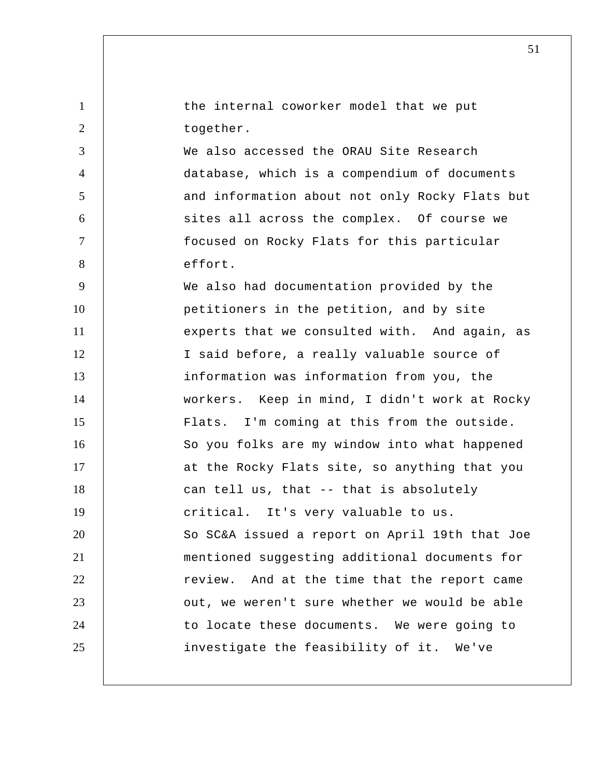|  |           | the internal coworker model that we put |  |  |  |
|--|-----------|-----------------------------------------|--|--|--|
|  | together. |                                         |  |  |  |

4

5

6

7

8

We also accessed the ORAU Site Research database, which is a compendium of documents and information about not only Rocky Flats but sites all across the complex. Of course we focused on Rocky Flats for this particular effort.

9 10 11 12 13 14 15 16 17 18 19 20 21 22 23 24 25 We also had documentation provided by the petitioners in the petition, and by site experts that we consulted with. And again, as I said before, a really valuable source of information was information from you, the workers. Keep in mind, I didn't work at Rocky Flats. I'm coming at this from the outside. So you folks are my window into what happened at the Rocky Flats site, so anything that you can tell us, that -- that is absolutely critical. It's very valuable to us. So SC&A issued a report on April 19th that Joe mentioned suggesting additional documents for review. And at the time that the report came out, we weren't sure whether we would be able to locate these documents. We were going to investigate the feasibility of it. We've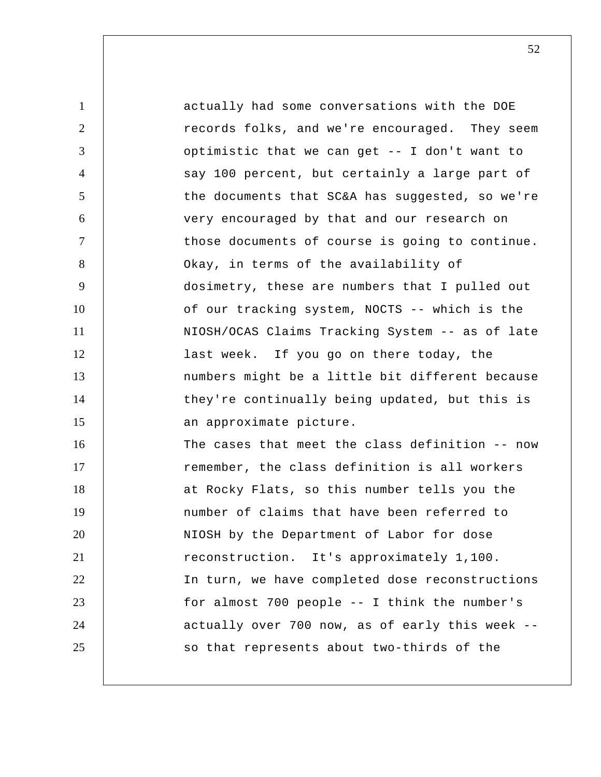1 2 3 4 5 6 7 8 9 10 11 12 13 14 15 16 17 18 19 20 21 22 23 24 25 actually had some conversations with the DOE records folks, and we're encouraged. They seem optimistic that we can get -- I don't want to say 100 percent, but certainly a large part of the documents that SC&A has suggested, so we're very encouraged by that and our research on those documents of course is going to continue. Okay, in terms of the availability of dosimetry, these are numbers that I pulled out of our tracking system, NOCTS -- which is the NIOSH/OCAS Claims Tracking System -- as of late last week. If you go on there today, the numbers might be a little bit different because they're continually being updated, but this is an approximate picture. The cases that meet the class definition -- now remember, the class definition is all workers at Rocky Flats, so this number tells you the number of claims that have been referred to NIOSH by the Department of Labor for dose reconstruction. It's approximately 1,100. In turn, we have completed dose reconstructions for almost 700 people -- I think the number's actually over 700 now, as of early this week - so that represents about two-thirds of the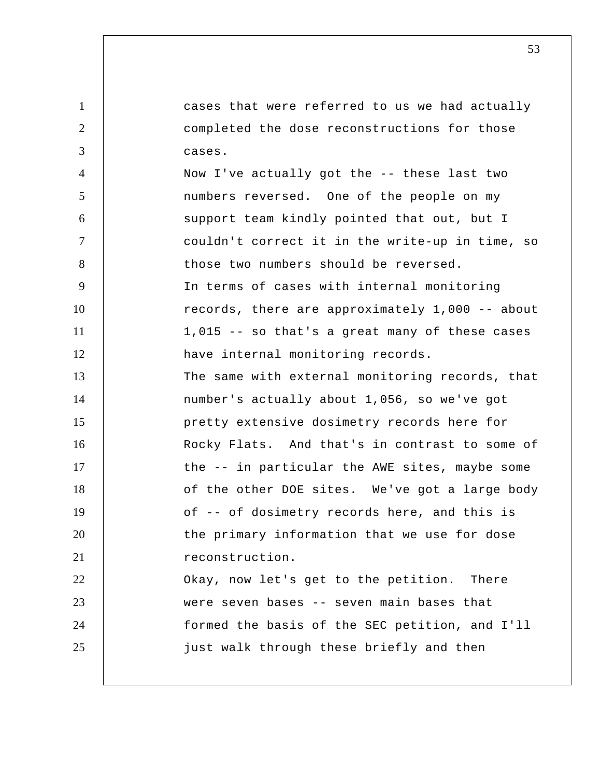1 2 3 4 5 6 7 8 9 10 11 12 13 14 15 16 17 18 19 20 21 22 23 24 25 cases that were referred to us we had actually completed the dose reconstructions for those cases. Now I've actually got the -- these last two numbers reversed. One of the people on my support team kindly pointed that out, but I couldn't correct it in the write-up in time, so those two numbers should be reversed. In terms of cases with internal monitoring records, there are approximately 1,000 -- about 1,015 -- so that's a great many of these cases have internal monitoring records. The same with external monitoring records, that number's actually about 1,056, so we've got pretty extensive dosimetry records here for Rocky Flats. And that's in contrast to some of the -- in particular the AWE sites, maybe some of the other DOE sites. We've got a large body of -- of dosimetry records here, and this is the primary information that we use for dose reconstruction. Okay, now let's get to the petition. There were seven bases -- seven main bases that formed the basis of the SEC petition, and I'll just walk through these briefly and then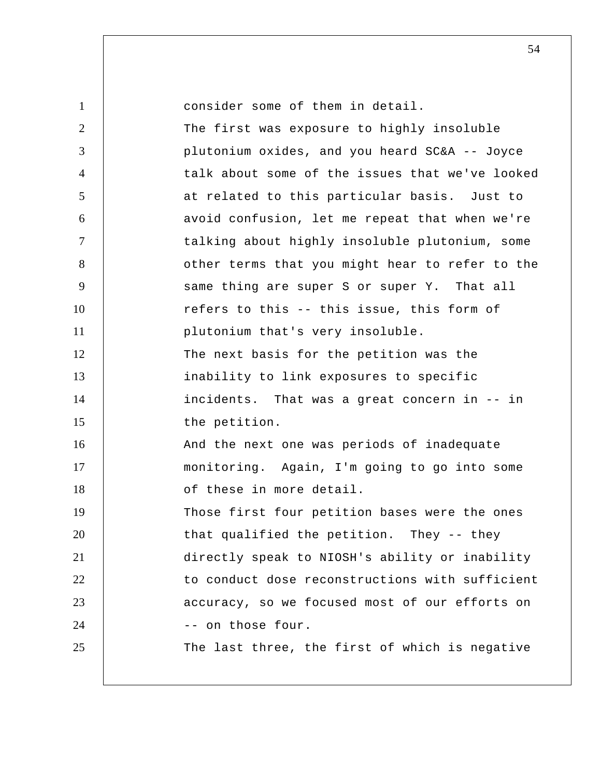| $\mathbf{1}$   | consider some of them in detail.                |
|----------------|-------------------------------------------------|
| $\overline{2}$ | The first was exposure to highly insoluble      |
| 3              | plutonium oxides, and you heard SC&A -- Joyce   |
| $\overline{4}$ | talk about some of the issues that we've looked |
| $\mathfrak{S}$ | at related to this particular basis. Just to    |
| 6              | avoid confusion, let me repeat that when we're  |
| $\tau$         | talking about highly insoluble plutonium, some  |
| 8              | other terms that you might hear to refer to the |
| 9              | same thing are super S or super Y. That all     |
| 10             | refers to this -- this issue, this form of      |
| 11             | plutonium that's very insoluble.                |
| 12             | The next basis for the petition was the         |
| 13             | inability to link exposures to specific         |
| 14             | incidents. That was a great concern in -- in    |
| 15             | the petition.                                   |
| 16             | And the next one was periods of inadequate      |
| 17             | monitoring. Again, I'm going to go into some    |
| 18             | of these in more detail.                        |
| 19             | Those first four petition bases were the ones   |
| 20             | that qualified the petition. They -- they       |
| 21             | directly speak to NIOSH's ability or inability  |
| 22             | to conduct dose reconstructions with sufficient |
| 23             | accuracy, so we focused most of our efforts on  |
| 24             | -- on those four.                               |
| 25             | The last three, the first of which is negative  |
|                |                                                 |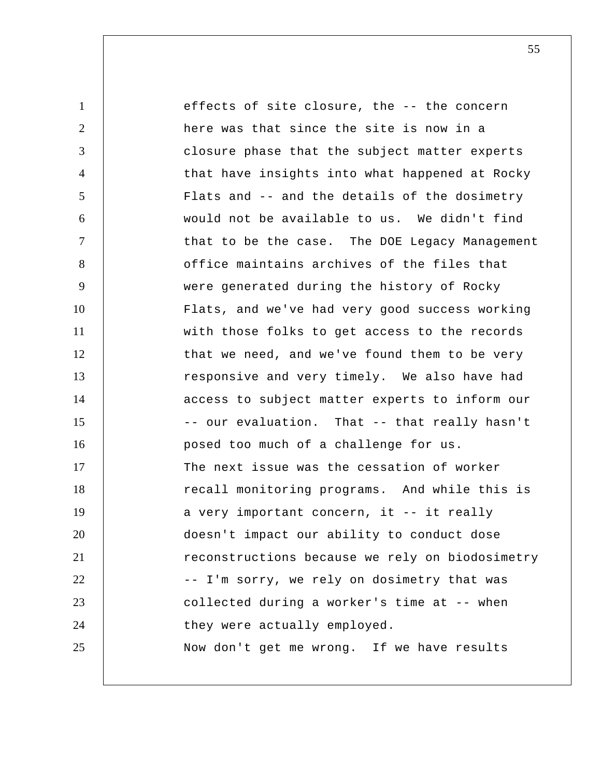| $\mathbf{1}$   | effects of site closure, the -- the concern     |
|----------------|-------------------------------------------------|
| $\overline{2}$ | here was that since the site is now in a        |
| 3              | closure phase that the subject matter experts   |
| $\overline{4}$ | that have insights into what happened at Rocky  |
| 5              | Flats and -- and the details of the dosimetry   |
| 6              | would not be available to us. We didn't find    |
| $\tau$         | that to be the case. The DOE Legacy Management  |
| 8              | office maintains archives of the files that     |
| 9              | were generated during the history of Rocky      |
| 10             | Flats, and we've had very good success working  |
| 11             | with those folks to get access to the records   |
| 12             | that we need, and we've found them to be very   |
| 13             | responsive and very timely. We also have had    |
| 14             | access to subject matter experts to inform our  |
| 15             | -- our evaluation. That -- that really hasn't   |
| 16             | posed too much of a challenge for us.           |
| 17             | The next issue was the cessation of worker      |
| 18             | recall monitoring programs. And while this is   |
| 19             | a very important concern, it -- it really       |
| 20             | doesn't impact our ability to conduct dose      |
| 21             | reconstructions because we rely on biodosimetry |
| 22             | -- I'm sorry, we rely on dosimetry that was     |
| 23             | collected during a worker's time at -- when     |
| 24             | they were actually employed.                    |
| 25             | Now don't get me wrong. If we have results      |
|                |                                                 |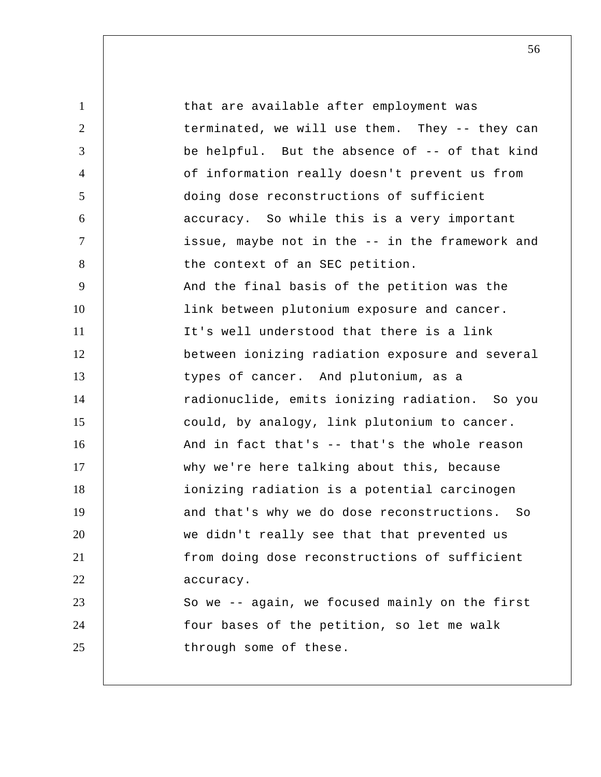1 2 3 4 5 6 7 8 9 10 11 12 13 14 15 16 17 18 19 20 21 22 23 24 25 that are available after employment was terminated, we will use them. They -- they can be helpful. But the absence of -- of that kind of information really doesn't prevent us from doing dose reconstructions of sufficient accuracy. So while this is a very important issue, maybe not in the -- in the framework and the context of an SEC petition. And the final basis of the petition was the link between plutonium exposure and cancer. It's well understood that there is a link between ionizing radiation exposure and several types of cancer. And plutonium, as a radionuclide, emits ionizing radiation. So you could, by analogy, link plutonium to cancer. And in fact that's -- that's the whole reason why we're here talking about this, because ionizing radiation is a potential carcinogen and that's why we do dose reconstructions. So we didn't really see that that prevented us from doing dose reconstructions of sufficient accuracy. So we -- again, we focused mainly on the first four bases of the petition, so let me walk through some of these.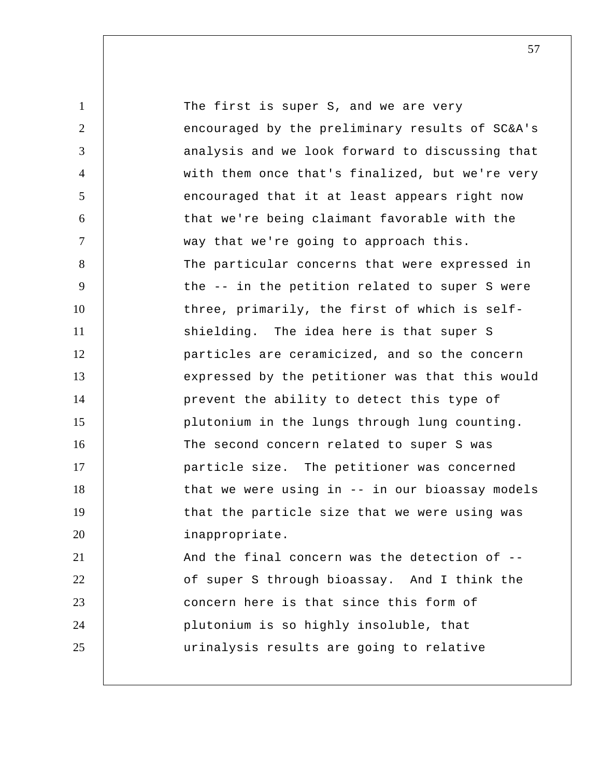1 2 3 4 5 6 7 8 9 10 11 12 13 14 15 16 17 18 19 20 21 22 23 24 25 The first is super S, and we are very encouraged by the preliminary results of SC&A's analysis and we look forward to discussing that with them once that's finalized, but we're very encouraged that it at least appears right now that we're being claimant favorable with the way that we're going to approach this. The particular concerns that were expressed in the -- in the petition related to super S were three, primarily, the first of which is self shielding. The idea here is that super S particles are ceramicized, and so the concern expressed by the petitioner was that this would prevent the ability to detect this type of plutonium in the lungs through lung counting. The second concern related to super S was particle size. The petitioner was concerned that we were using in -- in our bioassay models that the particle size that we were using was inappropriate. And the final concern was the detection of - of super S through bioassay. And I think the concern here is that since this form of plutonium is so highly insoluble, that urinalysis results are going to relative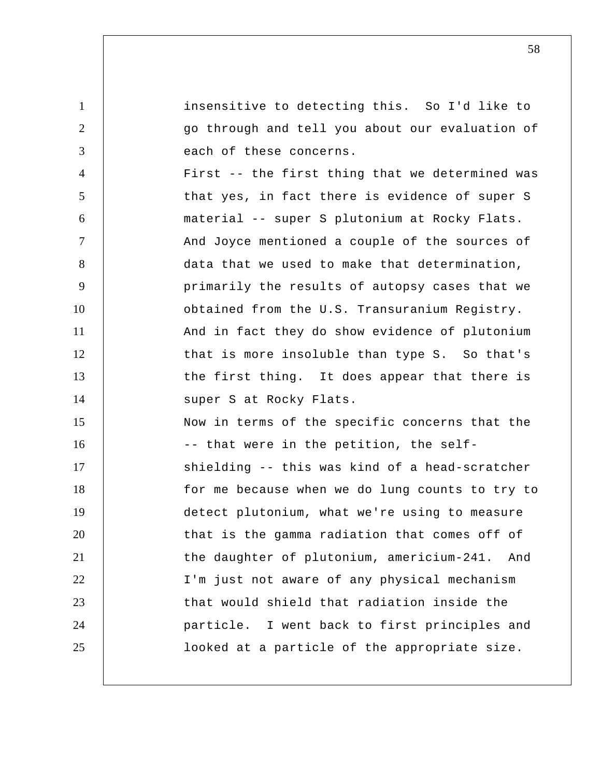1 2 3 4 5 6 7 8 9 10 11 12 13 14 15 16 17 18 19 20 21 22 23 24 25 insensitive to detecting this. So I'd like to go through and tell you about our evaluation of each of these concerns. First -- the first thing that we determined was that yes, in fact there is evidence of super S material -- super S plutonium at Rocky Flats. And Joyce mentioned a couple of the sources of data that we used to make that determination, primarily the results of autopsy cases that we obtained from the U.S. Transuranium Registry. And in fact they do show evidence of plutonium that is more insoluble than type S. So that's the first thing. It does appear that there is super S at Rocky Flats. Now in terms of the specific concerns that the -- that were in the petition, the self shielding -- this was kind of a head-scratcher for me because when we do lung counts to try to detect plutonium, what we're using to measure that is the gamma radiation that comes off of the daughter of plutonium, americium-241. And I'm just not aware of any physical mechanism that would shield that radiation inside the particle. I went back to first principles and looked at a particle of the appropriate size.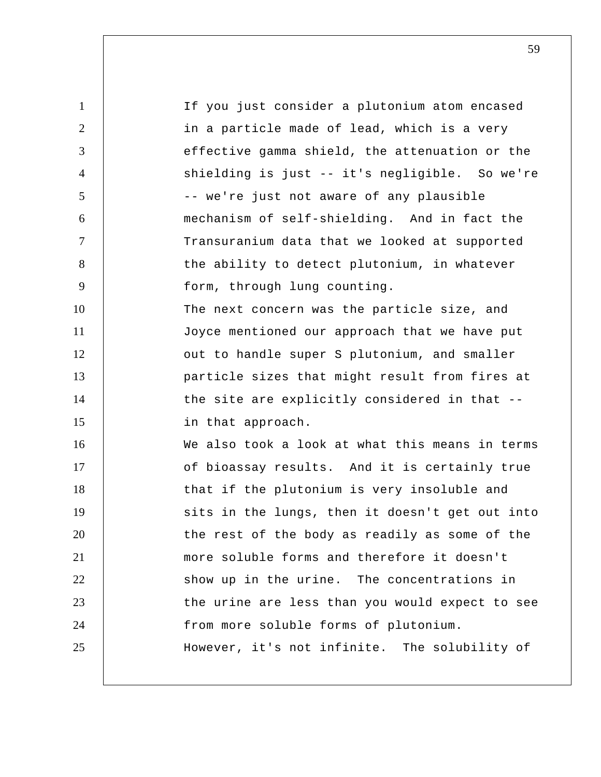1 2 3 4 5 6 7 8 9 10 11 12 13 14 15 16 17 18 19 20 21 22 23 24 25 If you just consider a plutonium atom encased in a particle made of lead, which is a very effective gamma shield, the attenuation or the shielding is just -- it's negligible. So we're -- we're just not aware of any plausible mechanism of self-shielding. And in fact the Transuranium data that we looked at supported the ability to detect plutonium, in whatever form, through lung counting. The next concern was the particle size, and Joyce mentioned our approach that we have put out to handle super S plutonium, and smaller particle sizes that might result from fires at the site are explicitly considered in that - in that approach. We also took a look at what this means in terms of bioassay results. And it is certainly true that if the plutonium is very insoluble and sits in the lungs, then it doesn't get out into the rest of the body as readily as some of the more soluble forms and therefore it doesn't show up in the urine. The concentrations in the urine are less than you would expect to see from more soluble forms of plutonium. However, it's not infinite. The solubility of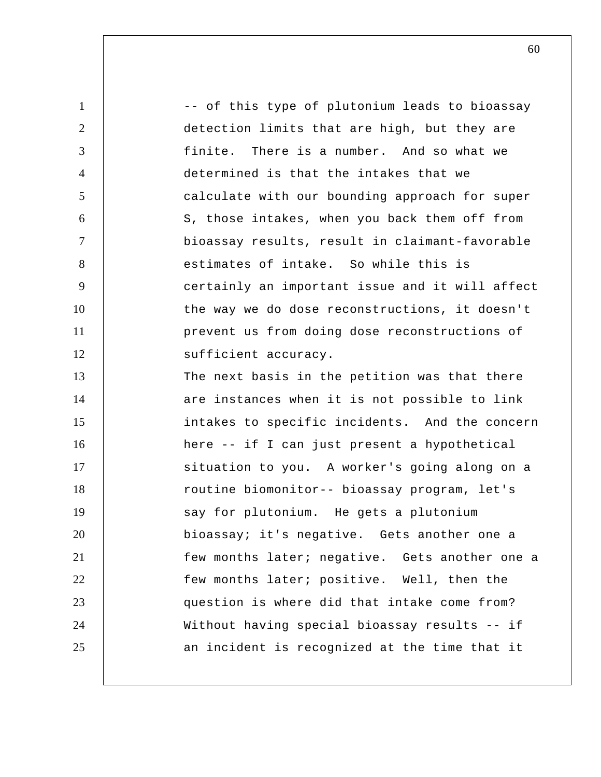1 2 3 4 5 6 7 8 9 10 11 12 13 14 15 16 17 18 19 20 21 22 23 24 25 -- of this type of plutonium leads to bioassay detection limits that are high, but they are finite. There is a number. And so what we determined is that the intakes that we calculate with our bounding approach for super S, those intakes, when you back them off from bioassay results, result in claimant-favorable estimates of intake. So while this is certainly an important issue and it will affect the way we do dose reconstructions, it doesn't prevent us from doing dose reconstructions of sufficient accuracy. The next basis in the petition was that there are instances when it is not possible to link intakes to specific incidents. And the concern here -- if I can just present a hypothetical situation to you. A worker's going along on a routine biomonitor-- bioassay program, let's say for plutonium. He gets a plutonium bioassay; it's negative. Gets another one a few months later; negative. Gets another one a few months later; positive. Well, then the question is where did that intake come from? Without having special bioassay results -- if an incident is recognized at the time that it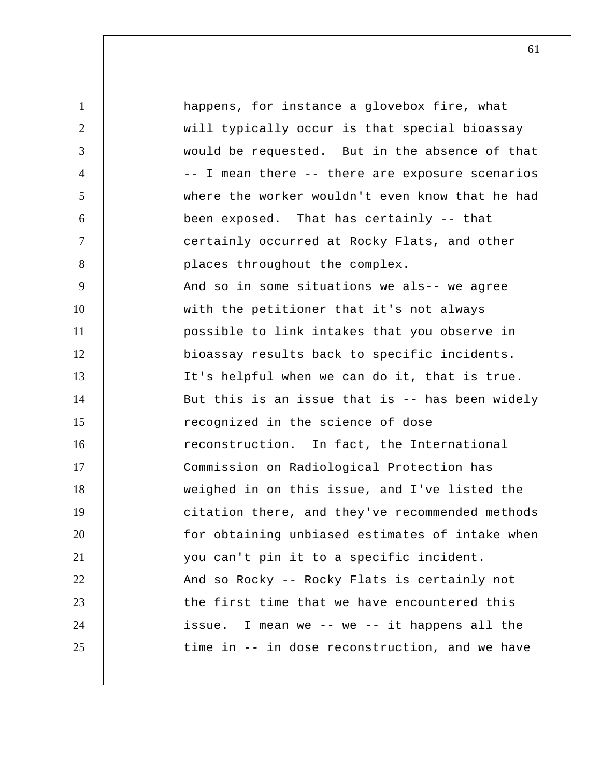1 2 3 4 5 6 7 8 9 10 11 12 13 14 15 16 17 18 19 20 21 22 23 24 25 happens, for instance a glovebox fire, what will typically occur is that special bioassay would be requested. But in the absence of that -- I mean there -- there are exposure scenarios where the worker wouldn't even know that he had been exposed. That has certainly -- that certainly occurred at Rocky Flats, and other places throughout the complex. And so in some situations we als-- we agree with the petitioner that it's not always possible to link intakes that you observe in bioassay results back to specific incidents. It's helpful when we can do it, that is true. But this is an issue that is -- has been widely recognized in the science of dose reconstruction. In fact, the International Commission on Radiological Protection has weighed in on this issue, and I've listed the citation there, and they've recommended methods for obtaining unbiased estimates of intake when you can't pin it to a specific incident. And so Rocky -- Rocky Flats is certainly not the first time that we have encountered this issue. I mean we -- we -- it happens all the time in -- in dose reconstruction, and we have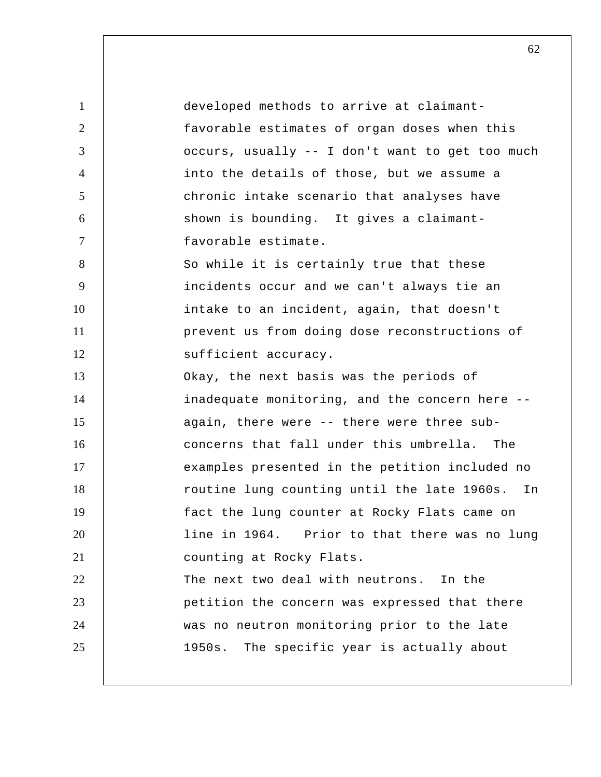| $\mathbf{1}$   | developed methods to arrive at claimant-          |
|----------------|---------------------------------------------------|
| $\overline{2}$ | favorable estimates of organ doses when this      |
| 3              | occurs, usually -- I don't want to get too much   |
| 4              | into the details of those, but we assume a        |
| 5              | chronic intake scenario that analyses have        |
| 6              | shown is bounding. It gives a claimant-           |
| $\overline{7}$ | favorable estimate.                               |
| 8              | So while it is certainly true that these          |
| 9              | incidents occur and we can't always tie an        |
| 10             | intake to an incident, again, that doesn't        |
| 11             | prevent us from doing dose reconstructions of     |
| 12             | sufficient accuracy.                              |
| 13             | Okay, the next basis was the periods of           |
| 14             | inadequate monitoring, and the concern here --    |
| 15             | again, there were -- there were three sub-        |
| 16             | concerns that fall under this umbrella. The       |
| 17             | examples presented in the petition included no    |
| 18             | routine lung counting until the late 1960s.<br>In |
| 19             | fact the lung counter at Rocky Flats came on      |
| 20             | line in 1964. Prior to that there was no lung     |
| 21             | counting at Rocky Flats.                          |
| 22             | The next two deal with neutrons. In the           |
| 23             | petition the concern was expressed that there     |
| 24             | was no neutron monitoring prior to the late       |
| 25             | 1950s. The specific year is actually about        |
|                |                                                   |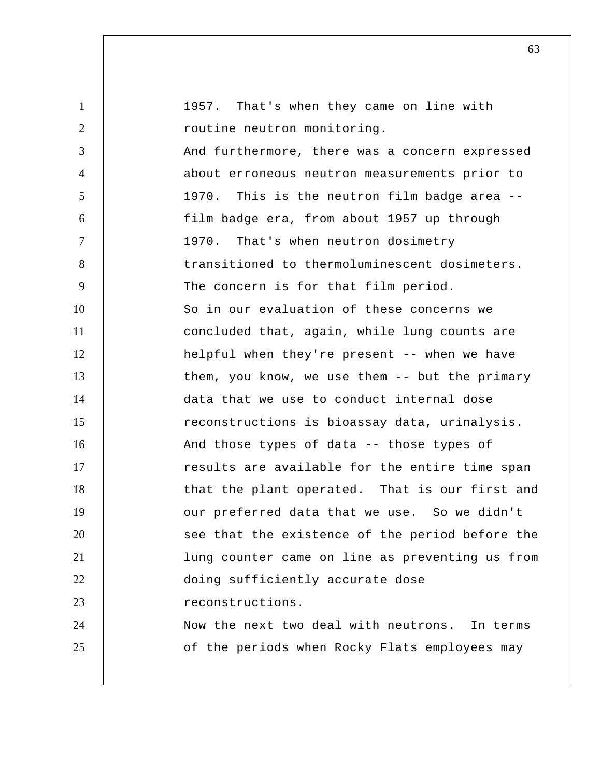| $\mathbf{1}$   | 1957. That's when they came on line with        |
|----------------|-------------------------------------------------|
| 2              | routine neutron monitoring.                     |
| 3              | And furthermore, there was a concern expressed  |
| $\overline{4}$ | about erroneous neutron measurements prior to   |
| 5              | 1970. This is the neutron film badge area --    |
| 6              | film badge era, from about 1957 up through      |
| $\tau$         | 1970. That's when neutron dosimetry             |
| 8              | transitioned to thermoluminescent dosimeters.   |
| 9              | The concern is for that film period.            |
| 10             | So in our evaluation of these concerns we       |
| 11             | concluded that, again, while lung counts are    |
| 12             | helpful when they're present -- when we have    |
| 13             | them, you know, we use them -- but the primary  |
| 14             | data that we use to conduct internal dose       |
| 15             | reconstructions is bioassay data, urinalysis.   |
| 16             | And those types of data -- those types of       |
| 17             | results are available for the entire time span  |
| 18             | that the plant operated. That is our first and  |
| 19             | our preferred data that we use. So we didn't    |
| 20             | see that the existence of the period before the |
| 21             | lung counter came on line as preventing us from |
| 22             | doing sufficiently accurate dose                |
| 23             | reconstructions.                                |
| 24             | Now the next two deal with neutrons. In terms   |
| 25             | of the periods when Rocky Flats employees may   |
|                |                                                 |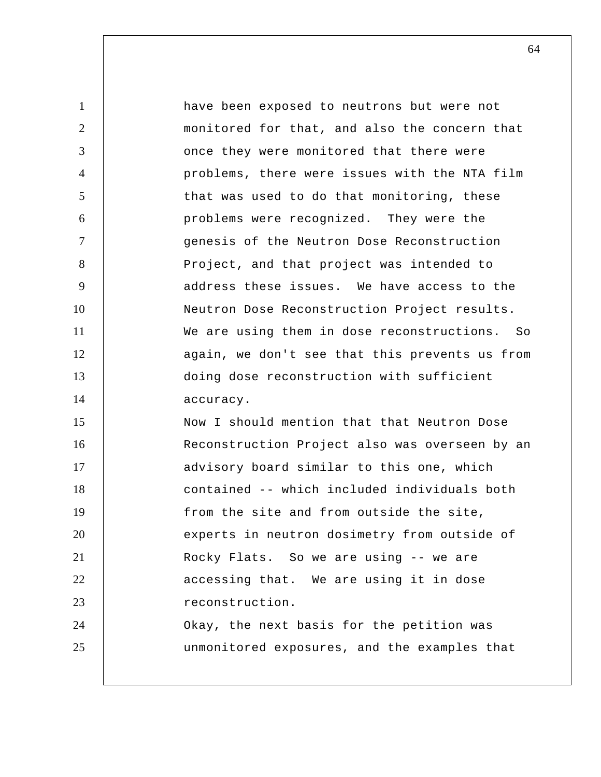1 2 3 4 5 6 7 8 9 10 11 12 13 14 15 16 17 18 19 20 21 22 23 24 25 have been exposed to neutrons but were not monitored for that, and also the concern that once they were monitored that there were problems, there were issues with the NTA film that was used to do that monitoring, these problems were recognized. They were the genesis of the Neutron Dose Reconstruction Project, and that project was intended to address these issues. We have access to the Neutron Dose Reconstruction Project results. We are using them in dose reconstructions. So again, we don't see that this prevents us from doing dose reconstruction with sufficient accuracy. Now I should mention that that Neutron Dose Reconstruction Project also was overseen by an advisory board similar to this one, which contained -- which included individuals both from the site and from outside the site, experts in neutron dosimetry from outside of Rocky Flats. So we are using -- we are accessing that. We are using it in dose reconstruction. Okay, the next basis for the petition was unmonitored exposures, and the examples that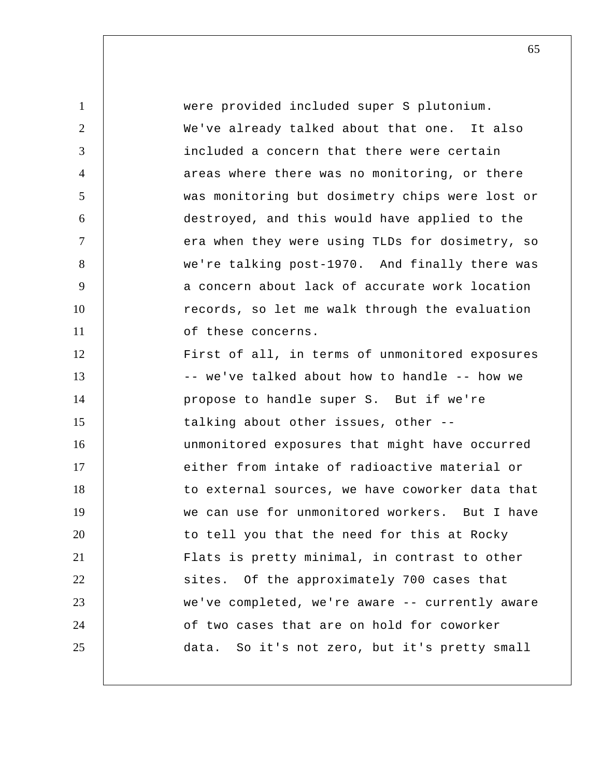1 2 3 4 5 6 7 8 9 10 11 12 13 14 15 16 17 18 19 20 21 22 23 24 25 were provided included super S plutonium. We've already talked about that one. It also included a concern that there were certain areas where there was no monitoring, or there was monitoring but dosimetry chips were lost or destroyed, and this would have applied to the era when they were using TLDs for dosimetry, so we're talking post-1970. And finally there was a concern about lack of accurate work location records, so let me walk through the evaluation of these concerns. First of all, in terms of unmonitored exposures -- we've talked about how to handle -- how we propose to handle super S. But if we're talking about other issues, other - unmonitored exposures that might have occurred either from intake of radioactive material or to external sources, we have coworker data that we can use for unmonitored workers. But I have to tell you that the need for this at Rocky Flats is pretty minimal, in contrast to other sites. Of the approximately 700 cases that we've completed, we're aware -- currently aware of two cases that are on hold for coworker data. So it's not zero, but it's pretty small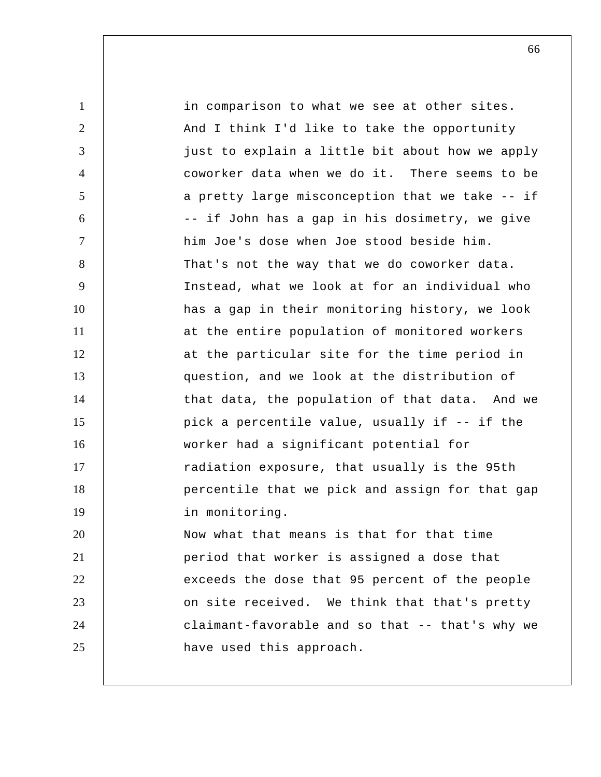| $\mathbf{1}$   | in comparison to what we see at other sites.    |
|----------------|-------------------------------------------------|
| 2              | And I think I'd like to take the opportunity    |
| 3              | just to explain a little bit about how we apply |
| 4              | coworker data when we do it. There seems to be  |
| 5              | a pretty large misconception that we take -- if |
| 6              | -- if John has a gap in his dosimetry, we give  |
| $\overline{7}$ | him Joe's dose when Joe stood beside him.       |
| 8              | That's not the way that we do coworker data.    |
| 9              | Instead, what we look at for an individual who  |
| 10             | has a gap in their monitoring history, we look  |
| 11             | at the entire population of monitored workers   |
| 12             | at the particular site for the time period in   |
| 13             | question, and we look at the distribution of    |
| 14             | that data, the population of that data. And we  |
| 15             | pick a percentile value, usually if -- if the   |
| 16             | worker had a significant potential for          |
| 17             | radiation exposure, that usually is the 95th    |
| 18             | percentile that we pick and assign for that gap |
| 19             | in monitoring.                                  |
| 20             | Now what that means is that for that time       |
| 21             | period that worker is assigned a dose that      |
| 22             | exceeds the dose that 95 percent of the people  |
| 23             | on site received. We think that that's pretty   |
| 24             | claimant-favorable and so that -- that's why we |
| 25             | have used this approach.                        |
|                |                                                 |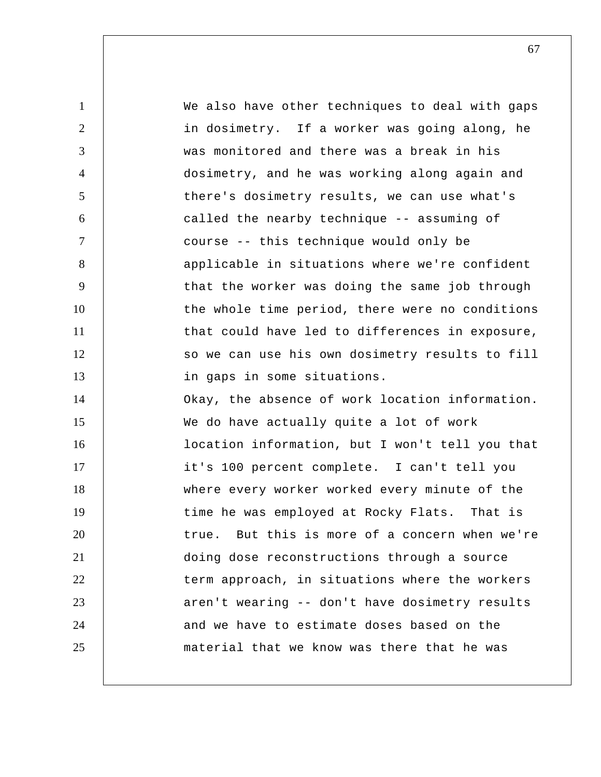1 2 3 4 5 6 7 8 9 10 11 12 13 14 15 16 17 18 19 20 21 22 23 24 25 We also have other techniques to deal with gaps in dosimetry. If a worker was going along, he was monitored and there was a break in his dosimetry, and he was working along again and there's dosimetry results, we can use what's called the nearby technique -- assuming of course -- this technique would only be applicable in situations where we're confident that the worker was doing the same job through the whole time period, there were no conditions that could have led to differences in exposure, so we can use his own dosimetry results to fill in gaps in some situations. Okay, the absence of work location information. We do have actually quite a lot of work location information, but I won't tell you that it's 100 percent complete. I can't tell you where every worker worked every minute of the time he was employed at Rocky Flats. That is true. But this is more of a concern when we're doing dose reconstructions through a source term approach, in situations where the workers aren't wearing -- don't have dosimetry results and we have to estimate doses based on the material that we know was there that he was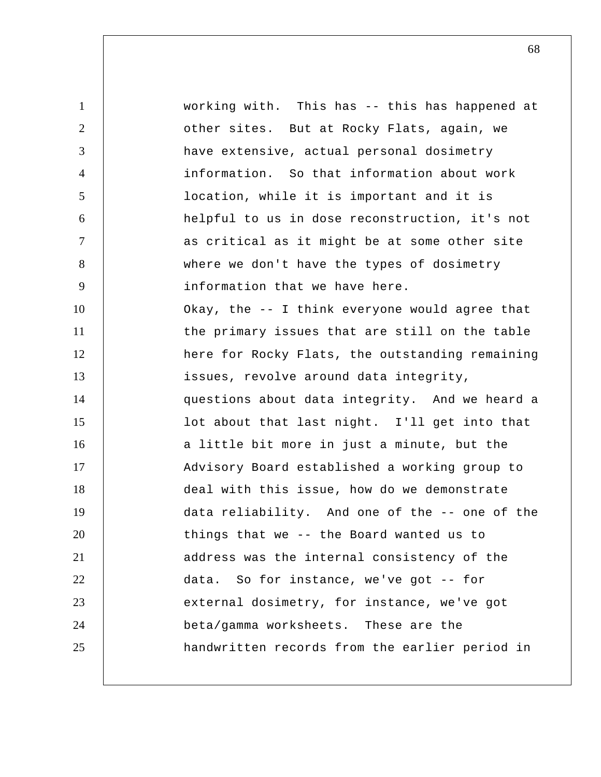1 2 3 4 5 6 7 8 9 10 11 12 13 14 15 16 17 18 19 20 21 22 23 24 25 working with. This has -- this has happened at other sites. But at Rocky Flats, again, we have extensive, actual personal dosimetry information. So that information about work location, while it is important and it is helpful to us in dose reconstruction, it's not as critical as it might be at some other site where we don't have the types of dosimetry information that we have here. Okay, the -- I think everyone would agree that the primary issues that are still on the table here for Rocky Flats, the outstanding remaining issues, revolve around data integrity, questions about data integrity. And we heard a lot about that last night. I'll get into that a little bit more in just a minute, but the Advisory Board established a working group to deal with this issue, how do we demonstrate data reliability. And one of the -- one of the things that we -- the Board wanted us to address was the internal consistency of the data. So for instance, we've got -- for external dosimetry, for instance, we've got beta/gamma worksheets. These are the handwritten records from the earlier period in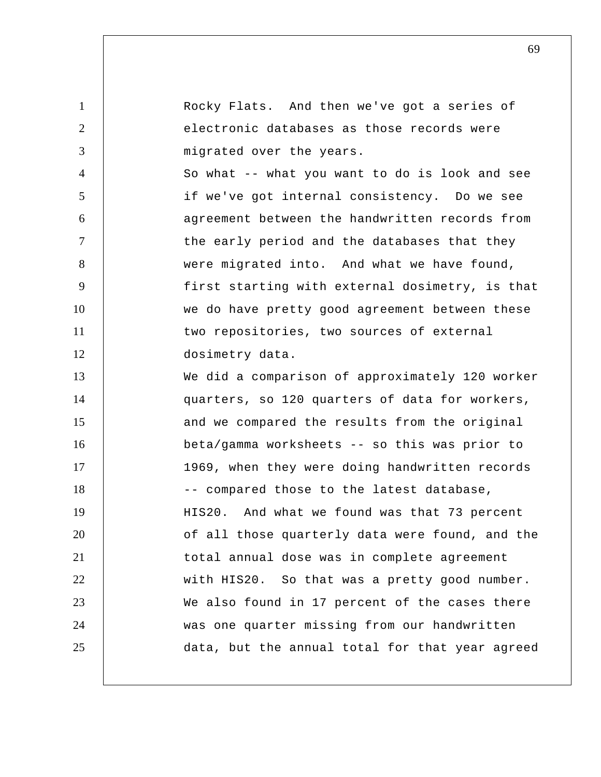1 2 3 4 5 6 7 8 9 10 11 12 13 14 15 16 17 18 19 20 21 22 23 24 25 Rocky Flats. And then we've got a series of electronic databases as those records were migrated over the years. So what -- what you want to do is look and see if we've got internal consistency. Do we see agreement between the handwritten records from the early period and the databases that they were migrated into. And what we have found, first starting with external dosimetry, is that we do have pretty good agreement between these two repositories, two sources of external dosimetry data. We did a comparison of approximately 120 worker quarters, so 120 quarters of data for workers, and we compared the results from the original beta/gamma worksheets -- so this was prior to 1969, when they were doing handwritten records -- compared those to the latest database, HIS20. And what we found was that 73 percent of all those quarterly data were found, and the total annual dose was in complete agreement with HIS20. So that was a pretty good number. We also found in 17 percent of the cases there was one quarter missing from our handwritten data, but the annual total for that year agreed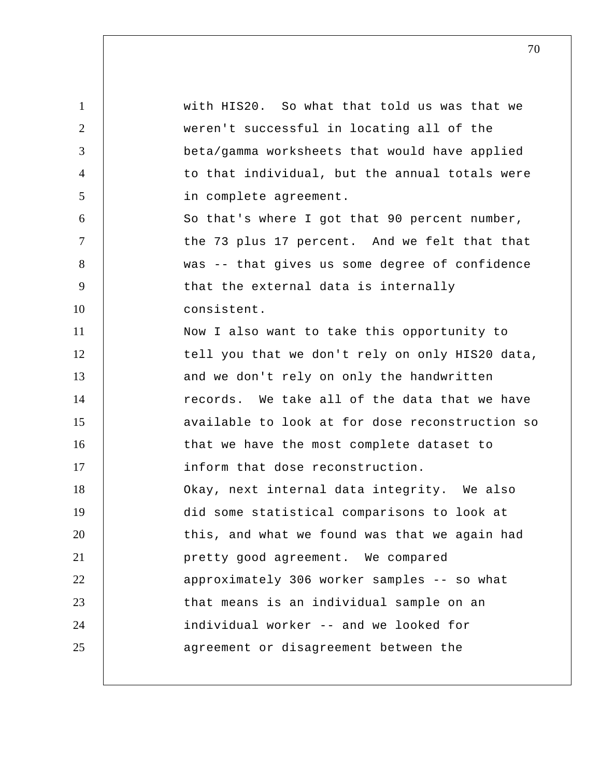1 2 3 4 5 6 7 8 9 10 11 12 13 14 15 16 17 18 19 20 21 22 23 24 25 with HIS20. So what that told us was that we weren't successful in locating all of the beta/gamma worksheets that would have applied to that individual, but the annual totals were in complete agreement. So that's where I got that 90 percent number, the 73 plus 17 percent. And we felt that that was -- that gives us some degree of confidence that the external data is internally consistent. Now I also want to take this opportunity to tell you that we don't rely on only HIS20 data, and we don't rely on only the handwritten records. We take all of the data that we have available to look at for dose reconstruction so that we have the most complete dataset to inform that dose reconstruction. Okay, next internal data integrity. We also did some statistical comparisons to look at this, and what we found was that we again had pretty good agreement. We compared approximately 306 worker samples -- so what that means is an individual sample on an individual worker -- and we looked for agreement or disagreement between the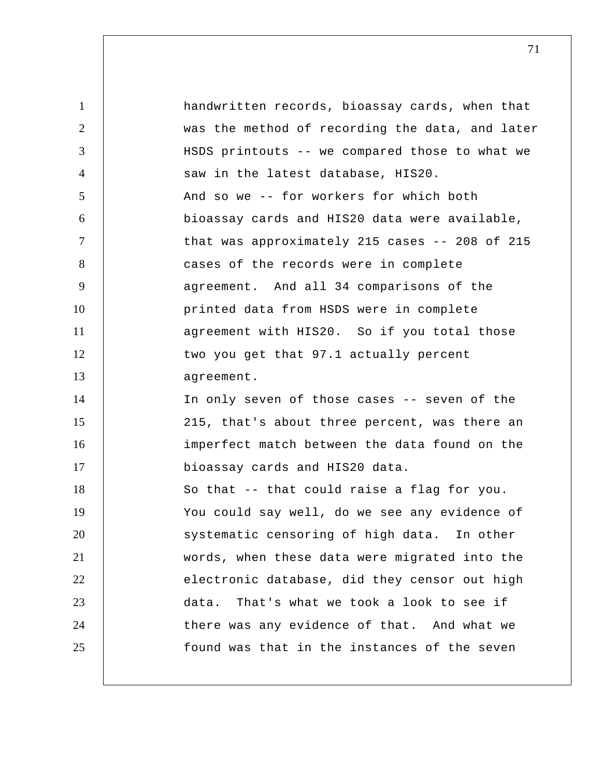1 2 3 4 5 6 7 8 9 10 11 12 13 14 15 16 17 18 19 20 21 22 23 24 25 handwritten records, bioassay cards, when that was the method of recording the data, and later HSDS printouts -- we compared those to what we saw in the latest database, HIS20. And so we -- for workers for which both bioassay cards and HIS20 data were available, that was approximately 215 cases -- 208 of 215 cases of the records were in complete agreement. And all 34 comparisons of the printed data from HSDS were in complete agreement with HIS20. So if you total those two you get that 97.1 actually percent agreement. In only seven of those cases -- seven of the 215, that's about three percent, was there an imperfect match between the data found on the bioassay cards and HIS20 data. So that -- that could raise a flag for you. You could say well, do we see any evidence of systematic censoring of high data. In other words, when these data were migrated into the electronic database, did they censor out high data. That's what we took a look to see if there was any evidence of that. And what we found was that in the instances of the seven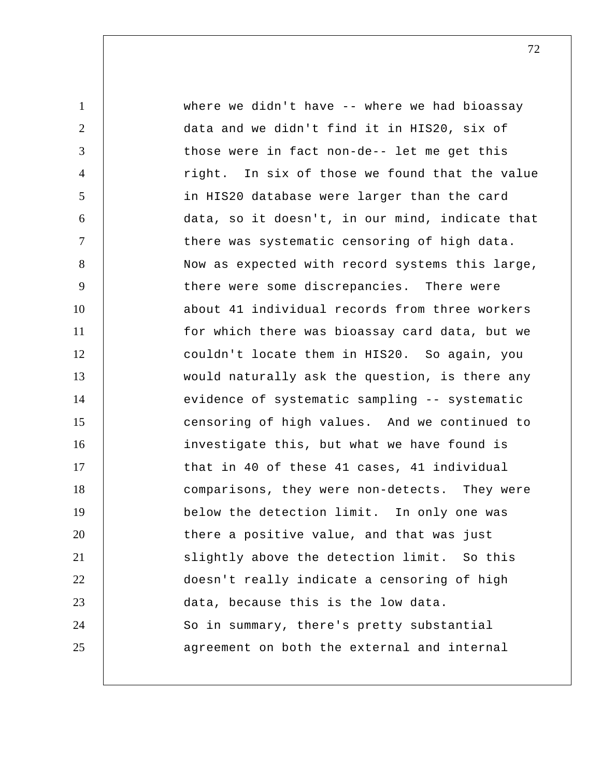1 2 3 4 5 6 7 8 9 10 11 12 13 14 15 16 17 18 19 20 21 22 23 24 25 where we didn't have -- where we had bioassay data and we didn't find it in HIS20, six of those were in fact non-de-- let me get this right. In six of those we found that the value in HIS20 database were larger than the card data, so it doesn't, in our mind, indicate that there was systematic censoring of high data. Now as expected with record systems this large, there were some discrepancies. There were about 41 individual records from three workers for which there was bioassay card data, but we couldn't locate them in HIS20. So again, you would naturally ask the question, is there any evidence of systematic sampling -- systematic censoring of high values. And we continued to investigate this, but what we have found is that in 40 of these 41 cases, 41 individual comparisons, they were non-detects. They were below the detection limit. In only one was there a positive value, and that was just slightly above the detection limit. So this doesn't really indicate a censoring of high data, because this is the low data. So in summary, there's pretty substantial agreement on both the external and internal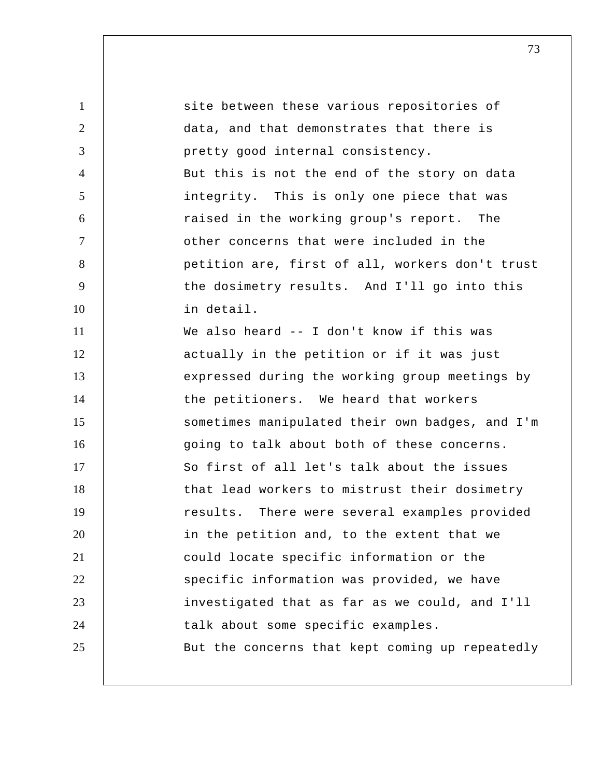| $\mathbf{1}$   | site between these various repositories of      |
|----------------|-------------------------------------------------|
| $\overline{2}$ | data, and that demonstrates that there is       |
| 3              | pretty good internal consistency.               |
| $\overline{4}$ | But this is not the end of the story on data    |
| 5              | integrity. This is only one piece that was      |
| 6              | raised in the working group's report. The       |
| $\overline{7}$ | other concerns that were included in the        |
| 8              | petition are, first of all, workers don't trust |
| 9              | the dosimetry results. And I'll go into this    |
| 10             | in detail.                                      |
| 11             | We also heard -- I don't know if this was       |
| 12             | actually in the petition or if it was just      |
| 13             | expressed during the working group meetings by  |
| 14             | the petitioners. We heard that workers          |
| 15             | sometimes manipulated their own badges, and I'm |
| 16             | going to talk about both of these concerns.     |
| 17             | So first of all let's talk about the issues     |
| 18             | that lead workers to mistrust their dosimetry   |
| 19             | results. There were several examples provided   |
| 20             | in the petition and, to the extent that we      |
| 21             | could locate specific information or the        |
| 22             | specific information was provided, we have      |
| 23             | investigated that as far as we could, and I'll  |
| 24             | talk about some specific examples.              |
| 25             | But the concerns that kept coming up repeatedly |
|                |                                                 |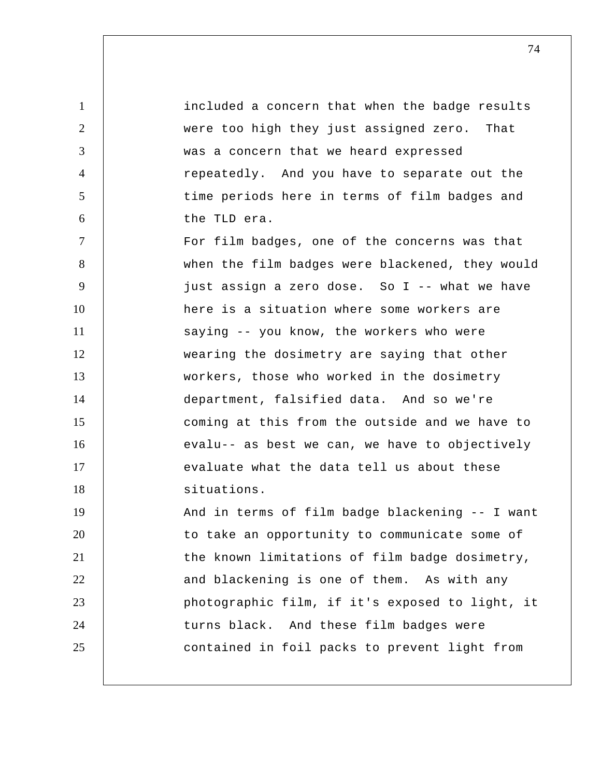1 2 3 4 5 6 7 8 9 10 11 12 13 14 15 16 17 18 19 20 21 22 23 24 25 included a concern that when the badge results were too high they just assigned zero. That was a concern that we heard expressed repeatedly. And you have to separate out the time periods here in terms of film badges and the TLD era. For film badges, one of the concerns was that when the film badges were blackened, they would just assign a zero dose. So I -- what we have here is a situation where some workers are saying -- you know, the workers who were wearing the dosimetry are saying that other workers, those who worked in the dosimetry department, falsified data. And so we're coming at this from the outside and we have to evalu-- as best we can, we have to objectively evaluate what the data tell us about these situations. And in terms of film badge blackening -- I want to take an opportunity to communicate some of the known limitations of film badge dosimetry, and blackening is one of them. As with any photographic film, if it's exposed to light, it turns black. And these film badges were contained in foil packs to prevent light from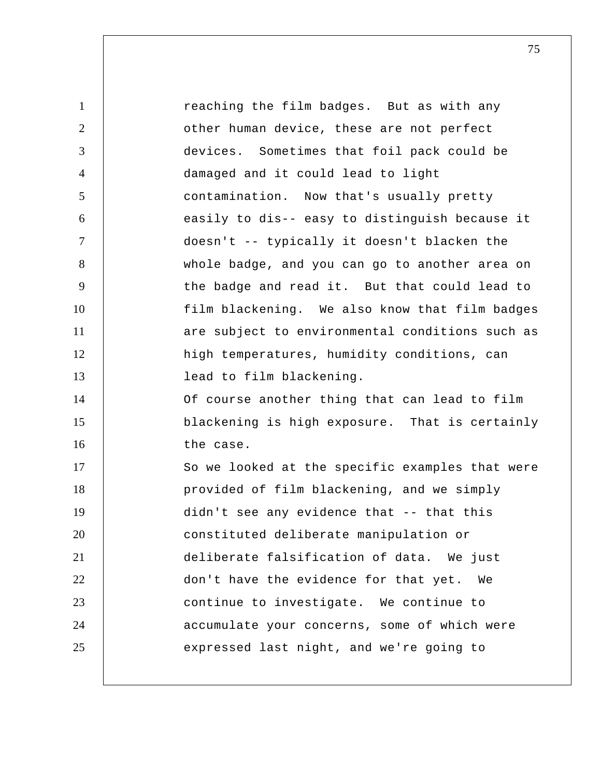1 2 3 4 5 6 7 8 9 10 11 12 13 14 15 16 17 18 19 20 21 22 23 24 25 reaching the film badges. But as with any other human device, these are not perfect devices. Sometimes that foil pack could be damaged and it could lead to light contamination. Now that's usually pretty easily to dis-- easy to distinguish because it doesn't -- typically it doesn't blacken the whole badge, and you can go to another area on the badge and read it. But that could lead to film blackening. We also know that film badges are subject to environmental conditions such as high temperatures, humidity conditions, can lead to film blackening. Of course another thing that can lead to film blackening is high exposure. That is certainly the case. So we looked at the specific examples that were provided of film blackening, and we simply didn't see any evidence that -- that this constituted deliberate manipulation or deliberate falsification of data. We just don't have the evidence for that yet. We continue to investigate. We continue to accumulate your concerns, some of which were expressed last night, and we're going to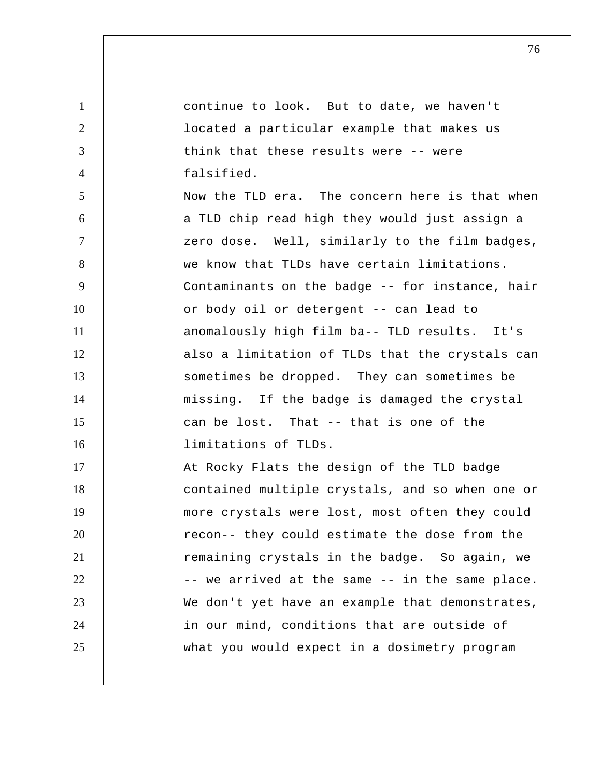1 2 3 4 5 6 7 8 9 10 11 12 13 14 15 16 17 18 19 20 21 22 23 24 25 continue to look. But to date, we haven't located a particular example that makes us think that these results were -- were falsified. Now the TLD era. The concern here is that when a TLD chip read high they would just assign a zero dose. Well, similarly to the film badges, we know that TLDs have certain limitations. Contaminants on the badge -- for instance, hair or body oil or detergent -- can lead to anomalously high film ba-- TLD results. It's also a limitation of TLDs that the crystals can sometimes be dropped. They can sometimes be missing. If the badge is damaged the crystal can be lost. That -- that is one of the limitations of TLDs. At Rocky Flats the design of the TLD badge contained multiple crystals, and so when one or more crystals were lost, most often they could recon-- they could estimate the dose from the remaining crystals in the badge. So again, we -- we arrived at the same -- in the same place. We don't yet have an example that demonstrates, in our mind, conditions that are outside of what you would expect in a dosimetry program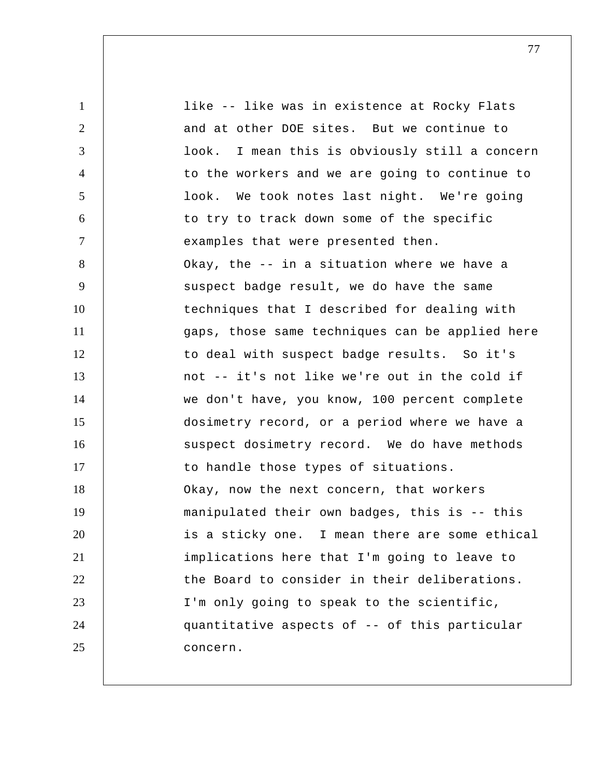1 2 3 4 5 6 7 8 9 10 11 12 13 14 15 16 17 18 19 20 21 22 23 24 25 like -- like was in existence at Rocky Flats and at other DOE sites. But we continue to look. I mean this is obviously still a concern to the workers and we are going to continue to look. We took notes last night. We're going to try to track down some of the specific examples that were presented then. Okay, the -- in a situation where we have a suspect badge result, we do have the same techniques that I described for dealing with gaps, those same techniques can be applied here to deal with suspect badge results. So it's not -- it's not like we're out in the cold if we don't have, you know, 100 percent complete dosimetry record, or a period where we have a suspect dosimetry record. We do have methods to handle those types of situations. Okay, now the next concern, that workers manipulated their own badges, this is -- this is a sticky one. I mean there are some ethical implications here that I'm going to leave to the Board to consider in their deliberations. I'm only going to speak to the scientific, quantitative aspects of -- of this particular concern.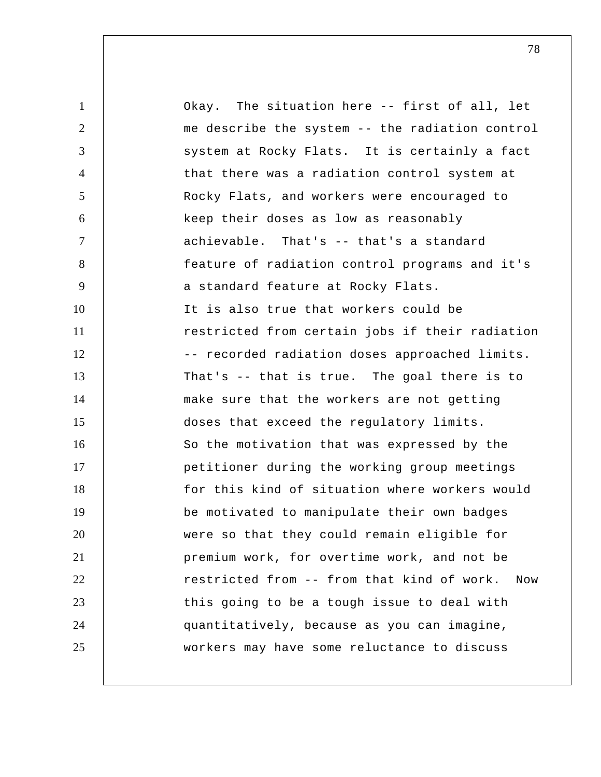1 2 3 4 5 6 7 8 9 10 11 12 13 14 15 16 17 18 19 20 21 22 23 24 25 Okay. The situation here -- first of all, let me describe the system -- the radiation control system at Rocky Flats. It is certainly a fact that there was a radiation control system at Rocky Flats, and workers were encouraged to keep their doses as low as reasonably achievable. That's -- that's a standard feature of radiation control programs and it's a standard feature at Rocky Flats. It is also true that workers could be restricted from certain jobs if their radiation -- recorded radiation doses approached limits. That's -- that is true. The goal there is to make sure that the workers are not getting doses that exceed the regulatory limits. So the motivation that was expressed by the petitioner during the working group meetings for this kind of situation where workers would be motivated to manipulate their own badges were so that they could remain eligible for premium work, for overtime work, and not be restricted from -- from that kind of work. Now this going to be a tough issue to deal with quantitatively, because as you can imagine, workers may have some reluctance to discuss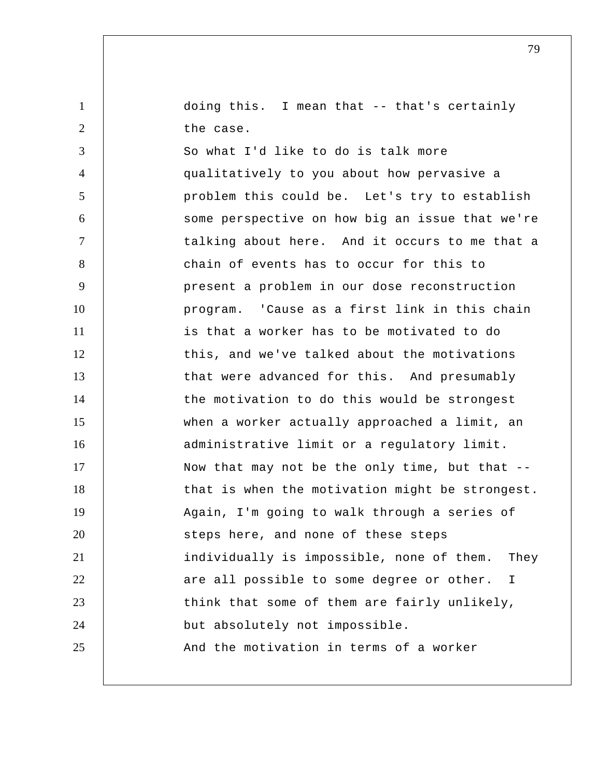doing this. I mean that -- that's certainly the case.

1

2

3 4 5 6 7 8 9 10 11 12 13 14 15 16 17 18 19 20 21 22 23 24 25 So what I'd like to do is talk more qualitatively to you about how pervasive a problem this could be. Let's try to establish some perspective on how big an issue that we're talking about here. And it occurs to me that a chain of events has to occur for this to present a problem in our dose reconstruction program. 'Cause as a first link in this chain is that a worker has to be motivated to do this, and we've talked about the motivations that were advanced for this. And presumably the motivation to do this would be strongest when a worker actually approached a limit, an administrative limit or a regulatory limit. Now that may not be the only time, but that - that is when the motivation might be strongest. Again, I'm going to walk through a series of steps here, and none of these steps individually is impossible, none of them. They are all possible to some degree or other. I think that some of them are fairly unlikely, but absolutely not impossible. And the motivation in terms of a worker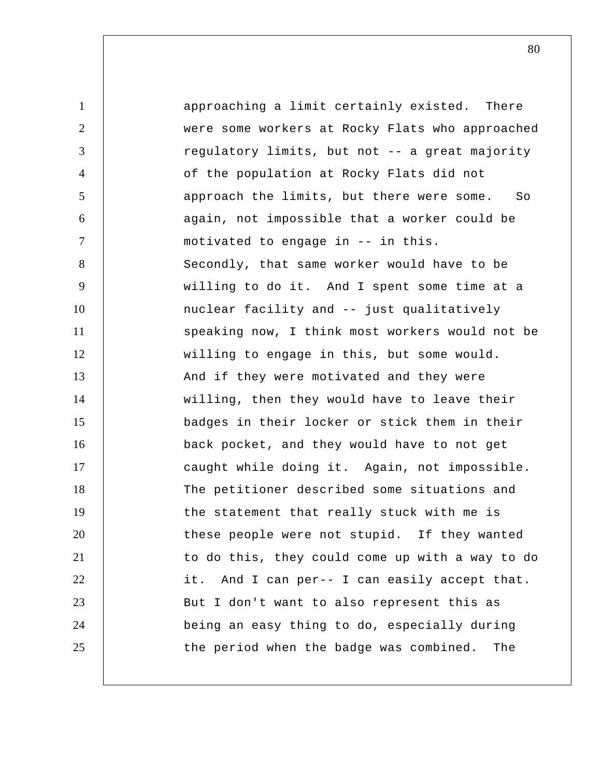1 2 3 4 5 6 7 8 9 10 11 12 13 14 15 16 17 18 19 20 21 22 23 24 25 approaching a limit certainly existed. There were some workers at Rocky Flats who approached regulatory limits, but not -- a great majority of the population at Rocky Flats did not approach the limits, but there were some. So again, not impossible that a worker could be motivated to engage in -- in this. Secondly, that same worker would have to be willing to do it. And I spent some time at a nuclear facility and -- just qualitatively speaking now, I think most workers would not be willing to engage in this, but some would. And if they were motivated and they were willing, then they would have to leave their badges in their locker or stick them in their back pocket, and they would have to not get caught while doing it. Again, not impossible. The petitioner described some situations and the statement that really stuck with me is these people were not stupid. If they wanted to do this, they could come up with a way to do it. And I can per-- I can easily accept that. But I don't want to also represent this as being an easy thing to do, especially during the period when the badge was combined. The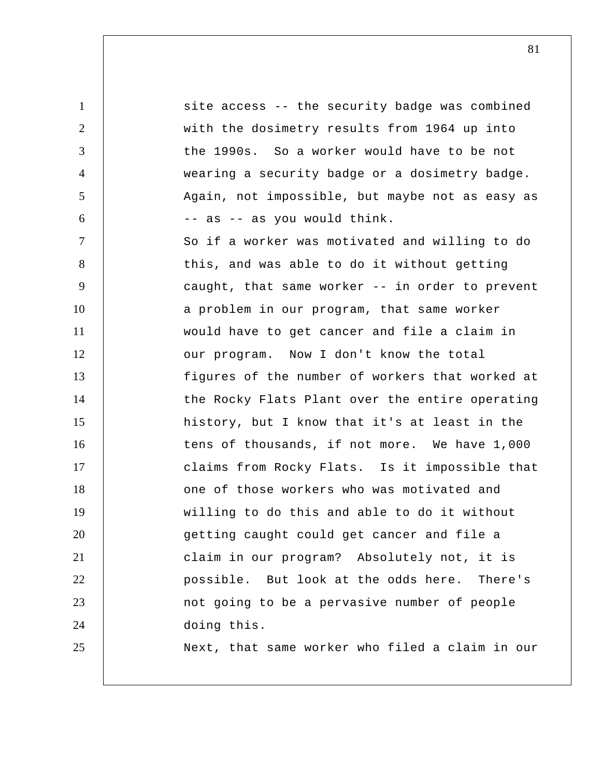1 2 3 4 5 6 7 8 9 10 11 12 13 14 15 16 17 18 19 20 21 22 23 24 25 site access -- the security badge was combined with the dosimetry results from 1964 up into the 1990s. So a worker would have to be not wearing a security badge or a dosimetry badge. Again, not impossible, but maybe not as easy as -- as -- as you would think. So if a worker was motivated and willing to do this, and was able to do it without getting caught, that same worker -- in order to prevent a problem in our program, that same worker would have to get cancer and file a claim in our program. Now I don't know the total figures of the number of workers that worked at the Rocky Flats Plant over the entire operating history, but I know that it's at least in the tens of thousands, if not more. We have 1,000 claims from Rocky Flats. Is it impossible that one of those workers who was motivated and willing to do this and able to do it without getting caught could get cancer and file a claim in our program? Absolutely not, it is possible. But look at the odds here. There's not going to be a pervasive number of people doing this. Next, that same worker who filed a claim in our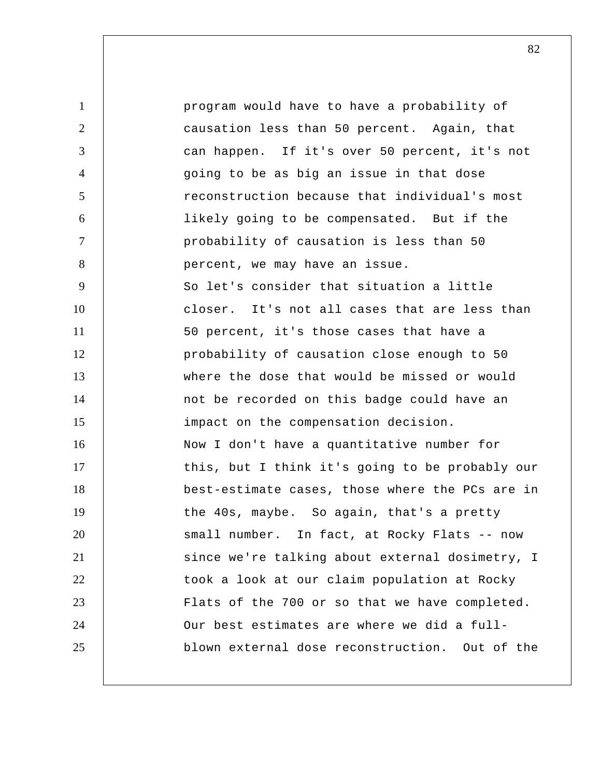1 2 3 4 5 6 7 8 9 10 11 12 13 14 15 16 17 18 19 20 21 22 23 24 25 program would have to have a probability of causation less than 50 percent. Again, that can happen. If it's over 50 percent, it's not going to be as big an issue in that dose reconstruction because that individual's most likely going to be compensated. But if the probability of causation is less than 50 percent, we may have an issue. So let's consider that situation a little closer. It's not all cases that are less than 50 percent, it's those cases that have a probability of causation close enough to 50 where the dose that would be missed or would not be recorded on this badge could have an impact on the compensation decision. Now I don't have a quantitative number for this, but I think it's going to be probably our best-estimate cases, those where the PCs are in the 40s, maybe. So again, that's a pretty small number. In fact, at Rocky Flats -- now since we're talking about external dosimetry, I took a look at our claim population at Rocky Flats of the 700 or so that we have completed. Our best estimates are where we did a fullblown external dose reconstruction. Out of the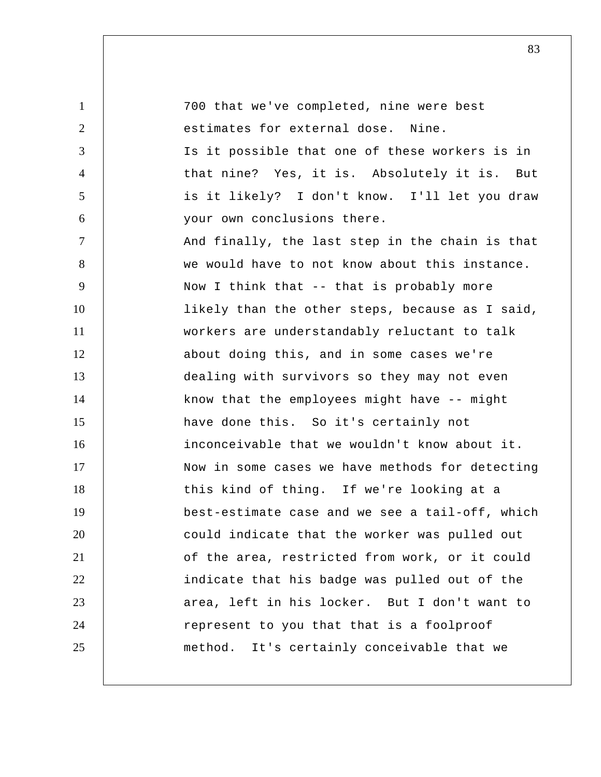1 2 3 4 5 6 7 8 9 10 11 12 13 14 15 16 17 18 19 20 21 22 23 24 25 700 that we've completed, nine were best estimates for external dose. Nine. Is it possible that one of these workers is in that nine? Yes, it is. Absolutely it is. But is it likely? I don't know. I'll let you draw your own conclusions there. And finally, the last step in the chain is that we would have to not know about this instance. Now I think that -- that is probably more likely than the other steps, because as I said, workers are understandably reluctant to talk about doing this, and in some cases we're dealing with survivors so they may not even know that the employees might have -- might have done this. So it's certainly not inconceivable that we wouldn't know about it. Now in some cases we have methods for detecting this kind of thing. If we're looking at a best-estimate case and we see a tail-off, which could indicate that the worker was pulled out of the area, restricted from work, or it could indicate that his badge was pulled out of the area, left in his locker. But I don't want to represent to you that that is a foolproof method. It's certainly conceivable that we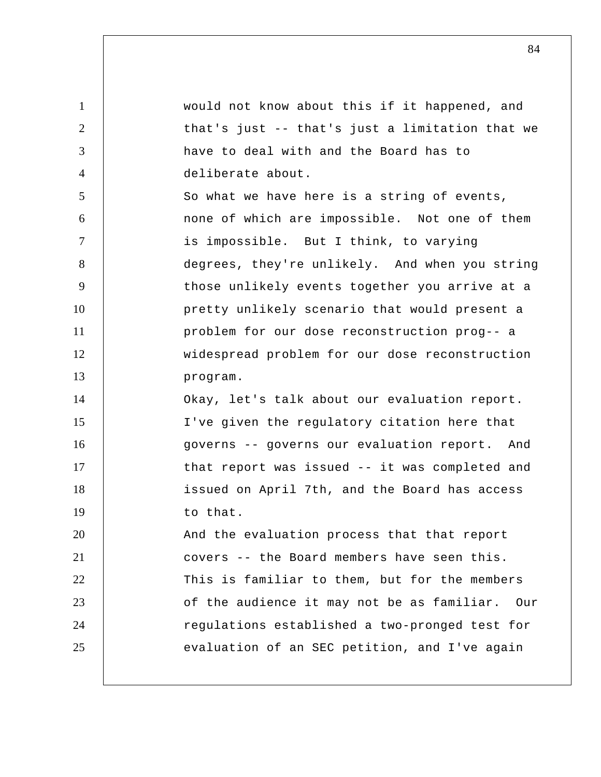1 2 3 4 5 6 7 8 9 10 11 12 13 14 15 16 17 18 19 20 21 22 23 24 25 would not know about this if it happened, and that's just -- that's just a limitation that we have to deal with and the Board has to deliberate about. So what we have here is a string of events, none of which are impossible. Not one of them is impossible. But I think, to varying degrees, they're unlikely. And when you string those unlikely events together you arrive at a pretty unlikely scenario that would present a problem for our dose reconstruction prog-- a widespread problem for our dose reconstruction program. Okay, let's talk about our evaluation report. I've given the regulatory citation here that governs -- governs our evaluation report. And that report was issued -- it was completed and issued on April 7th, and the Board has access to that. And the evaluation process that that report covers -- the Board members have seen this. This is familiar to them, but for the members of the audience it may not be as familiar. Our regulations established a two-pronged test for evaluation of an SEC petition, and I've again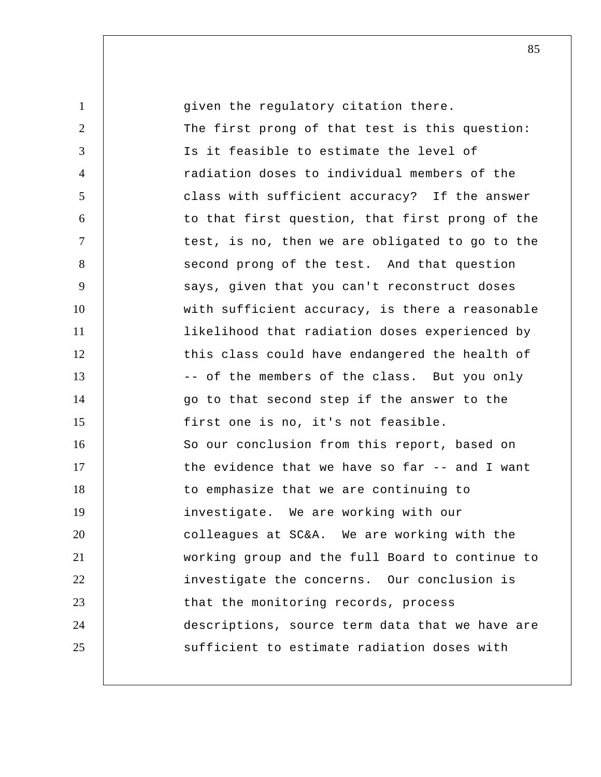| $\mathbf{1}$   | given the regulatory citation there.            |
|----------------|-------------------------------------------------|
| $\overline{2}$ | The first prong of that test is this question:  |
| 3              | Is it feasible to estimate the level of         |
| $\overline{4}$ | radiation doses to individual members of the    |
| 5              | class with sufficient accuracy? If the answer   |
| 6              | to that first question, that first prong of the |
| $\tau$         | test, is no, then we are obligated to go to the |
| 8              | second prong of the test. And that question     |
| 9              | says, given that you can't reconstruct doses    |
| 10             | with sufficient accuracy, is there a reasonable |
| 11             | likelihood that radiation doses experienced by  |
| 12             | this class could have endangered the health of  |
| 13             | -- of the members of the class. But you only    |
| 14             | go to that second step if the answer to the     |
| 15             | first one is no, it's not feasible.             |
| 16             | So our conclusion from this report, based on    |
| 17             | the evidence that we have so far -- and I want  |
| 18             | to emphasize that we are continuing to          |
| 19             | investigate. We are working with our            |
| 20             | colleagues at SC&A. We are working with the     |
| 21             | working group and the full Board to continue to |
| 22             | investigate the concerns. Our conclusion is     |
| 23             | that the monitoring records, process            |
| 24             | descriptions, source term data that we have are |
| 25             | sufficient to estimate radiation doses with     |
|                |                                                 |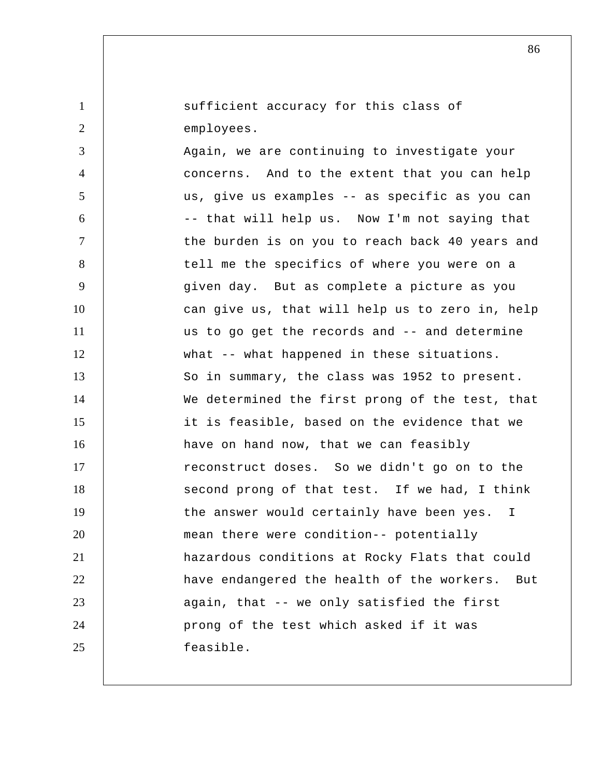sufficient accuracy for this class of employees.

1

2

3 4 5 6 7 8 9 10 11 12 13 14 15 16 17 18 19 20 21 22 23 24 25 Again, we are continuing to investigate your concerns. And to the extent that you can help us, give us examples -- as specific as you can -- that will help us. Now I'm not saying that the burden is on you to reach back 40 years and tell me the specifics of where you were on a given day. But as complete a picture as you can give us, that will help us to zero in, help us to go get the records and -- and determine what -- what happened in these situations. So in summary, the class was 1952 to present. We determined the first prong of the test, that it is feasible, based on the evidence that we have on hand now, that we can feasibly reconstruct doses. So we didn't go on to the second prong of that test. If we had, I think the answer would certainly have been yes. I mean there were condition-- potentially hazardous conditions at Rocky Flats that could have endangered the health of the workers. But again, that -- we only satisfied the first prong of the test which asked if it was feasible.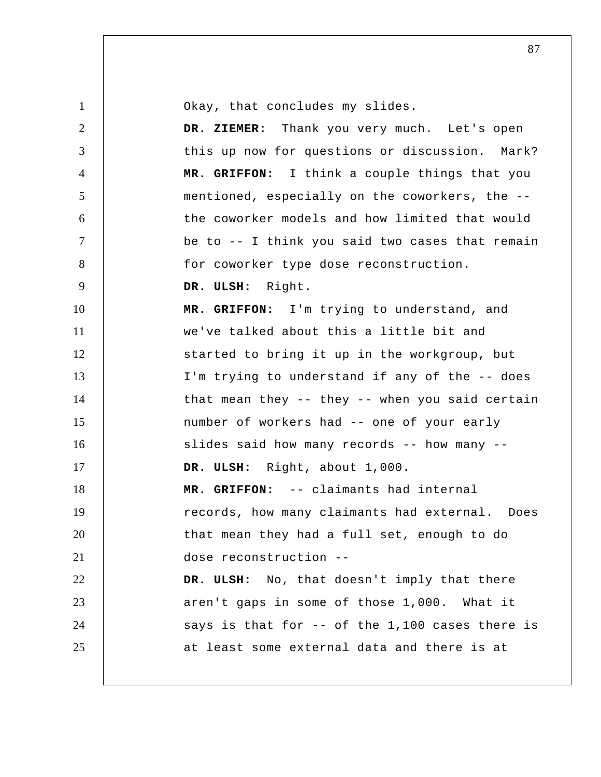Okay, that concludes my slides.

 **DR. ZIEMER:** Thank you very much. Let's open this up now for questions or discussion. Mark?  **MR. GRIFFON:** I think a couple things that you mentioned, especially on the coworkers, the - the coworker models and how limited that would be to -- I think you said two cases that remain for coworker type dose reconstruction.

9  **DR. ULSH:** Right.

1

2

3

4

5

6

7

8

10 11 12 13 14 15 16 17 18 19 20 21 22 23 24 25  **MR. GRIFFON:** I'm trying to understand, and we've talked about this a little bit and started to bring it up in the workgroup, but I'm trying to understand if any of the -- does that mean they -- they -- when you said certain number of workers had -- one of your early slides said how many records -- how many --  **DR. ULSH:** Right, about 1,000.  **MR. GRIFFON:** -- claimants had internal records, how many claimants had external. Does that mean they had a full set, enough to do dose reconstruction -- **DR. ULSH:** No, that doesn't imply that there aren't gaps in some of those 1,000. What it says is that for -- of the 1,100 cases there is at least some external data and there is at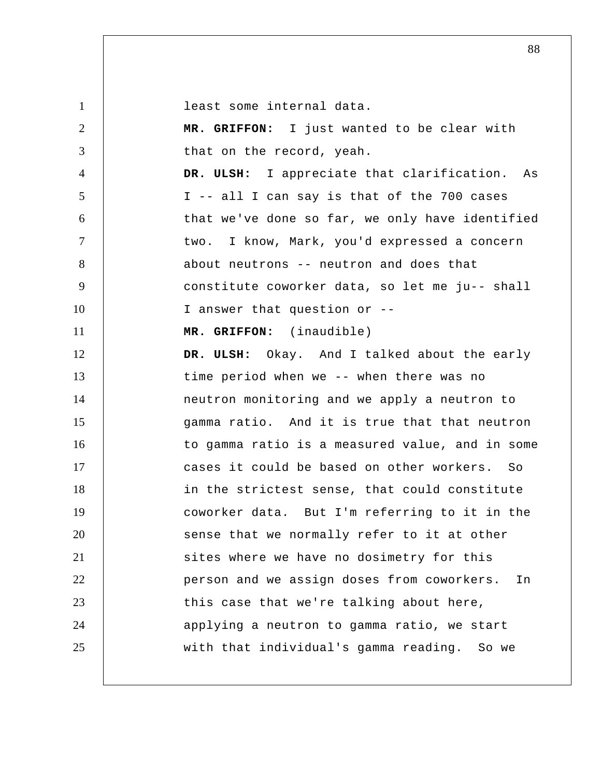1 2 3 4 5 6 7 8 9 10 11 12 13 14 15 16 17 18 19 20 21 22 23 24 25 least some internal data.  **MR. GRIFFON:** I just wanted to be clear with that on the record, yeah.  **DR. ULSH:** I appreciate that clarification. As I -- all I can say is that of the 700 cases that we've done so far, we only have identified two. I know, Mark, you'd expressed a concern about neutrons -- neutron and does that constitute coworker data, so let me ju-- shall I answer that question or --  **MR. GRIFFON:** (inaudible)  **DR. ULSH:** Okay. And I talked about the early time period when we -- when there was no neutron monitoring and we apply a neutron to gamma ratio. And it is true that that neutron to gamma ratio is a measured value, and in some cases it could be based on other workers. So in the strictest sense, that could constitute coworker data. But I'm referring to it in the sense that we normally refer to it at other sites where we have no dosimetry for this person and we assign doses from coworkers. In this case that we're talking about here, applying a neutron to gamma ratio, we start with that individual's gamma reading. So we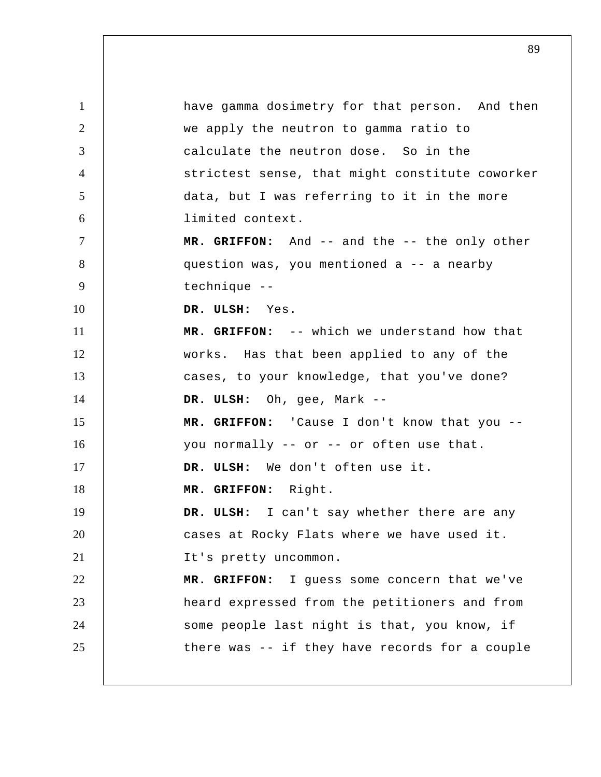1 2 3 4 5 6 7 8 9 10 11 12 13 14 15 16 17 18 19 20 21 22 23 24 25 have gamma dosimetry for that person. And then we apply the neutron to gamma ratio to calculate the neutron dose. So in the strictest sense, that might constitute coworker data, but I was referring to it in the more limited context.  **MR. GRIFFON:** And -- and the -- the only other question was, you mentioned a -- a nearby technique --  **DR. ULSH:** Yes.  **MR. GRIFFON:** -- which we understand how that works. Has that been applied to any of the cases, to your knowledge, that you've done?  **DR. ULSH:** Oh, gee, Mark -- **MR. GRIFFON:** 'Cause I don't know that you - you normally -- or -- or often use that.  **DR. ULSH:** We don't often use it.  **MR. GRIFFON:** Right.  **DR. ULSH:** I can't say whether there are any cases at Rocky Flats where we have used it. It's pretty uncommon.  **MR. GRIFFON:** I guess some concern that we've heard expressed from the petitioners and from some people last night is that, you know, if there was -- if they have records for a couple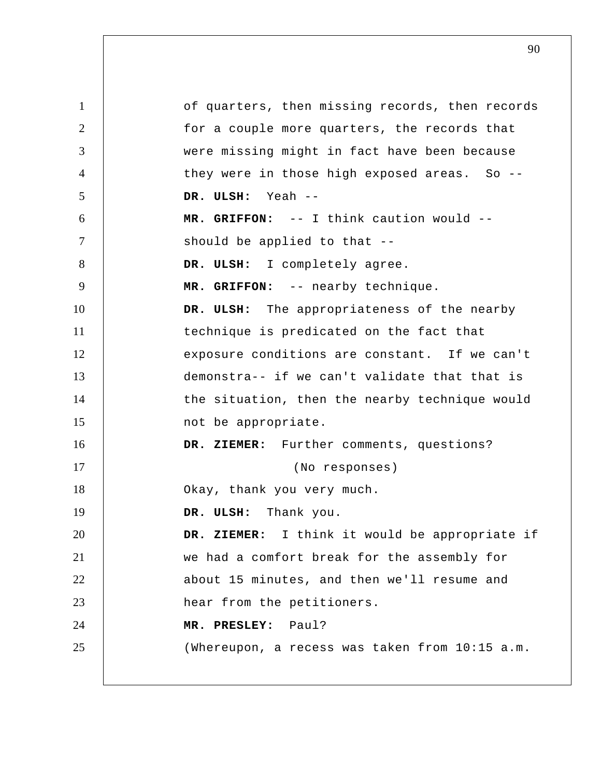| $\mathbf{1}$   | of quarters, then missing records, then records |
|----------------|-------------------------------------------------|
| 2              | for a couple more quarters, the records that    |
| 3              | were missing might in fact have been because    |
| $\overline{4}$ | they were in those high exposed areas. So --    |
| 5              | DR. ULSH: Yeah --                               |
| 6              | MR. GRIFFON: -- I think caution would --        |
| $\overline{7}$ | should be applied to that --                    |
| 8              | DR. ULSH: I completely agree.                   |
| 9              | MR. GRIFFON: -- nearby technique.               |
| 10             | DR. ULSH: The appropriateness of the nearby     |
| 11             | technique is predicated on the fact that        |
| 12             | exposure conditions are constant. If we can't   |
| 13             | demonstra-- if we can't validate that that is   |
| 14             | the situation, then the nearby technique would  |
| 15             | not be appropriate.                             |
| 16             | DR. ZIEMER: Further comments, questions?        |
| 17             | (No responses)                                  |
| 18             | Okay, thank you very much.                      |
| 19             | Thank you.<br>DR. ULSH:                         |
| 20             | DR. ZIEMER: I think it would be appropriate if  |
| 21             | we had a comfort break for the assembly for     |
| 22             | about 15 minutes, and then we'll resume and     |
| 23             | hear from the petitioners.                      |
| 24             | Paul?<br>MR. PRESLEY:                           |
| 25             | (Whereupon, a recess was taken from 10:15 a.m.  |
|                |                                                 |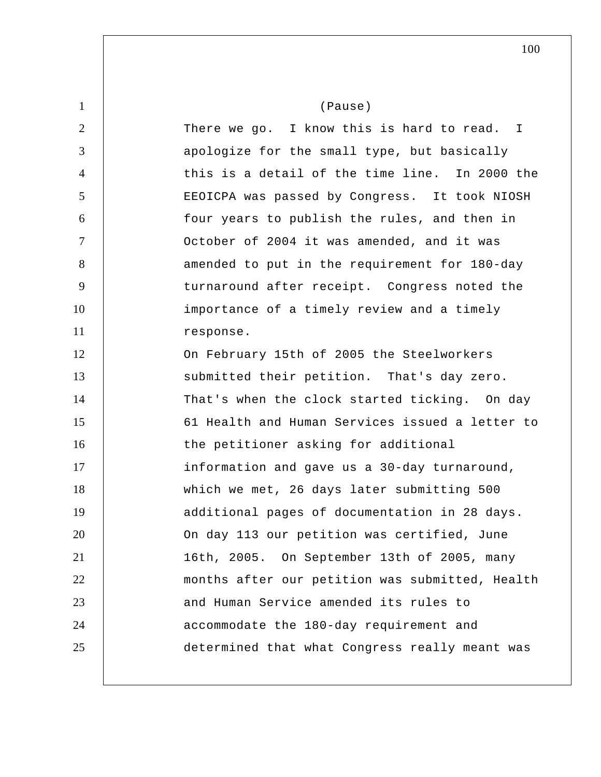1 2 3 4 5 6 7 8 9 10 11 12 13 14 15 16 17 18 19 20 21 22 23 24 25 (Pause) There we go. I know this is hard to read. I apologize for the small type, but basically this is a detail of the time line. In 2000 the EEOICPA was passed by Congress. It took NIOSH four years to publish the rules, and then in October of 2004 it was amended, and it was amended to put in the requirement for 180-day turnaround after receipt. Congress noted the importance of a timely review and a timely response. On February 15th of 2005 the Steelworkers submitted their petition. That's day zero. That's when the clock started ticking. On day 61 Health and Human Services issued a letter to the petitioner asking for additional information and gave us a 30-day turnaround, which we met, 26 days later submitting 500 additional pages of documentation in 28 days. On day 113 our petition was certified, June 16th, 2005. On September 13th of 2005, many months after our petition was submitted, Health and Human Service amended its rules to accommodate the 180-day requirement and determined that what Congress really meant was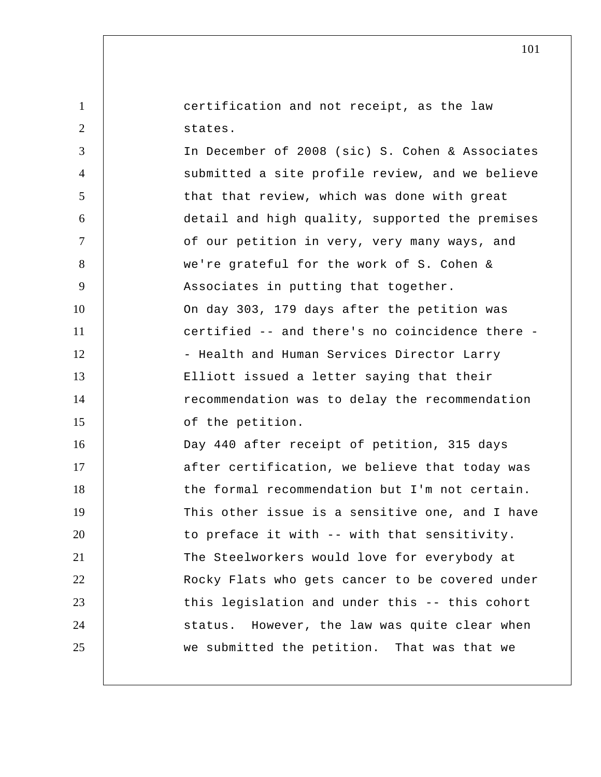certification and not receipt, as the law states.

1

2

3 4 5 6 7 8 9 10 11 12 13 14 15 16 17 18 19 20 21 22 23 24 25 In December of 2008 (sic) S. Cohen & Associates submitted a site profile review, and we believe that that review, which was done with great detail and high quality, supported the premises of our petition in very, very many ways, and we're grateful for the work of S. Cohen & Associates in putting that together. On day 303, 179 days after the petition was certified -- and there's no coincidence there - Health and Human Services Director Larry Elliott issued a letter saying that their recommendation was to delay the recommendation of the petition. Day 440 after receipt of petition, 315 days after certification, we believe that today was the formal recommendation but I'm not certain. This other issue is a sensitive one, and I have to preface it with -- with that sensitivity. The Steelworkers would love for everybody at Rocky Flats who gets cancer to be covered under this legislation and under this -- this cohort status. However, the law was quite clear when we submitted the petition. That was that we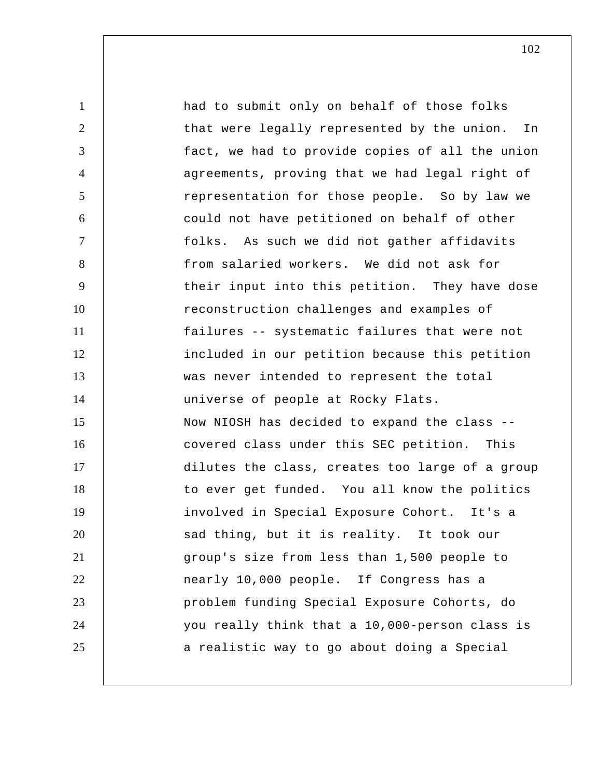| $\mathbf{1}$   | had to submit only on behalf of those folks     |
|----------------|-------------------------------------------------|
| $\overline{2}$ | that were legally represented by the union. In  |
| 3              | fact, we had to provide copies of all the union |
| $\overline{4}$ | agreements, proving that we had legal right of  |
| 5              | representation for those people. So by law we   |
| 6              | could not have petitioned on behalf of other    |
| $\overline{7}$ | folks. As such we did not gather affidavits     |
| 8              | from salaried workers. We did not ask for       |
| 9              | their input into this petition. They have dose  |
| 10             | reconstruction challenges and examples of       |
| 11             | failures -- systematic failures that were not   |
| 12             | included in our petition because this petition  |
| 13             | was never intended to represent the total       |
| 14             | universe of people at Rocky Flats.              |
| 15             | Now NIOSH has decided to expand the class --    |
| 16             | covered class under this SEC petition. This     |
| 17             | dilutes the class, creates too large of a group |
| 18             | to ever get funded. You all know the politics   |
| 19             | involved in Special Exposure Cohort. It's a     |
| 20             | sad thing, but it is reality. It took our       |
| 21             | group's size from less than 1,500 people to     |
| 22             | nearly 10,000 people. If Congress has a         |
| 23             | problem funding Special Exposure Cohorts, do    |
| 24             | you really think that a 10,000-person class is  |
| 25             | a realistic way to go about doing a Special     |
|                |                                                 |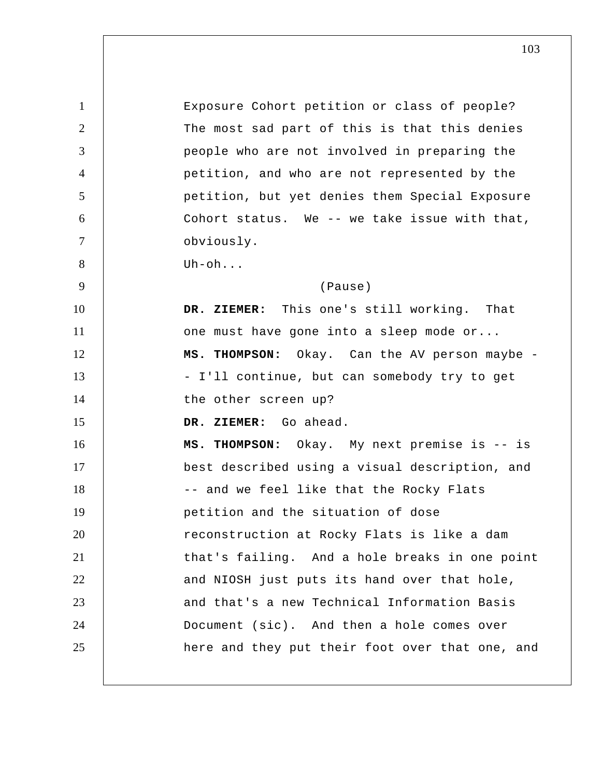1 2 3 4 5 6 7 8 9 10 11 12 13 14 15 16 17 18 19 20 21 22 23 24 25 Exposure Cohort petition or class of people? The most sad part of this is that this denies people who are not involved in preparing the petition, and who are not represented by the petition, but yet denies them Special Exposure Cohort status. We -- we take issue with that, obviously. Uh-oh... (Pause)  **DR. ZIEMER:** This one's still working. That one must have gone into a sleep mode or... **MS. THOMPSON:** Okay. Can the AV person maybe - I'll continue, but can somebody try to get the other screen up?  **DR. ZIEMER:** Go ahead. **MS. THOMPSON:** Okay. My next premise is -- is best described using a visual description, and -- and we feel like that the Rocky Flats petition and the situation of dose reconstruction at Rocky Flats is like a dam that's failing. And a hole breaks in one point and NIOSH just puts its hand over that hole, and that's a new Technical Information Basis Document (sic). And then a hole comes over here and they put their foot over that one, and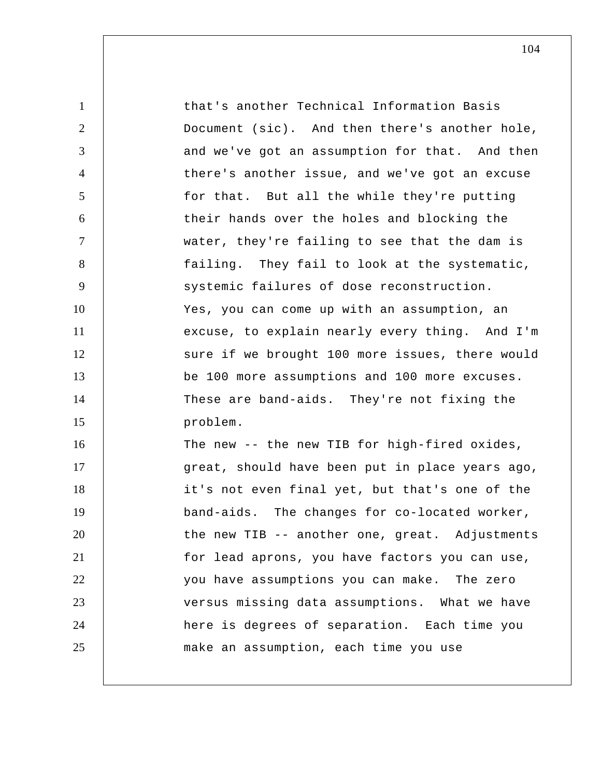| $\mathbf{1}$   | that's another Technical Information Basis      |
|----------------|-------------------------------------------------|
| $\overline{2}$ | Document (sic). And then there's another hole,  |
| 3              | and we've got an assumption for that. And then  |
| $\overline{4}$ | there's another issue, and we've got an excuse  |
| 5              | for that. But all the while they're putting     |
| 6              | their hands over the holes and blocking the     |
| $\overline{7}$ | water, they're failing to see that the dam is   |
| 8              | failing. They fail to look at the systematic,   |
| 9              | systemic failures of dose reconstruction.       |
| 10             | Yes, you can come up with an assumption, an     |
| 11             | excuse, to explain nearly every thing. And I'm  |
| 12             | sure if we brought 100 more issues, there would |
| 13             | be 100 more assumptions and 100 more excuses.   |
| 14             | These are band-aids. They're not fixing the     |
| 15             | problem.                                        |
| 16             | The new -- the new TIB for high-fired oxides,   |
| 17             | great, should have been put in place years ago, |
| 18             | it's not even final yet, but that's one of the  |
| 19             | band-aids. The changes for co-located worker,   |
| 20             | the new TIB -- another one, great. Adjustments  |
| 21             | for lead aprons, you have factors you can use,  |
| 22             | you have assumptions you can make. The zero     |
| 23             | versus missing data assumptions. What we have   |
| 24             | here is degrees of separation. Each time you    |
| 25             | make an assumption, each time you use           |
|                |                                                 |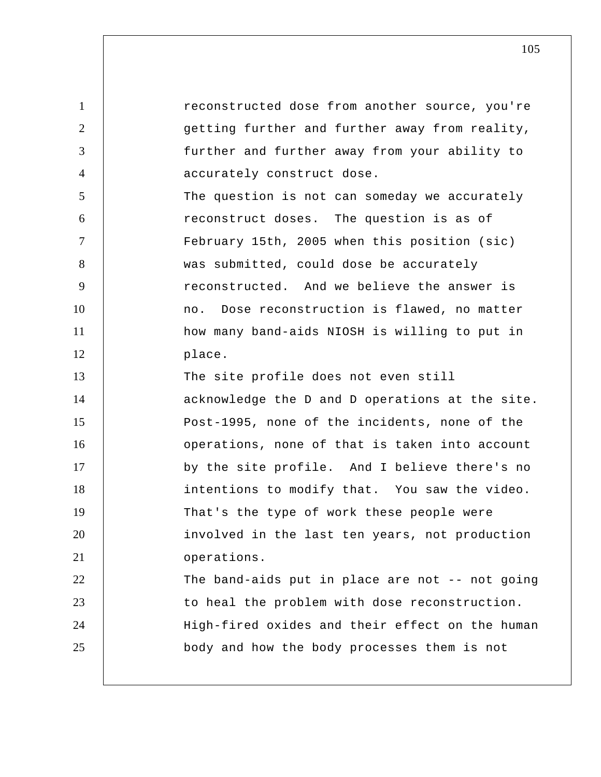| $\mathbf{1}$   | reconstructed dose from another source, you're  |
|----------------|-------------------------------------------------|
| $\overline{2}$ | getting further and further away from reality,  |
| 3              | further and further away from your ability to   |
| $\overline{4}$ | accurately construct dose.                      |
| 5              | The question is not can someday we accurately   |
| 6              | reconstruct doses. The question is as of        |
| $\tau$         | February 15th, 2005 when this position (sic)    |
| 8              | was submitted, could dose be accurately         |
| 9              | reconstructed. And we believe the answer is     |
| 10             | no. Dose reconstruction is flawed, no matter    |
| 11             | how many band-aids NIOSH is willing to put in   |
| 12             | place.                                          |
| 13             | The site profile does not even still            |
| 14             | acknowledge the D and D operations at the site. |
| 15             | Post-1995, none of the incidents, none of the   |
| 16             | operations, none of that is taken into account  |
| 17             | by the site profile. And I believe there's no   |
| 18             | intentions to modify that. You saw the video.   |
| 19             | That's the type of work these people were       |
| 20             | involved in the last ten years, not production  |
| 21             | operations.                                     |
| 22             | The band-aids put in place are not -- not going |
| 23             | to heal the problem with dose reconstruction.   |
| 24             | High-fired oxides and their effect on the human |
| 25             | body and how the body processes them is not     |
|                |                                                 |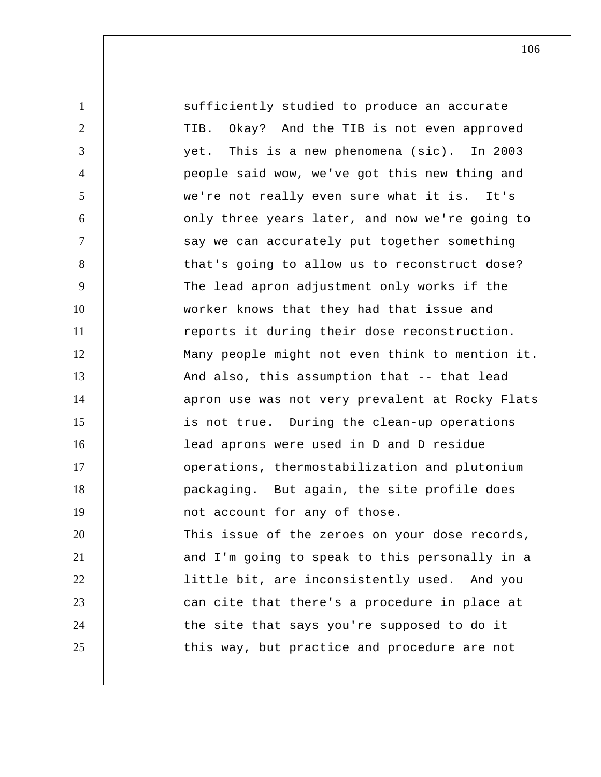1 2 3 4 5 6 7 8 9 10 11 12 13 14 15 16 17 18 19 20 21 22 23 24 25 sufficiently studied to produce an accurate TIB. Okay? And the TIB is not even approved yet. This is a new phenomena (sic). In 2003 people said wow, we've got this new thing and we're not really even sure what it is. It's only three years later, and now we're going to say we can accurately put together something that's going to allow us to reconstruct dose? The lead apron adjustment only works if the worker knows that they had that issue and reports it during their dose reconstruction. Many people might not even think to mention it. And also, this assumption that -- that lead apron use was not very prevalent at Rocky Flats is not true. During the clean-up operations lead aprons were used in D and D residue operations, thermostabilization and plutonium packaging. But again, the site profile does not account for any of those. This issue of the zeroes on your dose records, and I'm going to speak to this personally in a little bit, are inconsistently used. And you can cite that there's a procedure in place at the site that says you're supposed to do it this way, but practice and procedure are not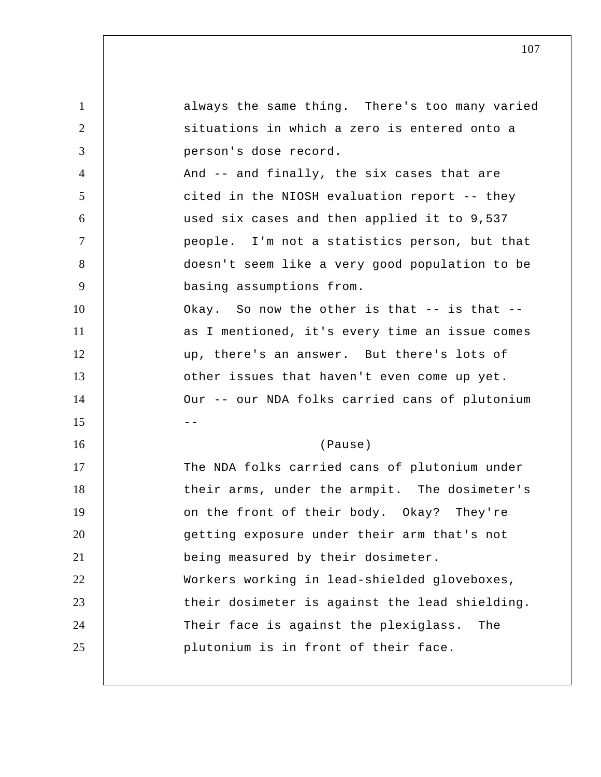1 2 3 4 5 6 7 8 9 10 11 12 13 14  $15$  --16 17 18 19 20 21 22 23 24 25 always the same thing. There's too many varied situations in which a zero is entered onto a person's dose record. And -- and finally, the six cases that are cited in the NIOSH evaluation report -- they used six cases and then applied it to 9,537 people. I'm not a statistics person, but that doesn't seem like a very good population to be basing assumptions from. Okay. So now the other is that -- is that - as I mentioned, it's every time an issue comes up, there's an answer. But there's lots of other issues that haven't even come up yet. Our -- our NDA folks carried cans of plutonium (Pause) The NDA folks carried cans of plutonium under their arms, under the armpit. The dosimeter's on the front of their body. Okay? They're getting exposure under their arm that's not being measured by their dosimeter. Workers working in lead-shielded gloveboxes, their dosimeter is against the lead shielding. Their face is against the plexiglass. The plutonium is in front of their face.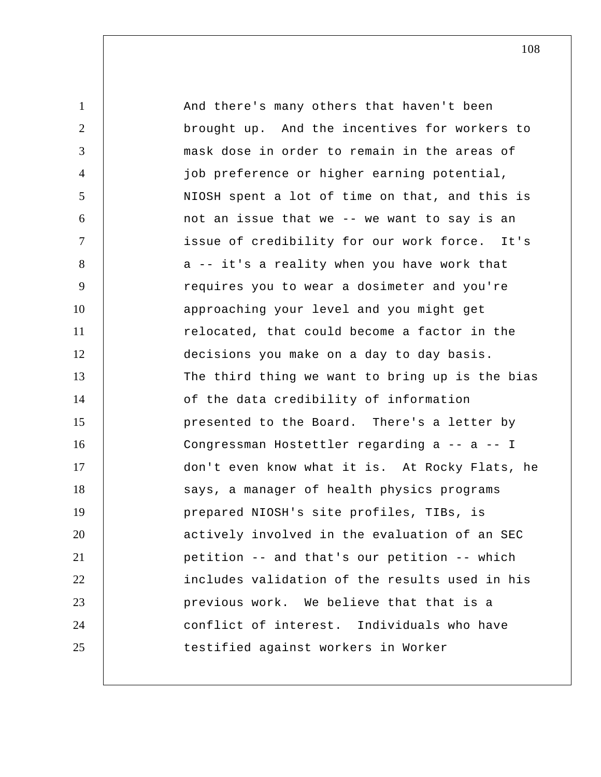| $\mathbf{1}$   | And there's many others that haven't been       |
|----------------|-------------------------------------------------|
| $\overline{2}$ | brought up. And the incentives for workers to   |
| 3              | mask dose in order to remain in the areas of    |
| $\overline{4}$ | job preference or higher earning potential,     |
| 5              | NIOSH spent a lot of time on that, and this is  |
| 6              | not an issue that we -- we want to say is an    |
| $\tau$         | issue of credibility for our work force. It's   |
| 8              | a -- it's a reality when you have work that     |
| 9              | requires you to wear a dosimeter and you're     |
| 10             | approaching your level and you might get        |
| 11             | relocated, that could become a factor in the    |
| 12             | decisions you make on a day to day basis.       |
| 13             | The third thing we want to bring up is the bias |
| 14             | of the data credibility of information          |
| 15             | presented to the Board. There's a letter by     |
| 16             | Congressman Hostettler regarding a -- a -- I    |
| 17             | don't even know what it is. At Rocky Flats, he  |
| 18             | says, a manager of health physics programs      |
| 19             | prepared NIOSH's site profiles, TIBs, is        |
| 20             | actively involved in the evaluation of an SEC   |
| 21             | petition -- and that's our petition -- which    |
| 22             | includes validation of the results used in his  |
| 23             | previous work. We believe that that is a        |
| 24             | conflict of interest. Individuals who have      |
| 25             | testified against workers in Worker             |
|                |                                                 |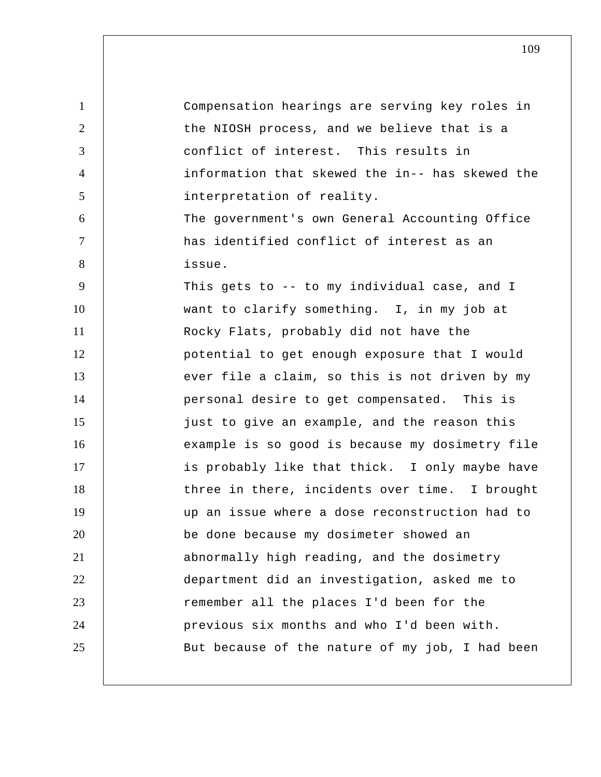| $\mathbf{1}$   | Compensation hearings are serving key roles in  |
|----------------|-------------------------------------------------|
| 2              | the NIOSH process, and we believe that is a     |
| 3              | conflict of interest. This results in           |
| $\overline{4}$ | information that skewed the in-- has skewed the |
| 5              | interpretation of reality.                      |
| 6              | The government's own General Accounting Office  |
| $\tau$         | has identified conflict of interest as an       |
| 8              | issue.                                          |
| 9              | This gets to -- to my individual case, and I    |
| 10             | want to clarify something. I, in my job at      |
| 11             | Rocky Flats, probably did not have the          |
| 12             | potential to get enough exposure that I would   |
| 13             | ever file a claim, so this is not driven by my  |
| 14             | personal desire to get compensated. This is     |
| 15             | just to give an example, and the reason this    |
| 16             | example is so good is because my dosimetry file |
| 17             | is probably like that thick. I only maybe have  |
| 18             | three in there, incidents over time. I brought  |
| 19             | up an issue where a dose reconstruction had to  |
| 20             | be done because my dosimeter showed an          |
| 21             | abnormally high reading, and the dosimetry      |
| 22             | department did an investigation, asked me to    |
| 23             | remember all the places I'd been for the        |
| 24             | previous six months and who I'd been with.      |
| 25             | But because of the nature of my job, I had been |
|                |                                                 |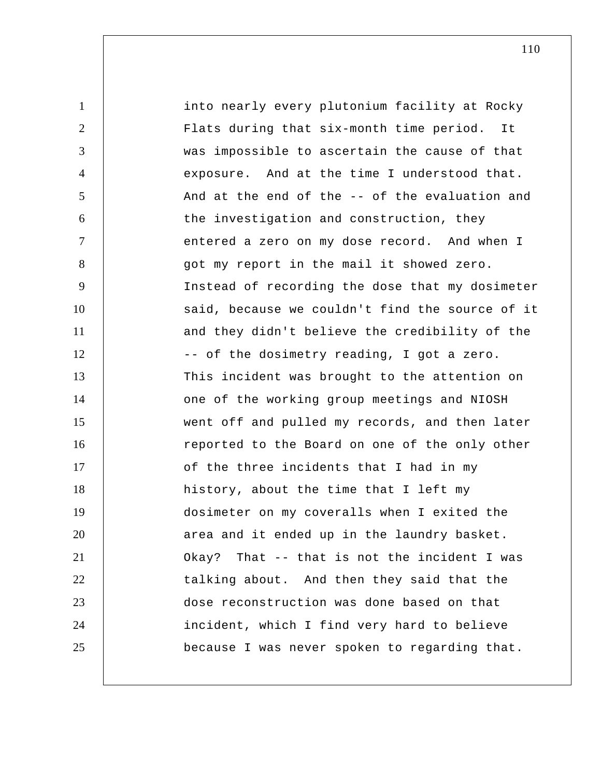1 2 3 4 5 6 7 8 9 10 11 12 13 14 15 16 17 18 19 20 21 22 23 24 25 into nearly every plutonium facility at Rocky Flats during that six-month time period. It was impossible to ascertain the cause of that exposure. And at the time I understood that. And at the end of the -- of the evaluation and the investigation and construction, they entered a zero on my dose record. And when I got my report in the mail it showed zero. Instead of recording the dose that my dosimeter said, because we couldn't find the source of it and they didn't believe the credibility of the -- of the dosimetry reading, I got a zero. This incident was brought to the attention on one of the working group meetings and NIOSH went off and pulled my records, and then later reported to the Board on one of the only other of the three incidents that I had in my history, about the time that I left my dosimeter on my coveralls when I exited the area and it ended up in the laundry basket. Okay? That -- that is not the incident I was talking about. And then they said that the dose reconstruction was done based on that incident, which I find very hard to believe because I was never spoken to regarding that.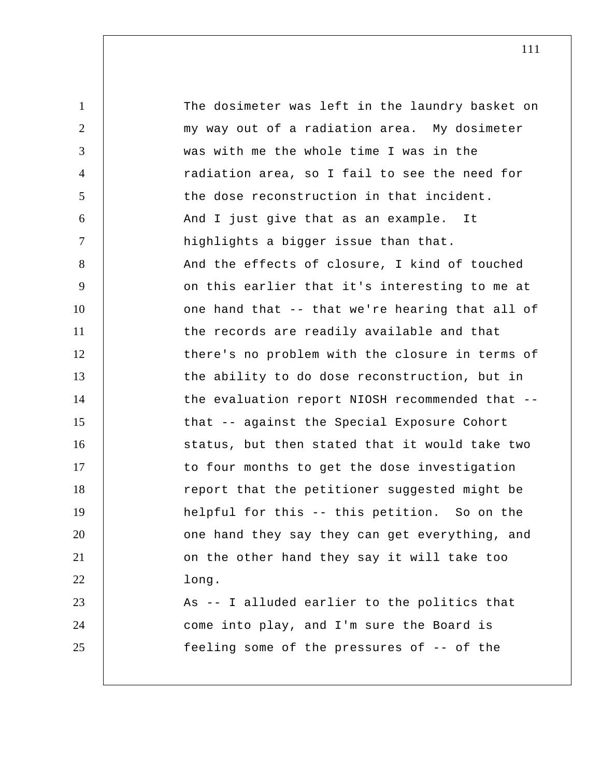1 2 3 4 5 6 7 8 9 10 11 12 13 14 15 16 17 18 19 20 21 22 23 24 25 The dosimeter was left in the laundry basket on my way out of a radiation area. My dosimeter was with me the whole time I was in the radiation area, so I fail to see the need for the dose reconstruction in that incident. And I just give that as an example. It highlights a bigger issue than that. And the effects of closure, I kind of touched on this earlier that it's interesting to me at one hand that -- that we're hearing that all of the records are readily available and that there's no problem with the closure in terms of the ability to do dose reconstruction, but in the evaluation report NIOSH recommended that - that -- against the Special Exposure Cohort status, but then stated that it would take two to four months to get the dose investigation report that the petitioner suggested might be helpful for this -- this petition. So on the one hand they say they can get everything, and on the other hand they say it will take too long. As -- I alluded earlier to the politics that come into play, and I'm sure the Board is feeling some of the pressures of -- of the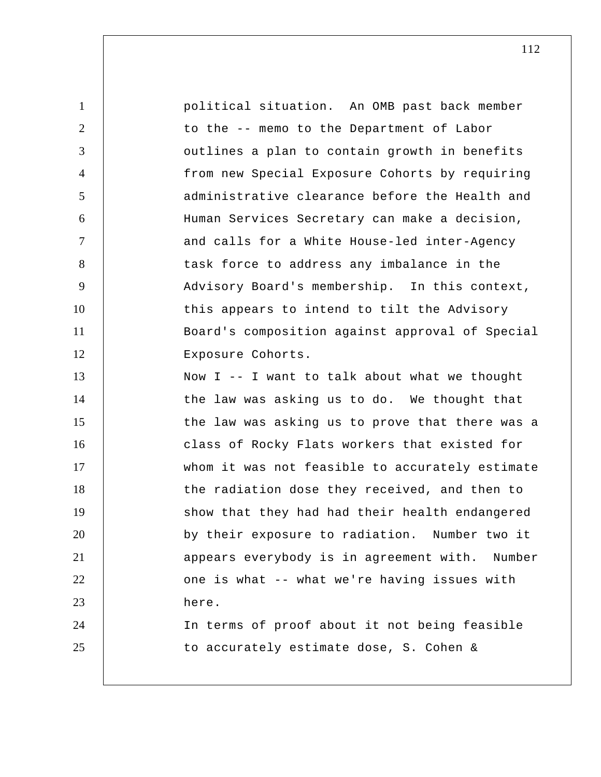| $\mathbf{1}$    | political situation. An OMB past back member    |
|-----------------|-------------------------------------------------|
| $\overline{2}$  | to the -- memo to the Department of Labor       |
| 3               | outlines a plan to contain growth in benefits   |
| $\overline{4}$  | from new Special Exposure Cohorts by requiring  |
| $5\overline{)}$ | administrative clearance before the Health and  |
| 6               | Human Services Secretary can make a decision,   |
| $\tau$          | and calls for a White House-led inter-Agency    |
| 8               | task force to address any imbalance in the      |
| 9               | Advisory Board's membership. In this context,   |
| 10              | this appears to intend to tilt the Advisory     |
| 11              | Board's composition against approval of Special |
| 12              | Exposure Cohorts.                               |
| 13              | Now I -- I want to talk about what we thought   |
| 14              | the law was asking us to do. We thought that    |
| 15              | the law was asking us to prove that there was a |
| 16              | class of Rocky Flats workers that existed for   |
| 17              | whom it was not feasible to accurately estimate |
| 18              | the radiation dose they received, and then to   |
| 19              | show that they had had their health endangered  |
| 20              | by their exposure to radiation. Number two it   |
| 21              | appears everybody is in agreement with. Number  |
| 22              | one is what -- what we're having issues with    |
| 23              | here.                                           |
| 24              | In terms of proof about it not being feasible   |
| 25              | to accurately estimate dose, S. Cohen &         |
|                 |                                                 |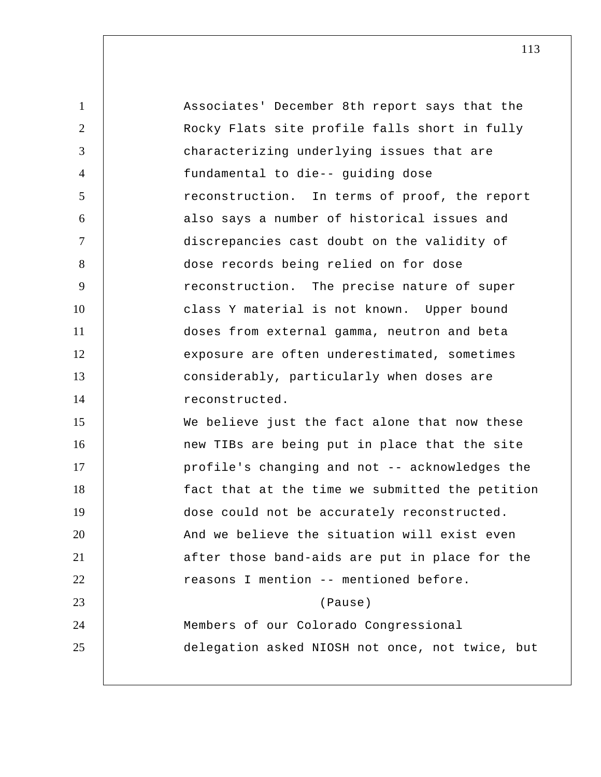1 2 3 4 5 6 7 8 9 10 11 12 13 14 15 16 17 18 19 20 21 22 23 24 25 Associates' December 8th report says that the Rocky Flats site profile falls short in fully characterizing underlying issues that are fundamental to die-- guiding dose reconstruction. In terms of proof, the report also says a number of historical issues and discrepancies cast doubt on the validity of dose records being relied on for dose reconstruction. The precise nature of super class Y material is not known. Upper bound doses from external gamma, neutron and beta exposure are often underestimated, sometimes considerably, particularly when doses are reconstructed. We believe just the fact alone that now these new TIBs are being put in place that the site profile's changing and not -- acknowledges the fact that at the time we submitted the petition dose could not be accurately reconstructed. And we believe the situation will exist even after those band-aids are put in place for the reasons I mention -- mentioned before. (Pause) Members of our Colorado Congressional delegation asked NIOSH not once, not twice, but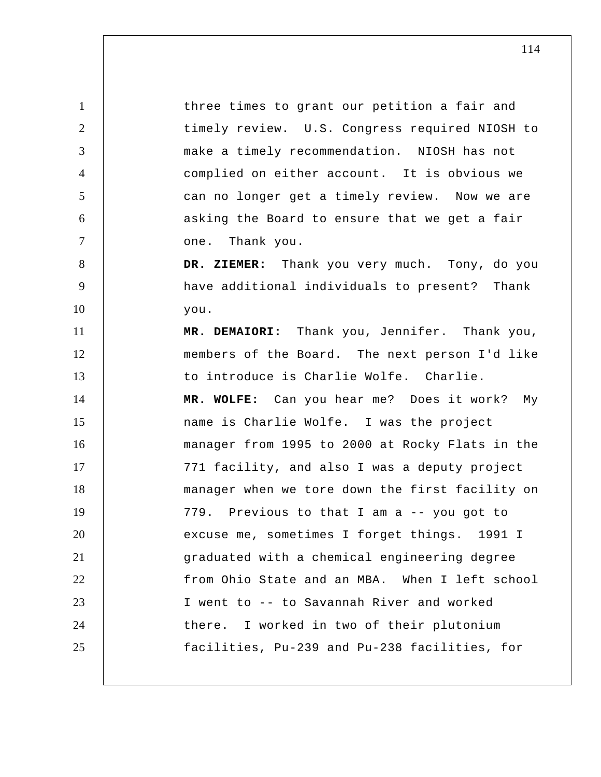1 2 3 4 5 6 7 8 9 10 11 12 13 14 15 16 17 18 19 20 21 22 23 24 25 three times to grant our petition a fair and timely review. U.S. Congress required NIOSH to make a timely recommendation. NIOSH has not complied on either account. It is obvious we can no longer get a timely review. Now we are asking the Board to ensure that we get a fair one. Thank you.  **DR. ZIEMER:** Thank you very much. Tony, do you have additional individuals to present? Thank you. **MR. DEMAIORI:** Thank you, Jennifer. Thank you, members of the Board. The next person I'd like to introduce is Charlie Wolfe. Charlie. **MR. WOLFE:** Can you hear me? Does it work? My name is Charlie Wolfe. I was the project manager from 1995 to 2000 at Rocky Flats in the 771 facility, and also I was a deputy project manager when we tore down the first facility on 779. Previous to that I am a -- you got to excuse me, sometimes I forget things. 1991 I graduated with a chemical engineering degree from Ohio State and an MBA. When I left school I went to -- to Savannah River and worked there. I worked in two of their plutonium facilities, Pu-239 and Pu-238 facilities, for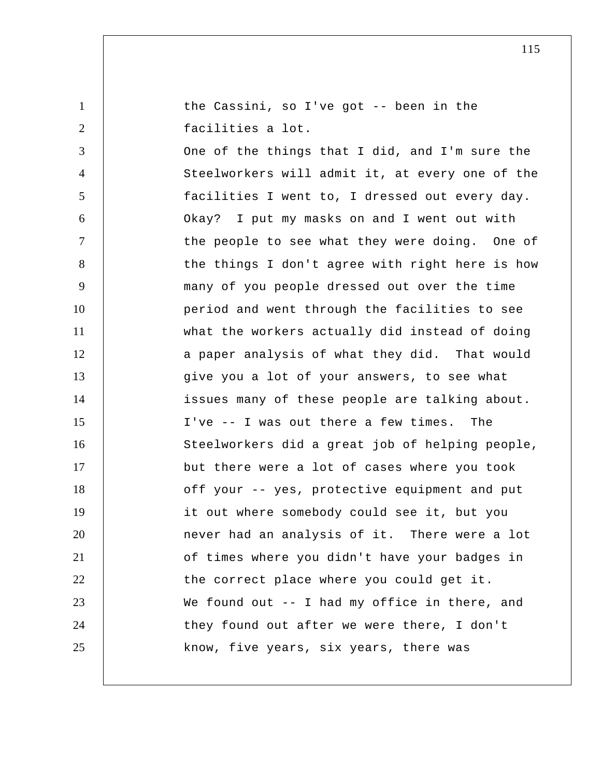| $\mathbf{1}$   | the Cassini, so I've got -- been in the         |
|----------------|-------------------------------------------------|
| $\overline{2}$ | facilities a lot.                               |
| 3              | One of the things that I did, and I'm sure the  |
| 4              | Steelworkers will admit it, at every one of the |
| 5              | facilities I went to, I dressed out every day.  |
| 6              | Okay? I put my masks on and I went out with     |
| $\tau$         | the people to see what they were doing. One of  |
| 8              | the things I don't agree with right here is how |
| 9              | many of you people dressed out over the time    |
| 10             | period and went through the facilities to see   |
| 11             | what the workers actually did instead of doing  |
| 12             | a paper analysis of what they did. That would   |
| 13             | give you a lot of your answers, to see what     |
| 14             | issues many of these people are talking about.  |
| 15             | I've -- I was out there a few times. The        |
| 16             | Steelworkers did a great job of helping people, |
| 17             | but there were a lot of cases where you took    |
| 18             | off your -- yes, protective equipment and put   |
| 19             | it out where somebody could see it, but you     |
| 20             | never had an analysis of it. There were a lot   |
| 21             | of times where you didn't have your badges in   |
| 22             | the correct place where you could get it.       |
| 23             | We found out $-$ I had my office in there, and  |
| 24             | they found out after we were there, I don't     |
| 25             | know, five years, six years, there was          |
|                |                                                 |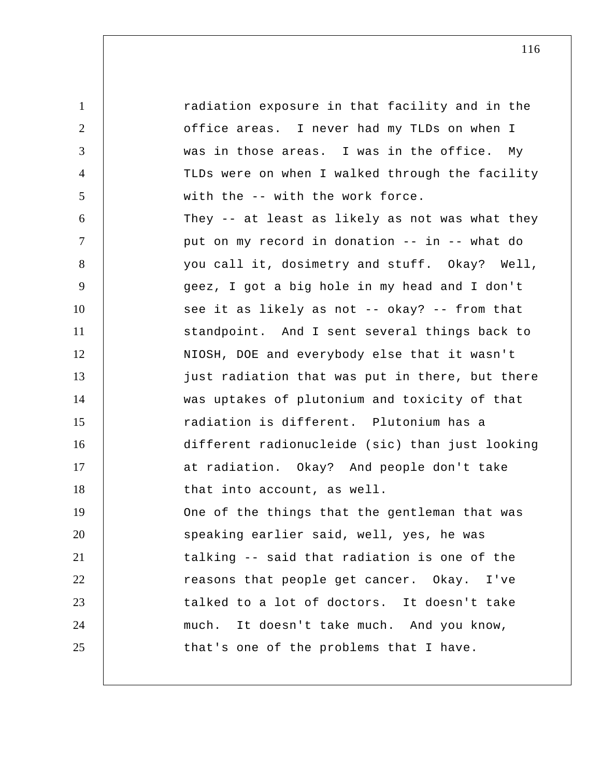1 2 3 4 5 6 7 8 9 10 11 12 13 14 15 16 17 18 19 20 21 22 23 24 25 radiation exposure in that facility and in the office areas. I never had my TLDs on when I was in those areas. I was in the office. My TLDs were on when I walked through the facility with the -- with the work force. They -- at least as likely as not was what they put on my record in donation -- in -- what do you call it, dosimetry and stuff. Okay? Well, geez, I got a big hole in my head and I don't see it as likely as not -- okay? -- from that standpoint. And I sent several things back to NIOSH, DOE and everybody else that it wasn't just radiation that was put in there, but there was uptakes of plutonium and toxicity of that radiation is different. Plutonium has a different radionucleide (sic) than just looking at radiation. Okay? And people don't take that into account, as well. One of the things that the gentleman that was speaking earlier said, well, yes, he was talking -- said that radiation is one of the reasons that people get cancer. Okay. I've talked to a lot of doctors. It doesn't take much. It doesn't take much. And you know, that's one of the problems that I have.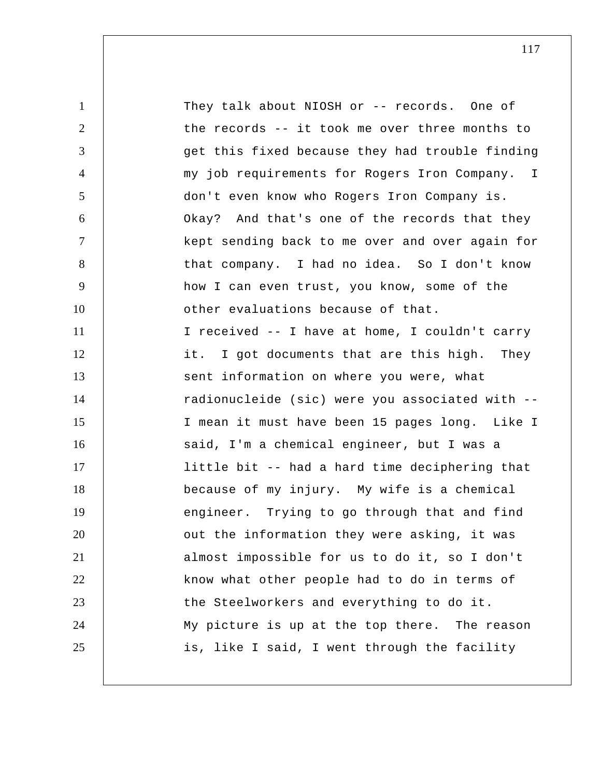1 2 3 4 5 6 7 8 9 10 11 12 13 14 15 16 17 18 19 20 21 22 23 24 25 my job requirements for Rogers Iron Company. I They talk about NIOSH or -- records. One of the records -- it took me over three months to get this fixed because they had trouble finding don't even know who Rogers Iron Company is. Okay? And that's one of the records that they kept sending back to me over and over again for that company. I had no idea. So I don't know how I can even trust, you know, some of the other evaluations because of that. I received -- I have at home, I couldn't carry it. I got documents that are this high. They sent information on where you were, what radionucleide (sic) were you associated with -- I mean it must have been 15 pages long. Like I said, I'm a chemical engineer, but I was a little bit -- had a hard time deciphering that because of my injury. My wife is a chemical engineer. Trying to go through that and find out the information they were asking, it was almost impossible for us to do it, so I don't know what other people had to do in terms of the Steelworkers and everything to do it. My picture is up at the top there. The reason is, like I said, I went through the facility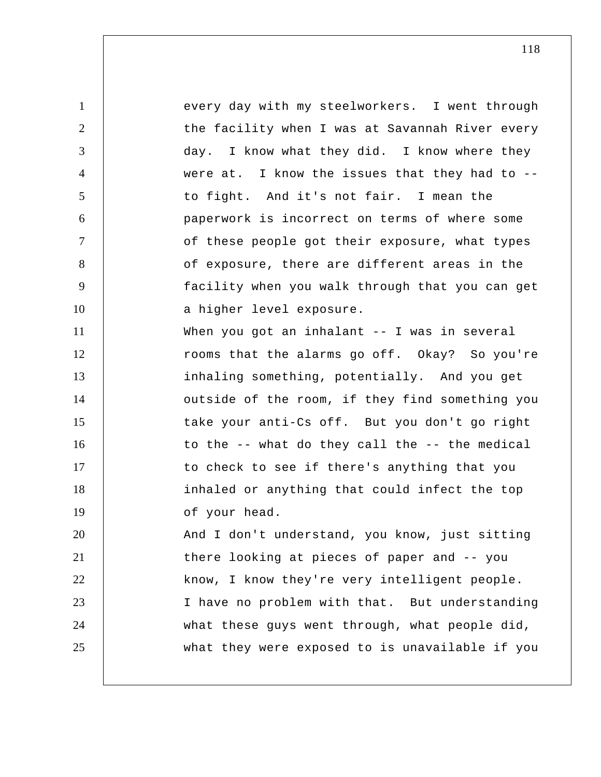1 2 3 4 5 6 7 8 9 10 11 12 13 14 15 16 17 18 19 20 21 22 23 24 25 every day with my steelworkers. I went through the facility when I was at Savannah River every day. I know what they did. I know where they were at. I know the issues that they had to  $-$ to fight. And it's not fair. I mean the paperwork is incorrect on terms of where some of these people got their exposure, what types of exposure, there are different areas in the facility when you walk through that you can get a higher level exposure. When you got an inhalant -- I was in several rooms that the alarms go off. Okay? So you're inhaling something, potentially. And you get outside of the room, if they find something you take your anti-Cs off. But you don't go right to the -- what do they call the -- the medical to check to see if there's anything that you inhaled or anything that could infect the top of your head. And I don't understand, you know, just sitting there looking at pieces of paper and -- you know, I know they're very intelligent people. I have no problem with that. But understanding what these guys went through, what people did, what they were exposed to is unavailable if you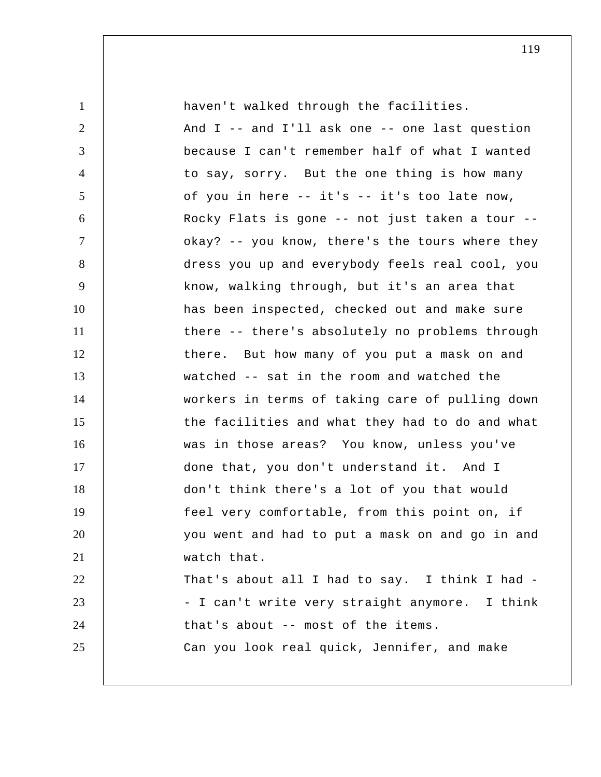| $\mathbf{1}$   | haven't walked through the facilities.           |
|----------------|--------------------------------------------------|
| $\overline{2}$ | And $I$ -- and I'll ask one -- one last question |
| 3              | because I can't remember half of what I wanted   |
| $\overline{4}$ | to say, sorry. But the one thing is how many     |
| 5              | of you in here -- it's -- it's too late now,     |
| 6              | Rocky Flats is gone -- not just taken a tour --  |
| $\tau$         | okay? -- you know, there's the tours where they  |
| 8              | dress you up and everybody feels real cool, you  |
| 9              | know, walking through, but it's an area that     |
| 10             | has been inspected, checked out and make sure    |
| 11             | there -- there's absolutely no problems through  |
| 12             | there. But how many of you put a mask on and     |
| 13             | watched -- sat in the room and watched the       |
| 14             | workers in terms of taking care of pulling down  |
| 15             | the facilities and what they had to do and what  |
| 16             | was in those areas? You know, unless you've      |
| 17             | done that, you don't understand it. And I        |
| 18             | don't think there's a lot of you that would      |
| 19             | feel very comfortable, from this point on, if    |
| 20             | you went and had to put a mask on and go in and  |
| 21             | watch that.                                      |
| 22             | That's about all I had to say. I think I had -   |
| 23             | - I can't write very straight anymore. I think   |
| 24             | that's about -- most of the items.               |
| 25             | Can you look real quick, Jennifer, and make      |
|                |                                                  |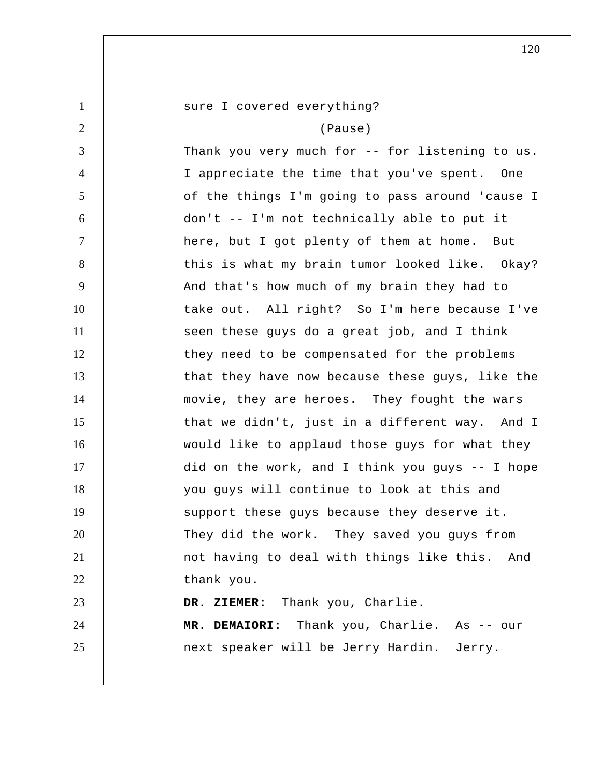| $\mathbf{1}$   | sure I covered everything?                      |
|----------------|-------------------------------------------------|
| $\overline{2}$ | (Pause)                                         |
| 3              | Thank you very much for -- for listening to us. |
| $\overline{4}$ | I appreciate the time that you've spent. One    |
| 5              | of the things I'm going to pass around 'cause I |
| 6              | don't -- I'm not technically able to put it     |
| $\tau$         | here, but I got plenty of them at home. But     |
| 8              | this is what my brain tumor looked like. Okay?  |
| 9              | And that's how much of my brain they had to     |
| 10             | take out. All right? So I'm here because I've   |
| 11             | seen these guys do a great job, and I think     |
| 12             | they need to be compensated for the problems    |
| 13             | that they have now because these guys, like the |
| 14             | movie, they are heroes. They fought the wars    |
| 15             | that we didn't, just in a different way. And I  |
| 16             | would like to applaud those guys for what they  |
| 17             | did on the work, and I think you guys -- I hope |
| 18             | you guys will continue to look at this and      |
| 19             | support these guys because they deserve it.     |
| 20             | They did the work. They saved you guys from     |
| 21             | not having to deal with things like this. And   |
| 22             | thank you.                                      |
| 23             | DR. ZIEMER: Thank you, Charlie.                 |
| 24             | MR. DEMAIORI: Thank you, Charlie. As -- our     |
| 25             | next speaker will be Jerry Hardin. Jerry.       |
|                |                                                 |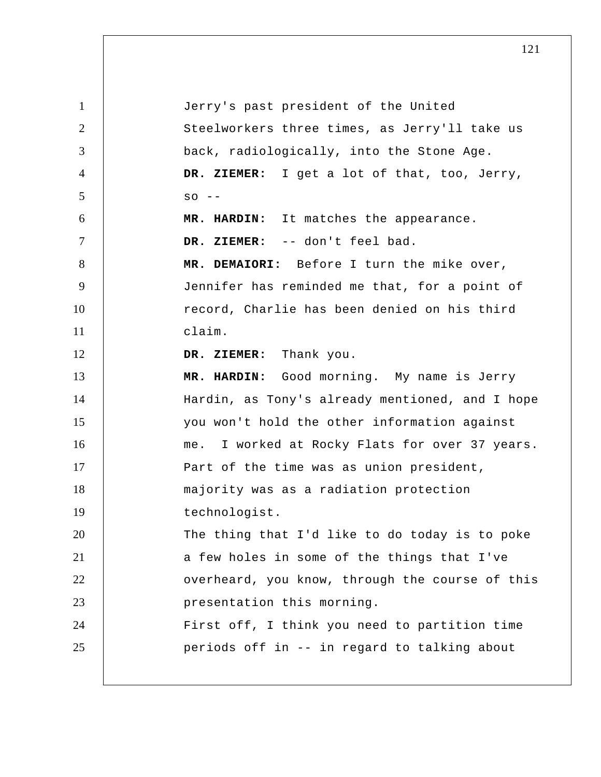1 2 3 4 5 6 7 8 9 10 11 12 13 14 15 16 17 18 19 20 21 22 23 24 25 Jerry's past president of the United Steelworkers three times, as Jerry'll take us back, radiologically, into the Stone Age.  **DR. ZIEMER:** I get a lot of that, too, Jerry,  $SO - -$  **MR. HARDIN:** It matches the appearance.  **DR. ZIEMER:** -- don't feel bad. **MR. DEMAIORI:** Before I turn the mike over, Jennifer has reminded me that, for a point of record, Charlie has been denied on his third claim.  **DR. ZIEMER:** Thank you.  **MR. HARDIN:** Good morning. My name is Jerry Hardin, as Tony's already mentioned, and I hope you won't hold the other information against me. I worked at Rocky Flats for over 37 years. Part of the time was as union president, majority was as a radiation protection technologist. The thing that I'd like to do today is to poke a few holes in some of the things that I've overheard, you know, through the course of this presentation this morning. First off, I think you need to partition time periods off in -- in regard to talking about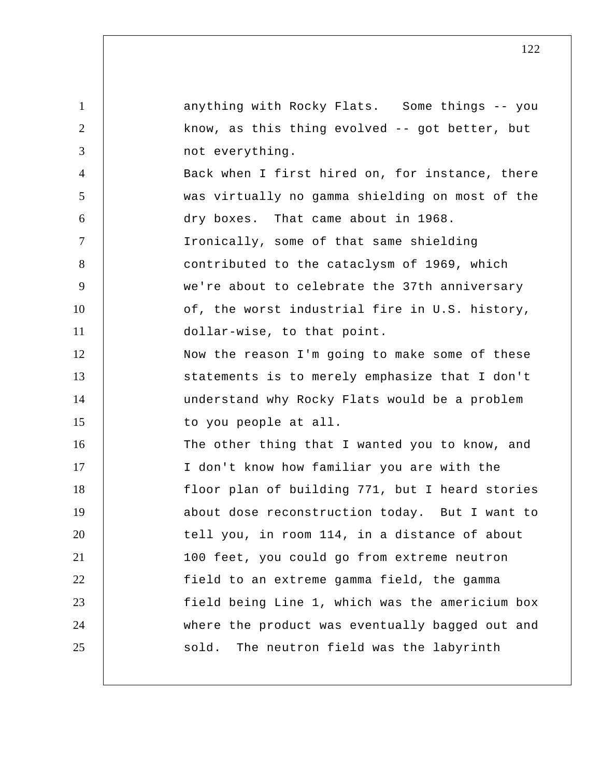1 2 3 4 5 6 7 8 9 10 11 12 13 14 15 16 17 18 19 20 21 22 23 24 25 anything with Rocky Flats. Some things -- you know, as this thing evolved -- got better, but not everything. Back when I first hired on, for instance, there was virtually no gamma shielding on most of the dry boxes. That came about in 1968. Ironically, some of that same shielding contributed to the cataclysm of 1969, which we're about to celebrate the 37th anniversary of, the worst industrial fire in U.S. history, dollar-wise, to that point. Now the reason I'm going to make some of these statements is to merely emphasize that I don't understand why Rocky Flats would be a problem to you people at all. The other thing that I wanted you to know, and I don't know how familiar you are with the floor plan of building 771, but I heard stories about dose reconstruction today. But I want to tell you, in room 114, in a distance of about 100 feet, you could go from extreme neutron field to an extreme gamma field, the gamma field being Line 1, which was the americium box where the product was eventually bagged out and sold. The neutron field was the labyrinth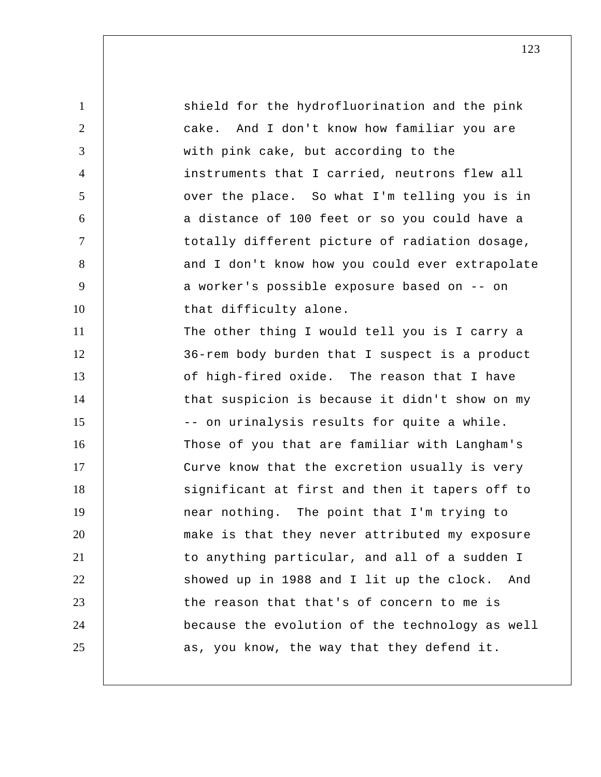| $\mathbf{1}$   | shield for the hydrofluorination and the pink    |
|----------------|--------------------------------------------------|
| 2              | And I don't know how familiar you are<br>cake.   |
| 3              | with pink cake, but according to the             |
| $\overline{4}$ | instruments that I carried, neutrons flew all    |
| 5              | over the place. So what I'm telling you is in    |
| 6              | a distance of 100 feet or so you could have a    |
| $\overline{7}$ | totally different picture of radiation dosage,   |
| 8              | and I don't know how you could ever extrapolate  |
| 9              | a worker's possible exposure based on -- on      |
| 10             | that difficulty alone.                           |
| 11             | The other thing I would tell you is I carry a    |
| 12             | 36-rem body burden that I suspect is a product   |
| 13             | of high-fired oxide. The reason that I have      |
| 14             | that suspicion is because it didn't show on my   |
| 15             | -- on urinalysis results for quite a while.      |
| 16             | Those of you that are familiar with Langham's    |
| 17             | Curve know that the excretion usually is very    |
| 18             | significant at first and then it tapers off to   |
| 19             | near nothing. The point that I'm trying to       |
| 20             | make is that they never attributed my exposure   |
| 21             | to anything particular, and all of a sudden I    |
| 22             | showed up in 1988 and I lit up the clock.<br>And |
| 23             | the reason that that's of concern to me is       |
| 24             | because the evolution of the technology as well  |
| 25             | as, you know, the way that they defend it.       |
|                |                                                  |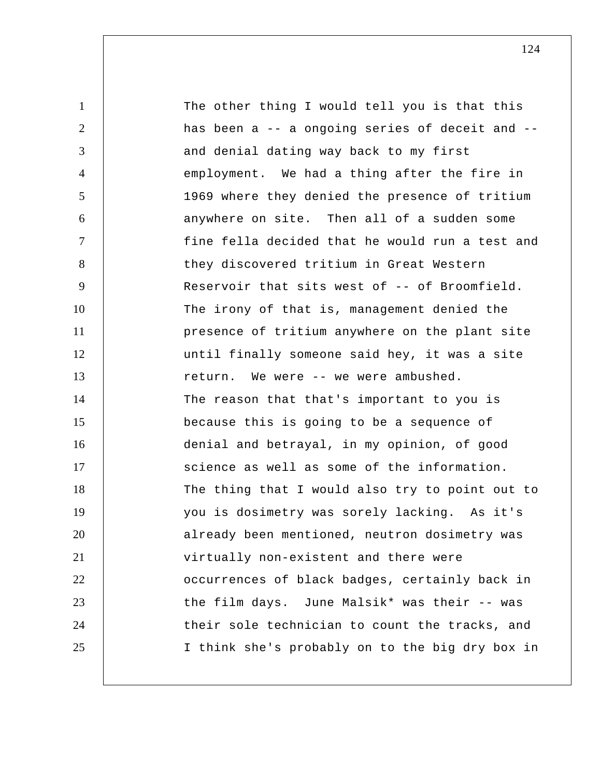1 2 3 4 5 6 7 8 9 10 11 12 13 14 15 16 17 18 19 20 21 22 23 24 25 The other thing I would tell you is that this has been a -- a ongoing series of deceit and - and denial dating way back to my first employment. We had a thing after the fire in 1969 where they denied the presence of tritium anywhere on site. Then all of a sudden some fine fella decided that he would run a test and they discovered tritium in Great Western Reservoir that sits west of -- of Broomfield. The irony of that is, management denied the presence of tritium anywhere on the plant site until finally someone said hey, it was a site return. We were -- we were ambushed. The reason that that's important to you is because this is going to be a sequence of denial and betrayal, in my opinion, of good science as well as some of the information. The thing that I would also try to point out to you is dosimetry was sorely lacking. As it's already been mentioned, neutron dosimetry was virtually non-existent and there were occurrences of black badges, certainly back in the film days. June Malsik\* was their -- was their sole technician to count the tracks, and I think she's probably on to the big dry box in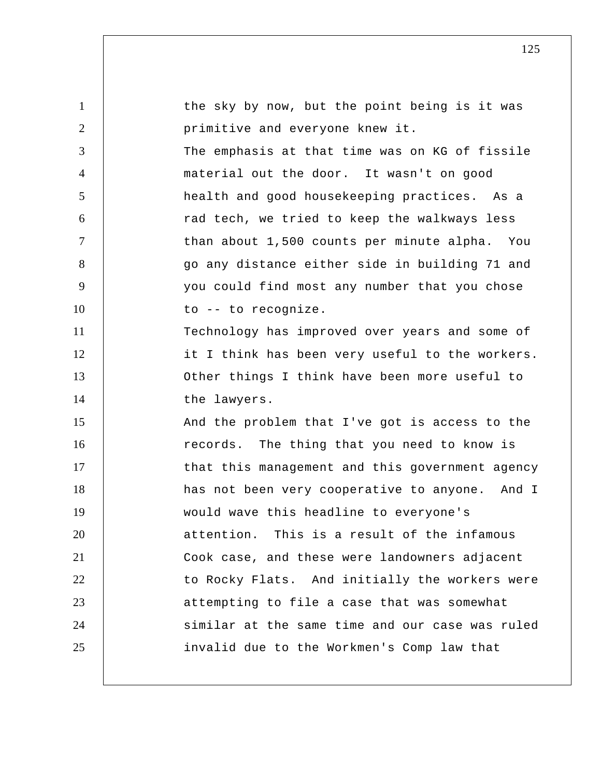| $\mathbf{1}$   | the sky by now, but the point being is it was   |
|----------------|-------------------------------------------------|
| $\overline{2}$ | primitive and everyone knew it.                 |
| 3              | The emphasis at that time was on KG of fissile  |
| $\overline{4}$ | material out the door. It wasn't on good        |
| 5              | health and good housekeeping practices. As a    |
| 6              | rad tech, we tried to keep the walkways less    |
| $\overline{7}$ | than about 1,500 counts per minute alpha. You   |
| 8              | go any distance either side in building 71 and  |
| 9              | you could find most any number that you chose   |
| 10             | to -- to recognize.                             |
| 11             | Technology has improved over years and some of  |
| 12             | it I think has been very useful to the workers. |
| 13             | Other things I think have been more useful to   |
| 14             | the lawyers.                                    |
| 15             | And the problem that I've got is access to the  |
| 16             | records. The thing that you need to know is     |
| 17             | that this management and this government agency |
| 18             | has not been very cooperative to anyone. And I  |
| 19             | would wave this headline to everyone's          |
| 20             | attention. This is a result of the infamous     |
| 21             | Cook case, and these were landowners adjacent   |
| 22             | to Rocky Flats. And initially the workers were  |
| 23             | attempting to file a case that was somewhat     |
| 24             | similar at the same time and our case was ruled |
| 25             | invalid due to the Workmen's Comp law that      |
|                |                                                 |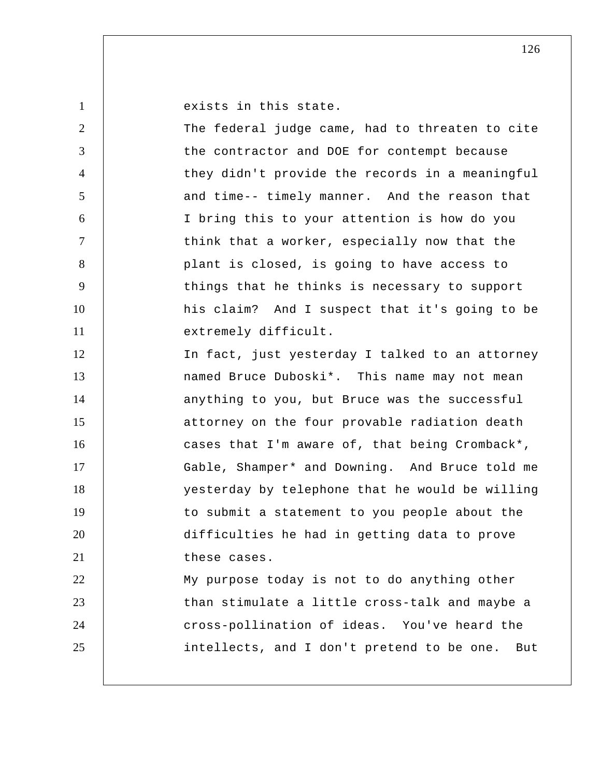exists in this state.

1

2 3 4 5 6 7 8 9 10 11 12 13 14 15 16 17 18 19 20 21 22 23 24 25 The federal judge came, had to threaten to cite the contractor and DOE for contempt because they didn't provide the records in a meaningful and time-- timely manner. And the reason that I bring this to your attention is how do you think that a worker, especially now that the plant is closed, is going to have access to things that he thinks is necessary to support his claim? And I suspect that it's going to be extremely difficult. In fact, just yesterday I talked to an attorney named Bruce Duboski\*. This name may not mean anything to you, but Bruce was the successful attorney on the four provable radiation death cases that I'm aware of, that being Cromback\*, Gable, Shamper\* and Downing. And Bruce told me yesterday by telephone that he would be willing to submit a statement to you people about the difficulties he had in getting data to prove these cases. My purpose today is not to do anything other than stimulate a little cross-talk and maybe a cross-pollination of ideas. You've heard the intellects, and I don't pretend to be one. But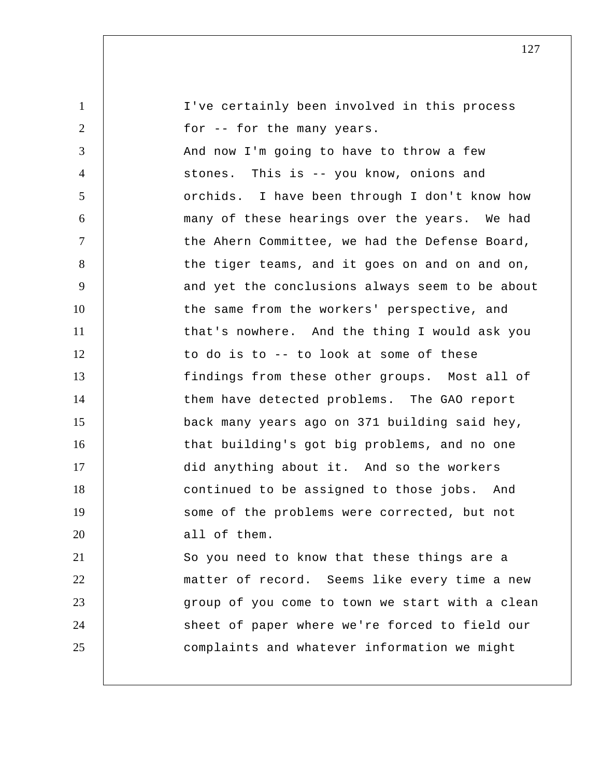| $\mathbf{1}$   | I've certainly been involved in this process    |
|----------------|-------------------------------------------------|
| $\overline{2}$ | for -- for the many years.                      |
| 3              | And now I'm going to have to throw a few        |
| $\overline{4}$ | stones. This is -- you know, onions and         |
| 5              | orchids. I have been through I don't know how   |
| 6              | many of these hearings over the years. We had   |
| $\tau$         | the Ahern Committee, we had the Defense Board,  |
| 8              | the tiger teams, and it goes on and on and on,  |
| 9              | and yet the conclusions always seem to be about |
| 10             | the same from the workers' perspective, and     |
| 11             | that's nowhere. And the thing I would ask you   |
| 12             | to do is to -- to look at some of these         |
| 13             | findings from these other groups. Most all of   |
| 14             | them have detected problems. The GAO report     |
| 15             | back many years ago on 371 building said hey,   |
| 16             | that building's got big problems, and no one    |
| 17             | did anything about it. And so the workers       |
| 18             | continued to be assigned to those jobs. And     |
| 19             | some of the problems were corrected, but not    |
| 20             | all of them.                                    |
| 21             | So you need to know that these things are a     |
| 22             | matter of record. Seems like every time a new   |
| 23             | group of you come to town we start with a clean |
| 24             | sheet of paper where we're forced to field our  |
| 25             | complaints and whatever information we might    |
|                |                                                 |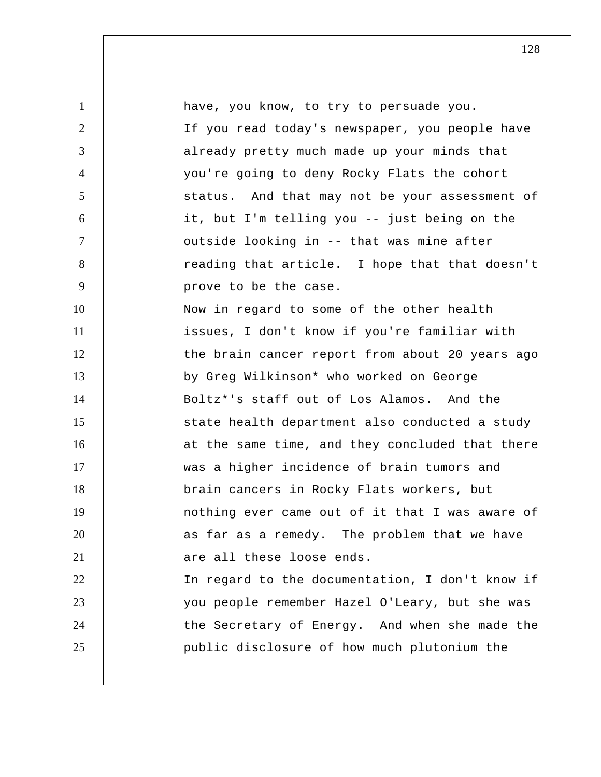1 2 3 4 5 6 7 8 9 10 11 12 13 14 15 16 17 18 19 20 21 22 23 24 25 have, you know, to try to persuade you. If you read today's newspaper, you people have already pretty much made up your minds that you're going to deny Rocky Flats the cohort status. And that may not be your assessment of it, but I'm telling you -- just being on the outside looking in -- that was mine after reading that article. I hope that that doesn't prove to be the case. Now in regard to some of the other health issues, I don't know if you're familiar with the brain cancer report from about 20 years ago by Greg Wilkinson\* who worked on George Boltz\*'s staff out of Los Alamos. And the state health department also conducted a study at the same time, and they concluded that there was a higher incidence of brain tumors and brain cancers in Rocky Flats workers, but nothing ever came out of it that I was aware of as far as a remedy. The problem that we have are all these loose ends. In regard to the documentation, I don't know if you people remember Hazel O'Leary, but she was the Secretary of Energy. And when she made the public disclosure of how much plutonium the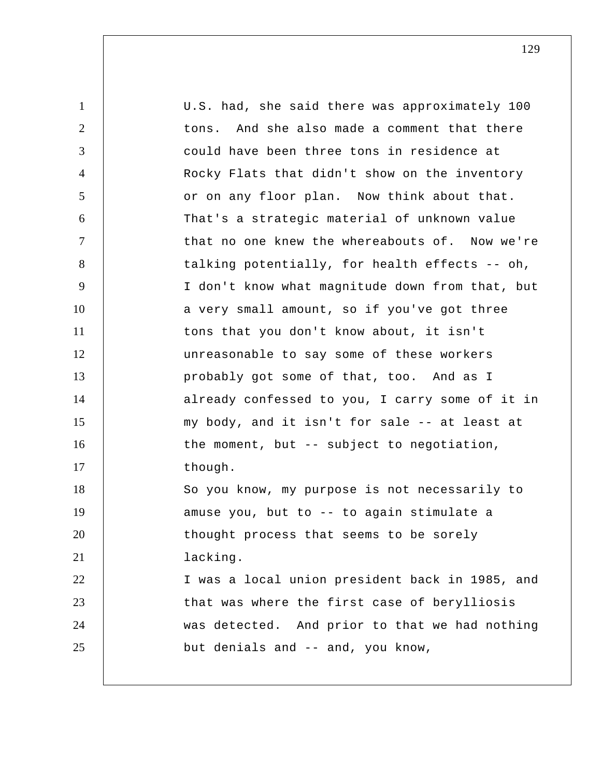1 2 3 4 5 6 7 8 9 10 11 12 13 14 15 16 17 18 19 20 21 22 23 24 25 U.S. had, she said there was approximately 100 tons. And she also made a comment that there could have been three tons in residence at Rocky Flats that didn't show on the inventory or on any floor plan. Now think about that. That's a strategic material of unknown value that no one knew the whereabouts of. Now we're talking potentially, for health effects -- oh, I don't know what magnitude down from that, but a very small amount, so if you've got three tons that you don't know about, it isn't unreasonable to say some of these workers probably got some of that, too. And as I already confessed to you, I carry some of it in my body, and it isn't for sale -- at least at the moment, but -- subject to negotiation, though. So you know, my purpose is not necessarily to amuse you, but to -- to again stimulate a thought process that seems to be sorely lacking. I was a local union president back in 1985, and that was where the first case of berylliosis was detected. And prior to that we had nothing but denials and -- and, you know,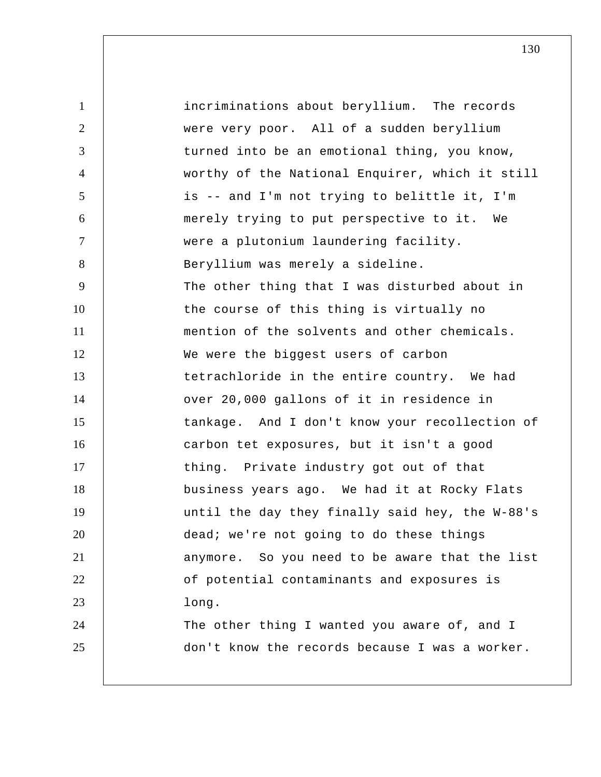1 2 3 4 5 6 7 8 9 10 11 12 13 14 15 16 17 18 19 20 21 22 23 24 25 incriminations about beryllium. The records were very poor. All of a sudden beryllium turned into be an emotional thing, you know, worthy of the National Enquirer, which it still is -- and I'm not trying to belittle it, I'm merely trying to put perspective to it. We were a plutonium laundering facility. Beryllium was merely a sideline. The other thing that I was disturbed about in the course of this thing is virtually no mention of the solvents and other chemicals. We were the biggest users of carbon tetrachloride in the entire country. We had over 20,000 gallons of it in residence in tankage. And I don't know your recollection of carbon tet exposures, but it isn't a good thing. Private industry got out of that business years ago. We had it at Rocky Flats until the day they finally said hey, the W-88's dead; we're not going to do these things anymore. So you need to be aware that the list of potential contaminants and exposures is long. The other thing I wanted you aware of, and I don't know the records because I was a worker.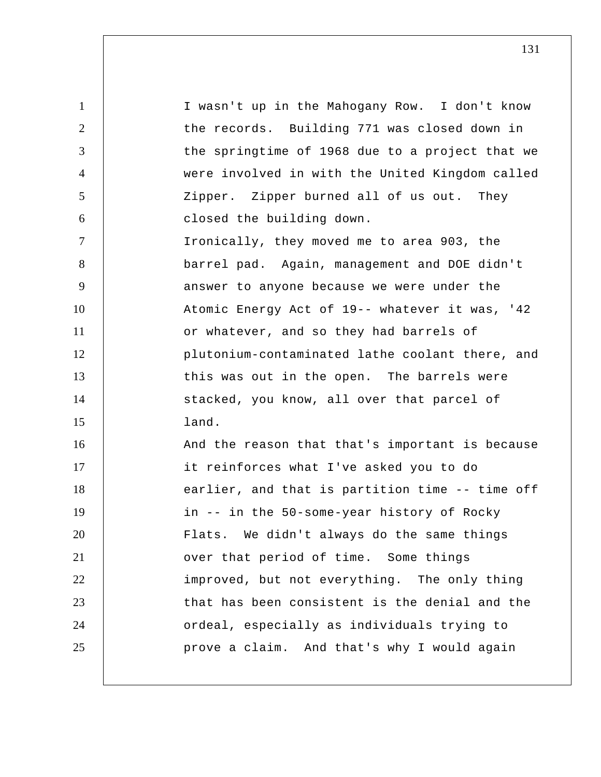1 2 3 4 5 6 7 8 9 10 11 12 13 14 15 16 17 18 19 20 21 22 23 24 25 I wasn't up in the Mahogany Row. I don't know the records. Building 771 was closed down in the springtime of 1968 due to a project that we were involved in with the United Kingdom called Zipper. Zipper burned all of us out. They closed the building down. Ironically, they moved me to area 903, the barrel pad. Again, management and DOE didn't answer to anyone because we were under the Atomic Energy Act of 19-- whatever it was, '42 or whatever, and so they had barrels of plutonium-contaminated lathe coolant there, and this was out in the open. The barrels were stacked, you know, all over that parcel of land. And the reason that that's important is because it reinforces what I've asked you to do earlier, and that is partition time -- time off in -- in the 50-some-year history of Rocky Flats. We didn't always do the same things over that period of time. Some things improved, but not everything. The only thing that has been consistent is the denial and the ordeal, especially as individuals trying to prove a claim. And that's why I would again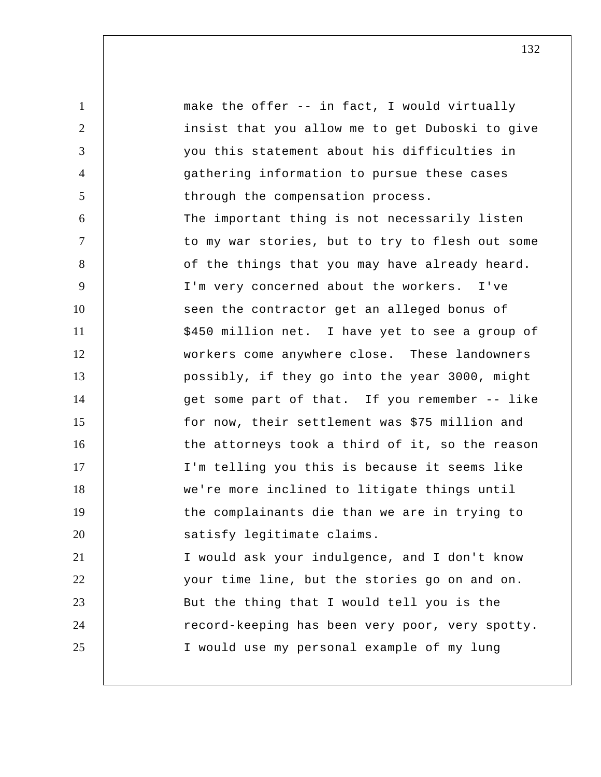1 2 3 4 5 6 7 8 9 10 11 12 13 14 15 16 17 18 19 20 21 22 23 24 25 make the offer -- in fact, I would virtually insist that you allow me to get Duboski to give you this statement about his difficulties in gathering information to pursue these cases through the compensation process. The important thing is not necessarily listen to my war stories, but to try to flesh out some of the things that you may have already heard. I'm very concerned about the workers. I've seen the contractor get an alleged bonus of \$450 million net. I have yet to see a group of workers come anywhere close. These landowners possibly, if they go into the year 3000, might get some part of that. If you remember -- like for now, their settlement was \$75 million and the attorneys took a third of it, so the reason I'm telling you this is because it seems like we're more inclined to litigate things until the complainants die than we are in trying to satisfy legitimate claims. I would ask your indulgence, and I don't know your time line, but the stories go on and on. But the thing that I would tell you is the record-keeping has been very poor, very spotty. I would use my personal example of my lung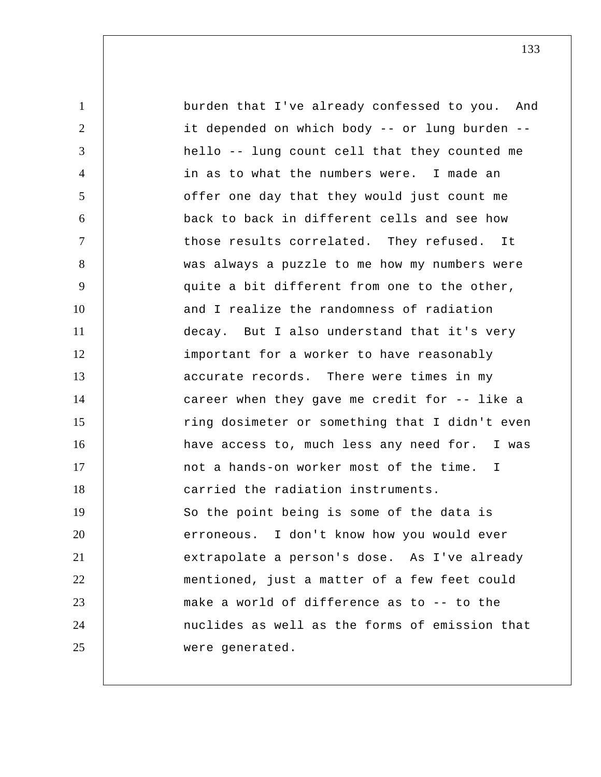1 2 3 4 5 6 7 8 9 10 11 12 13 14 15 16 17 18 19 20 21 22 23 24 25 burden that I've already confessed to you. And it depended on which body -- or lung burden - hello -- lung count cell that they counted me in as to what the numbers were. I made an offer one day that they would just count me back to back in different cells and see how those results correlated. They refused. It was always a puzzle to me how my numbers were quite a bit different from one to the other, and I realize the randomness of radiation decay. But I also understand that it's very important for a worker to have reasonably accurate records. There were times in my career when they gave me credit for -- like a ring dosimeter or something that I didn't even have access to, much less any need for. I was not a hands-on worker most of the time. I carried the radiation instruments. So the point being is some of the data is erroneous. I don't know how you would ever extrapolate a person's dose. As I've already mentioned, just a matter of a few feet could make a world of difference as to -- to the nuclides as well as the forms of emission that were generated.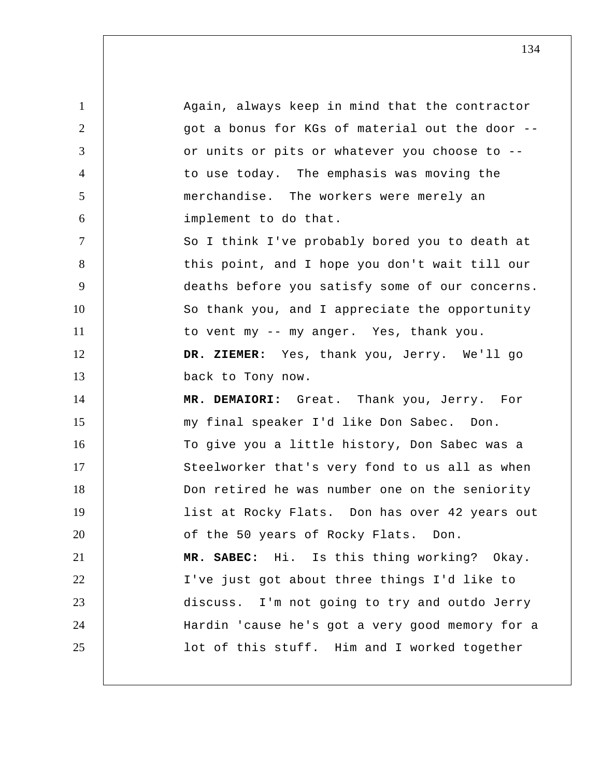1 2 3 4 5 6 7 8 9 10 11 12 13 14 15 16 17 18 19 20 21 22 23 24 25 Again, always keep in mind that the contractor got a bonus for KGs of material out the door - or units or pits or whatever you choose to - to use today. The emphasis was moving the merchandise. The workers were merely an implement to do that. So I think I've probably bored you to death at this point, and I hope you don't wait till our deaths before you satisfy some of our concerns. So thank you, and I appreciate the opportunity to vent my -- my anger. Yes, thank you.  **DR. ZIEMER:** Yes, thank you, Jerry. We'll go back to Tony now. **MR. DEMAIORI:** Great. Thank you, Jerry. For my final speaker I'd like Don Sabec. Don. To give you a little history, Don Sabec was a Steelworker that's very fond to us all as when Don retired he was number one on the seniority list at Rocky Flats. Don has over 42 years out of the 50 years of Rocky Flats. Don. **MR. SABEC:** Hi. Is this thing working? Okay. I've just got about three things I'd like to discuss. I'm not going to try and outdo Jerry Hardin 'cause he's got a very good memory for a lot of this stuff. Him and I worked together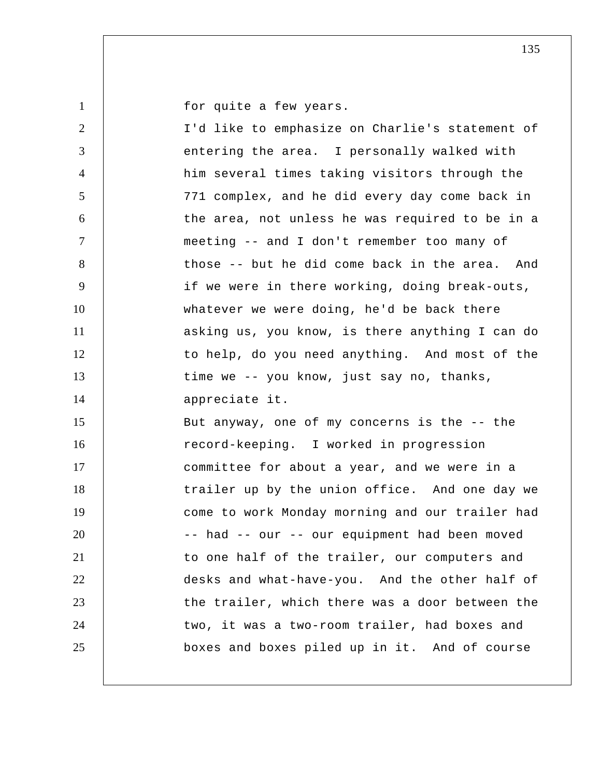for quite a few years.

1

| $\overline{2}$ | I'd like to emphasize on Charlie's statement of |
|----------------|-------------------------------------------------|
| 3              | entering the area. I personally walked with     |
| $\overline{4}$ | him several times taking visitors through the   |
| 5              | 771 complex, and he did every day come back in  |
| 6              | the area, not unless he was required to be in a |
| 7              | meeting -- and I don't remember too many of     |
| 8              | those -- but he did come back in the area. And  |
| 9              | if we were in there working, doing break-outs,  |
| 10             | whatever we were doing, he'd be back there      |
| 11             | asking us, you know, is there anything I can do |
| 12             | to help, do you need anything. And most of the  |
| 13             | time we -- you know, just say no, thanks,       |
|                |                                                 |
| 14             | appreciate it.                                  |
| 15             | But anyway, one of my concerns is the -- the    |
| 16             | record-keeping. I worked in progression         |
| 17             | committee for about a year, and we were in a    |
| 18             | trailer up by the union office. And one day we  |
| 19             | come to work Monday morning and our trailer had |
| 20             | -- had -- our -- our equipment had been moved   |
| 21             | to one half of the trailer, our computers and   |
| 22             | desks and what-have-you. And the other half of  |
| 23             | the trailer, which there was a door between the |
| 24             | two, it was a two-room trailer, had boxes and   |
| 25             | boxes and boxes piled up in it. And of course   |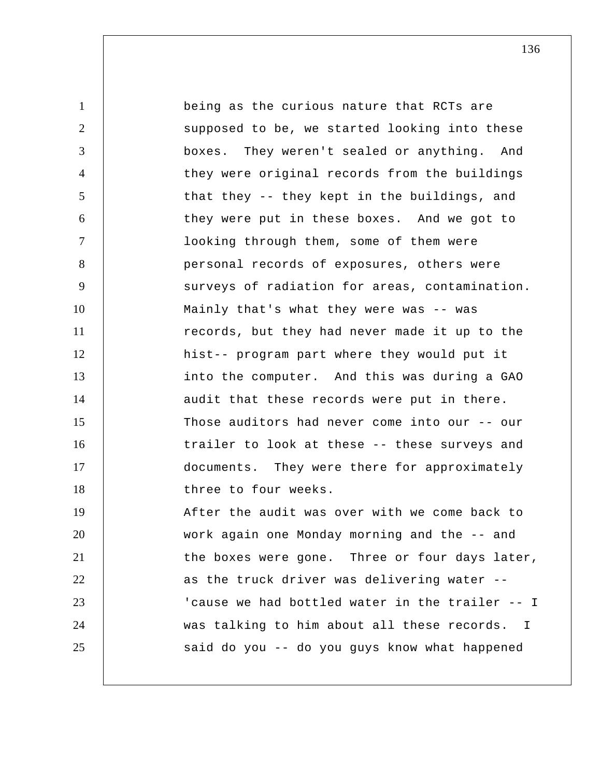1 2 3 4 5 6 7 8 9 10 11 12 13 14 15 16 17 18 19 20 21 22 23 24 25 being as the curious nature that RCTs are supposed to be, we started looking into these boxes. They weren't sealed or anything. And they were original records from the buildings that they -- they kept in the buildings, and they were put in these boxes. And we got to looking through them, some of them were personal records of exposures, others were surveys of radiation for areas, contamination. Mainly that's what they were was -- was records, but they had never made it up to the hist-- program part where they would put it into the computer. And this was during a GAO audit that these records were put in there. Those auditors had never come into our -- our trailer to look at these -- these surveys and documents. They were there for approximately three to four weeks. After the audit was over with we come back to work again one Monday morning and the -- and the boxes were gone. Three or four days later, as the truck driver was delivering water -- 'cause we had bottled water in the trailer -- I was talking to him about all these records. I said do you -- do you guys know what happened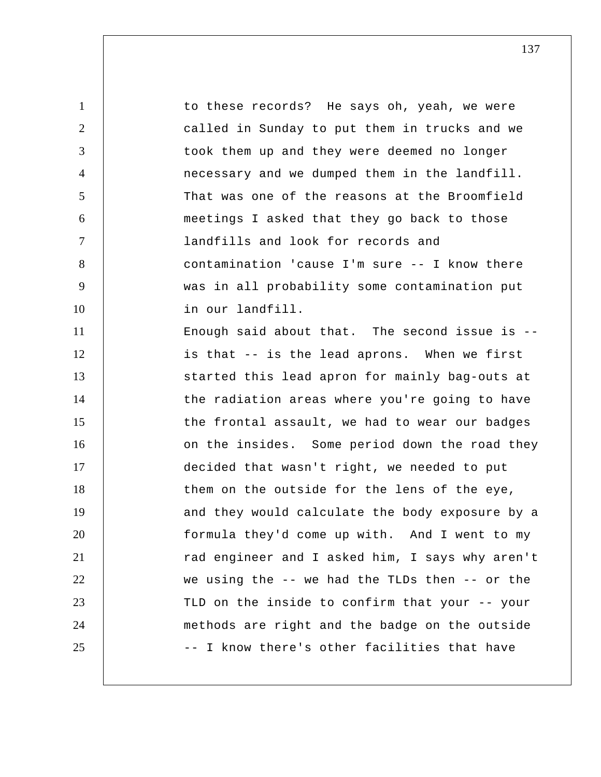1 2 3 4 5 6 7 8 9 10 11 12 13 14 15 16 17 18 19 20 21 22 23 24 25 to these records? He says oh, yeah, we were called in Sunday to put them in trucks and we took them up and they were deemed no longer necessary and we dumped them in the landfill. That was one of the reasons at the Broomfield meetings I asked that they go back to those landfills and look for records and contamination 'cause I'm sure -- I know there was in all probability some contamination put in our landfill. Enough said about that. The second issue is  $-$ is that -- is the lead aprons. When we first started this lead apron for mainly bag-outs at the radiation areas where you're going to have the frontal assault, we had to wear our badges on the insides. Some period down the road they decided that wasn't right, we needed to put them on the outside for the lens of the eye, and they would calculate the body exposure by a formula they'd come up with. And I went to my rad engineer and I asked him, I says why aren't we using the -- we had the TLDs then -- or the TLD on the inside to confirm that your -- your methods are right and the badge on the outside -- I know there's other facilities that have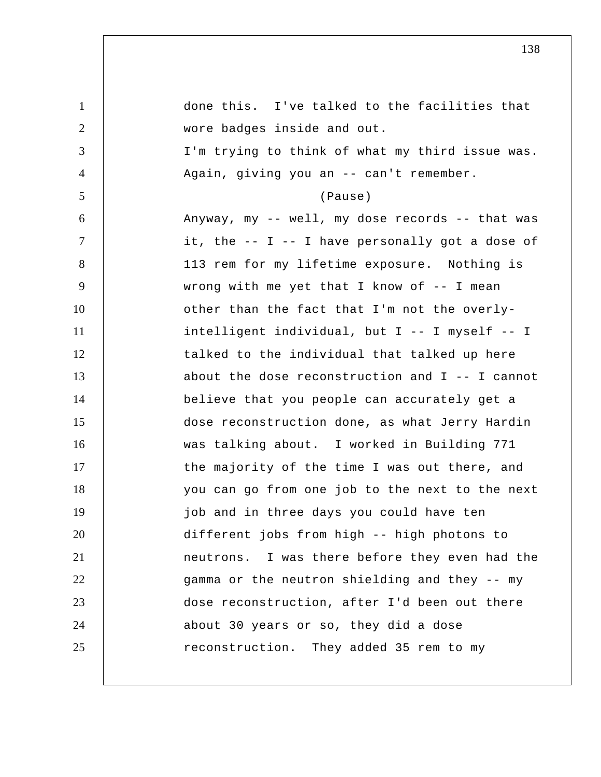| $\mathbf{1}$   | done this. I've talked to the facilities that   |
|----------------|-------------------------------------------------|
| $\overline{2}$ | wore badges inside and out.                     |
| 3              | I'm trying to think of what my third issue was. |
| $\overline{4}$ | Again, giving you an -- can't remember.         |
| 5              | (Pause)                                         |
| 6              | Anyway, my -- well, my dose records -- that was |
| 7              | it, the -- I -- I have personally got a dose of |
| 8              | 113 rem for my lifetime exposure. Nothing is    |
| 9              | wrong with me yet that I know of $-$ - I mean   |
| 10             | other than the fact that I'm not the overly-    |
| 11             | intelligent individual, but I -- I myself -- I  |
| 12             | talked to the individual that talked up here    |
| 13             | about the dose reconstruction and I -- I cannot |
| 14             | believe that you people can accurately get a    |
| 15             | dose reconstruction done, as what Jerry Hardin  |
| 16             | was talking about. I worked in Building 771     |
| 17             | the majority of the time I was out there, and   |
| 18             | you can go from one job to the next to the next |
| 19             | job and in three days you could have ten        |
| 20             | different jobs from high -- high photons to     |
| 21             | neutrons. I was there before they even had the  |
| 22             | gamma or the neutron shielding and they -- my   |
| 23             | dose reconstruction, after I'd been out there   |
| 24             | about 30 years or so, they did a dose           |
| 25             | reconstruction. They added 35 rem to my         |
|                |                                                 |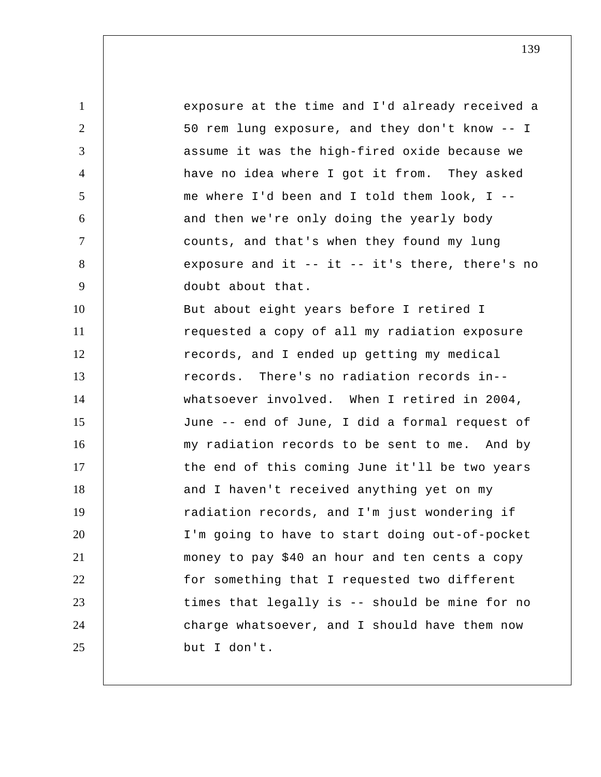1 2 3 4 5 6 7 8 9 10 11 12 13 14 15 16 17 18 19 20 21 22 23 24 25 exposure at the time and I'd already received a 50 rem lung exposure, and they don't know -- I assume it was the high-fired oxide because we have no idea where I got it from. They asked me where I'd been and I told them look, I - and then we're only doing the yearly body counts, and that's when they found my lung exposure and it -- it -- it's there, there's no doubt about that. But about eight years before I retired I requested a copy of all my radiation exposure records, and I ended up getting my medical records. There's no radiation records in- whatsoever involved. When I retired in 2004, June -- end of June, I did a formal request of my radiation records to be sent to me. And by the end of this coming June it'll be two years and I haven't received anything yet on my radiation records, and I'm just wondering if I'm going to have to start doing out-of-pocket money to pay \$40 an hour and ten cents a copy for something that I requested two different times that legally is -- should be mine for no charge whatsoever, and I should have them now but I don't.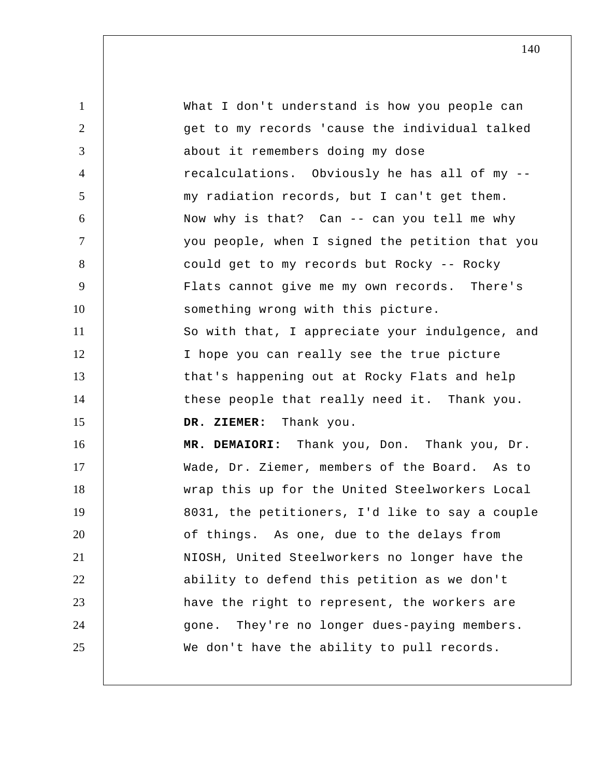1 2 3 4 5 6 7 8 9 10 11 12 13 14 15 16 17 18 19 20 21 22 23 24 25 What I don't understand is how you people can get to my records 'cause the individual talked about it remembers doing my dose recalculations. Obviously he has all of my - my radiation records, but I can't get them. Now why is that? Can -- can you tell me why you people, when I signed the petition that you could get to my records but Rocky -- Rocky Flats cannot give me my own records. There's something wrong with this picture. So with that, I appreciate your indulgence, and I hope you can really see the true picture that's happening out at Rocky Flats and help these people that really need it. Thank you.  **DR. ZIEMER:** Thank you. **MR. DEMAIORI:** Thank you, Don. Thank you, Dr. Wade, Dr. Ziemer, members of the Board. As to wrap this up for the United Steelworkers Local 8031, the petitioners, I'd like to say a couple of things. As one, due to the delays from NIOSH, United Steelworkers no longer have the ability to defend this petition as we don't have the right to represent, the workers are gone. They're no longer dues-paying members. We don't have the ability to pull records.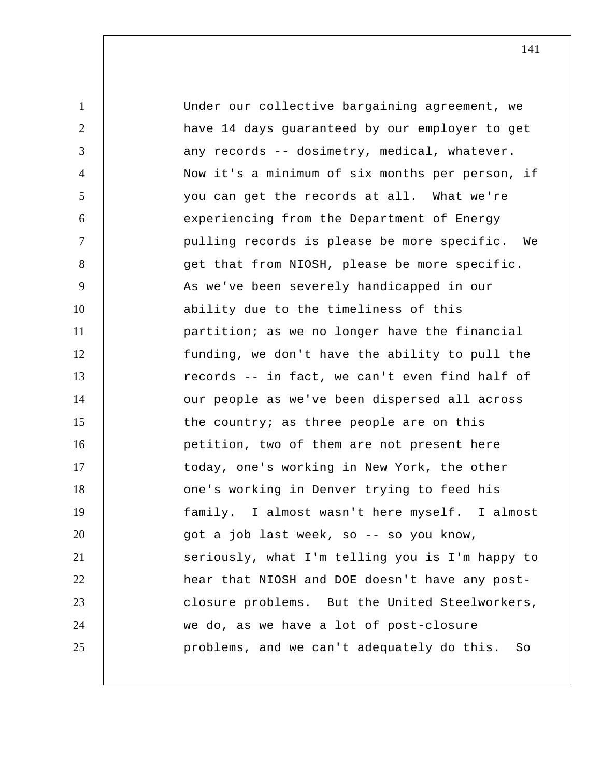1 2 3 4 5 6 7 8 9 10 11 12 13 14 15 16 17 18 19 20 21 22 23 24 25 Under our collective bargaining agreement, we have 14 days guaranteed by our employer to get any records -- dosimetry, medical, whatever. Now it's a minimum of six months per person, if you can get the records at all. What we're experiencing from the Department of Energy pulling records is please be more specific. We get that from NIOSH, please be more specific. As we've been severely handicapped in our ability due to the timeliness of this partition; as we no longer have the financial funding, we don't have the ability to pull the records -- in fact, we can't even find half of our people as we've been dispersed all across the country; as three people are on this petition, two of them are not present here today, one's working in New York, the other one's working in Denver trying to feed his family. I almost wasn't here myself. I almost got a job last week, so -- so you know, seriously, what I'm telling you is I'm happy to hear that NIOSH and DOE doesn't have any postclosure problems. But the United Steelworkers, we do, as we have a lot of post-closure problems, and we can't adequately do this. So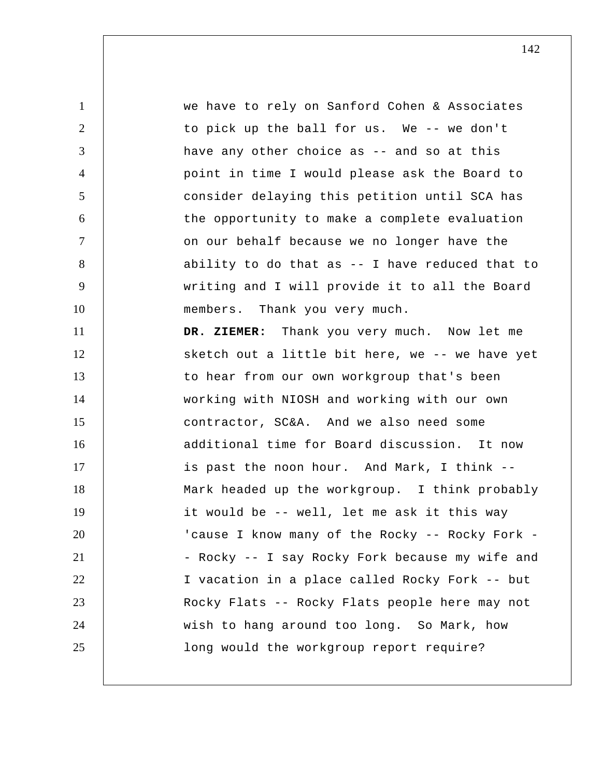1 2 3 4 5 6 7 8 9 10 11 12 13 14 15 16 17 18 19 20 21 22 23 24 25 we have to rely on Sanford Cohen & Associates to pick up the ball for us. We -- we don't have any other choice as -- and so at this point in time I would please ask the Board to consider delaying this petition until SCA has the opportunity to make a complete evaluation on our behalf because we no longer have the ability to do that as -- I have reduced that to writing and I will provide it to all the Board members. Thank you very much.  **DR. ZIEMER:** Thank you very much. Now let me sketch out a little bit here, we -- we have yet to hear from our own workgroup that's been working with NIOSH and working with our own contractor, SC&A. And we also need some additional time for Board discussion. It now is past the noon hour. And Mark, I think -- Mark headed up the workgroup. I think probably it would be -- well, let me ask it this way 'cause I know many of the Rocky -- Rocky Fork -- Rocky -- I say Rocky Fork because my wife and I vacation in a place called Rocky Fork -- but Rocky Flats -- Rocky Flats people here may not wish to hang around too long. So Mark, how long would the workgroup report require?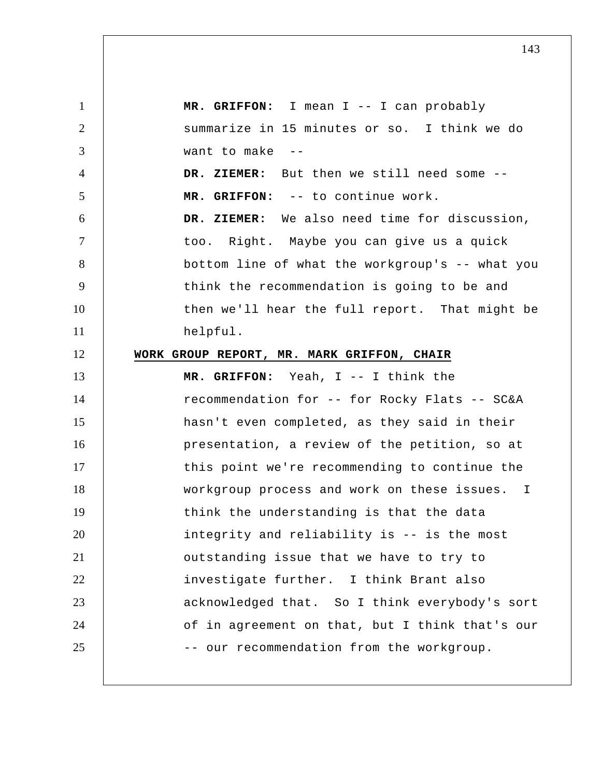1 2 3 4 5 6 7 8 9 10 11 12 13 14 15 16 17 18 19 20 21 22 23 24 25  **MR. GRIFFON:** I mean I -- I can probably summarize in 15 minutes or so. I think we do want to make -- **DR. ZIEMER:** But then we still need some --  **MR. GRIFFON:** -- to continue work.  **DR. ZIEMER:** We also need time for discussion, too. Right. Maybe you can give us a quick bottom line of what the workgroup's -- what you think the recommendation is going to be and then we'll hear the full report. That might be helpful. **WORK GROUP REPORT, MR. MARK GRIFFON, CHAIR MR. GRIFFON:** Yeah, I -- I think the recommendation for -- for Rocky Flats -- SC&A hasn't even completed, as they said in their presentation, a review of the petition, so at this point we're recommending to continue the workgroup process and work on these issues. I think the understanding is that the data integrity and reliability is -- is the most outstanding issue that we have to try to investigate further. I think Brant also acknowledged that. So I think everybody's sort of in agreement on that, but I think that's our -- our recommendation from the workgroup.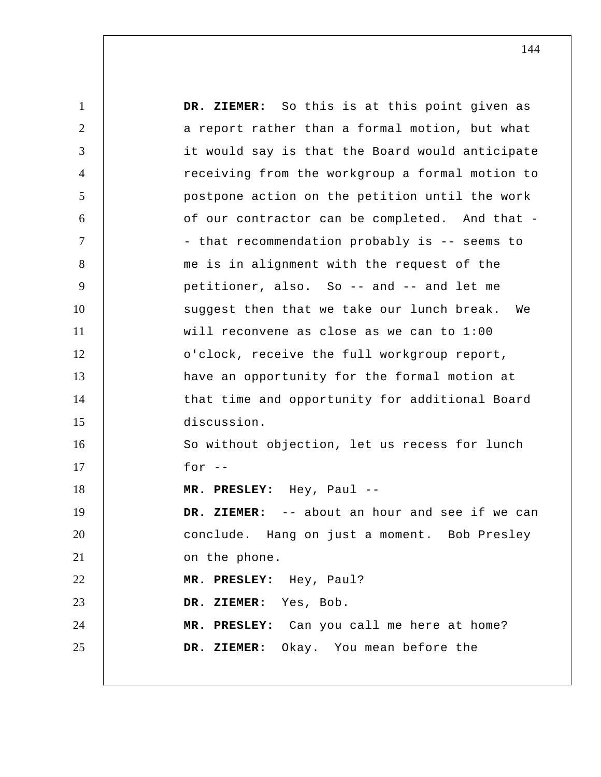1 2 3 4 5 6 7 8 9 10 11 12 13 14 15 16 17 18 19 20 21 22 23 24 25  **DR. ZIEMER:** So this is at this point given as a report rather than a formal motion, but what it would say is that the Board would anticipate receiving from the workgroup a formal motion to postpone action on the petition until the work of our contractor can be completed. And that - that recommendation probably is -- seems to me is in alignment with the request of the petitioner, also. So -- and -- and let me suggest then that we take our lunch break. We will reconvene as close as we can to 1:00 o'clock, receive the full workgroup report, have an opportunity for the formal motion at that time and opportunity for additional Board discussion. So without objection, let us recess for lunch for  $-$  **MR. PRESLEY:** Hey, Paul -- **DR. ZIEMER:** -- about an hour and see if we can conclude. Hang on just a moment. Bob Presley on the phone.  **MR. PRESLEY:** Hey, Paul?  **DR. ZIEMER:** Yes, Bob.  **MR. PRESLEY:** Can you call me here at home?  **DR. ZIEMER:** Okay. You mean before the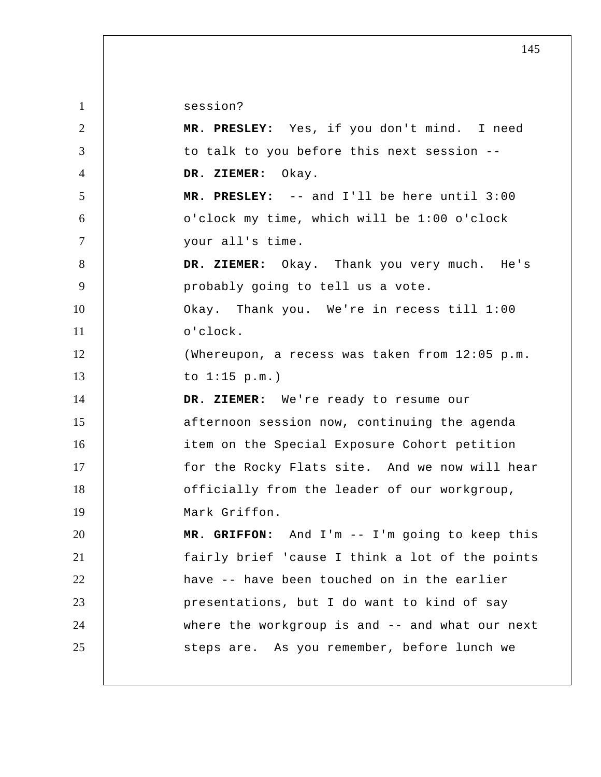session?

1

| 2              | MR. PRESLEY: Yes, if you don't mind. I need     |
|----------------|-------------------------------------------------|
| 3              | to talk to you before this next session --      |
| $\overline{4}$ | DR. ZIEMER: Okay.                               |
| 5              | MR. PRESLEY: -- and I'll be here until 3:00     |
| 6              | o'clock my time, which will be 1:00 o'clock     |
| $\tau$         | your all's time.                                |
| 8              | DR. ZIEMER: Okay. Thank you very much. He's     |
| 9              | probably going to tell us a vote.               |
| 10             | Okay. Thank you. We're in recess till 1:00      |
| 11             | o'clock.                                        |
| 12             | (Whereupon, a recess was taken from 12:05 p.m.  |
| 13             | to $1:15$ p.m.)                                 |
| 14             | DR. ZIEMER: We're ready to resume our           |
| 15             | afternoon session now, continuing the agenda    |
| 16             | item on the Special Exposure Cohort petition    |
| 17             | for the Rocky Flats site. And we now will hear  |
| 18             | officially from the leader of our workgroup,    |
| 19             | Mark Griffon.                                   |
| 20             | MR. GRIFFON: And I'm -- I'm going to keep this  |
| 21             | fairly brief 'cause I think a lot of the points |
| 22             | have -- have been touched on in the earlier     |
| 23             | presentations, but I do want to kind of say     |
| 24             | where the workgroup is and -- and what our next |
| 25             | steps are. As you remember, before lunch we     |
|                |                                                 |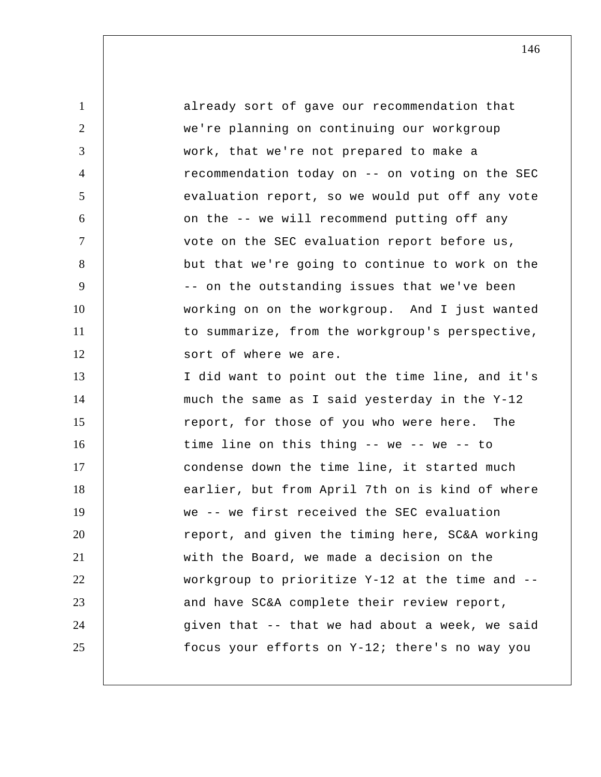| $\mathbf{1}$   | already sort of gave our recommendation that    |
|----------------|-------------------------------------------------|
| $\overline{2}$ | we're planning on continuing our workgroup      |
| 3              | work, that we're not prepared to make a         |
| 4              | recommendation today on -- on voting on the SEC |
| 5              | evaluation report, so we would put off any vote |
| 6              | on the -- we will recommend putting off any     |
| $\tau$         | vote on the SEC evaluation report before us,    |
| 8              | but that we're going to continue to work on the |
| 9              | -- on the outstanding issues that we've been    |
| 10             | working on on the workgroup. And I just wanted  |
| 11             | to summarize, from the workgroup's perspective, |
| 12             | sort of where we are.                           |
| 13             | I did want to point out the time line, and it's |
| 14             | much the same as I said yesterday in the Y-12   |
| 15             | report, for those of you who were here. The     |
| 16             | time line on this thing -- we -- we -- to       |
| 17             | condense down the time line, it started much    |
| 18             | earlier, but from April 7th on is kind of where |
| 19             | we -- we first received the SEC evaluation      |
| 20             | report, and given the timing here, SC&A working |
| 21             | with the Board, we made a decision on the       |
| 22             | workgroup to prioritize Y-12 at the time and -- |
| 23             | and have SC&A complete their review report,     |
| 24             | given that -- that we had about a week, we said |
| 25             | focus your efforts on Y-12; there's no way you  |
|                |                                                 |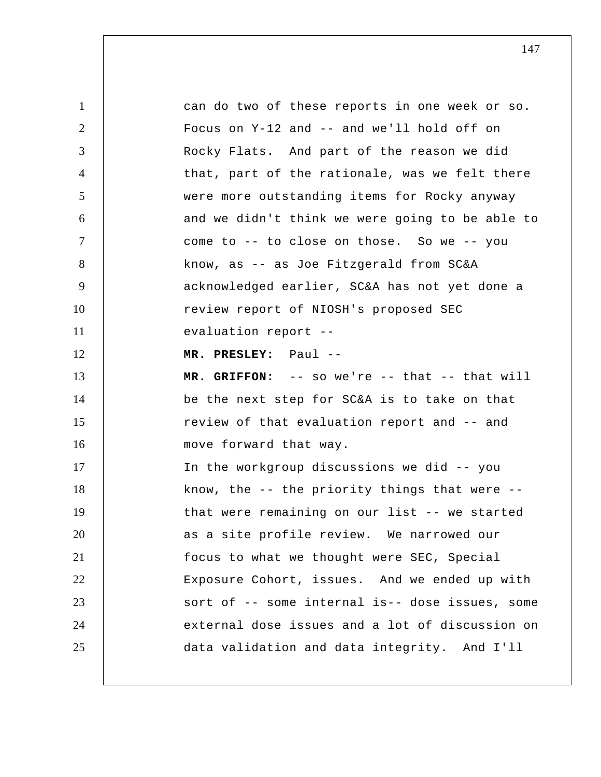| $\mathbf{1}$   | can do two of these reports in one week or so.      |
|----------------|-----------------------------------------------------|
| 2              | Focus on Y-12 and -- and we'll hold off on          |
| 3              | Rocky Flats. And part of the reason we did          |
| $\overline{4}$ | that, part of the rationale, was we felt there      |
| 5              | were more outstanding items for Rocky anyway        |
| 6              | and we didn't think we were going to be able to     |
| $\tau$         | come to -- to close on those. So we -- you          |
| 8              | know, as -- as Joe Fitzgerald from SC&A             |
| 9              | acknowledged earlier, SC&A has not yet done a       |
| 10             | review report of NIOSH's proposed SEC               |
| 11             | evaluation report --                                |
| 12             | MR. PRESLEY: Paul --                                |
| 13             | MR. GRIFFON: -- so we're -- that -- that will       |
|                |                                                     |
| 14             | be the next step for SC&A is to take on that        |
| 15             | review of that evaluation report and -- and         |
| 16             | move forward that way.                              |
| 17             | In the workgroup discussions we did -- you          |
| 18             | know, the $-$ - the priority things that were $-$ - |
| 19             | that were remaining on our list -- we started       |
| 20             | as a site profile review. We narrowed our           |
| 21             | focus to what we thought were SEC, Special          |
| 22             | Exposure Cohort, issues. And we ended up with       |
| 23             | sort of -- some internal is-- dose issues, some     |
| 24             | external dose issues and a lot of discussion on     |
| 25             | data validation and data integrity. And I'll        |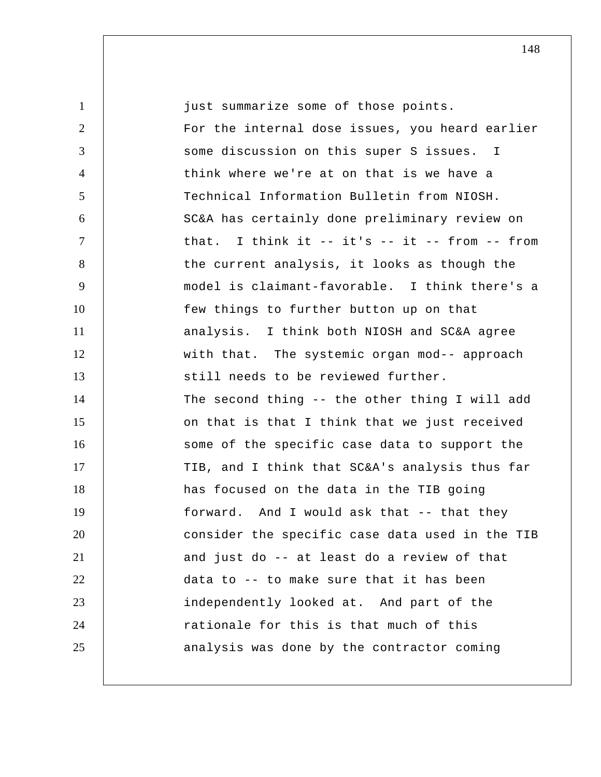1 2 3 4 5 6 7 8 9 10 11 12 13 14 15 16 17 18 19 20 21 22 23 24 25 just summarize some of those points. For the internal dose issues, you heard earlier some discussion on this super S issues. I think where we're at on that is we have a Technical Information Bulletin from NIOSH. SC&A has certainly done preliminary review on that. I think it -- it's -- it -- from -- from the current analysis, it looks as though the model is claimant-favorable. I think there's a few things to further button up on that analysis. I think both NIOSH and SC&A agree with that. The systemic organ mod-- approach still needs to be reviewed further. The second thing -- the other thing I will add on that is that I think that we just received some of the specific case data to support the TIB, and I think that SC&A's analysis thus far has focused on the data in the TIB going forward. And I would ask that -- that they consider the specific case data used in the TIB and just do -- at least do a review of that data to -- to make sure that it has been independently looked at. And part of the rationale for this is that much of this analysis was done by the contractor coming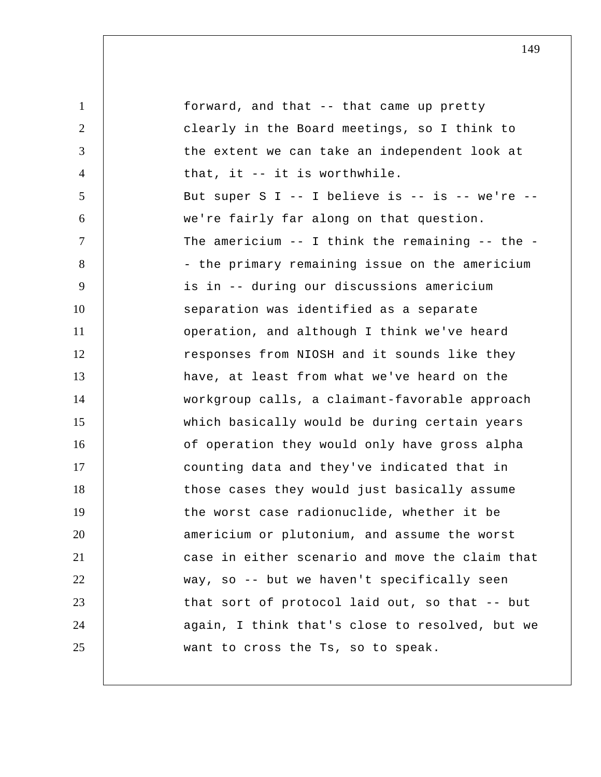| $\mathbf{1}$   | forward, and that -- that came up pretty              |
|----------------|-------------------------------------------------------|
| $\overline{2}$ | clearly in the Board meetings, so I think to          |
| 3              | the extent we can take an independent look at         |
| $\overline{4}$ | that, it -- it is worthwhile.                         |
| 5              | But super S I -- I believe is -- is -- we're --       |
| 6              | we're fairly far along on that question.              |
| $\overline{7}$ | The americium $--$ I think the remaining $--$ the $-$ |
| 8              | - the primary remaining issue on the americium        |
| 9              | is in -- during our discussions americium             |
| 10             | separation was identified as a separate               |
| 11             | operation, and although I think we've heard           |
| 12             | responses from NIOSH and it sounds like they          |
| 13             | have, at least from what we've heard on the           |
| 14             | workgroup calls, a claimant-favorable approach        |
| 15             | which basically would be during certain years         |
| 16             | of operation they would only have gross alpha         |
| 17             | counting data and they've indicated that in           |
| 18             | those cases they would just basically assume          |
| 19             | the worst case radionuclide, whether it be            |
| 20             | americium or plutonium, and assume the worst          |
| 21             | case in either scenario and move the claim that       |
| 22             | way, so -- but we haven't specifically seen           |
| 23             | that sort of protocol laid out, so that -- but        |
| 24             | again, I think that's close to resolved, but we       |
| 25             | want to cross the Ts, so to speak.                    |
|                |                                                       |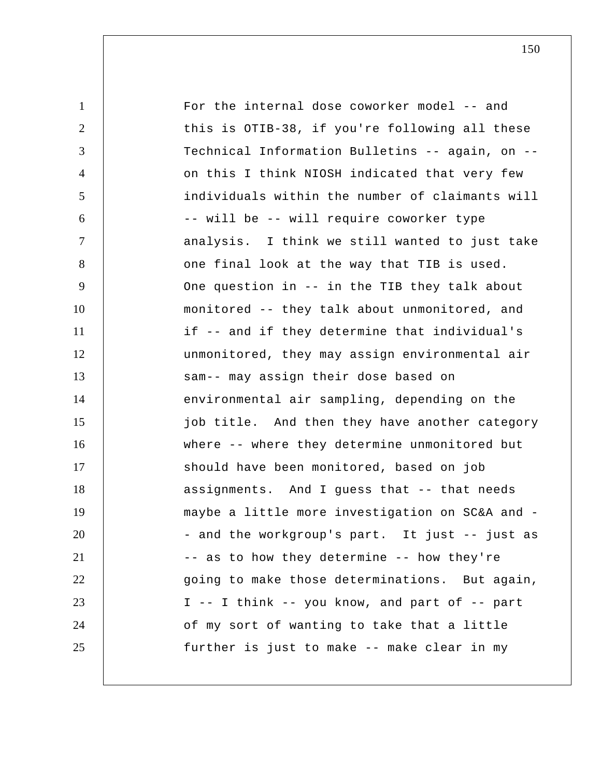| $\mathbf{1}$   | For the internal dose coworker model -- and     |
|----------------|-------------------------------------------------|
| 2              | this is OTIB-38, if you're following all these  |
| 3              | Technical Information Bulletins -- again, on -- |
| $\overline{4}$ | on this I think NIOSH indicated that very few   |
| 5              | individuals within the number of claimants will |
| 6              | -- will be -- will require coworker type        |
| 7              | analysis. I think we still wanted to just take  |
| 8              | one final look at the way that TIB is used.     |
| 9              | One question in -- in the TIB they talk about   |
| 10             | monitored -- they talk about unmonitored, and   |
| 11             | if -- and if they determine that individual's   |
| 12             | unmonitored, they may assign environmental air  |
| 13             | sam-- may assign their dose based on            |
| 14             | environmental air sampling, depending on the    |
| 15             | job title. And then they have another category  |
| 16             | where -- where they determine unmonitored but   |
| 17             | should have been monitored, based on job        |
| 18             | assignments. And I guess that -- that needs     |
| 19             | maybe a little more investigation on SC&A and - |
| 20             | - and the workgroup's part. It just -- just as  |
| 21             | -- as to how they determine -- how they're      |
| 22             | going to make those determinations. But again,  |
| 23             | I -- I think -- you know, and part of -- part   |
| 24             | of my sort of wanting to take that a little     |
| 25             | further is just to make -- make clear in my     |
|                |                                                 |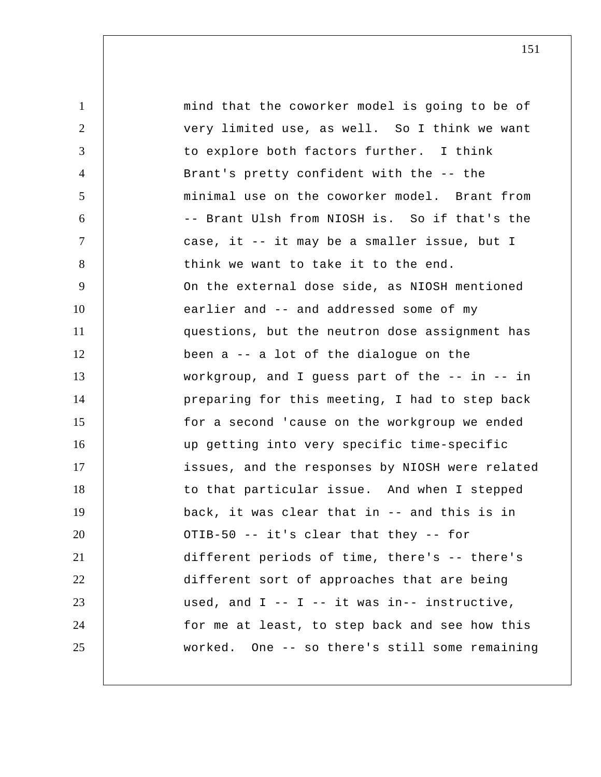1 2 3 4 5 6 7 8 9 10 11 12 13 14 15 16 17 18 19 20 21 22 23 24 25 mind that the coworker model is going to be of very limited use, as well. So I think we want to explore both factors further. I think Brant's pretty confident with the -- the minimal use on the coworker model. Brant from -- Brant Ulsh from NIOSH is. So if that's the case, it -- it may be a smaller issue, but I think we want to take it to the end. On the external dose side, as NIOSH mentioned earlier and -- and addressed some of my questions, but the neutron dose assignment has been a -- a lot of the dialogue on the workgroup, and I guess part of the -- in -- in preparing for this meeting, I had to step back for a second 'cause on the workgroup we ended up getting into very specific time-specific issues, and the responses by NIOSH were related to that particular issue. And when I stepped back, it was clear that in -- and this is in OTIB-50 -- it's clear that they -- for different periods of time, there's -- there's different sort of approaches that are being used, and  $I$  --  $I$  -- it was in-- instructive, for me at least, to step back and see how this worked. One -- so there's still some remaining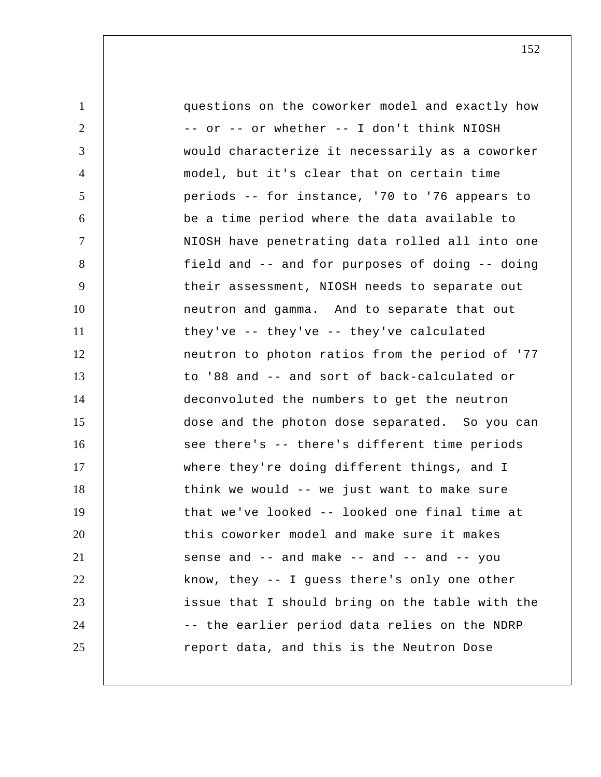1 2 3 4 5 6 7 8 9 10 11 12 13 14 15 16 17 18 19 20 21 22 23 24 25 questions on the coworker model and exactly how -- or -- or whether -- I don't think NIOSH would characterize it necessarily as a coworker model, but it's clear that on certain time periods -- for instance, '70 to '76 appears to be a time period where the data available to NIOSH have penetrating data rolled all into one field and -- and for purposes of doing -- doing their assessment, NIOSH needs to separate out neutron and gamma. And to separate that out they've -- they've -- they've calculated neutron to photon ratios from the period of '77 to '88 and -- and sort of back-calculated or deconvoluted the numbers to get the neutron dose and the photon dose separated. So you can see there's -- there's different time periods where they're doing different things, and I think we would -- we just want to make sure that we've looked -- looked one final time at this coworker model and make sure it makes sense and -- and make -- and -- and -- you know, they -- I guess there's only one other issue that I should bring on the table with the -- the earlier period data relies on the NDRP report data, and this is the Neutron Dose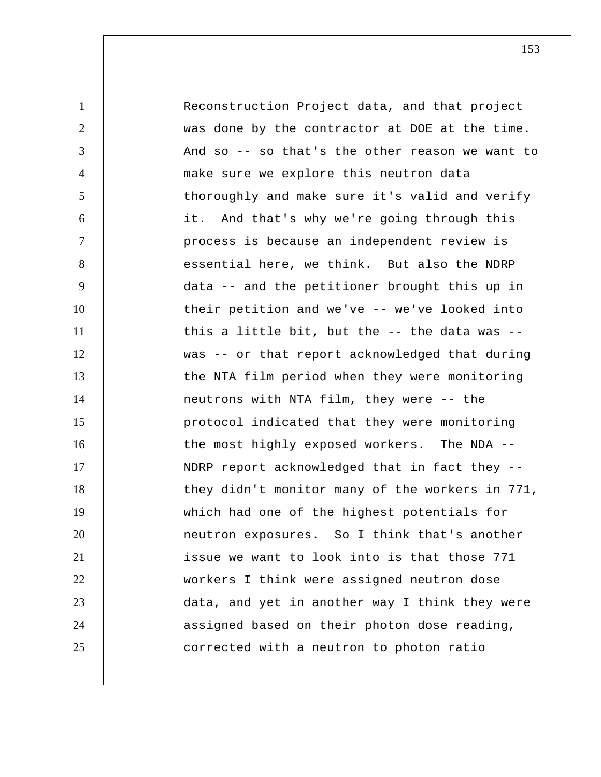1 2 3 4 5 6 7 8 9 10 11 12 13 14 15 16 17 18 19 20 21 22 23 24 25 Reconstruction Project data, and that project was done by the contractor at DOE at the time. And so -- so that's the other reason we want to make sure we explore this neutron data thoroughly and make sure it's valid and verify it. And that's why we're going through this process is because an independent review is essential here, we think. But also the NDRP data -- and the petitioner brought this up in their petition and we've -- we've looked into this a little bit, but the -- the data was - was -- or that report acknowledged that during the NTA film period when they were monitoring neutrons with NTA film, they were -- the protocol indicated that they were monitoring the most highly exposed workers. The NDA -- NDRP report acknowledged that in fact they - they didn't monitor many of the workers in 771, which had one of the highest potentials for neutron exposures. So I think that's another issue we want to look into is that those 771 workers I think were assigned neutron dose data, and yet in another way I think they were assigned based on their photon dose reading, corrected with a neutron to photon ratio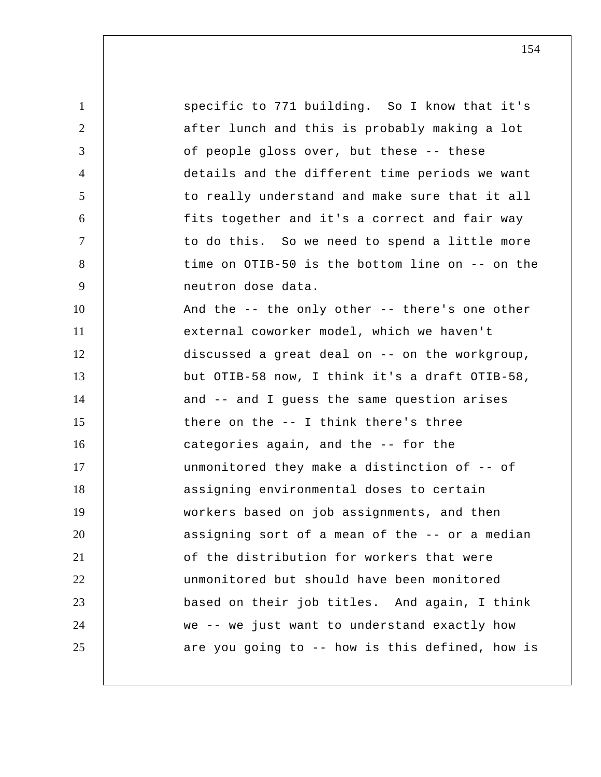1 2 3 4 5 6 7 8 9 10 11 12 13 14 15 16 17 18 19 20 21 22 23 24 25 specific to 771 building. So I know that it's after lunch and this is probably making a lot of people gloss over, but these -- these details and the different time periods we want to really understand and make sure that it all fits together and it's a correct and fair way to do this. So we need to spend a little more time on OTIB-50 is the bottom line on -- on the neutron dose data. And the -- the only other -- there's one other external coworker model, which we haven't discussed a great deal on -- on the workgroup, but OTIB-58 now, I think it's a draft OTIB-58, and -- and I guess the same question arises there on the -- I think there's three categories again, and the -- for the unmonitored they make a distinction of -- of assigning environmental doses to certain workers based on job assignments, and then assigning sort of a mean of the -- or a median of the distribution for workers that were unmonitored but should have been monitored based on their job titles. And again, I think we -- we just want to understand exactly how are you going to -- how is this defined, how is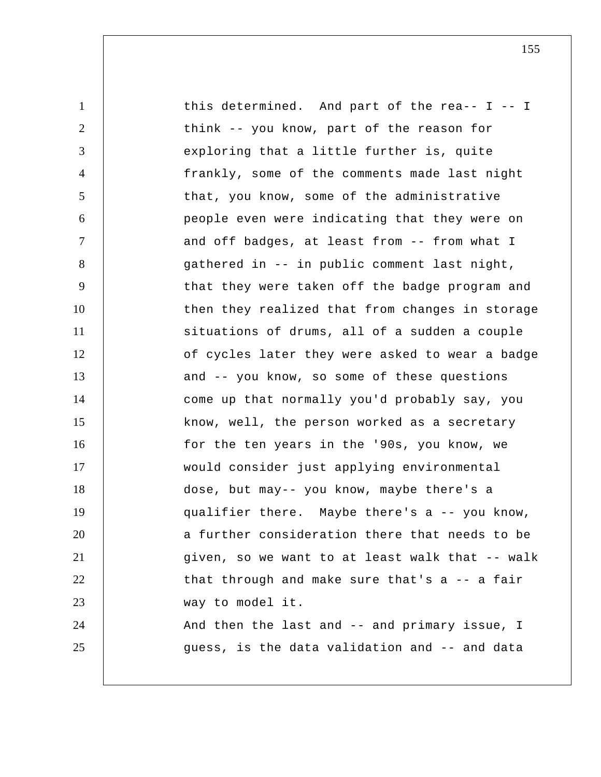| $\mathbf{1}$   | this determined. And part of the rea-- $I$ -- I |
|----------------|-------------------------------------------------|
| $\overline{2}$ | think -- you know, part of the reason for       |
| 3              | exploring that a little further is, quite       |
| $\overline{4}$ | frankly, some of the comments made last night   |
| 5              | that, you know, some of the administrative      |
| 6              | people even were indicating that they were on   |
| $\tau$         | and off badges, at least from -- from what I    |
| 8              | gathered in -- in public comment last night,    |
| 9              | that they were taken off the badge program and  |
| 10             | then they realized that from changes in storage |
| 11             | situations of drums, all of a sudden a couple   |
| 12             | of cycles later they were asked to wear a badge |
| 13             | and -- you know, so some of these questions     |
| 14             | come up that normally you'd probably say, you   |
| 15             | know, well, the person worked as a secretary    |
| 16             | for the ten years in the '90s, you know, we     |
| 17             | would consider just applying environmental      |
| 18             | dose, but may-- you know, maybe there's a       |
| 19             | qualifier there. Maybe there's a -- you know,   |
| 20             | a further consideration there that needs to be  |
| 21             | given, so we want to at least walk that -- walk |
| 22             | that through and make sure that's a -- a fair   |
| 23             | way to model it.                                |
| 24             | And then the last and -- and primary issue, I   |
| 25             | guess, is the data validation and -- and data   |
|                |                                                 |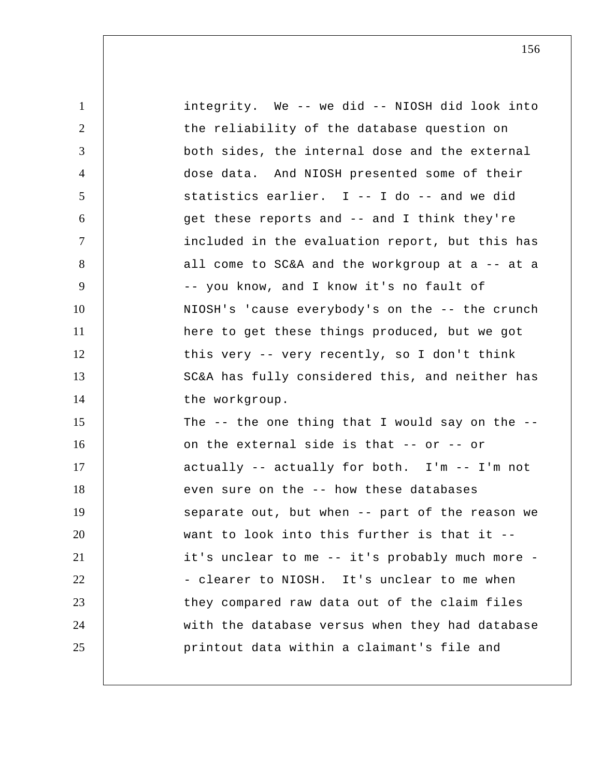| $\mathbf{1}$   | integrity. We -- we did -- NIOSH did look into    |
|----------------|---------------------------------------------------|
| 2              | the reliability of the database question on       |
| 3              | both sides, the internal dose and the external    |
| $\overline{4}$ | dose data. And NIOSH presented some of their      |
| 5              | statistics earlier. I -- I do -- and we did       |
| 6              | get these reports and -- and I think they're      |
| $\tau$         | included in the evaluation report, but this has   |
| 8              | all come to SC&A and the workgroup at a -- at a   |
| 9              | -- you know, and I know it's no fault of          |
| 10             | NIOSH's 'cause everybody's on the -- the crunch   |
| 11             | here to get these things produced, but we got     |
| 12             | this very -- very recently, so I don't think      |
| 13             | SC&A has fully considered this, and neither has   |
| 14             | the workgroup.                                    |
| 15             | The $-$ the one thing that I would say on the $-$ |
| 16             | on the external side is that -- or -- or          |
| 17             | actually -- actually for both. I'm -- I'm not     |
| 18             | even sure on the -- how these databases           |
| 19             | separate out, but when -- part of the reason we   |
| 20             | want to look into this further is that it --      |
| 21             | it's unclear to me -- it's probably much more -   |
| 22             | - clearer to NIOSH. It's unclear to me when       |
| 23             | they compared raw data out of the claim files     |
| 24             | with the database versus when they had database   |
| 25             | printout data within a claimant's file and        |
|                |                                                   |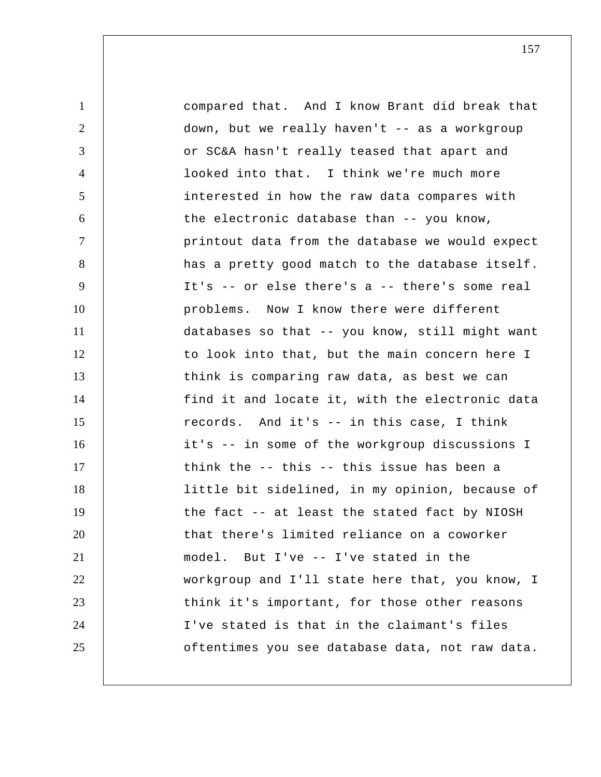1 2 3 4 5 6 7 8 9 10 11 12 13 14 15 16 17 18 19 20 21 22 23 24 25 compared that. And I know Brant did break that down, but we really haven't -- as a workgroup or SC&A hasn't really teased that apart and looked into that. I think we're much more interested in how the raw data compares with the electronic database than -- you know, printout data from the database we would expect has a pretty good match to the database itself. It's -- or else there's a -- there's some real problems. Now I know there were different databases so that -- you know, still might want to look into that, but the main concern here I think is comparing raw data, as best we can find it and locate it, with the electronic data records. And it's -- in this case, I think it's -- in some of the workgroup discussions I think the -- this -- this issue has been a little bit sidelined, in my opinion, because of the fact -- at least the stated fact by NIOSH that there's limited reliance on a coworker model. But I've -- I've stated in the workgroup and I'll state here that, you know, I think it's important, for those other reasons I've stated is that in the claimant's files oftentimes you see database data, not raw data.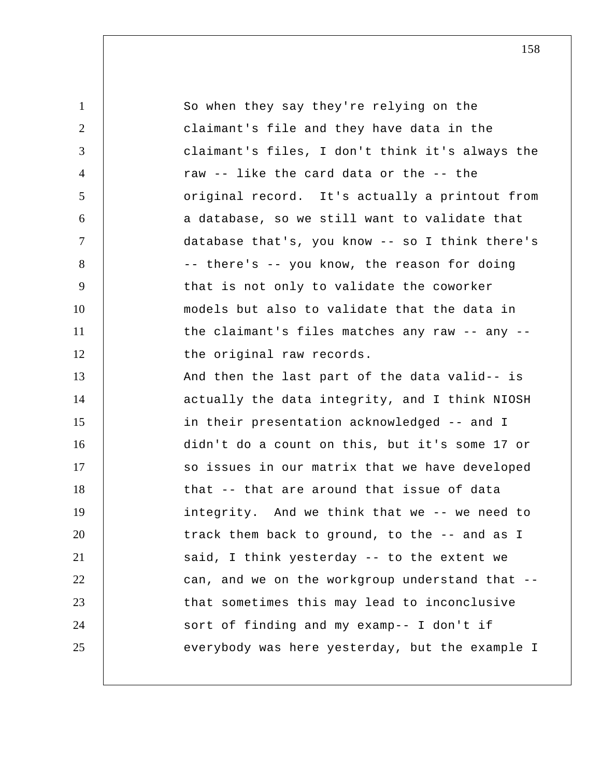| $\mathbf{1}$   | So when they say they're relying on the         |
|----------------|-------------------------------------------------|
| $\overline{2}$ | claimant's file and they have data in the       |
| 3              | claimant's files, I don't think it's always the |
| 4              | raw -- like the card data or the -- the         |
| 5              | original record. It's actually a printout from  |
| 6              | a database, so we still want to validate that   |
| $\tau$         | database that's, you know -- so I think there's |
| 8              | -- there's -- you know, the reason for doing    |
| 9              | that is not only to validate the coworker       |
| 10             | models but also to validate that the data in    |
| 11             | the claimant's files matches any raw -- any --  |
| 12             | the original raw records.                       |
| 13             | And then the last part of the data valid-- is   |
| 14             | actually the data integrity, and I think NIOSH  |
| 15             | in their presentation acknowledged -- and I     |
| 16             | didn't do a count on this, but it's some 17 or  |
| 17             | so issues in our matrix that we have developed  |
| 18             | that -- that are around that issue of data      |
| 19             | integrity. And we think that we -- we need to   |
| 20             | track them back to ground, to the -- and as I   |
| 21             | said, I think yesterday -- to the extent we     |
| 22             | can, and we on the workgroup understand that -- |
| 23             | that sometimes this may lead to inconclusive    |
| 24             | sort of finding and my examp-- I don't if       |
| 25             | everybody was here yesterday, but the example I |
|                |                                                 |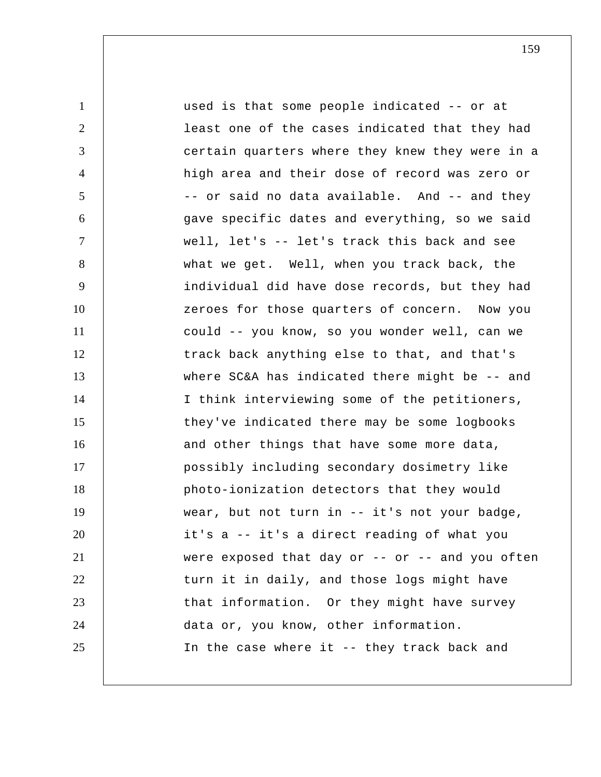1 2 3 4 5 6 7 8 9 10 11 12 13 14 15 16 17 18 19 20 21 22 23 24 25 used is that some people indicated -- or at least one of the cases indicated that they had certain quarters where they knew they were in a high area and their dose of record was zero or -- or said no data available. And -- and they gave specific dates and everything, so we said well, let's -- let's track this back and see what we get. Well, when you track back, the individual did have dose records, but they had zeroes for those quarters of concern. Now you could -- you know, so you wonder well, can we track back anything else to that, and that's where SC&A has indicated there might be -- and I think interviewing some of the petitioners, they've indicated there may be some logbooks and other things that have some more data, possibly including secondary dosimetry like photo-ionization detectors that they would wear, but not turn in -- it's not your badge, it's a -- it's a direct reading of what you were exposed that day or -- or -- and you often turn it in daily, and those logs might have that information. Or they might have survey data or, you know, other information. In the case where it -- they track back and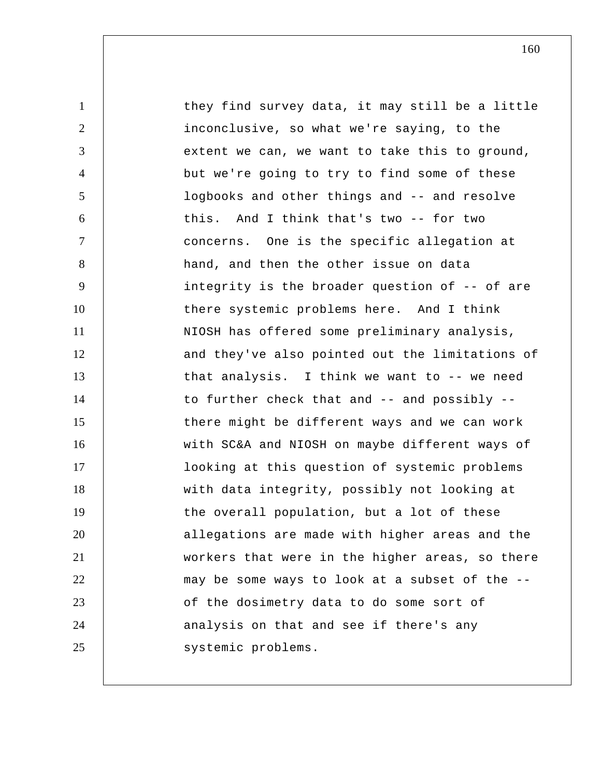1 2 3 4 5 6 7 8 9 10 11 12 13 14 15 16 17 18 19 20 21 22 23 24 25 they find survey data, it may still be a little inconclusive, so what we're saying, to the extent we can, we want to take this to ground, but we're going to try to find some of these logbooks and other things and -- and resolve this. And I think that's two -- for two concerns. One is the specific allegation at hand, and then the other issue on data integrity is the broader question of -- of are there systemic problems here. And I think NIOSH has offered some preliminary analysis, and they've also pointed out the limitations of that analysis. I think we want to -- we need to further check that and -- and possibly - there might be different ways and we can work with SC&A and NIOSH on maybe different ways of looking at this question of systemic problems with data integrity, possibly not looking at the overall population, but a lot of these allegations are made with higher areas and the workers that were in the higher areas, so there may be some ways to look at a subset of the - of the dosimetry data to do some sort of analysis on that and see if there's any systemic problems.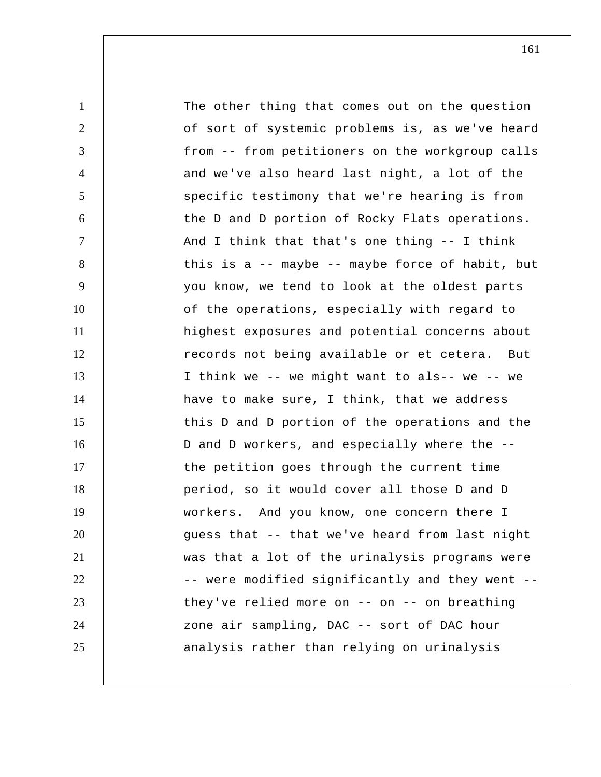1 2 3 4 5 6 7 8 9 10 11 12 13 14 15 16 17 18 19 20 21 22 23 24 25 The other thing that comes out on the question of sort of systemic problems is, as we've heard from -- from petitioners on the workgroup calls and we've also heard last night, a lot of the specific testimony that we're hearing is from the D and D portion of Rocky Flats operations. And I think that that's one thing -- I think this is a -- maybe -- maybe force of habit, but you know, we tend to look at the oldest parts of the operations, especially with regard to highest exposures and potential concerns about records not being available or et cetera. But I think we -- we might want to als-- we -- we have to make sure, I think, that we address this D and D portion of the operations and the D and D workers, and especially where the - the petition goes through the current time period, so it would cover all those D and D workers. And you know, one concern there I guess that -- that we've heard from last night was that a lot of the urinalysis programs were -- were modified significantly and they went - they've relied more on  $--$  on  $--$  on breathing zone air sampling, DAC -- sort of DAC hour analysis rather than relying on urinalysis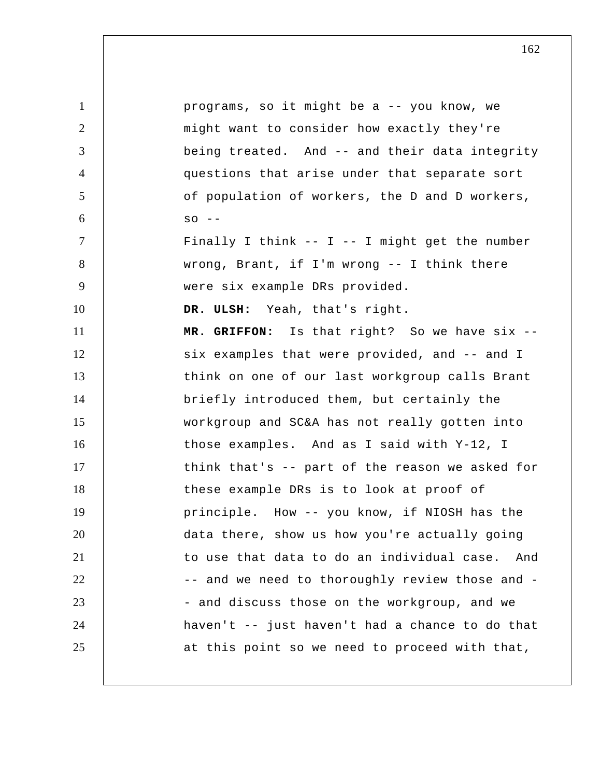1 2 3 4 5 6 7 8 9 10 11 12 13 14 15 16 17 18 19 20 21 22 23 24 25 programs, so it might be a -- you know, we might want to consider how exactly they're being treated. And -- and their data integrity questions that arise under that separate sort of population of workers, the D and D workers,  $SO - -$ Finally I think  $--$  I  $--$  I might get the number wrong, Brant, if I'm wrong -- I think there were six example DRs provided.  **DR. ULSH:** Yeah, that's right.  **MR. GRIFFON:** Is that right? So we have six - six examples that were provided, and -- and I think on one of our last workgroup calls Brant briefly introduced them, but certainly the workgroup and SC&A has not really gotten into those examples. And as I said with Y-12, I think that's -- part of the reason we asked for these example DRs is to look at proof of principle. How -- you know, if NIOSH has the data there, show us how you're actually going to use that data to do an individual case. And -- and we need to thoroughly review those and -- and discuss those on the workgroup, and we haven't -- just haven't had a chance to do that at this point so we need to proceed with that,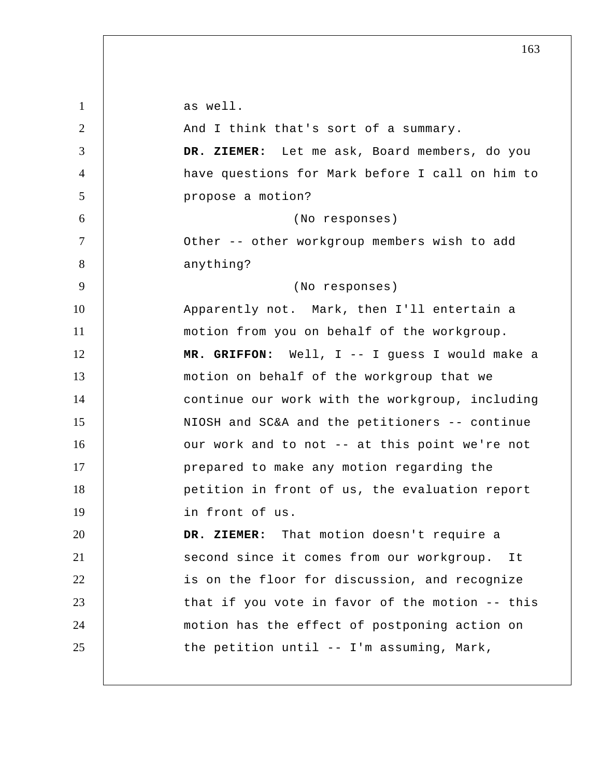1 2 3 4 5 6 7 8 9 10 11 12 13 14 15 16 17 18 19 20 21 22 23 24 25 as well. And I think that's sort of a summary.  **DR. ZIEMER:** Let me ask, Board members, do you have questions for Mark before I call on him to propose a motion? (No responses) Other -- other workgroup members wish to add anything? (No responses) Apparently not. Mark, then I'll entertain a motion from you on behalf of the workgroup.  **MR. GRIFFON:** Well, I -- I guess I would make a motion on behalf of the workgroup that we continue our work with the workgroup, including NIOSH and SC&A and the petitioners -- continue our work and to not -- at this point we're not prepared to make any motion regarding the petition in front of us, the evaluation report in front of us.  **DR. ZIEMER:** That motion doesn't require a second since it comes from our workgroup. It is on the floor for discussion, and recognize that if you vote in favor of the motion -- this motion has the effect of postponing action on the petition until -- I'm assuming, Mark,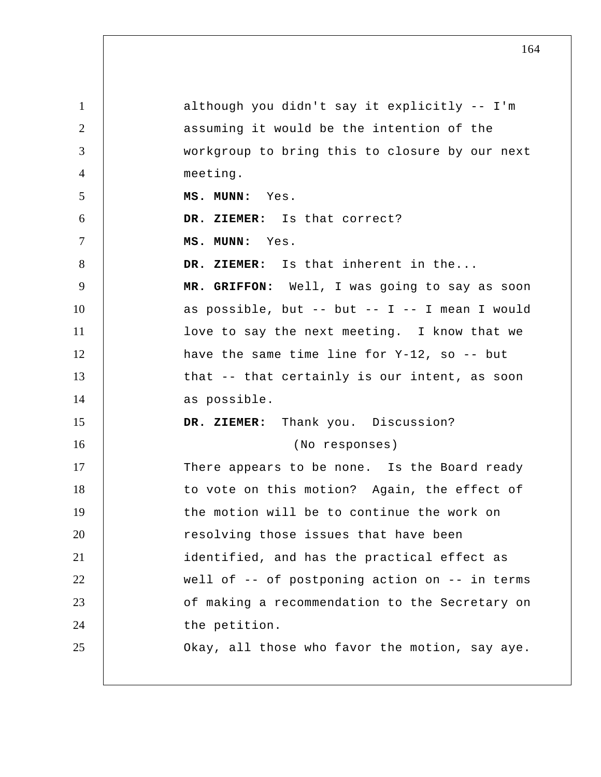| $\mathbf{1}$   | although you didn't say it explicitly -- I'm    |
|----------------|-------------------------------------------------|
| 2              | assuming it would be the intention of the       |
| 3              | workgroup to bring this to closure by our next  |
| $\overline{4}$ | meeting.                                        |
| 5              | MS. MUNN: Yes.                                  |
| 6              | DR. ZIEMER: Is that correct?                    |
| $\tau$         | MS. MUNN: Yes.                                  |
| 8              | DR. ZIEMER: Is that inherent in the             |
| 9              | MR. GRIFFON: Well, I was going to say as soon   |
| 10             | as possible, but -- but -- I -- I mean I would  |
| 11             | love to say the next meeting. I know that we    |
| 12             | have the same time line for $Y-12$ , so $-$ but |
| 13             | that -- that certainly is our intent, as soon   |
| 14             | as possible.                                    |
| 15             | DR. ZIEMER: Thank you. Discussion?              |
| 16             | (No responses)                                  |
| 17             | There appears to be none. Is the Board ready    |
| 18             | to vote on this motion? Again, the effect of    |
| 19             | the motion will be to continue the work on      |
| 20             | resolving those issues that have been           |
| 21             | identified, and has the practical effect as     |
| 22             | well of -- of postponing action on -- in terms  |
| 23             | of making a recommendation to the Secretary on  |
| 24             | the petition.                                   |
| 25             | Okay, all those who favor the motion, say aye.  |
|                |                                                 |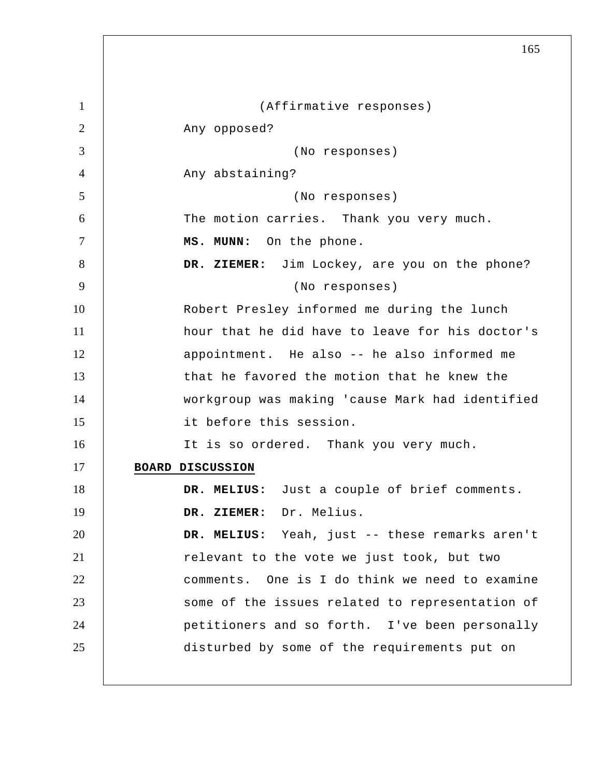1 2 3 4 5 6 7 8 9 10 11 12 13 14 15 16 17 18 19 20 21 22 23 24 25 165 (Affirmative responses) Any opposed? (No responses) Any abstaining? (No responses) The motion carries. Thank you very much.  **MS. MUNN:** On the phone.  **DR. ZIEMER:** Jim Lockey, are you on the phone? (No responses) Robert Presley informed me during the lunch hour that he did have to leave for his doctor's appointment. He also -- he also informed me that he favored the motion that he knew the workgroup was making 'cause Mark had identified it before this session. It is so ordered. Thank you very much. **BOARD DISCUSSION DR. MELIUS:** Just a couple of brief comments.  **DR. ZIEMER:** Dr. Melius.  **DR. MELIUS:** Yeah, just -- these remarks aren't relevant to the vote we just took, but two comments. One is I do think we need to examine some of the issues related to representation of petitioners and so forth. I've been personally disturbed by some of the requirements put on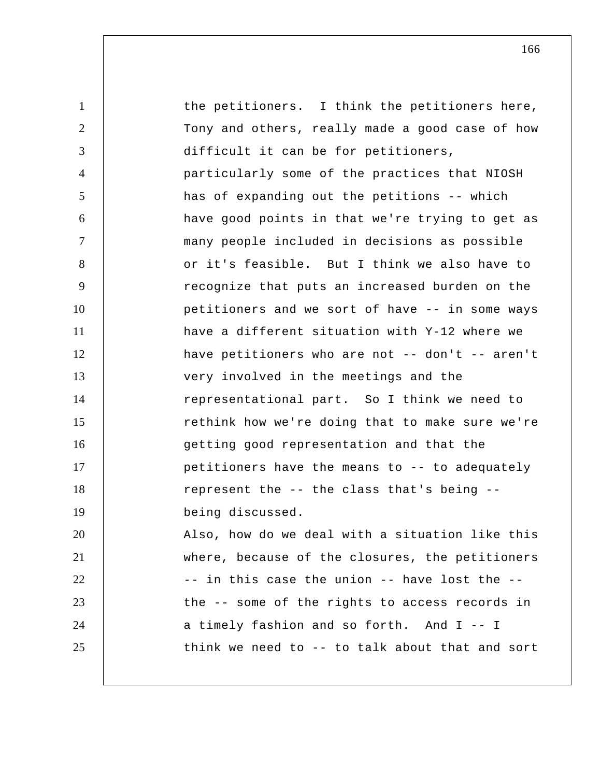1 2 3 4 5 6 7 8 9 10 11 12 13 14 15 16 17 18 19 20 21 22 23 24 25 the petitioners. I think the petitioners here, Tony and others, really made a good case of how difficult it can be for petitioners, particularly some of the practices that NIOSH has of expanding out the petitions -- which have good points in that we're trying to get as many people included in decisions as possible or it's feasible. But I think we also have to recognize that puts an increased burden on the petitioners and we sort of have -- in some ways have a different situation with Y-12 where we have petitioners who are not -- don't -- aren't very involved in the meetings and the representational part. So I think we need to rethink how we're doing that to make sure we're getting good representation and that the petitioners have the means to -- to adequately represent the -- the class that's being - being discussed. Also, how do we deal with a situation like this where, because of the closures, the petitioners -- in this case the union -- have lost the - the -- some of the rights to access records in a timely fashion and so forth. And I -- I think we need to -- to talk about that and sort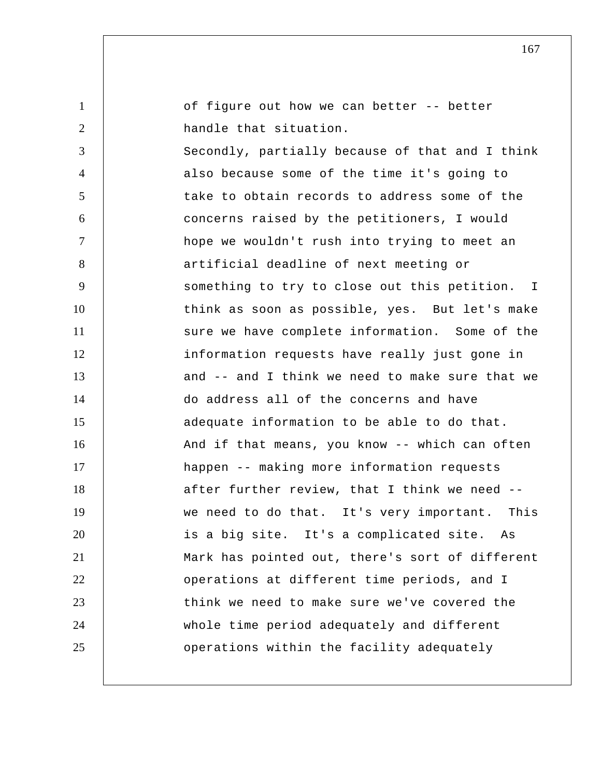1 2 3 4 5 6 7 8 9 10 11 12 13 14 15 16 17 18 19 20 21 22 23 24 25 of figure out how we can better -- better handle that situation. Secondly, partially because of that and I think also because some of the time it's going to take to obtain records to address some of the concerns raised by the petitioners, I would hope we wouldn't rush into trying to meet an artificial deadline of next meeting or something to try to close out this petition. I think as soon as possible, yes. But let's make sure we have complete information. Some of the information requests have really just gone in and -- and I think we need to make sure that we do address all of the concerns and have adequate information to be able to do that. And if that means, you know -- which can often happen -- making more information requests after further review, that I think we need - we need to do that. It's very important. This is a big site. It's a complicated site. As Mark has pointed out, there's sort of different operations at different time periods, and I think we need to make sure we've covered the whole time period adequately and different operations within the facility adequately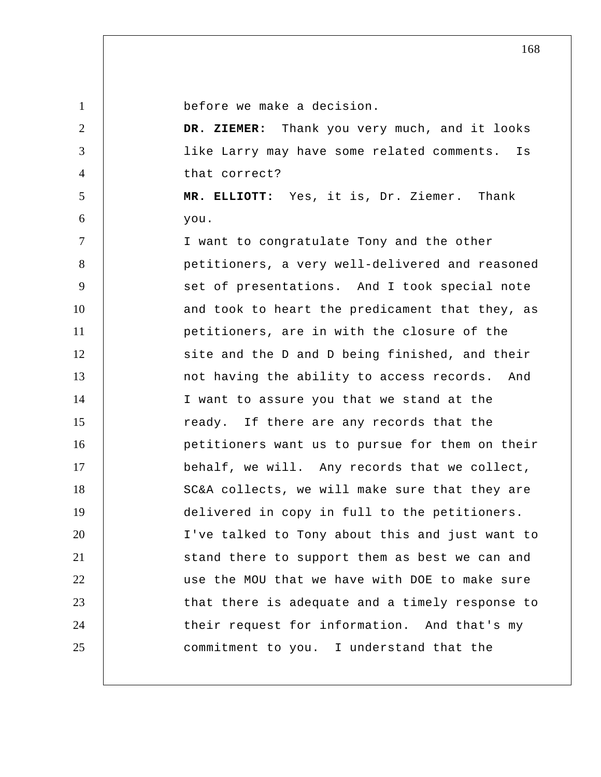2

3

4

5

6

before we make a decision.

 **DR. ZIEMER:** Thank you very much, and it looks like Larry may have some related comments. Is that correct?

 **MR. ELLIOTT:** Yes, it is, Dr. Ziemer. Thank you.

7 8 9 10 11 12 13 14 15 16 17 18 19 20 21 22 23 24 25 I want to congratulate Tony and the other petitioners, a very well-delivered and reasoned set of presentations. And I took special note and took to heart the predicament that they, as petitioners, are in with the closure of the site and the D and D being finished, and their not having the ability to access records. And I want to assure you that we stand at the ready. If there are any records that the petitioners want us to pursue for them on their behalf, we will. Any records that we collect, SC&A collects, we will make sure that they are delivered in copy in full to the petitioners. I've talked to Tony about this and just want to stand there to support them as best we can and use the MOU that we have with DOE to make sure that there is adequate and a timely response to their request for information. And that's my commitment to you. I understand that the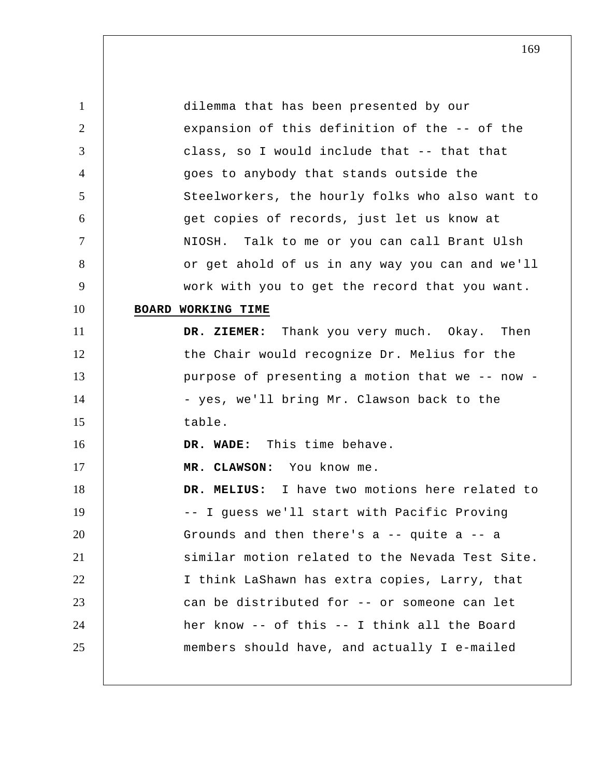1 2 3 4 5 6 7 8 9 10 11 12 13 14 15 16 17 18 19 20 21 22 23 24 25 dilemma that has been presented by our expansion of this definition of the -- of the class, so I would include that -- that that goes to anybody that stands outside the Steelworkers, the hourly folks who also want to get copies of records, just let us know at NIOSH. Talk to me or you can call Brant Ulsh or get ahold of us in any way you can and we'll work with you to get the record that you want. **BOARD WORKING TIME DR. ZIEMER:** Thank you very much. Okay. Then the Chair would recognize Dr. Melius for the purpose of presenting a motion that we -- now - yes, we'll bring Mr. Clawson back to the table.  **DR. WADE:** This time behave.  **MR. CLAWSON:** You know me.  **DR. MELIUS:** I have two motions here related to -- I guess we'll start with Pacific Proving Grounds and then there's a -- quite a -- a similar motion related to the Nevada Test Site. I think LaShawn has extra copies, Larry, that can be distributed for -- or someone can let her know -- of this -- I think all the Board members should have, and actually I e-mailed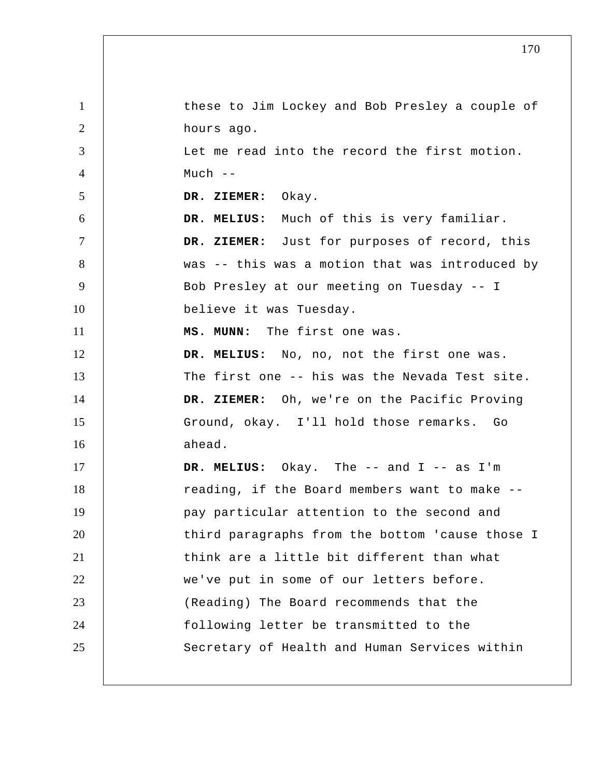| $\mathbf{1}$   | these to Jim Lockey and Bob Presley a couple of |
|----------------|-------------------------------------------------|
| 2              | hours ago.                                      |
| 3              | Let me read into the record the first motion.   |
| $\overline{4}$ | $Much$ --                                       |
| 5              | DR. ZIEMER: Okay.                               |
| 6              | DR. MELIUS: Much of this is very familiar.      |
| 7              | DR. ZIEMER: Just for purposes of record, this   |
| 8              | was -- this was a motion that was introduced by |
| 9              | Bob Presley at our meeting on Tuesday -- I      |
| 10             | believe it was Tuesday.                         |
| 11             | MS. MUNN: The first one was.                    |
| 12             | DR. MELIUS: No, no, not the first one was.      |
| 13             | The first one -- his was the Nevada Test site.  |
| 14             | DR. ZIEMER: Oh, we're on the Pacific Proving    |
| 15             | Ground, okay. I'll hold those remarks. Go       |
| 16             | ahead.                                          |
| 17             | DR. MELIUS: Okay. The -- and I -- as I'm        |
| 18             | reading, if the Board members want to make --   |
| 19             | pay particular attention to the second and      |
| 20             | third paragraphs from the bottom 'cause those I |
| 21             | think are a little bit different than what      |
| 22             | we've put in some of our letters before.        |
| 23             | (Reading) The Board recommends that the         |
| 24             | following letter be transmitted to the          |
| 25             | Secretary of Health and Human Services within   |
|                |                                                 |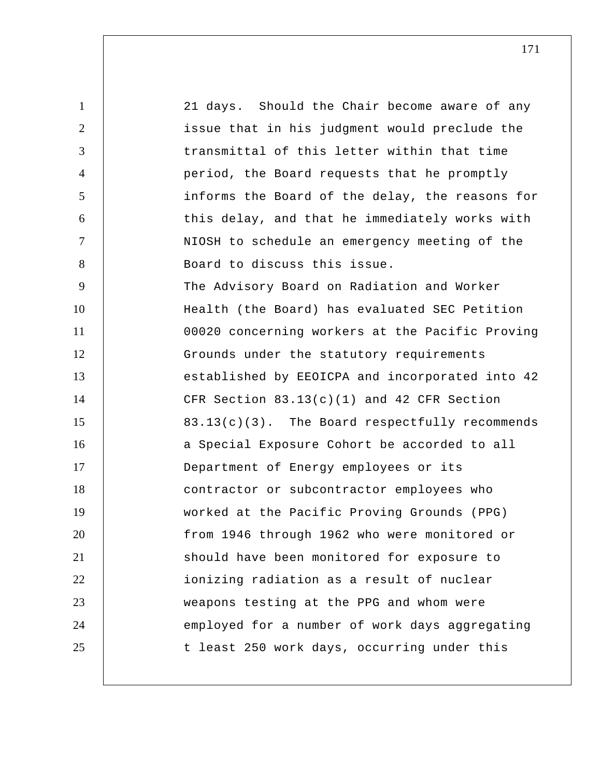1 2 3 4 5 6 7 8 9 10 11 12 13 14 15 16 17 18 19 20 21 22 23 24 25 21 days. Should the Chair become aware of any issue that in his judgment would preclude the transmittal of this letter within that time period, the Board requests that he promptly informs the Board of the delay, the reasons for this delay, and that he immediately works with NIOSH to schedule an emergency meeting of the Board to discuss this issue. The Advisory Board on Radiation and Worker Health (the Board) has evaluated SEC Petition 00020 concerning workers at the Pacific Proving Grounds under the statutory requirements established by EEOICPA and incorporated into 42 CFR Section 83.13(c)(1) and 42 CFR Section 83.13(c)(3). The Board respectfully recommends a Special Exposure Cohort be accorded to all Department of Energy employees or its contractor or subcontractor employees who worked at the Pacific Proving Grounds (PPG) from 1946 through 1962 who were monitored or should have been monitored for exposure to ionizing radiation as a result of nuclear weapons testing at the PPG and whom were employed for a number of work days aggregating t least 250 work days, occurring under this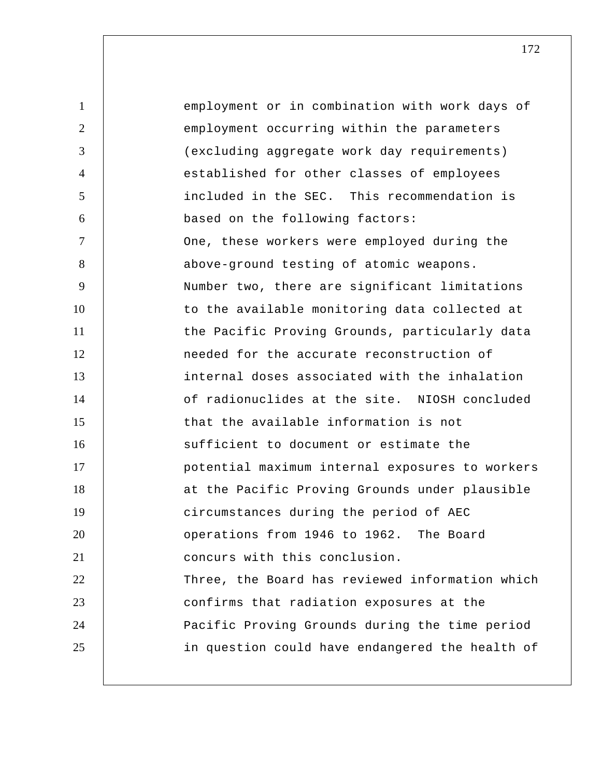1 2 3 4 5 6 7 8 9 10 11 12 13 14 15 16 17 18 19 20 21 22 23 24 25 employment or in combination with work days of employment occurring within the parameters (excluding aggregate work day requirements) established for other classes of employees included in the SEC. This recommendation is based on the following factors: One, these workers were employed during the above-ground testing of atomic weapons. Number two, there are significant limitations to the available monitoring data collected at the Pacific Proving Grounds, particularly data needed for the accurate reconstruction of internal doses associated with the inhalation of radionuclides at the site. NIOSH concluded that the available information is not sufficient to document or estimate the potential maximum internal exposures to workers at the Pacific Proving Grounds under plausible circumstances during the period of AEC operations from 1946 to 1962. The Board concurs with this conclusion. Three, the Board has reviewed information which confirms that radiation exposures at the Pacific Proving Grounds during the time period in question could have endangered the health of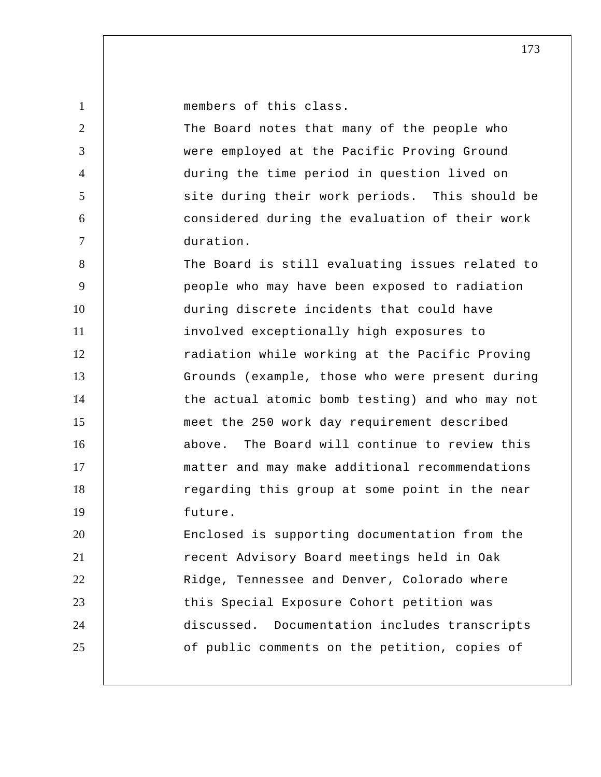| $\mathbf{1}$   | members of this class.                          |
|----------------|-------------------------------------------------|
| $\overline{2}$ | The Board notes that many of the people who     |
| 3              | were employed at the Pacific Proving Ground     |
| $\overline{4}$ | during the time period in question lived on     |
| 5              | site during their work periods. This should be  |
| 6              | considered during the evaluation of their work  |
| $\overline{7}$ | duration.                                       |
| 8              | The Board is still evaluating issues related to |
| 9              | people who may have been exposed to radiation   |
| 10             | during discrete incidents that could have       |
| 11             | involved exceptionally high exposures to        |
| 12             | radiation while working at the Pacific Proving  |
| 13             | Grounds (example, those who were present during |
| 14             | the actual atomic bomb testing) and who may not |
| 15             | meet the 250 work day requirement described     |
| 16             | above. The Board will continue to review this   |
| 17             | matter and may make additional recommendations  |
| 18             | regarding this group at some point in the near  |
| 19             | future.                                         |
| 20             | Enclosed is supporting documentation from the   |
| 21             | recent Advisory Board meetings held in Oak      |
| 22             | Ridge, Tennessee and Denver, Colorado where     |
| 23             | this Special Exposure Cohort petition was       |
| 24             | discussed. Documentation includes transcripts   |
| 25             | of public comments on the petition, copies of   |
|                |                                                 |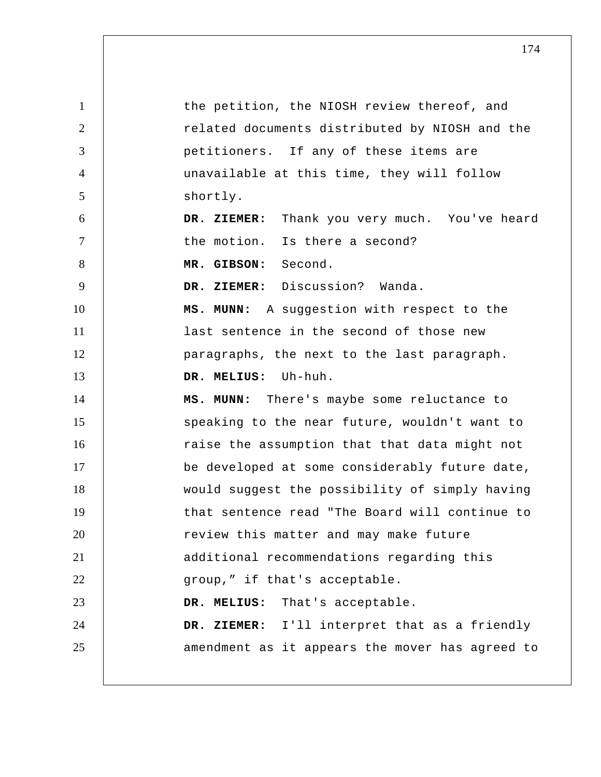| $\mathbf{1}$   | the petition, the NIOSH review thereof, and     |
|----------------|-------------------------------------------------|
| $\overline{2}$ | related documents distributed by NIOSH and the  |
| 3              | petitioners. If any of these items are          |
| $\overline{4}$ | unavailable at this time, they will follow      |
| $\mathfrak{S}$ | shortly.                                        |
| 6              | DR. ZIEMER: Thank you very much. You've heard   |
| $\tau$         | the motion. Is there a second?                  |
| 8              | MR. GIBSON: Second.                             |
| 9              | DR. ZIEMER: Discussion? Wanda.                  |
| 10             | MS. MUNN: A suggestion with respect to the      |
| 11             | last sentence in the second of those new        |
| 12             | paragraphs, the next to the last paragraph.     |
| 13             | DR. MELIUS: Uh-huh.                             |
| 14             | MS. MUNN: There's maybe some reluctance to      |
| 15             | speaking to the near future, wouldn't want to   |
| 16             | raise the assumption that that data might not   |
| 17             | be developed at some considerably future date,  |
| 18             | would suggest the possibility of simply having  |
| 19             | that sentence read "The Board will continue to  |
| 20             | review this matter and may make future          |
| 21             | additional recommendations regarding this       |
| 22             | group," if that's acceptable.                   |
| 23             | DR. MELIUS: That's acceptable.                  |
| 24             | DR. ZIEMER: I'll interpret that as a friendly   |
| 25             | amendment as it appears the mover has agreed to |
|                |                                                 |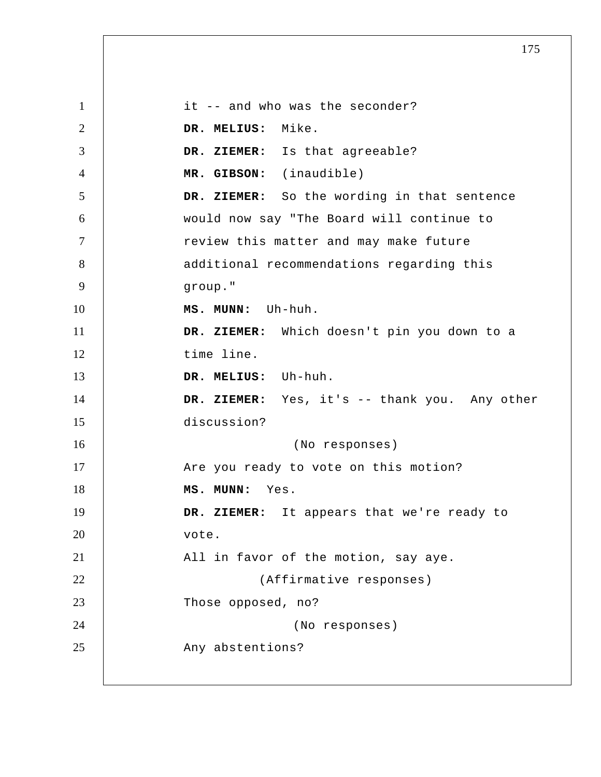1 2 3 4 5 6 7 8 9 10 11 12 13 14 15 16 17 18 19 20 21 22 23 24 25 it -- and who was the seconder?  **DR. MELIUS:** Mike.  **DR. ZIEMER:** Is that agreeable?  **MR. GIBSON:** (inaudible)  **DR. ZIEMER:** So the wording in that sentence would now say "The Board will continue to review this matter and may make future additional recommendations regarding this group."  **MS. MUNN:** Uh-huh.  **DR. ZIEMER:** Which doesn't pin you down to a time line.  **DR. MELIUS:** Uh-huh.  **DR. ZIEMER:** Yes, it's -- thank you. Any other discussion? (No responses) Are you ready to vote on this motion?  **MS. MUNN:** Yes.  **DR. ZIEMER:** It appears that we're ready to vote. All in favor of the motion, say aye. (Affirmative responses) Those opposed, no? (No responses) Any abstentions?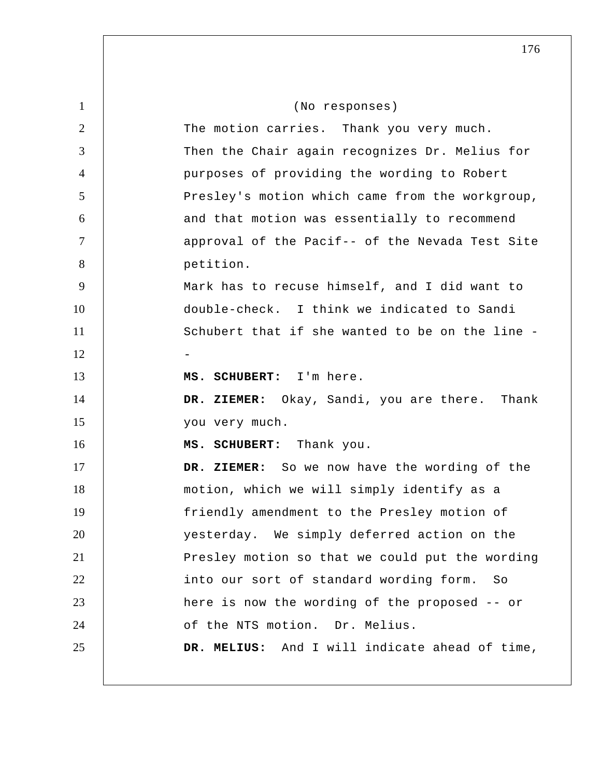| $\mathbf{1}$   | (No responses)                                  |
|----------------|-------------------------------------------------|
| $\overline{2}$ | The motion carries. Thank you very much.        |
| 3              | Then the Chair again recognizes Dr. Melius for  |
| $\overline{4}$ | purposes of providing the wording to Robert     |
| 5              | Presley's motion which came from the workgroup, |
| 6              | and that motion was essentially to recommend    |
| $\tau$         | approval of the Pacif-- of the Nevada Test Site |
| 8              | petition.                                       |
| 9              | Mark has to recuse himself, and I did want to   |
| 10             | double-check. I think we indicated to Sandi     |
| 11             | Schubert that if she wanted to be on the line - |
| 12             |                                                 |
| 13             | MS. SCHUBERT: I'm here.                         |
| 14             | DR. ZIEMER: Okay, Sandi, you are there. Thank   |
| 15             | you very much.                                  |
| 16             | MS. SCHUBERT: Thank you.                        |
| 17             | DR. ZIEMER: So we now have the wording of the   |
| 18             | motion, which we will simply identify as a      |
| 19             | friendly amendment to the Presley motion of     |
| 20             | yesterday. We simply deferred action on the     |
| 21             | Presley motion so that we could put the wording |
| 22             | into our sort of standard wording form.<br>- So |
| 23             | here is now the wording of the proposed -- or   |
| 24             | of the NTS motion. Dr. Melius.                  |
| 25             | DR. MELIUS: And I will indicate ahead of time,  |
|                |                                                 |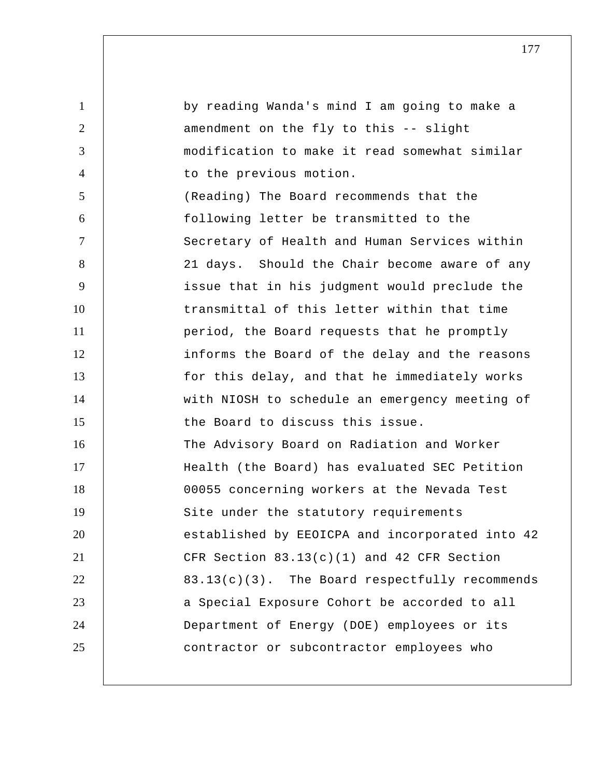1 2 3 4 5 6 7 8 9 10 11 12 13 14 15 16 17 18 19 20 21 22 23 24 25 by reading Wanda's mind I am going to make a amendment on the fly to this -- slight modification to make it read somewhat similar to the previous motion. (Reading) The Board recommends that the following letter be transmitted to the Secretary of Health and Human Services within 21 days. Should the Chair become aware of any issue that in his judgment would preclude the transmittal of this letter within that time period, the Board requests that he promptly informs the Board of the delay and the reasons for this delay, and that he immediately works with NIOSH to schedule an emergency meeting of the Board to discuss this issue. The Advisory Board on Radiation and Worker Health (the Board) has evaluated SEC Petition 00055 concerning workers at the Nevada Test Site under the statutory requirements established by EEOICPA and incorporated into 42 CFR Section  $83.13(c)(1)$  and  $42$  CFR Section 83.13(c)(3). The Board respectfully recommends a Special Exposure Cohort be accorded to all Department of Energy (DOE) employees or its contractor or subcontractor employees who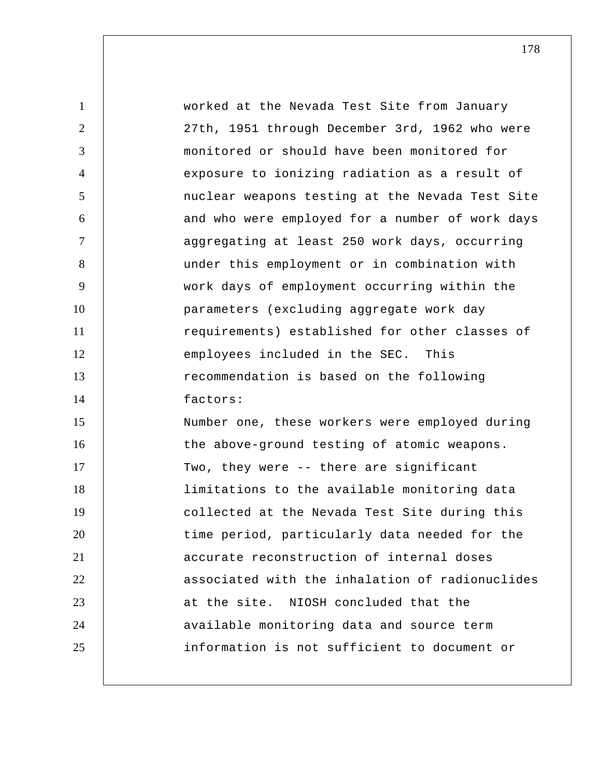| $\mathbf{1}$   | worked at the Nevada Test Site from January     |
|----------------|-------------------------------------------------|
| 2              | 27th, 1951 through December 3rd, 1962 who were  |
| 3              | monitored or should have been monitored for     |
| $\overline{4}$ | exposure to ionizing radiation as a result of   |
| 5              | nuclear weapons testing at the Nevada Test Site |
| 6              | and who were employed for a number of work days |
| $\overline{7}$ | aggregating at least 250 work days, occurring   |
| 8              | under this employment or in combination with    |
| 9              | work days of employment occurring within the    |
| 10             | parameters (excluding aggregate work day        |
| 11             | requirements) established for other classes of  |
| 12             | employees included in the SEC. This             |
| 13             | recommendation is based on the following        |
| 14             | factors:                                        |
| 15             | Number one, these workers were employed during  |
| 16             | the above-ground testing of atomic weapons.     |
| 17             | Two, they were -- there are significant         |
| 18             | limitations to the available monitoring data    |
| 19             | collected at the Nevada Test Site during this   |
| 20             | time period, particularly data needed for the   |
| 21             | accurate reconstruction of internal doses       |
| 22             | associated with the inhalation of radionuclides |
| 23             | at the site. NIOSH concluded that the           |
| 24             | available monitoring data and source term       |
| 25             | information is not sufficient to document or    |
|                |                                                 |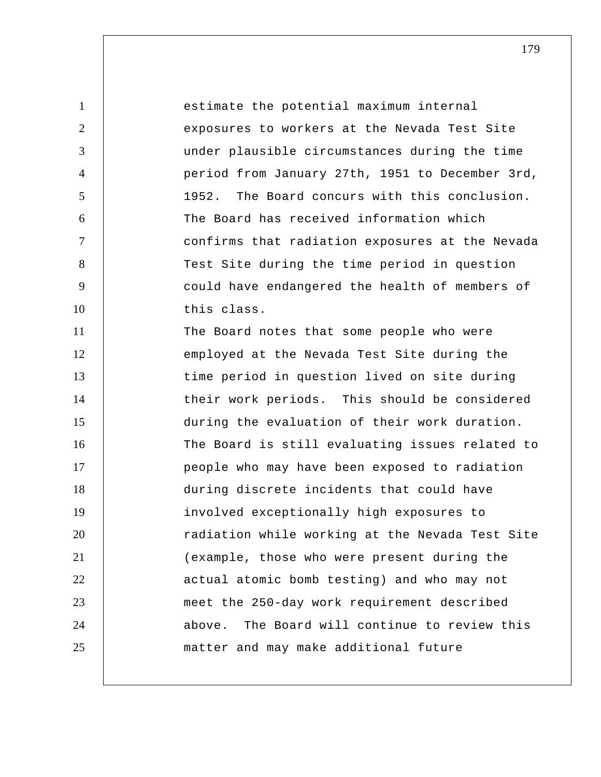1 2 3 4 5 6 7 8 9 10 11 12 13 14 15 16 17 18 19 20 21 22 23 24 25 estimate the potential maximum internal exposures to workers at the Nevada Test Site under plausible circumstances during the time period from January 27th, 1951 to December 3rd, 1952. The Board concurs with this conclusion. The Board has received information which confirms that radiation exposures at the Nevada Test Site during the time period in question could have endangered the health of members of this class. The Board notes that some people who were employed at the Nevada Test Site during the time period in question lived on site during their work periods. This should be considered during the evaluation of their work duration. The Board is still evaluating issues related to people who may have been exposed to radiation during discrete incidents that could have involved exceptionally high exposures to radiation while working at the Nevada Test Site (example, those who were present during the actual atomic bomb testing) and who may not meet the 250-day work requirement described above. The Board will continue to review this matter and may make additional future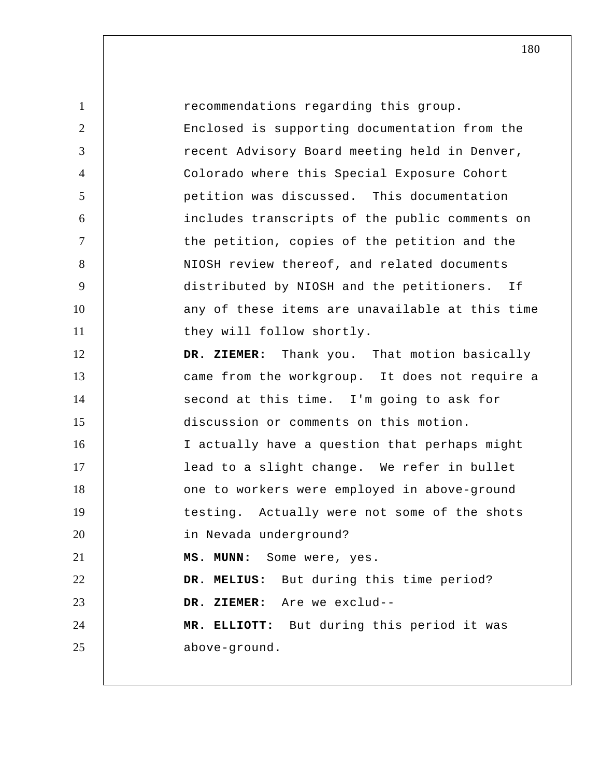| $\mathbf{1}$   | recommendations regarding this group.           |
|----------------|-------------------------------------------------|
| $\overline{2}$ | Enclosed is supporting documentation from the   |
| 3              | recent Advisory Board meeting held in Denver,   |
| $\overline{4}$ | Colorado where this Special Exposure Cohort     |
| 5              | petition was discussed. This documentation      |
| 6              | includes transcripts of the public comments on  |
| $\overline{7}$ | the petition, copies of the petition and the    |
| 8              | NIOSH review thereof, and related documents     |
| 9              | distributed by NIOSH and the petitioners. If    |
| 10             | any of these items are unavailable at this time |
| 11             | they will follow shortly.                       |
| 12             | DR. ZIEMER: Thank you. That motion basically    |
| 13             | came from the workgroup. It does not require a  |
| 14             | second at this time. I'm going to ask for       |
| 15             | discussion or comments on this motion.          |
| 16             | I actually have a question that perhaps might   |
| 17             | lead to a slight change. We refer in bullet     |
| 18             | one to workers were employed in above-ground    |
| 19             | testing. Actually were not some of the shots    |
| 20             | in Nevada underground?                          |
| 21             | Some were, yes.<br>MS. MUNN:                    |
| 22             | But during this time period?<br>DR. MELIUS:     |
| 23             | DR. ZIEMER: Are we exclud--                     |
| 24             | MR. ELLIOTT: But during this period it was      |
| 25             | above-ground.                                   |
|                |                                                 |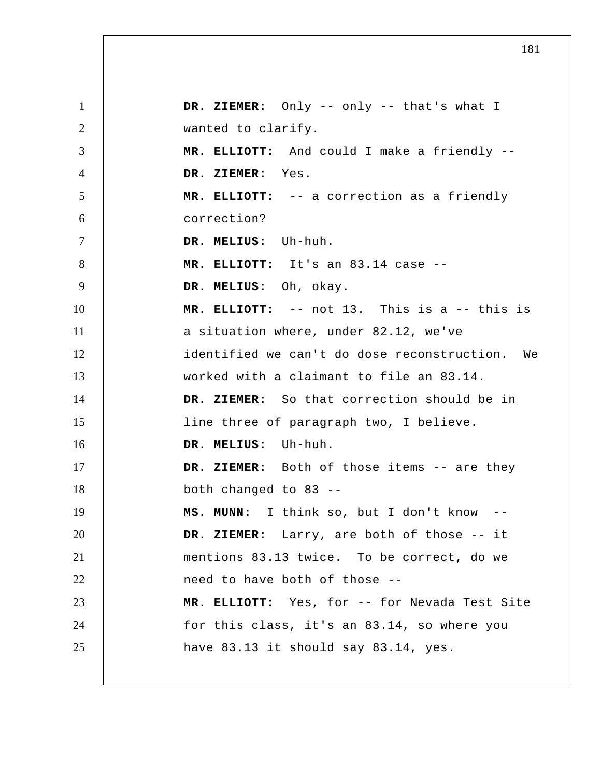1 2 3 4 5 6 7 8 9 10 11 12 13 14 15 16 17 18 19 20 21 22 23 24 25  **DR. ZIEMER:** Only -- only -- that's what I wanted to clarify.  **MR. ELLIOTT:** And could I make a friendly --  **DR. ZIEMER:** Yes.  **MR. ELLIOTT:** -- a correction as a friendly correction?  **DR. MELIUS:** Uh-huh.  **MR. ELLIOTT:** It's an 83.14 case --  **DR. MELIUS:** Oh, okay.  **MR. ELLIOTT:** -- not 13. This is a -- this is a situation where, under 82.12, we've identified we can't do dose reconstruction. We worked with a claimant to file an 83.14.  **DR. ZIEMER:** So that correction should be in line three of paragraph two, I believe.  **DR. MELIUS:** Uh-huh.  **DR. ZIEMER:** Both of those items -- are they both changed to 83 -- **MS. MUNN:** I think so, but I don't know -- **DR. ZIEMER:** Larry, are both of those -- it mentions 83.13 twice. To be correct, do we need to have both of those --  **MR. ELLIOTT:** Yes, for -- for Nevada Test Site for this class, it's an 83.14, so where you have 83.13 it should say 83.14, yes.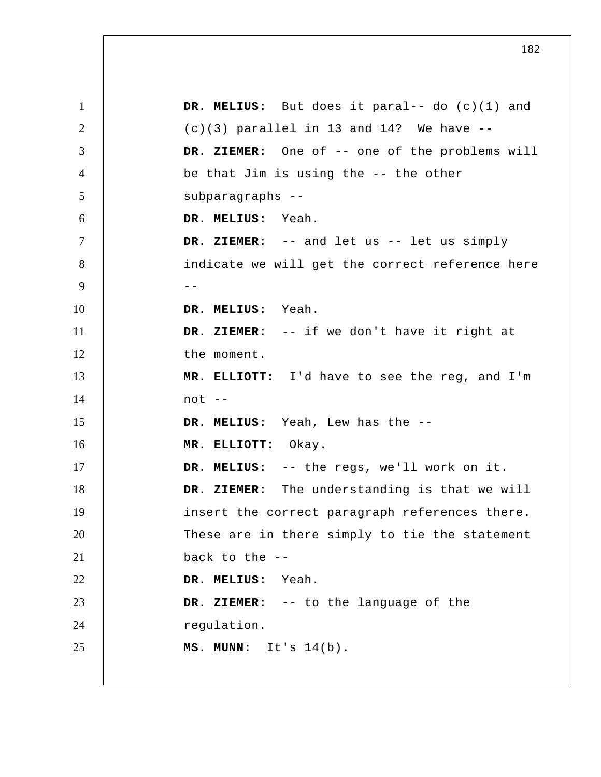1 2 3 4 5 6 7 8 9 -- 10 11 12 13 14 15 16 17 18 19 20 21 22 23 24 25  **DR. MELIUS:** But does it paral-- do (c)(1) and  $(c)(3)$  parallel in 13 and 14? We have  $-$ - **DR. ZIEMER:** One of -- one of the problems will be that Jim is using the -- the other subparagraphs -- **DR. MELIUS:** Yeah.  **DR. ZIEMER:** -- and let us -- let us simply indicate we will get the correct reference here  **DR. MELIUS:** Yeah.  **DR. ZIEMER:** -- if we don't have it right at the moment.  **MR. ELLIOTT:** I'd have to see the reg, and I'm not --  **DR. MELIUS:** Yeah, Lew has the --  **MR. ELLIOTT:** Okay.  **DR. MELIUS:** -- the regs, we'll work on it.  **DR. ZIEMER:** The understanding is that we will insert the correct paragraph references there. These are in there simply to tie the statement back to the -- **DR. MELIUS:** Yeah.  **DR. ZIEMER:** -- to the language of the regulation.  **MS. MUNN:** It's 14(b).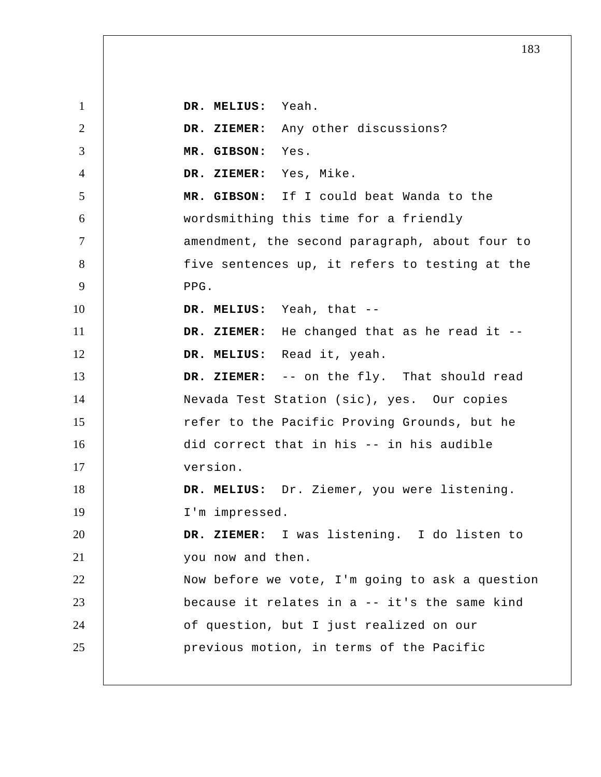1 2 3 4 5 6 7 8 9 10 11 12 13 14 15 16 17 18 19 20 21 22 23 24 25  **DR. MELIUS:** Yeah.  **DR. ZIEMER:** Any other discussions?  **MR. GIBSON:** Yes.  **DR. ZIEMER:** Yes, Mike.  **MR. GIBSON:** If I could beat Wanda to the wordsmithing this time for a friendly amendment, the second paragraph, about four to five sentences up, it refers to testing at the PPG.  **DR. MELIUS:** Yeah, that -- **DR. ZIEMER:** He changed that as he read it --  **DR. MELIUS:** Read it, yeah.  **DR. ZIEMER:** -- on the fly. That should read Nevada Test Station (sic), yes. Our copies refer to the Pacific Proving Grounds, but he did correct that in his -- in his audible version.  **DR. MELIUS:** Dr. Ziemer, you were listening. I'm impressed.  **DR. ZIEMER:** I was listening. I do listen to you now and then. Now before we vote, I'm going to ask a question because it relates in a -- it's the same kind of question, but I just realized on our previous motion, in terms of the Pacific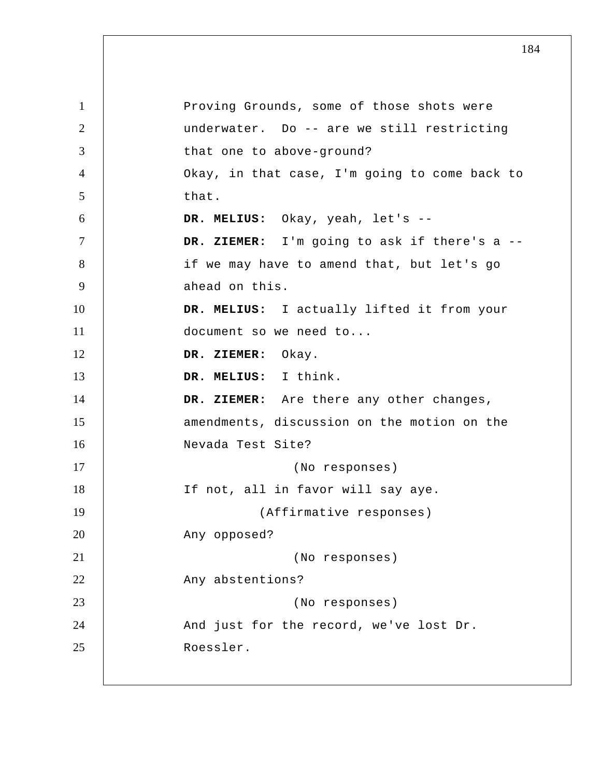1 2 3 4 5 6 7 8 9 10 11 12 13 14 15 16 17 18 19 20 21 22 23 24 25 Proving Grounds, some of those shots were underwater. Do -- are we still restricting that one to above-ground? Okay, in that case, I'm going to come back to that.  **DR. MELIUS:** Okay, yeah, let's -- **DR. ZIEMER:** I'm going to ask if there's a - if we may have to amend that, but let's go ahead on this.  **DR. MELIUS:** I actually lifted it from your document so we need to...  **DR. ZIEMER:** Okay.  **DR. MELIUS:** I think.  **DR. ZIEMER:** Are there any other changes, amendments, discussion on the motion on the Nevada Test Site? (No responses) If not, all in favor will say aye. (Affirmative responses) Any opposed? (No responses) Any abstentions? (No responses) And just for the record, we've lost Dr. Roessler.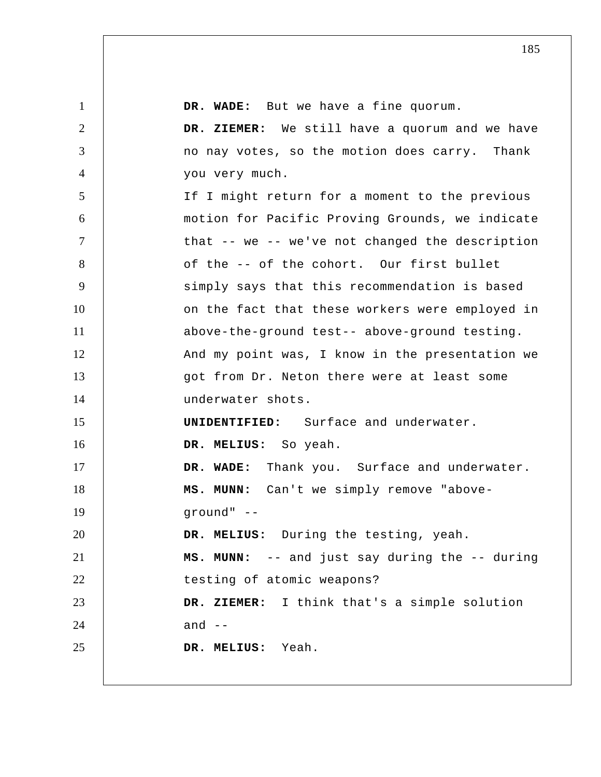| $\mathbf{1}$   | DR. WADE: But we have a fine quorum.            |
|----------------|-------------------------------------------------|
| $\overline{2}$ | DR. ZIEMER: We still have a quorum and we have  |
| 3              | no nay votes, so the motion does carry. Thank   |
| $\overline{4}$ | you very much.                                  |
| 5              | If I might return for a moment to the previous  |
| 6              | motion for Pacific Proving Grounds, we indicate |
| $\overline{7}$ | that -- we -- we've not changed the description |
| 8              | of the -- of the cohort. Our first bullet       |
| 9              | simply says that this recommendation is based   |
| 10             | on the fact that these workers were employed in |
| 11             | above-the-ground test-- above-ground testing.   |
| 12             | And my point was, I know in the presentation we |
| 13             | got from Dr. Neton there were at least some     |
| 14             | underwater shots.                               |
| 15             | <b>UNIDENTIFIED:</b> Surface and underwater.    |
| 16             | DR. MELIUS: So yeah.                            |
| 17             | DR. WADE: Thank you. Surface and underwater.    |
| 18             | MS. MUNN: Can't we simply remove "above-        |
| 19             | ground" --                                      |
| 20             | DR. MELIUS: During the testing, yeah.           |
| 21             | MS. MUNN: -- and just say during the -- during  |
| 22             | testing of atomic weapons?                      |
| 23             | DR. ZIEMER: I think that's a simple solution    |
| 24             | and $--$                                        |
| 25             | DR. MELIUS: Yeah.                               |
|                |                                                 |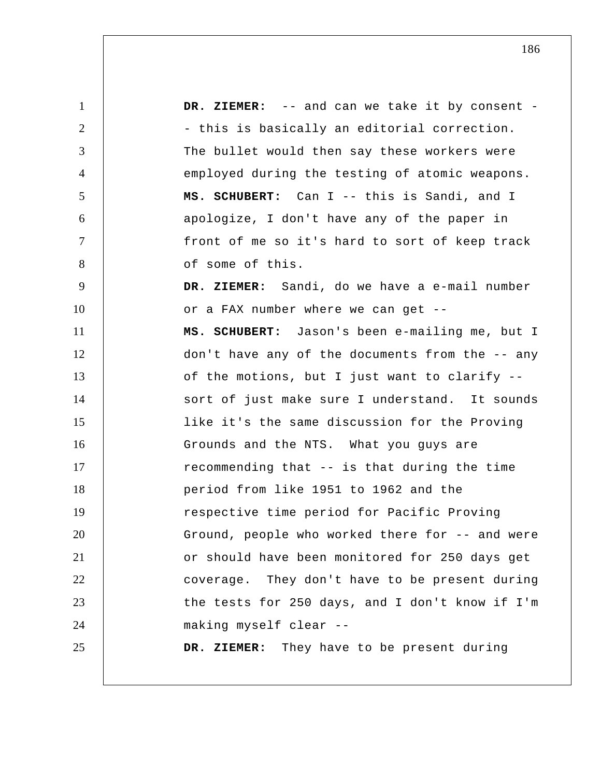1 2 3 4 5 6 7 8 9 10 11 12 13 14 15 16 17 18 19 20 21 22 23 24 25 DR. ZIEMER: -- and can we take it by consent -- this is basically an editorial correction. The bullet would then say these workers were employed during the testing of atomic weapons. **MS. SCHUBERT:** Can I -- this is Sandi, and I apologize, I don't have any of the paper in front of me so it's hard to sort of keep track of some of this.  **DR. ZIEMER:** Sandi, do we have a e-mail number or a FAX number where we can get -- **MS. SCHUBERT:** Jason's been e-mailing me, but I don't have any of the documents from the -- any of the motions, but I just want to clarify - sort of just make sure I understand. It sounds like it's the same discussion for the Proving Grounds and the NTS. What you guys are recommending that -- is that during the time period from like 1951 to 1962 and the respective time period for Pacific Proving Ground, people who worked there for -- and were or should have been monitored for 250 days get coverage. They don't have to be present during the tests for 250 days, and I don't know if I'm making myself clear -- **DR. ZIEMER:** They have to be present during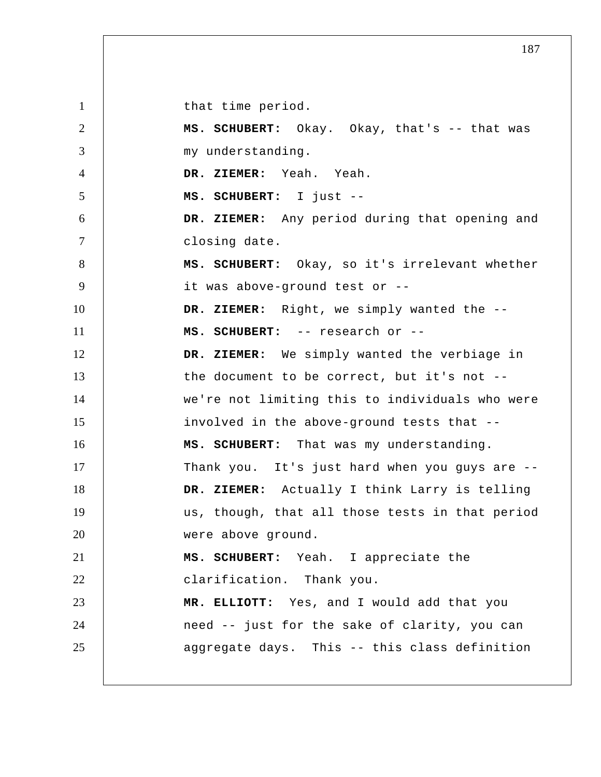1 2 3 4 5 6 7 8 9 10 11 12 13 14 15 16 17 18 19 20 21 22 23 24 25 that time period. **MS. SCHUBERT:** Okay. Okay, that's -- that was my understanding.  **DR. ZIEMER:** Yeah. Yeah. **MS. SCHUBERT:** I just -- **DR. ZIEMER:** Any period during that opening and closing date. **MS. SCHUBERT:** Okay, so it's irrelevant whether it was above-ground test or --  **DR. ZIEMER:** Right, we simply wanted the -- **MS. SCHUBERT:** -- research or -- **DR. ZIEMER:** We simply wanted the verbiage in the document to be correct, but it's not - we're not limiting this to individuals who were involved in the above-ground tests that -- **MS. SCHUBERT:** That was my understanding. Thank you. It's just hard when you guys are --  **DR. ZIEMER:** Actually I think Larry is telling us, though, that all those tests in that period were above ground. **MS. SCHUBERT:** Yeah. I appreciate the clarification. Thank you.  **MR. ELLIOTT:** Yes, and I would add that you need -- just for the sake of clarity, you can aggregate days. This -- this class definition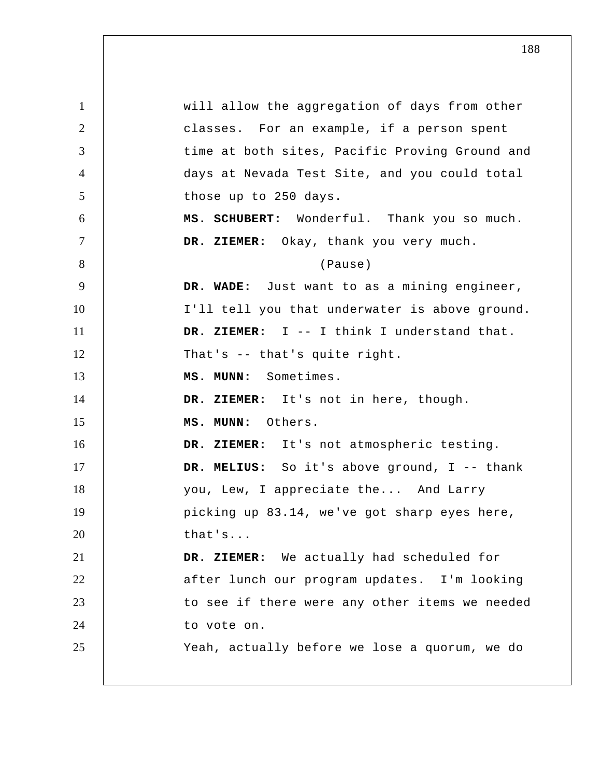1 2 3 4 5 6 7 8 9 10 11 12 13 14 15 16 17 18 19 20 21 22 23 24 25 will allow the aggregation of days from other classes. For an example, if a person spent time at both sites, Pacific Proving Ground and days at Nevada Test Site, and you could total those up to 250 days. **MS. SCHUBERT:** Wonderful. Thank you so much.  **DR. ZIEMER:** Okay, thank you very much. (Pause)  **DR. WADE:** Just want to as a mining engineer, I'll tell you that underwater is above ground.  **DR. ZIEMER:** I -- I think I understand that. That's -- that's quite right.  **MS. MUNN:** Sometimes.  **DR. ZIEMER:** It's not in here, though.  **MS. MUNN:** Others.  **DR. ZIEMER:** It's not atmospheric testing.  **DR. MELIUS:** So it's above ground, I -- thank you, Lew, I appreciate the... And Larry picking up 83.14, we've got sharp eyes here, that's...  **DR. ZIEMER:** We actually had scheduled for after lunch our program updates. I'm looking to see if there were any other items we needed to vote on. Yeah, actually before we lose a quorum, we do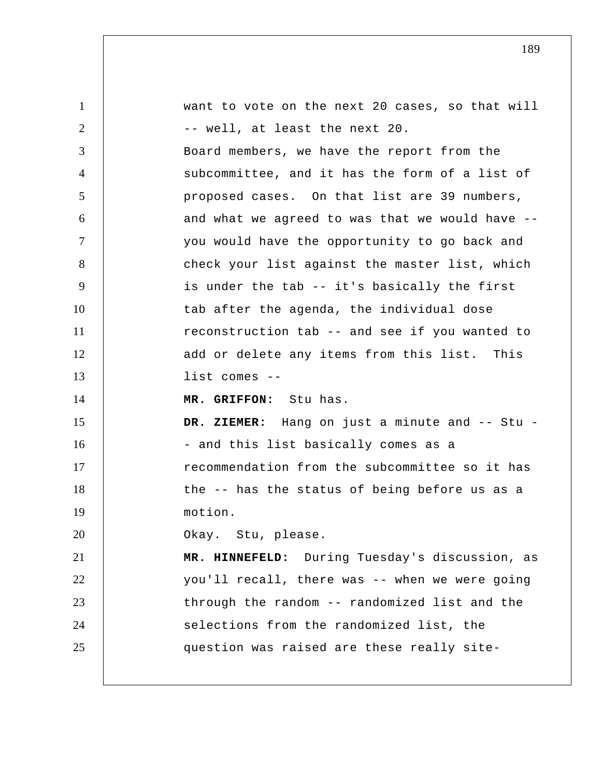| $\mathbf{1}$   | want to vote on the next 20 cases, so that will |
|----------------|-------------------------------------------------|
| 2              | -- well, at least the next 20.                  |
| 3              | Board members, we have the report from the      |
| $\overline{4}$ | subcommittee, and it has the form of a list of  |
| 5              | proposed cases. On that list are 39 numbers,    |
| 6              | and what we agreed to was that we would have -- |
| $\tau$         | you would have the opportunity to go back and   |
| 8              | check your list against the master list, which  |
| 9              | is under the tab -- it's basically the first    |
| 10             | tab after the agenda, the individual dose       |
| 11             | reconstruction tab -- and see if you wanted to  |
| 12             | add or delete any items from this list. This    |
| 13             | $list comes --$                                 |
| 14             | MR. GRIFFON: Stu has.                           |
| 15             | DR. ZIEMER: Hang on just a minute and -- Stu -  |
| 16             | - and this list basically comes as a            |
| 17             | recommendation from the subcommittee so it has  |
| 18             | the -- has the status of being before us as a   |
| 19             | motion.                                         |
| 20             | Okay. Stu, please.                              |
| 21             | MR. HINNEFELD: During Tuesday's discussion, as  |
| 22             | you'll recall, there was -- when we were going  |
| 23             | through the random -- randomized list and the   |
| 24             | selections from the randomized list, the        |
| 25             | question was raised are these really site-      |
|                |                                                 |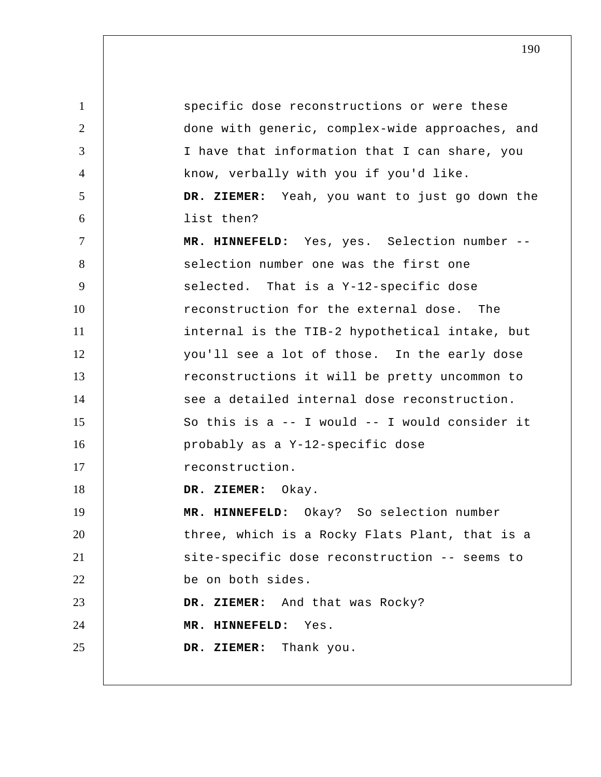1 2 3 4 5 6 7 8 9 10 11 12 13 14 15 16 17 18 19 20 21 22 23 24 25 specific dose reconstructions or were these done with generic, complex-wide approaches, and I have that information that I can share, you know, verbally with you if you'd like.  **DR. ZIEMER:** Yeah, you want to just go down the list then?  **MR. HINNEFELD:** Yes, yes. Selection number - selection number one was the first one selected. That is a Y-12-specific dose reconstruction for the external dose. The internal is the TIB-2 hypothetical intake, but you'll see a lot of those. In the early dose reconstructions it will be pretty uncommon to see a detailed internal dose reconstruction. So this is a -- I would -- I would consider it probably as a Y-12-specific dose reconstruction.  **DR. ZIEMER:** Okay.  **MR. HINNEFELD:** Okay? So selection number three, which is a Rocky Flats Plant, that is a site-specific dose reconstruction -- seems to be on both sides.  **DR. ZIEMER:** And that was Rocky?  **MR. HINNEFELD:** Yes.  **DR. ZIEMER:** Thank you.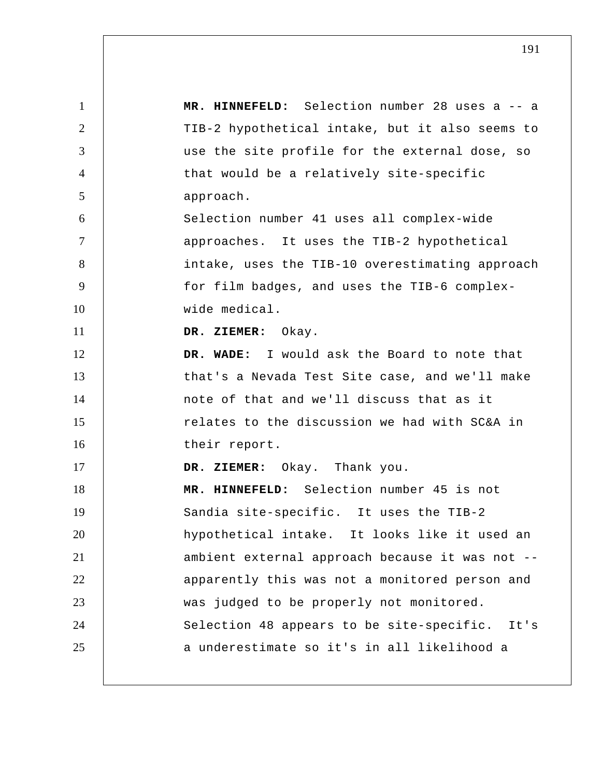1 2 3 4 5 6 7 8 9 10 11 12 13 14 15 16 17 18 19 20 21 22 23 24 25  **MR. HINNEFELD:** Selection number 28 uses a -- a TIB-2 hypothetical intake, but it also seems to use the site profile for the external dose, so that would be a relatively site-specific approach. Selection number 41 uses all complex-wide approaches. It uses the TIB-2 hypothetical intake, uses the TIB-10 overestimating approach for film badges, and uses the TIB-6 complexwide medical.  **DR. ZIEMER:** Okay.  **DR. WADE:** I would ask the Board to note that that's a Nevada Test Site case, and we'll make note of that and we'll discuss that as it relates to the discussion we had with SC&A in their report.  **DR. ZIEMER:** Okay. Thank you.  **MR. HINNEFELD:** Selection number 45 is not Sandia site-specific. It uses the TIB-2 hypothetical intake. It looks like it used an ambient external approach because it was not - apparently this was not a monitored person and was judged to be properly not monitored. Selection 48 appears to be site-specific. It's a underestimate so it's in all likelihood a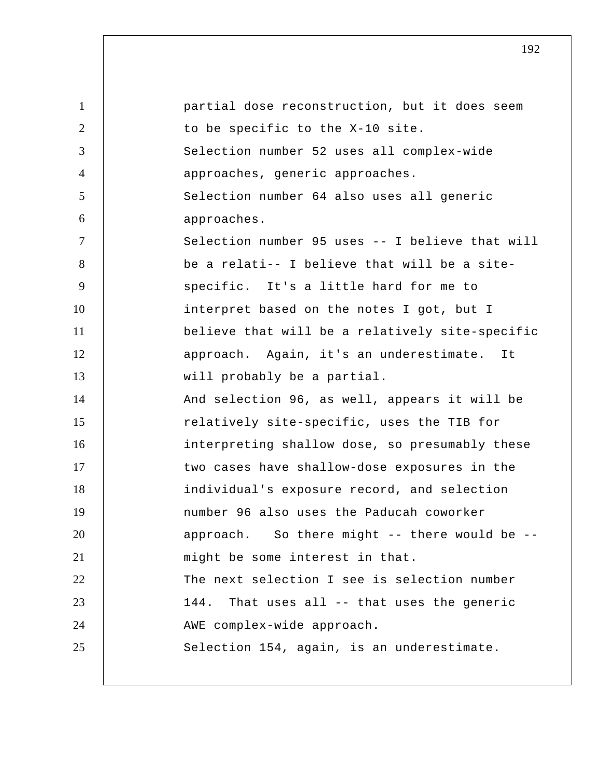| $\mathbf{1}$   | partial dose reconstruction, but it does seem   |
|----------------|-------------------------------------------------|
| 2              | to be specific to the X-10 site.                |
| 3              | Selection number 52 uses all complex-wide       |
| $\overline{4}$ | approaches, generic approaches.                 |
| 5              | Selection number 64 also uses all generic       |
| 6              | approaches.                                     |
| $\overline{7}$ | Selection number 95 uses -- I believe that will |
| 8              | be a relati-- I believe that will be a site-    |
| 9              | specific. It's a little hard for me to          |
| 10             | interpret based on the notes I got, but I       |
| 11             | believe that will be a relatively site-specific |
| 12             | approach. Again, it's an underestimate. It      |
| 13             | will probably be a partial.                     |
| 14             | And selection 96, as well, appears it will be   |
| 15             | relatively site-specific, uses the TIB for      |
| 16             | interpreting shallow dose, so presumably these  |
| 17             | two cases have shallow-dose exposures in the    |
| 18             | individual's exposure record, and selection     |
| 19             | number 96 also uses the Paducah coworker        |
| 20             | approach. So there might -- there would be --   |
| 21             | might be some interest in that.                 |
| 22             | The next selection I see is selection number    |
| 23             | That uses all -- that uses the generic<br>144.  |
| 24             | AWE complex-wide approach.                      |
| 25             | Selection 154, again, is an underestimate.      |
|                |                                                 |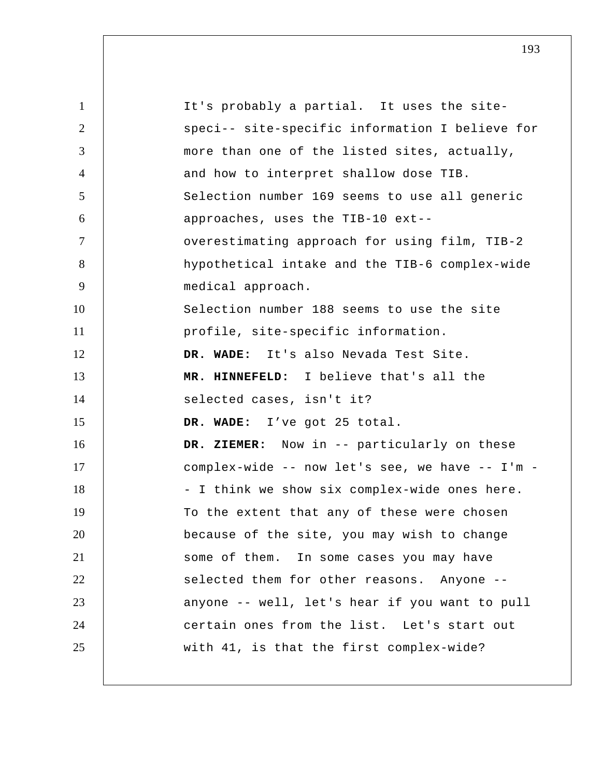1 2 3 4 5 6 7 8 9 10 11 12 13 14 15 16 17 18 19 20 21 22 23 24 25 It's probably a partial. It uses the sitespeci-- site-specific information I believe for more than one of the listed sites, actually, and how to interpret shallow dose TIB. Selection number 169 seems to use all generic approaches, uses the TIB-10 ext- overestimating approach for using film, TIB-2 hypothetical intake and the TIB-6 complex-wide medical approach. Selection number 188 seems to use the site profile, site-specific information.  **DR. WADE:** It's also Nevada Test Site.  **MR. HINNEFELD:** I believe that's all the selected cases, isn't it?  **DR. WADE:** I've got 25 total.  **DR. ZIEMER:** Now in -- particularly on these complex-wide -- now let's see, we have -- I'm - I think we show six complex-wide ones here. To the extent that any of these were chosen because of the site, you may wish to change some of them. In some cases you may have selected them for other reasons. Anyone -anyone -- well, let's hear if you want to pull certain ones from the list. Let's start out with 41, is that the first complex-wide?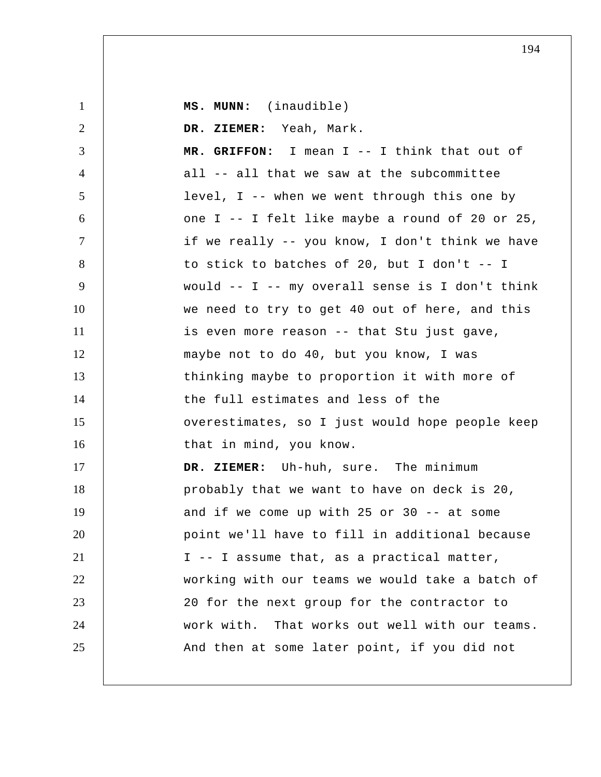1 2 3 4 5 6 7 8 9 10 11 12 13 14 15 16 17 18 19 20 21 22 23 24 25  **MS. MUNN:** (inaudible)  **DR. ZIEMER:** Yeah, Mark.  **MR. GRIFFON:** I mean I -- I think that out of all -- all that we saw at the subcommittee level, I -- when we went through this one by one I -- I felt like maybe a round of 20 or 25, if we really -- you know, I don't think we have to stick to batches of 20, but I don't -- I would -- I -- my overall sense is I don't think we need to try to get 40 out of here, and this is even more reason -- that Stu just gave, maybe not to do 40, but you know, I was thinking maybe to proportion it with more of the full estimates and less of the overestimates, so I just would hope people keep that in mind, you know.  **DR. ZIEMER:** Uh-huh, sure. The minimum probably that we want to have on deck is 20, and if we come up with 25 or 30 -- at some point we'll have to fill in additional because I -- I assume that, as a practical matter, working with our teams we would take a batch of 20 for the next group for the contractor to work with. That works out well with our teams. And then at some later point, if you did not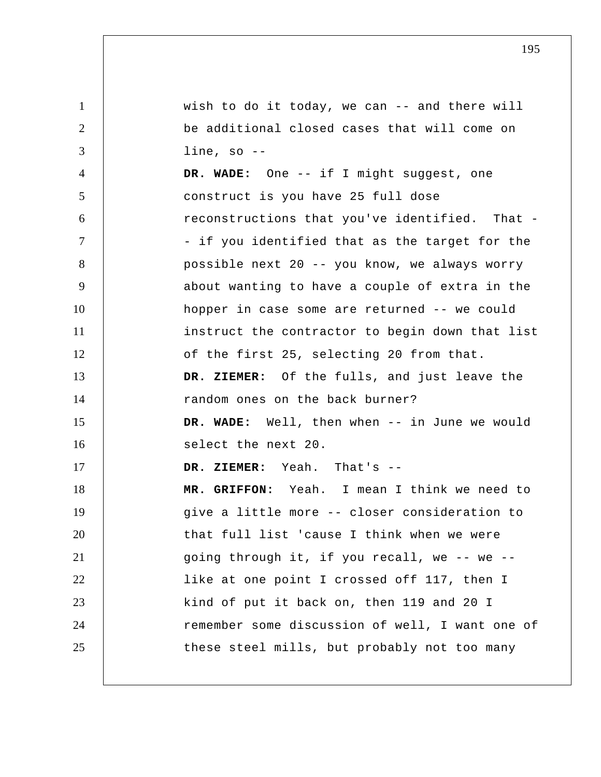1 2 3 4 5 6 7 8 9 10 11 12 13 14 15 16 17 18 19 20 21 22 23 24 25 wish to do it today, we can -- and there will be additional closed cases that will come on line, so --  **DR. WADE:** One -- if I might suggest, one construct is you have 25 full dose reconstructions that you've identified. That - if you identified that as the target for the possible next 20 -- you know, we always worry about wanting to have a couple of extra in the hopper in case some are returned -- we could instruct the contractor to begin down that list of the first 25, selecting 20 from that.  **DR. ZIEMER:** Of the fulls, and just leave the random ones on the back burner?  **DR. WADE:** Well, then when -- in June we would select the next 20.  **DR. ZIEMER:** Yeah. That's -- **MR. GRIFFON:** Yeah. I mean I think we need to give a little more -- closer consideration to that full list 'cause I think when we were going through it, if you recall, we -- we - like at one point I crossed off 117, then I kind of put it back on, then 119 and 20 I remember some discussion of well, I want one of these steel mills, but probably not too many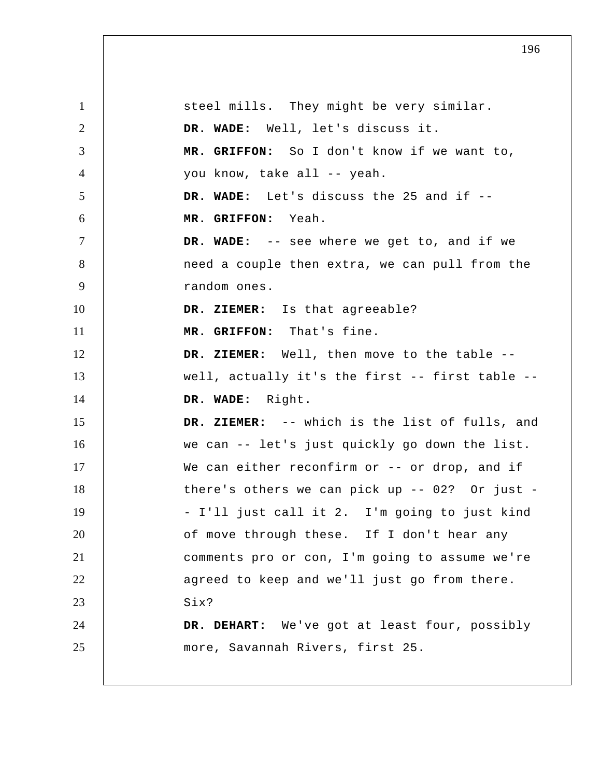1 2 3 4 5 6 7 8 9 10 11 12 13 14 15 16 17 18 19 20 21 22 23 24 25 steel mills. They might be very similar.  **DR. WADE:** Well, let's discuss it.  **MR. GRIFFON:** So I don't know if we want to, you know, take all -- yeah.  **DR. WADE:** Let's discuss the 25 and if --  **MR. GRIFFON:** Yeah.  **DR. WADE:** -- see where we get to, and if we need a couple then extra, we can pull from the random ones.  **DR. ZIEMER:** Is that agreeable?  **MR. GRIFFON:** That's fine.  **DR. ZIEMER:** Well, then move to the table - well, actually it's the first -- first table --  **DR. WADE:** Right.  **DR. ZIEMER:** -- which is the list of fulls, and we can -- let's just quickly go down the list. We can either reconfirm or -- or drop, and if there's others we can pick up  $--$  02? Or just  $-$ - I'll just call it 2. I'm going to just kind of move through these. If I don't hear any comments pro or con, I'm going to assume we're agreed to keep and we'll just go from there. Six?  **DR. DEHART:** We've got at least four, possibly more, Savannah Rivers, first 25.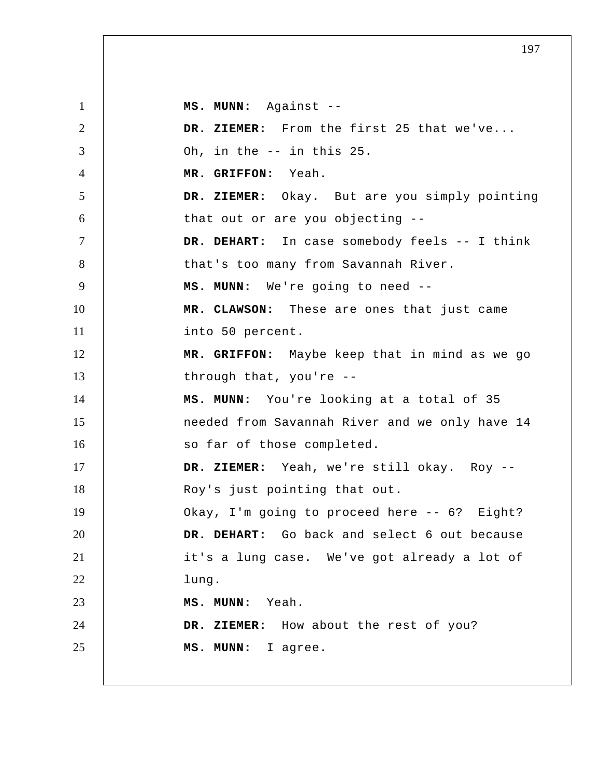1 2 3 4 5 6 7 8 9 10 11 12 13 14 15 16 17 18 19 20 21 22 23 24 25  **MS. MUNN:** Against -- **DR. ZIEMER:** From the first 25 that we've... Oh, in the -- in this 25.  **MR. GRIFFON:** Yeah.  **DR. ZIEMER:** Okay. But are you simply pointing that out or are you objecting --  **DR. DEHART:** In case somebody feels -- I think that's too many from Savannah River.  **MS. MUNN:** We're going to need -- **MR. CLAWSON:** These are ones that just came into 50 percent.  **MR. GRIFFON:** Maybe keep that in mind as we go through that, you're --  **MS. MUNN:** You're looking at a total of 35 needed from Savannah River and we only have 14 so far of those completed.  **DR. ZIEMER:** Yeah, we're still okay. Roy --Roy's just pointing that out. Okay, I'm going to proceed here -- 6? Eight?  **DR. DEHART:** Go back and select 6 out because it's a lung case. We've got already a lot of lung.  **MS. MUNN:** Yeah.  **DR. ZIEMER:** How about the rest of you?  **MS. MUNN:** I agree.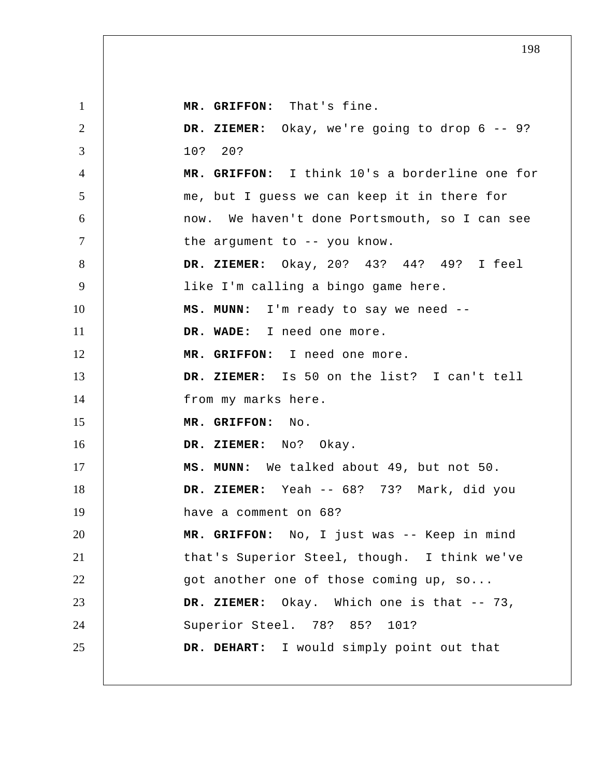1 2 3 4 5 6 7 8 9 10 11 12 13 14 15 16 17 18 19 20 21 22 23 24 25  **MR. GRIFFON:** That's fine.  **DR. ZIEMER:** Okay, we're going to drop 6 -- 9? 10? 20?  **MR. GRIFFON:** I think 10's a borderline one for me, but I guess we can keep it in there for now. We haven't done Portsmouth, so I can see the argument to -- you know.  **DR. ZIEMER:** Okay, 20? 43? 44? 49? I feel like I'm calling a bingo game here.  **MS. MUNN:** I'm ready to say we need --  **DR. WADE:** I need one more.  **MR. GRIFFON:** I need one more.  **DR. ZIEMER:** Is 50 on the list? I can't tell from my marks here.  **MR. GRIFFON:** No.  **DR. ZIEMER:** No? Okay.  **MS. MUNN:** We talked about 49, but not 50.  **DR. ZIEMER:** Yeah -- 68? 73? Mark, did you have a comment on 68?  **MR. GRIFFON:** No, I just was -- Keep in mind that's Superior Steel, though. I think we've got another one of those coming up, so...  **DR. ZIEMER:** Okay. Which one is that -- 73, Superior Steel. 78? 85? 101?  **DR. DEHART:** I would simply point out that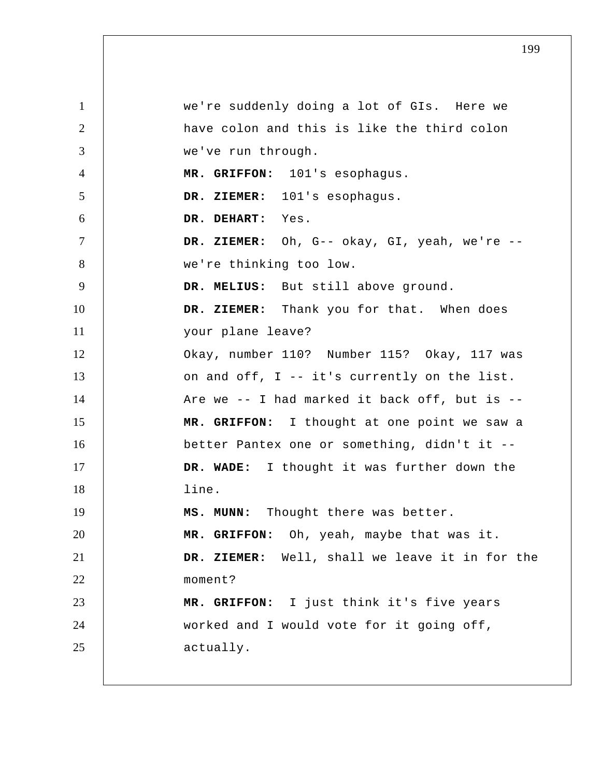1 2 3 4 5 6 7 8 9 10 11 12 13 14 15 16 17 18 19 20 21 22 23 24 25 we're suddenly doing a lot of GIs. Here we have colon and this is like the third colon we've run through.  **MR. GRIFFON:** 101's esophagus.  **DR. ZIEMER:** 101's esophagus.  **DR. DEHART:** Yes.  **DR. ZIEMER:** Oh, G-- okay, GI, yeah, we're - we're thinking too low.  **DR. MELIUS:** But still above ground.  **DR. ZIEMER:** Thank you for that. When does your plane leave? Okay, number 110? Number 115? Okay, 117 was on and off, I -- it's currently on the list. Are we -- I had marked it back off, but is --  **MR. GRIFFON:** I thought at one point we saw a better Pantex one or something, didn't it --  **DR. WADE:** I thought it was further down the line.  **MS. MUNN:** Thought there was better.  **MR. GRIFFON:** Oh, yeah, maybe that was it.  **DR. ZIEMER:** Well, shall we leave it in for the moment?  **MR. GRIFFON:** I just think it's five years worked and I would vote for it going off, actually.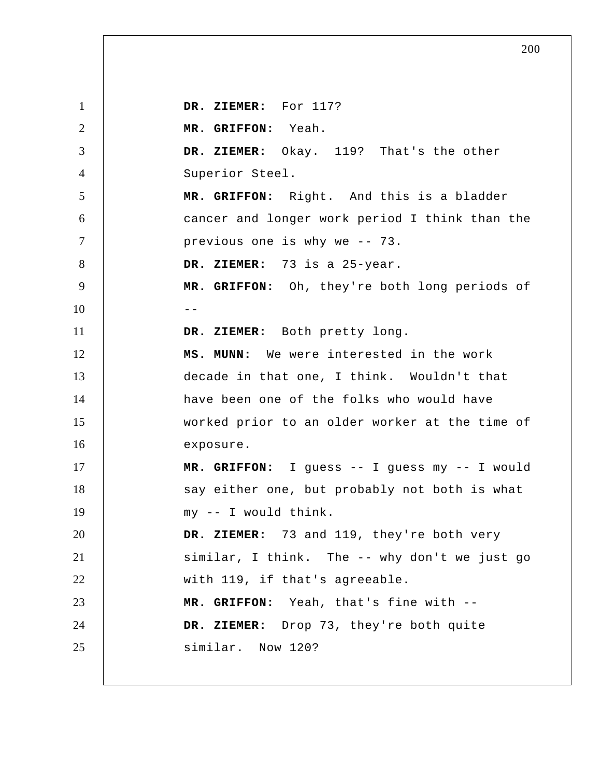1 2 3 4 5 6 7 8 9  $10$  --11 12 13 14 15 16 17 18 19 20 21 22 23 24 25  **DR. ZIEMER:** For 117?  **MR. GRIFFON:** Yeah.  **DR. ZIEMER:** Okay. 119? That's the other Superior Steel.  **MR. GRIFFON:** Right. And this is a bladder cancer and longer work period I think than the previous one is why we -- 73.  **DR. ZIEMER:** 73 is a 25-year.  **MR. GRIFFON:** Oh, they're both long periods of  **DR. ZIEMER:** Both pretty long.  **MS. MUNN:** We were interested in the work decade in that one, I think. Wouldn't that have been one of the folks who would have worked prior to an older worker at the time of exposure.  **MR. GRIFFON:** I guess -- I guess my -- I would say either one, but probably not both is what my -- I would think.  **DR. ZIEMER:** 73 and 119, they're both very similar, I think. The -- why don't we just go with 119, if that's agreeable.  **MR. GRIFFON:** Yeah, that's fine with --  **DR. ZIEMER:** Drop 73, they're both quite similar. Now 120?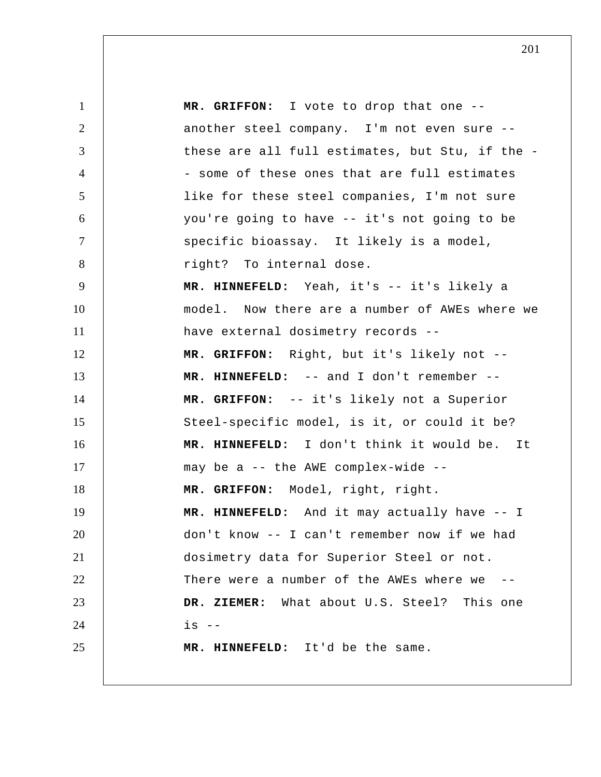1 2 3 4 5 6 7 8 9 10 11 12 13 14 15 16 17 18 19 20 21 22 23 24 25  **MR. GRIFFON:** I vote to drop that one - another steel company. I'm not even sure - these are all full estimates, but Stu, if the - some of these ones that are full estimates like for these steel companies, I'm not sure you're going to have -- it's not going to be specific bioassay. It likely is a model, right? To internal dose.  **MR. HINNEFELD:** Yeah, it's -- it's likely a model. Now there are a number of AWEs where we have external dosimetry records --  **MR. GRIFFON:** Right, but it's likely not --  **MR. HINNEFELD:** -- and I don't remember --  **MR. GRIFFON:** -- it's likely not a Superior Steel-specific model, is it, or could it be?  **MR. HINNEFELD:** I don't think it would be. It may be a -- the AWE complex-wide --  **MR. GRIFFON:** Model, right, right.  **MR. HINNEFELD:** And it may actually have -- I don't know -- I can't remember now if we had dosimetry data for Superior Steel or not. There were a number of the AWEs where we  **DR. ZIEMER:** What about U.S. Steel? This one  $is$   $--$  **MR. HINNEFELD:** It'd be the same.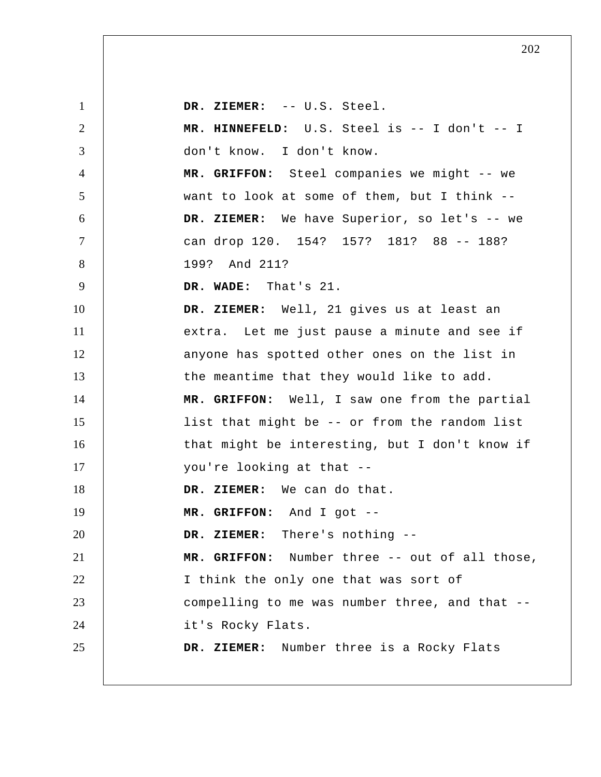1 2 3 4 5 6 7 8 9 10 11 12 13 14 15 16 17 18 19 20 21 22 23 24 25  **DR. ZIEMER:** -- U.S. Steel.  **MR. HINNEFELD:** U.S. Steel is -- I don't -- I don't know. I don't know.  **MR. GRIFFON:** Steel companies we might -- we want to look at some of them, but I think --  **DR. ZIEMER:** We have Superior, so let's -- we can drop 120. 154? 157? 181? 88 -- 188? 199? And 211?  **DR. WADE:** That's 21.  **DR. ZIEMER:** Well, 21 gives us at least an extra. Let me just pause a minute and see if anyone has spotted other ones on the list in the meantime that they would like to add.  **MR. GRIFFON:** Well, I saw one from the partial list that might be -- or from the random list that might be interesting, but I don't know if you're looking at that --  **DR. ZIEMER:** We can do that.  **MR. GRIFFON:** And I got -- **DR. ZIEMER:** There's nothing -- **MR. GRIFFON:** Number three -- out of all those, I think the only one that was sort of compelling to me was number three, and that - it's Rocky Flats.  **DR. ZIEMER:** Number three is a Rocky Flats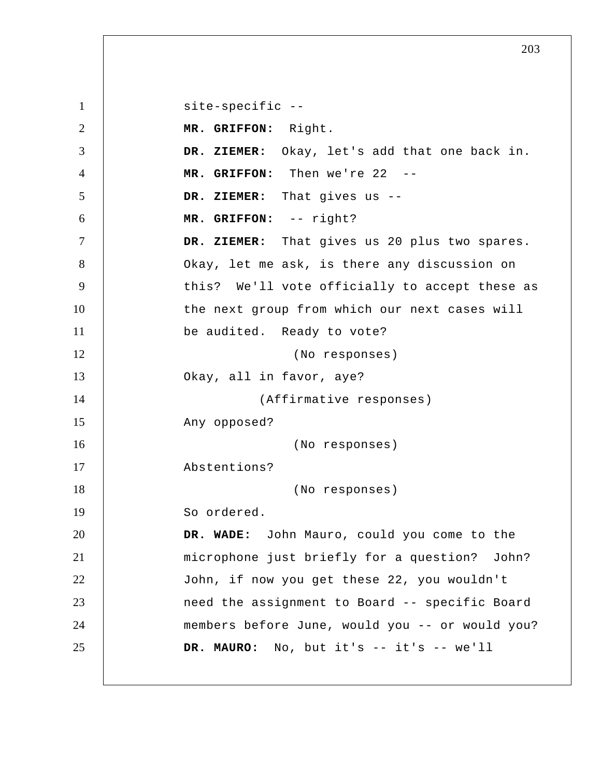1 2 3 4 5 6 7 8 9 10 11 12 13 14 15 16 17 18 19 20 21 22 23 24 25 site-specific -- **MR. GRIFFON:** Right.  **DR. ZIEMER:** Okay, let's add that one back in.  **MR. GRIFFON:** Then we're 22 -- **DR. ZIEMER:** That gives us -- **MR. GRIFFON:** -- right?  **DR. ZIEMER:** That gives us 20 plus two spares. Okay, let me ask, is there any discussion on this? We'll vote officially to accept these as the next group from which our next cases will be audited. Ready to vote? (No responses) Okay, all in favor, aye? (Affirmative responses) Any opposed? (No responses) Abstentions? (No responses) So ordered.  **DR. WADE:** John Mauro, could you come to the microphone just briefly for a question? John? John, if now you get these 22, you wouldn't need the assignment to Board -- specific Board members before June, would you -- or would you? **DR. MAURO:** No, but it's -- it's -- we'll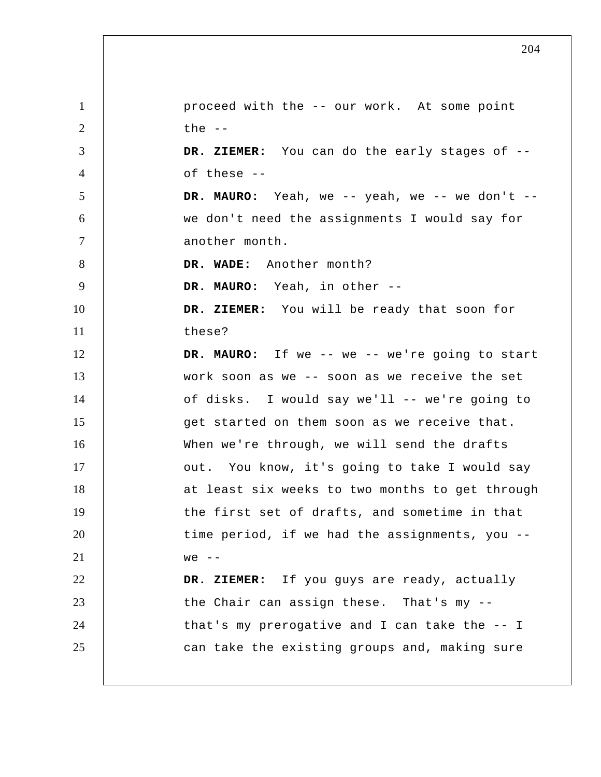1 2 3 4 5 6 7 8 9 10 11 12 13 14 15 16 17 18 19 20 21 22 23 24 25 proceed with the -- our work. At some point the  $--$  **DR. ZIEMER:** You can do the early stages of - of these --**DR. MAURO:** Yeah, we -- yeah, we -- we don't - we don't need the assignments I would say for another month.  **DR. WADE:** Another month? **DR. MAURO:** Yeah, in other -- **DR. ZIEMER:** You will be ready that soon for these? **DR. MAURO:** If we -- we -- we're going to start work soon as we -- soon as we receive the set of disks. I would say we'll -- we're going to get started on them soon as we receive that. When we're through, we will send the drafts out. You know, it's going to take I would say at least six weeks to two months to get through the first set of drafts, and sometime in that time period, if we had the assignments, you -  $we$  -- **DR. ZIEMER:** If you guys are ready, actually the Chair can assign these. That's my -that's my prerogative and I can take the -- I can take the existing groups and, making sure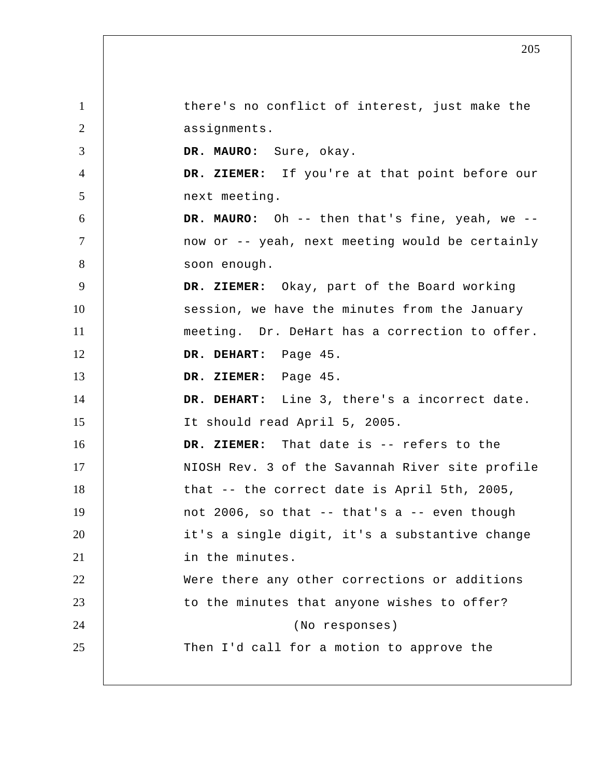1 2 3 4 5 6 7 8 9 10 11 12 13 14 15 16 17 18 19 20 21 22 23 24 25 there's no conflict of interest, just make the assignments. **DR. MAURO:** Sure, okay.  **DR. ZIEMER:** If you're at that point before our next meeting. **DR. MAURO:** Oh -- then that's fine, yeah, we - now or -- yeah, next meeting would be certainly soon enough.  **DR. ZIEMER:** Okay, part of the Board working session, we have the minutes from the January meeting. Dr. DeHart has a correction to offer.  **DR. DEHART:** Page 45.  **DR. ZIEMER:** Page 45.  **DR. DEHART:** Line 3, there's a incorrect date. It should read April 5, 2005.  **DR. ZIEMER:** That date is -- refers to the NIOSH Rev. 3 of the Savannah River site profile that -- the correct date is April 5th, 2005, not 2006, so that -- that's a -- even though it's a single digit, it's a substantive change in the minutes. Were there any other corrections or additions to the minutes that anyone wishes to offer? (No responses) Then I'd call for a motion to approve the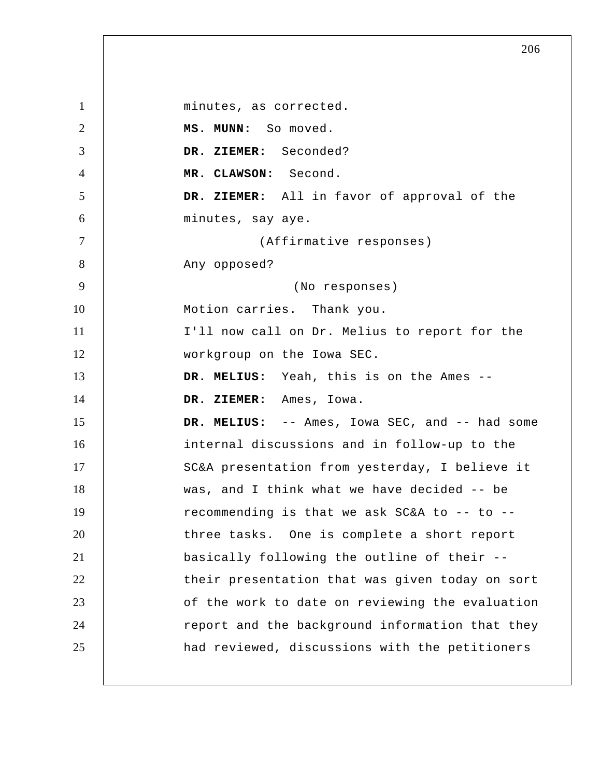1 2 3 4 5 6 7 8 9 10 11 12 13 14 15 16 17 18 19 20 21 22 23 24 25 minutes, as corrected.  **MS. MUNN:** So moved.  **DR. ZIEMER:** Seconded?  **MR. CLAWSON:** Second.  **DR. ZIEMER:** All in favor of approval of the minutes, say aye. (Affirmative responses) Any opposed? (No responses) Motion carries. Thank you. I'll now call on Dr. Melius to report for the workgroup on the Iowa SEC.  **DR. MELIUS:** Yeah, this is on the Ames --  **DR. ZIEMER:** Ames, Iowa.  **DR. MELIUS:** -- Ames, Iowa SEC, and -- had some internal discussions and in follow-up to the SC&A presentation from yesterday, I believe it was, and I think what we have decided -- be recommending is that we ask SC&A to -- to - three tasks. One is complete a short report basically following the outline of their - their presentation that was given today on sort of the work to date on reviewing the evaluation report and the background information that they had reviewed, discussions with the petitioners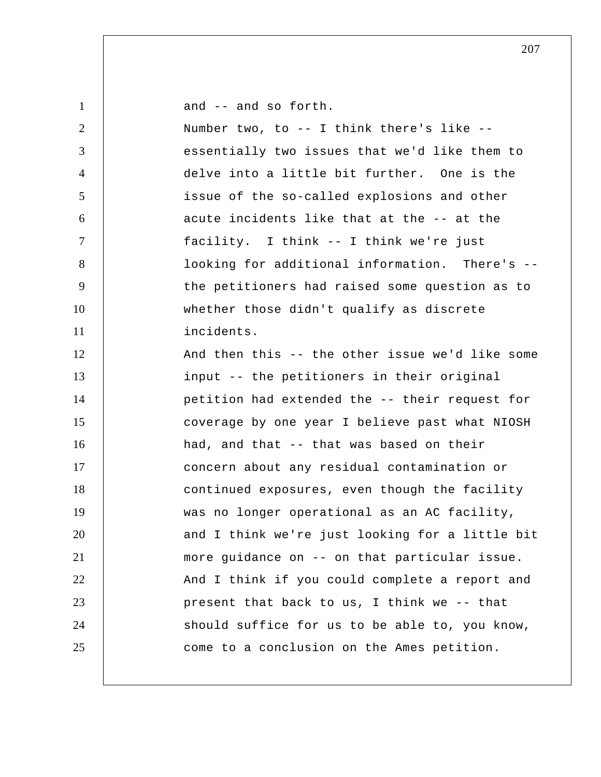| $\mathbf{1}$   | and -- and so forth.                            |
|----------------|-------------------------------------------------|
| $\overline{2}$ | Number two, to -- I think there's like --       |
| 3              | essentially two issues that we'd like them to   |
| $\overline{4}$ | delve into a little bit further. One is the     |
| 5              | issue of the so-called explosions and other     |
| 6              | acute incidents like that at the -- at the      |
| $\tau$         | facility. I think -- I think we're just         |
| 8              | looking for additional information. There's --  |
| 9              | the petitioners had raised some question as to  |
| 10             | whether those didn't qualify as discrete        |
| 11             | incidents.                                      |
| 12             | And then this -- the other issue we'd like some |
| 13             | input -- the petitioners in their original      |
| 14             | petition had extended the -- their request for  |
| 15             | coverage by one year I believe past what NIOSH  |
| 16             | had, and that -- that was based on their        |
| 17             | concern about any residual contamination or     |
| 18             | continued exposures, even though the facility   |
| 19             | was no longer operational as an AC facility,    |
| 20             | and I think we're just looking for a little bit |
| 21             | more guidance on -- on that particular issue.   |
| 22             | And I think if you could complete a report and  |
| 23             | present that back to us, I think we -- that     |
| 24             | should suffice for us to be able to, you know,  |
| 25             | come to a conclusion on the Ames petition.      |
|                |                                                 |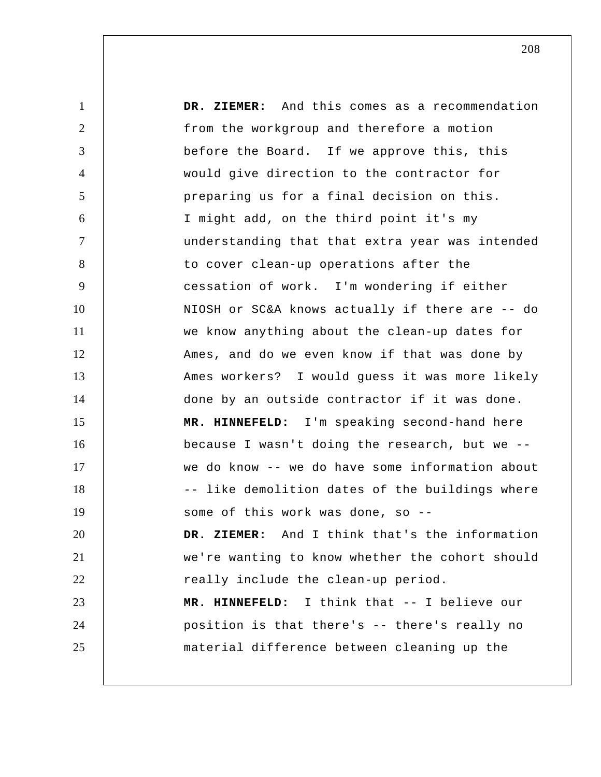1 2 3 4 5 6 7 8 9 10 11 12 13 14 15 16 17 18 19 20 21 22 23 24 25  **DR. ZIEMER:** And this comes as a recommendation from the workgroup and therefore a motion before the Board. If we approve this, this would give direction to the contractor for preparing us for a final decision on this. I might add, on the third point it's my understanding that that extra year was intended to cover clean-up operations after the cessation of work. I'm wondering if either NIOSH or SC&A knows actually if there are -- do we know anything about the clean-up dates for Ames, and do we even know if that was done by Ames workers? I would guess it was more likely done by an outside contractor if it was done.  **MR. HINNEFELD:** I'm speaking second-hand here because I wasn't doing the research, but we - we do know -- we do have some information about -- like demolition dates of the buildings where some of this work was done, so -- **DR. ZIEMER:** And I think that's the information we're wanting to know whether the cohort should really include the clean-up period.  **MR. HINNEFELD:** I think that -- I believe our position is that there's -- there's really no material difference between cleaning up the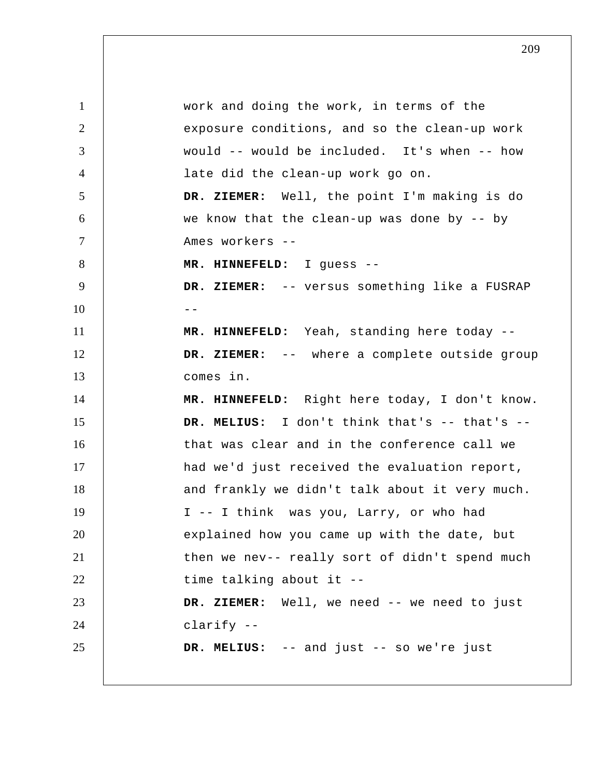1 2 3 4 5 6 7 8 9  $10$  --11 12 13 14 15 16 17 18 19 20 21 22 23 24 25 work and doing the work, in terms of the exposure conditions, and so the clean-up work would -- would be included. It's when -- how late did the clean-up work go on.  **DR. ZIEMER:** Well, the point I'm making is do we know that the clean-up was done by -- by Ames workers -- **MR. HINNEFELD:** I guess -- **DR. ZIEMER:** -- versus something like a FUSRAP  **MR. HINNEFELD:** Yeah, standing here today --  **DR. ZIEMER:** -- where a complete outside group comes in.  **MR. HINNEFELD:** Right here today, I don't know.  **DR. MELIUS:** I don't think that's -- that's - that was clear and in the conference call we had we'd just received the evaluation report, and frankly we didn't talk about it very much. I -- I think was you, Larry, or who had explained how you came up with the date, but then we nev-- really sort of didn't spend much time talking about it --  **DR. ZIEMER:** Well, we need -- we need to just clarify --  **DR. MELIUS:** -- and just -- so we're just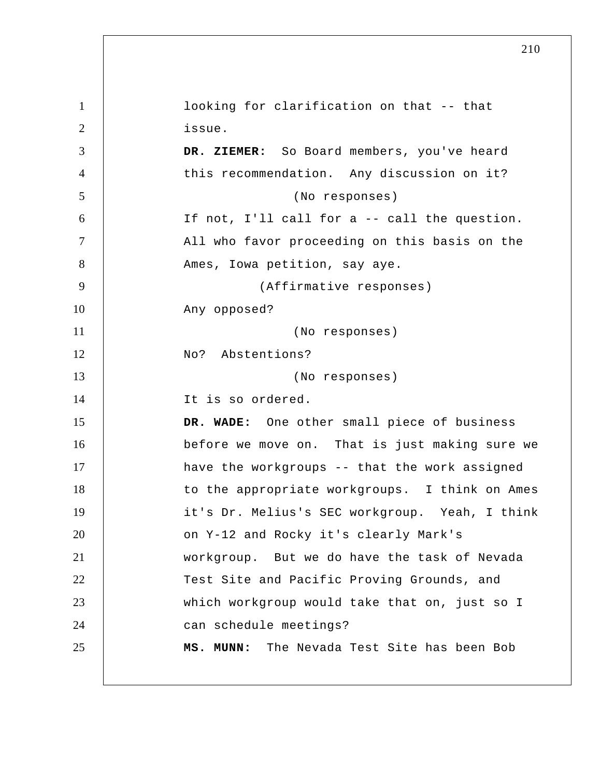1 2 3 4 5 6 7 8 9 10 11 12 13 14 15 16 17 18 19 20 21 22 23 24 25 looking for clarification on that -- that issue.  **DR. ZIEMER:** So Board members, you've heard this recommendation. Any discussion on it? (No responses) If not, I'll call for a -- call the question. All who favor proceeding on this basis on the Ames, Iowa petition, say aye. (Affirmative responses) Any opposed? (No responses) No? Abstentions? (No responses) It is so ordered.  **DR. WADE:** One other small piece of business before we move on. That is just making sure we have the workgroups -- that the work assigned to the appropriate workgroups. I think on Ames it's Dr. Melius's SEC workgroup. Yeah, I think on Y-12 and Rocky it's clearly Mark's workgroup. But we do have the task of Nevada Test Site and Pacific Proving Grounds, and which workgroup would take that on, just so I can schedule meetings?  **MS. MUNN:** The Nevada Test Site has been Bob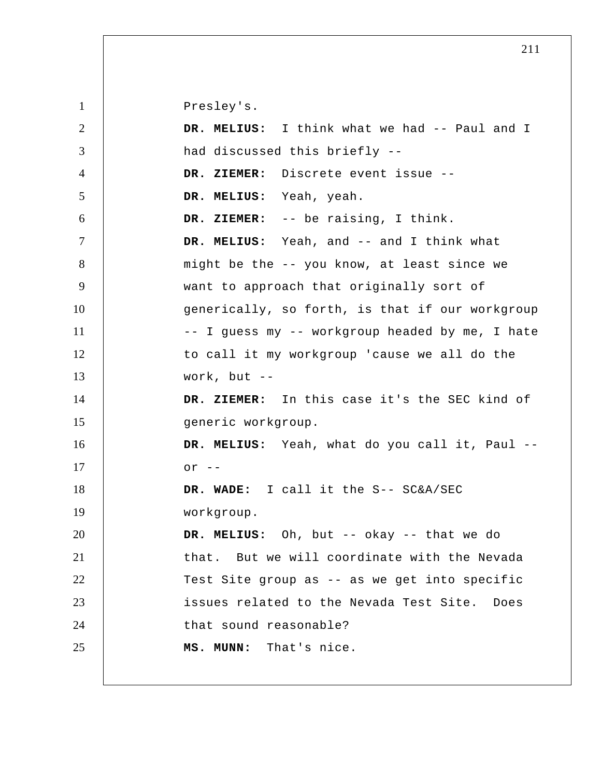| $\mathbf{1}$   | Presley's.                                      |
|----------------|-------------------------------------------------|
| 2              | DR. MELIUS: I think what we had -- Paul and I   |
| 3              | had discussed this briefly --                   |
| 4              | DR. ZIEMER: Discrete event issue --             |
| 5              | DR. MELIUS: Yeah, yeah.                         |
| 6              | DR. ZIEMER: -- be raising, I think.             |
| $\overline{7}$ | DR. MELIUS: Yeah, and -- and I think what       |
| 8              | might be the -- you know, at least since we     |
| 9              | want to approach that originally sort of        |
| 10             | generically, so forth, is that if our workgroup |
| 11             | -- I guess my -- workgroup headed by me, I hate |
| 12             | to call it my workgroup 'cause we all do the    |
| 13             | work, but $--$                                  |
| 14             | DR. ZIEMER: In this case it's the SEC kind of   |
|                |                                                 |
| 15             | generic workgroup.                              |
| 16             | DR. MELIUS: Yeah, what do you call it, Paul --  |
| 17             | $or --$                                         |
| 18             | DR. WADE: I call it the S-- SC&A/SEC            |
| 19             | workgroup.                                      |
| 20             | DR. MELIUS: Oh, but -- okay -- that we do       |
| 21             | that. But we will coordinate with the Nevada    |
| 22             | Test Site group as -- as we get into specific   |
| 23             | issues related to the Nevada Test Site. Does    |
| 24             | that sound reasonable?                          |
| 25             | MS. MUNN: That's nice.                          |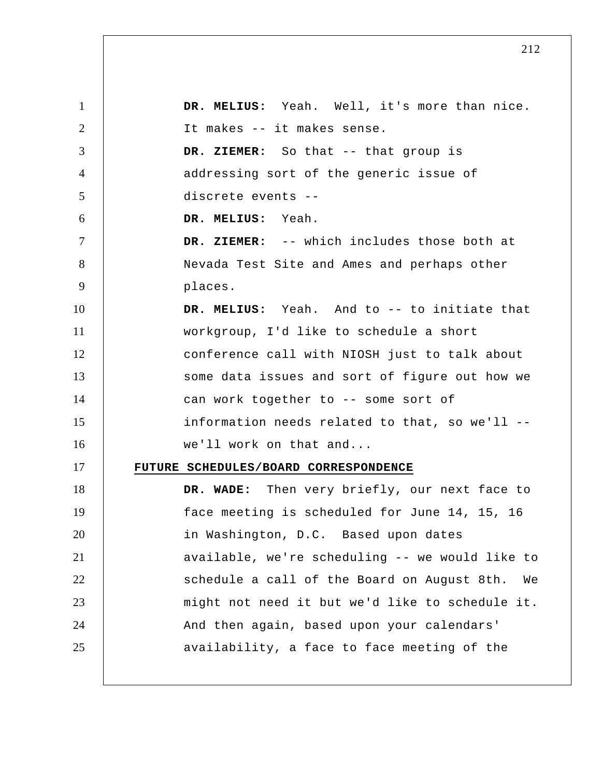1 2 3 4 5 6 7 8 9 10 11 12 13 14 15 16 17 18 19 20 21 22 23 24 25  **DR. MELIUS:** Yeah. Well, it's more than nice. It makes -- it makes sense.  **DR. ZIEMER:** So that -- that group is addressing sort of the generic issue of discrete events -- **DR. MELIUS:** Yeah.  **DR. ZIEMER:** -- which includes those both at Nevada Test Site and Ames and perhaps other places.  **DR. MELIUS:** Yeah. And to -- to initiate that workgroup, I'd like to schedule a short conference call with NIOSH just to talk about some data issues and sort of figure out how we can work together to -- some sort of information needs related to that, so we'll - we'll work on that and... **FUTURE SCHEDULES/BOARD CORRESPONDENCE DR. WADE:** Then very briefly, our next face to face meeting is scheduled for June 14, 15, 16 in Washington, D.C. Based upon dates available, we're scheduling -- we would like to schedule a call of the Board on August 8th. We might not need it but we'd like to schedule it. And then again, based upon your calendars' availability, a face to face meeting of the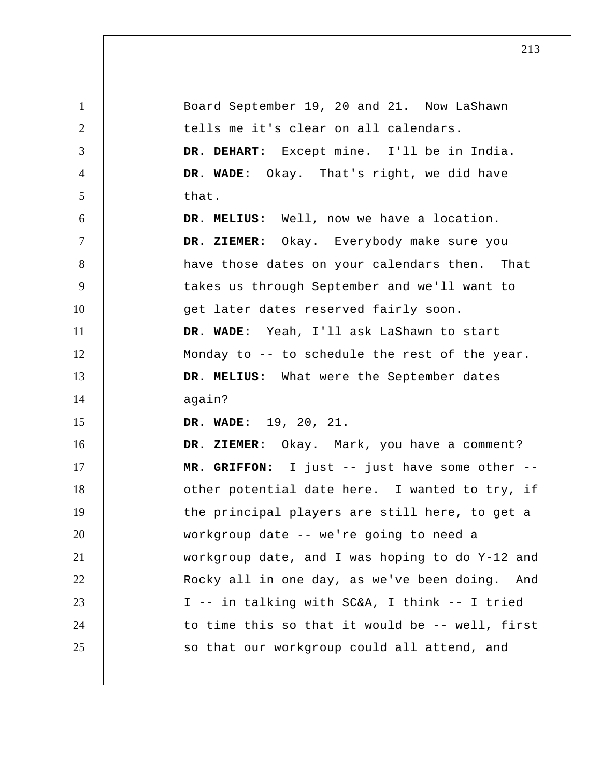1 2 3 4 5 6 7 8 9 10 11 12 13 14 15 16 17 18 19 20 21 22 23 24 25 Board September 19, 20 and 21. Now LaShawn tells me it's clear on all calendars.  **DR. DEHART:** Except mine. I'll be in India.  **DR. WADE:** Okay. That's right, we did have that.  **DR. MELIUS:** Well, now we have a location.  **DR. ZIEMER:** Okay. Everybody make sure you have those dates on your calendars then. That takes us through September and we'll want to get later dates reserved fairly soon.  **DR. WADE:** Yeah, I'll ask LaShawn to start Monday to -- to schedule the rest of the year.  **DR. MELIUS:** What were the September dates again?  **DR. WADE:** 19, 20, 21.  **DR. ZIEMER:** Okay. Mark, you have a comment?  **MR. GRIFFON:** I just -- just have some other - other potential date here. I wanted to try, if the principal players are still here, to get a workgroup date -- we're going to need a workgroup date, and I was hoping to do Y-12 and Rocky all in one day, as we've been doing. And I -- in talking with SC&A, I think -- I tried to time this so that it would be -- well, first so that our workgroup could all attend, and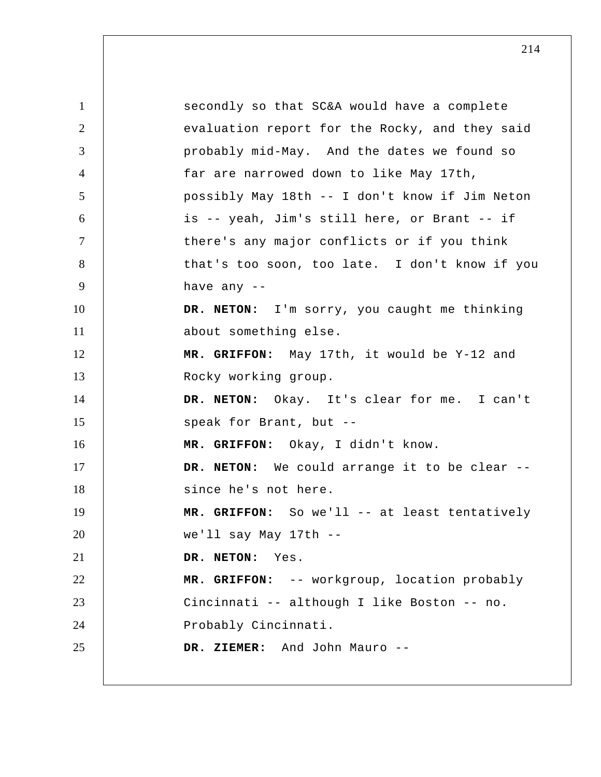1 2 3 4 5 6 7 8 9 10 11 12 13 14 15 16 17 18 19 20 21 22 23 24 25 secondly so that SC&A would have a complete evaluation report for the Rocky, and they said probably mid-May. And the dates we found so far are narrowed down to like May 17th, possibly May 18th -- I don't know if Jim Neton is -- yeah, Jim's still here, or Brant -- if there's any major conflicts or if you think that's too soon, too late. I don't know if you have any --**DR. NETON:** I'm sorry, you caught me thinking about something else.  **MR. GRIFFON:** May 17th, it would be Y-12 and Rocky working group. **DR. NETON:** Okay. It's clear for me. I can't speak for Brant, but --  **MR. GRIFFON:** Okay, I didn't know. **DR. NETON:** We could arrange it to be clear - since he's not here.  **MR. GRIFFON:** So we'll -- at least tentatively we'll say May 17th -- **DR. NETON:** Yes.  **MR. GRIFFON:** -- workgroup, location probably Cincinnati -- although I like Boston -- no. Probably Cincinnati.  **DR. ZIEMER:** And John Mauro --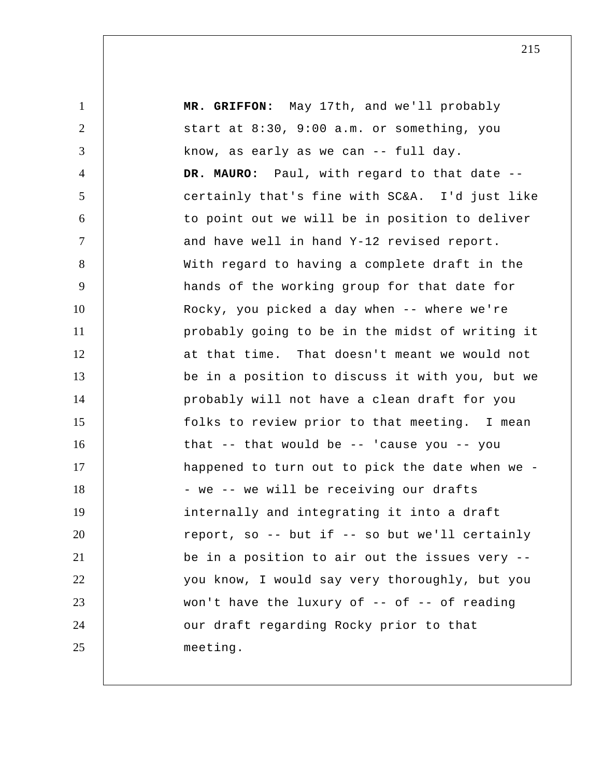1 2 3 4 5 6 7 8 9 10 11 12 13 14 15 16 17 18 19 20 21 22 23 24 25  **MR. GRIFFON:** May 17th, and we'll probably start at 8:30, 9:00 a.m. or something, you know, as early as we can -- full day. **DR. MAURO:** Paul, with regard to that date - certainly that's fine with SC&A. I'd just like to point out we will be in position to deliver and have well in hand Y-12 revised report. With regard to having a complete draft in the hands of the working group for that date for Rocky, you picked a day when -- where we're probably going to be in the midst of writing it at that time. That doesn't meant we would not be in a position to discuss it with you, but we probably will not have a clean draft for you folks to review prior to that meeting. I mean that -- that would be -- 'cause you -- you happened to turn out to pick the date when we - we -- we will be receiving our drafts internally and integrating it into a draft report, so -- but if -- so but we'll certainly be in a position to air out the issues very - you know, I would say very thoroughly, but you won't have the luxury of  $-$ - of  $-$ - of reading our draft regarding Rocky prior to that meeting.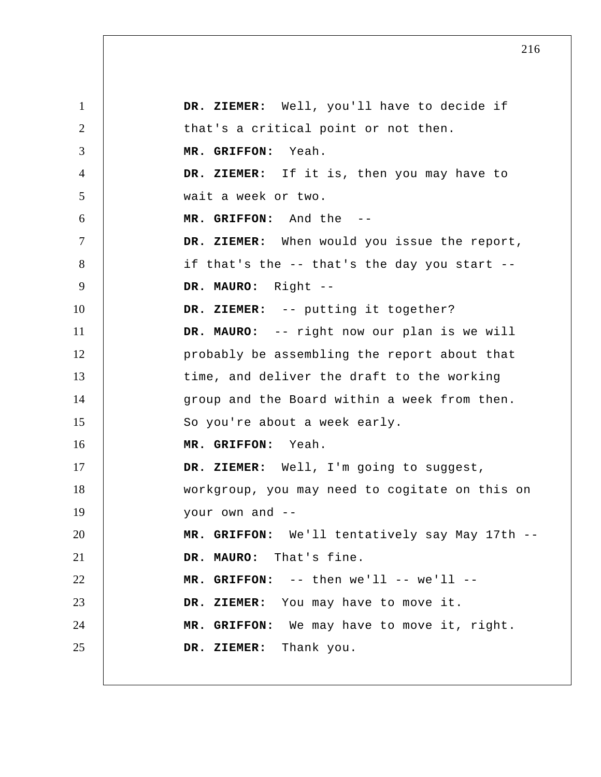1 2 3 4 5 6 7 8 9 10 11 12 13 14 15 16 17 18 19 20 21 22 23 24 25  **DR. ZIEMER:** Well, you'll have to decide if that's a critical point or not then.  **MR. GRIFFON:** Yeah.  **DR. ZIEMER:** If it is, then you may have to wait a week or two.  **MR. GRIFFON:** And the -- **DR. ZIEMER:** When would you issue the report, if that's the -- that's the day you start -- **DR. MAURO:** Right -- **DR. ZIEMER:** -- putting it together? **DR. MAURO:** -- right now our plan is we will probably be assembling the report about that time, and deliver the draft to the working group and the Board within a week from then. So you're about a week early.  **MR. GRIFFON:** Yeah.  **DR. ZIEMER:** Well, I'm going to suggest, workgroup, you may need to cogitate on this on your own and -- **MR. GRIFFON:** We'll tentatively say May 17th -- **DR. MAURO:** That's fine.  $MR.$  GRIFFON:  $--$  then  $we'll$   $--$  we'll  $--$  **DR. ZIEMER:** You may have to move it.  **MR. GRIFFON:** We may have to move it, right.  **DR. ZIEMER:** Thank you.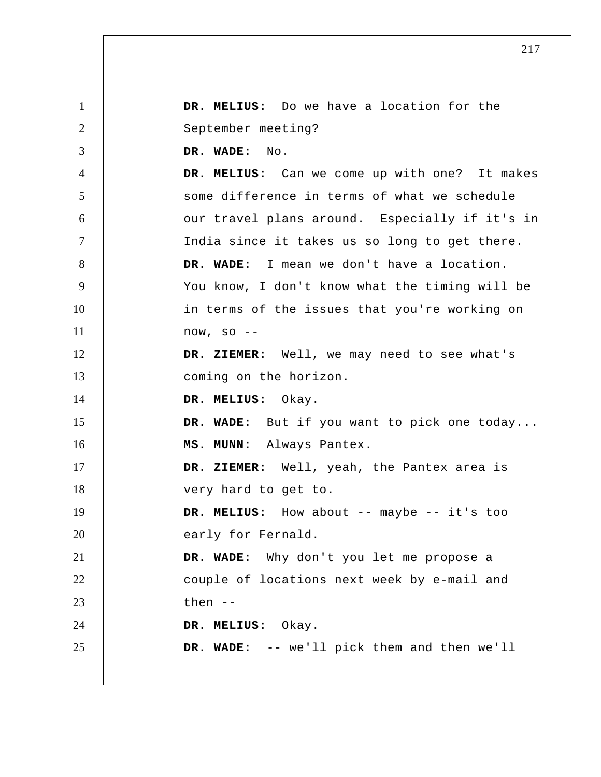1 2 3 4 5 6 7 8 9 10 11 12 13 14 15 16 17 18 19 20 21 22 23 24 25  **DR. MELIUS:** Do we have a location for the September meeting?  **DR. WADE:** No.  **DR. MELIUS:** Can we come up with one? It makes some difference in terms of what we schedule our travel plans around. Especially if it's in India since it takes us so long to get there.  **DR. WADE:** I mean we don't have a location. You know, I don't know what the timing will be in terms of the issues that you're working on now, so --  **DR. ZIEMER:** Well, we may need to see what's coming on the horizon.  **DR. MELIUS:** Okay.  **DR. WADE:** But if you want to pick one today...  **MS. MUNN:** Always Pantex.  **DR. ZIEMER:** Well, yeah, the Pantex area is very hard to get to.  **DR. MELIUS:** How about -- maybe -- it's too early for Fernald.  **DR. WADE:** Why don't you let me propose a couple of locations next week by e-mail and then -- **DR. MELIUS:** Okay.  **DR. WADE:** -- we'll pick them and then we'll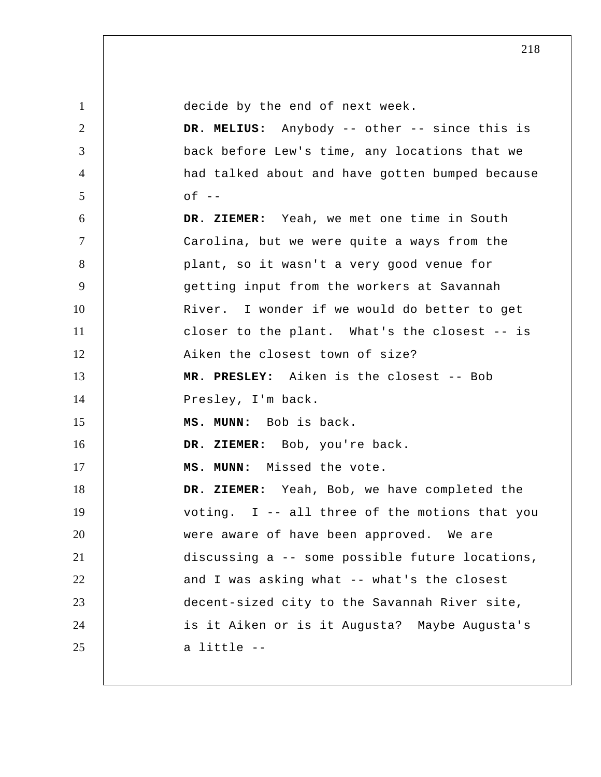| $\mathbf{1}$ | decide by the end of next week.                 |
|--------------|-------------------------------------------------|
| 2            | DR. MELIUS: Anybody -- other -- since this is   |
| 3            | back before Lew's time, any locations that we   |
| 4            | had talked about and have gotten bumped because |
| 5            | $of --$                                         |
| 6            | DR. ZIEMER: Yeah, we met one time in South      |
| $\tau$       | Carolina, but we were quite a ways from the     |
| 8            | plant, so it wasn't a very good venue for       |
| 9            | getting input from the workers at Savannah      |
| 10           | River. I wonder if we would do better to get    |
| 11           | closer to the plant. What's the closest -- is   |
| 12           | Aiken the closest town of size?                 |
| 13           | MR. PRESLEY: Aiken is the closest -- Bob        |
|              |                                                 |
| 14           | Presley, I'm back.                              |
| 15           | MS. MUNN: Bob is back.                          |
| 16           | DR. ZIEMER: Bob, you're back.                   |
| 17           | MS. MUNN: Missed the vote.                      |
| 18           | DR. ZIEMER: Yeah, Bob, we have completed the    |
| 19           | voting. I -- all three of the motions that you  |
| 20           | were aware of have been approved. We are        |
| 21           | discussing a -- some possible future locations, |
| 22           | and I was asking what -- what's the closest     |
| 23           | decent-sized city to the Savannah River site,   |
| 24           | is it Aiken or is it Augusta? Maybe Augusta's   |
| 25           | a little --                                     |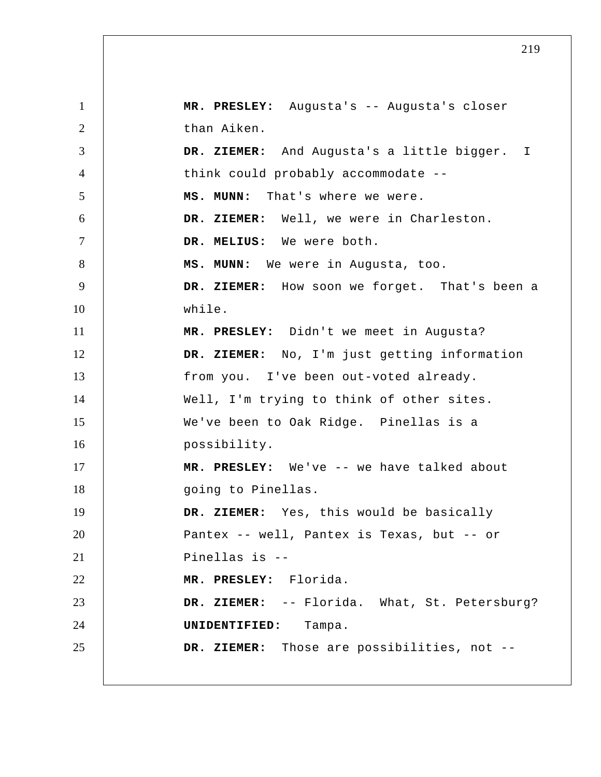1 2 3 4 5 6 7 8 9 10 11 12 13 14 15 16 17 18 19 20 21 22 23 24 25 DR. ZIEMER: And Augusta's a little bigger. I  **MR. PRESLEY:** Augusta's -- Augusta's closer than Aiken. think could probably accommodate --  **MS. MUNN:** That's where we were.  **DR. ZIEMER:** Well, we were in Charleston.  **DR. MELIUS:** We were both.  **MS. MUNN:** We were in Augusta, too.  **DR. ZIEMER:** How soon we forget. That's been a while.  **MR. PRESLEY:** Didn't we meet in Augusta?  **DR. ZIEMER:** No, I'm just getting information from you. I've been out-voted already. Well, I'm trying to think of other sites. We've been to Oak Ridge. Pinellas is a possibility.  **MR. PRESLEY:** We've -- we have talked about going to Pinellas.  **DR. ZIEMER:** Yes, this would be basically Pantex -- well, Pantex is Texas, but -- or Pinellas is -- **MR. PRESLEY:** Florida.  **DR. ZIEMER:** -- Florida. What, St. Petersburg? **UNIDENTIFIED:** Tampa.  **DR. ZIEMER:** Those are possibilities, not --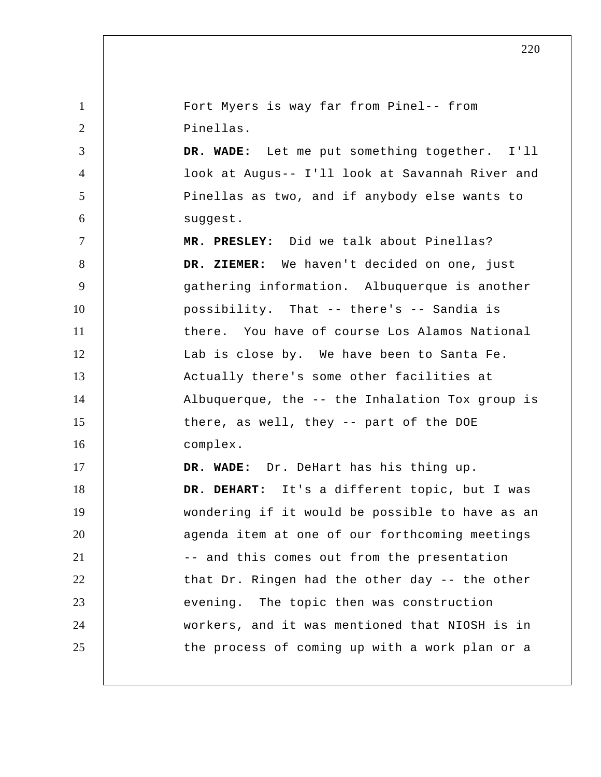1 2 3 4 5 6 7 8 9 10 11 12 13 14 15 16 17 18 19 20 21 22 23 24 25 Fort Myers is way far from Pinel-- from Pinellas.  **DR. WADE:** Let me put something together. I'll look at Augus-- I'll look at Savannah River and Pinellas as two, and if anybody else wants to suggest.  **MR. PRESLEY:** Did we talk about Pinellas?  **DR. ZIEMER:** We haven't decided on one, just gathering information. Albuquerque is another possibility. That -- there's -- Sandia is there. You have of course Los Alamos National Lab is close by. We have been to Santa Fe. Actually there's some other facilities at Albuquerque, the -- the Inhalation Tox group is there, as well, they -- part of the DOE complex.  **DR. WADE:** Dr. DeHart has his thing up.  **DR. DEHART:** It's a different topic, but I was wondering if it would be possible to have as an agenda item at one of our forthcoming meetings -- and this comes out from the presentation that Dr. Ringen had the other day -- the other evening. The topic then was construction workers, and it was mentioned that NIOSH is in the process of coming up with a work plan or a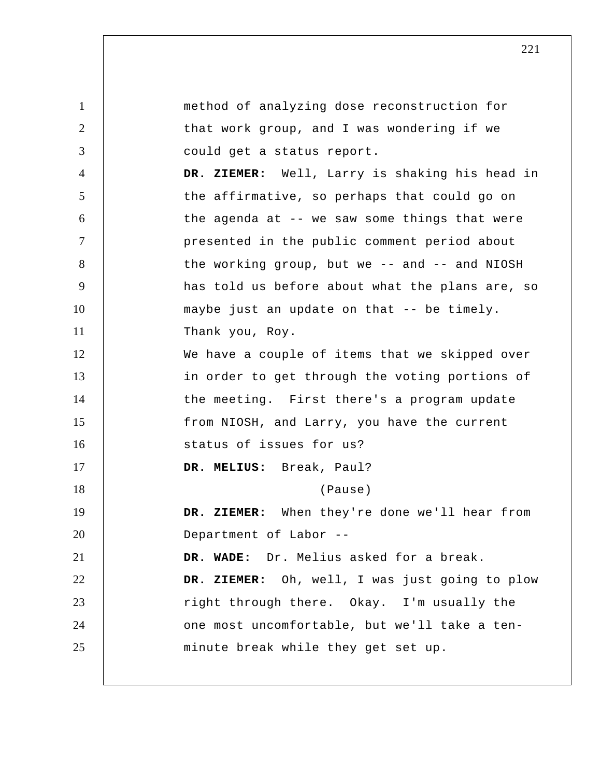1 2 3 4 5 6 7 8 9 10 11 12 13 14 15 16 17 18 19 20 21 22 23 24 25 method of analyzing dose reconstruction for that work group, and I was wondering if we could get a status report.  **DR. ZIEMER:** Well, Larry is shaking his head in the affirmative, so perhaps that could go on the agenda at -- we saw some things that were presented in the public comment period about the working group, but we  $-$  and  $-$  and NIOSH has told us before about what the plans are, so maybe just an update on that -- be timely. Thank you, Roy. We have a couple of items that we skipped over in order to get through the voting portions of the meeting. First there's a program update from NIOSH, and Larry, you have the current status of issues for us?  **DR. MELIUS:** Break, Paul? (Pause)  **DR. ZIEMER:** When they're done we'll hear from Department of Labor --  **DR. WADE:** Dr. Melius asked for a break.  **DR. ZIEMER:** Oh, well, I was just going to plow right through there. Okay. I'm usually the one most uncomfortable, but we'll take a ten minute break while they get set up.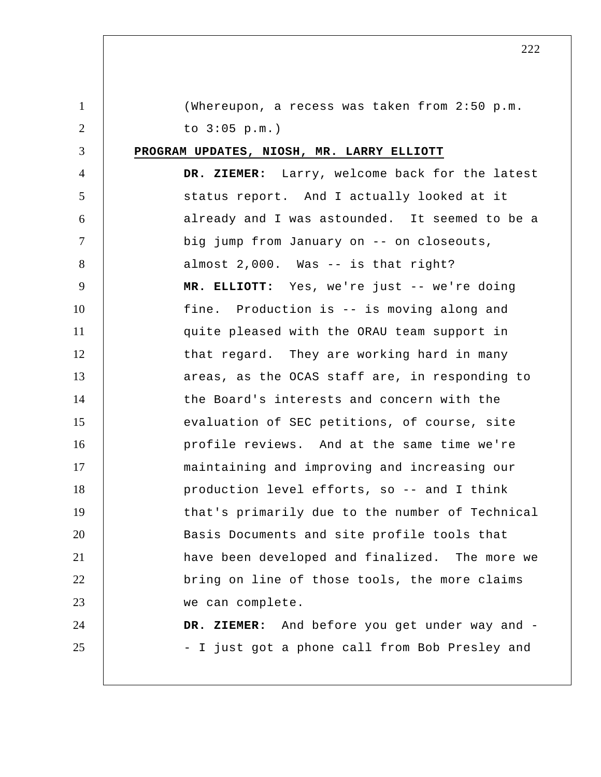| $\mathbf{1}$   | (Whereupon, a recess was taken from 2:50 p.m.   |
|----------------|-------------------------------------------------|
| $\overline{2}$ | to $3:05$ p.m.)                                 |
| 3              | PROGRAM UPDATES, NIOSH, MR. LARRY ELLIOTT       |
| $\overline{4}$ | DR. ZIEMER: Larry, welcome back for the latest  |
| 5              | status report. And I actually looked at it      |
| 6              | already and I was astounded. It seemed to be a  |
| $\tau$         | big jump from January on -- on closeouts,       |
| 8              | almost 2,000. Was -- is that right?             |
| 9              | MR. ELLIOTT: Yes, we're just -- we're doing     |
| 10             | fine. Production is -- is moving along and      |
| 11             | quite pleased with the ORAU team support in     |
| 12             | that regard. They are working hard in many      |
| 13             | areas, as the OCAS staff are, in responding to  |
| 14             | the Board's interests and concern with the      |
| 15             | evaluation of SEC petitions, of course, site    |
| 16             | profile reviews. And at the same time we're     |
| 17             | maintaining and improving and increasing our    |
| 18             | production level efforts, so -- and I think     |
| 19             | that's primarily due to the number of Technical |
| 20             | Basis Documents and site profile tools that     |
| 21             | have been developed and finalized. The more we  |
| 22             | bring on line of those tools, the more claims   |
| 23             | we can complete.                                |
| 24             | DR. ZIEMER: And before you get under way and -  |
| 25             | - I just got a phone call from Bob Presley and  |
|                |                                                 |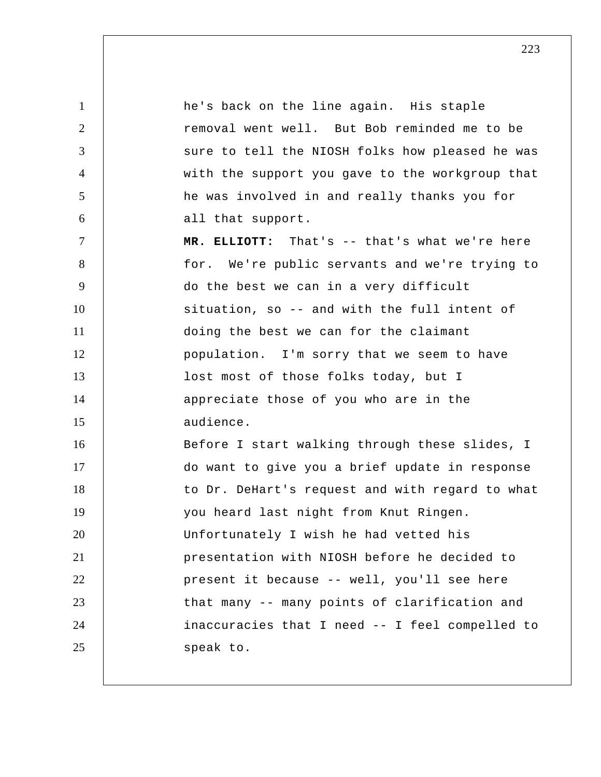1 2 3 4 5 6 7 8 9 10 11 12 13 14 15 16 17 18 19 20 21 22 23 24 25 he's back on the line again. His staple removal went well. But Bob reminded me to be sure to tell the NIOSH folks how pleased he was with the support you gave to the workgroup that he was involved in and really thanks you for all that support.  **MR. ELLIOTT:** That's -- that's what we're here for. We're public servants and we're trying to do the best we can in a very difficult situation, so -- and with the full intent of doing the best we can for the claimant population. I'm sorry that we seem to have lost most of those folks today, but I appreciate those of you who are in the audience. Before I start walking through these slides, I do want to give you a brief update in response to Dr. DeHart's request and with regard to what you heard last night from Knut Ringen. Unfortunately I wish he had vetted his presentation with NIOSH before he decided to present it because -- well, you'll see here that many -- many points of clarification and inaccuracies that I need -- I feel compelled to speak to.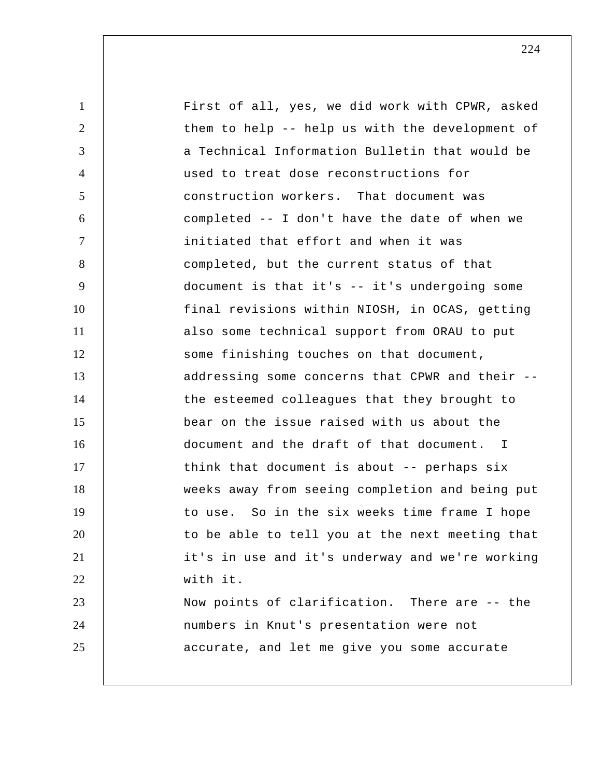1 2 3 4 5 6 7 8 9 10 11 12 13 14 15 16 17 18 19 20 21 22 23 24 25 First of all, yes, we did work with CPWR, asked them to help -- help us with the development of a Technical Information Bulletin that would be used to treat dose reconstructions for construction workers. That document was completed -- I don't have the date of when we initiated that effort and when it was completed, but the current status of that document is that it's -- it's undergoing some final revisions within NIOSH, in OCAS, getting also some technical support from ORAU to put some finishing touches on that document, addressing some concerns that CPWR and their - the esteemed colleagues that they brought to bear on the issue raised with us about the document and the draft of that document. I think that document is about -- perhaps six weeks away from seeing completion and being put to use. So in the six weeks time frame I hope to be able to tell you at the next meeting that it's in use and it's underway and we're working with it. Now points of clarification. There are -- the numbers in Knut's presentation were not accurate, and let me give you some accurate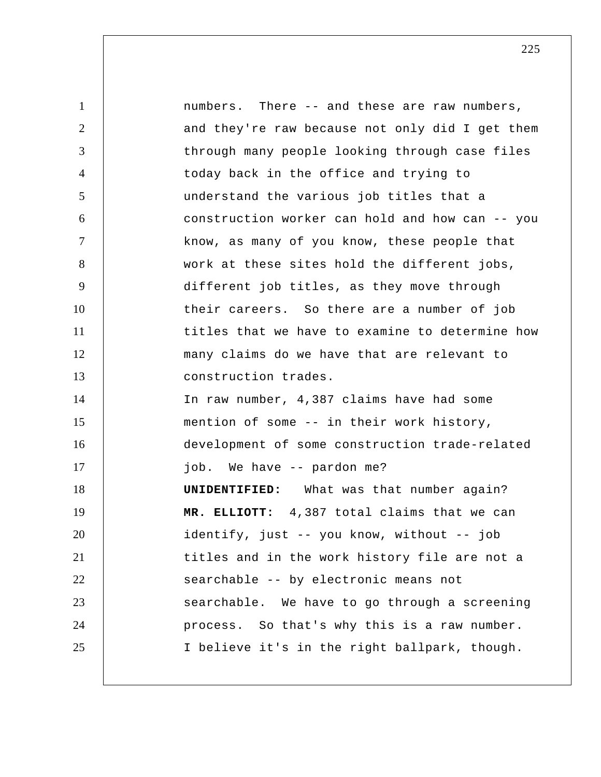1 2 3 4 5 6 7 8 9 10 11 12 13 14 15 16 17 18 19 20 21 22 23 24 25 numbers. There -- and these are raw numbers, and they're raw because not only did I get them through many people looking through case files today back in the office and trying to understand the various job titles that a construction worker can hold and how can -- you know, as many of you know, these people that work at these sites hold the different jobs, different job titles, as they move through their careers. So there are a number of job titles that we have to examine to determine how many claims do we have that are relevant to construction trades. In raw number, 4,387 claims have had some mention of some -- in their work history, development of some construction trade-related job. We have -- pardon me? **UNIDENTIFIED:** What was that number again?  **MR. ELLIOTT:** 4,387 total claims that we can identify, just -- you know, without -- job titles and in the work history file are not a searchable -- by electronic means not searchable. We have to go through a screening process. So that's why this is a raw number. I believe it's in the right ballpark, though.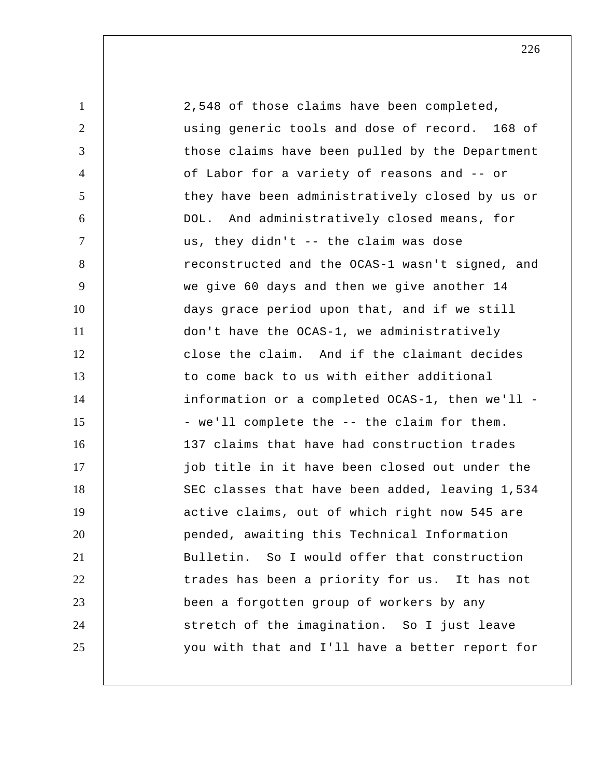1 2 3 4 5 6 7 8 9 10 11 12 13 14 15 16 17 18 19 20 21 22 23 24 25 2,548 of those claims have been completed, using generic tools and dose of record. 168 of those claims have been pulled by the Department of Labor for a variety of reasons and -- or they have been administratively closed by us or DOL. And administratively closed means, for us, they didn't -- the claim was dose reconstructed and the OCAS-1 wasn't signed, and we give 60 days and then we give another 14 days grace period upon that, and if we still don't have the OCAS-1, we administratively close the claim. And if the claimant decides to come back to us with either additional information or a completed OCAS-1, then we'll - we'll complete the -- the claim for them. 137 claims that have had construction trades job title in it have been closed out under the SEC classes that have been added, leaving 1,534 active claims, out of which right now 545 are pended, awaiting this Technical Information Bulletin. So I would offer that construction trades has been a priority for us. It has not been a forgotten group of workers by any stretch of the imagination. So I just leave you with that and I'll have a better report for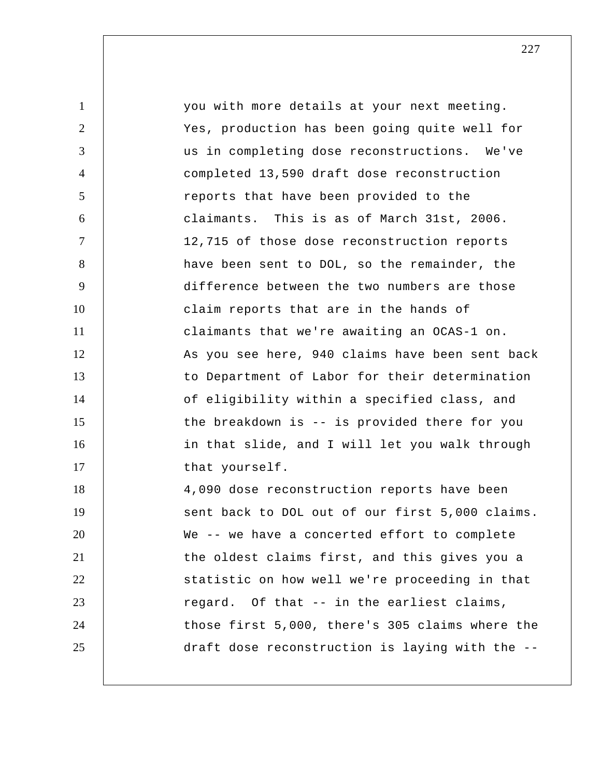| $\mathbf{1}$   | you with more details at your next meeting.     |
|----------------|-------------------------------------------------|
| $\overline{2}$ | Yes, production has been going quite well for   |
| 3              | us in completing dose reconstructions. We've    |
| $\overline{4}$ | completed 13,590 draft dose reconstruction      |
| 5              | reports that have been provided to the          |
| 6              | claimants. This is as of March 31st, 2006.      |
| $\tau$         | 12,715 of those dose reconstruction reports     |
| 8              | have been sent to DOL, so the remainder, the    |
| 9              | difference between the two numbers are those    |
| 10             | claim reports that are in the hands of          |
| 11             | claimants that we're awaiting an OCAS-1 on.     |
| 12             | As you see here, 940 claims have been sent back |
| 13             | to Department of Labor for their determination  |
| 14             | of eligibility within a specified class, and    |
| 15             | the breakdown is -- is provided there for you   |
| 16             | in that slide, and I will let you walk through  |
| 17             | that yourself.                                  |
| 18             | 4,090 dose reconstruction reports have been     |
| 19             | sent back to DOL out of our first 5,000 claims. |
| 20             | We -- we have a concerted effort to complete    |
| 21             | the oldest claims first, and this gives you a   |
| 22             | statistic on how well we're proceeding in that  |
| 23             | regard. Of that -- in the earliest claims,      |
| 24             | those first 5,000, there's 305 claims where the |
| 25             | draft dose reconstruction is laying with the -- |
|                |                                                 |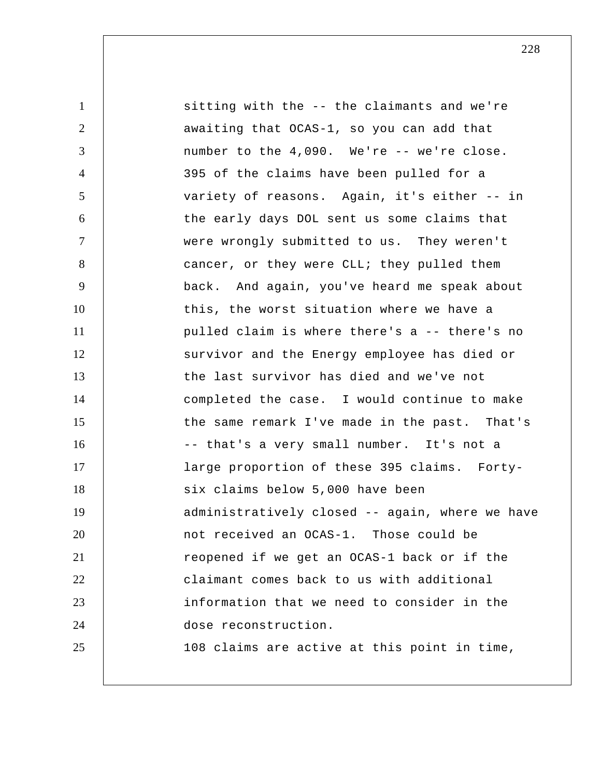1 2 3 4 5 6 7 8 9 10 11 12 13 14 15 16 17 18 19 20 21 22 23 24 25 sitting with the -- the claimants and we're awaiting that OCAS-1, so you can add that number to the 4,090. We're -- we're close. 395 of the claims have been pulled for a variety of reasons. Again, it's either -- in the early days DOL sent us some claims that were wrongly submitted to us. They weren't cancer, or they were CLL; they pulled them back. And again, you've heard me speak about this, the worst situation where we have a pulled claim is where there's a -- there's no survivor and the Energy employee has died or the last survivor has died and we've not completed the case. I would continue to make the same remark I've made in the past. That's -- that's a very small number. It's not a large proportion of these 395 claims. Fortysix claims below 5,000 have been administratively closed -- again, where we have not received an OCAS-1. Those could be reopened if we get an OCAS-1 back or if the claimant comes back to us with additional information that we need to consider in the dose reconstruction. 108 claims are active at this point in time,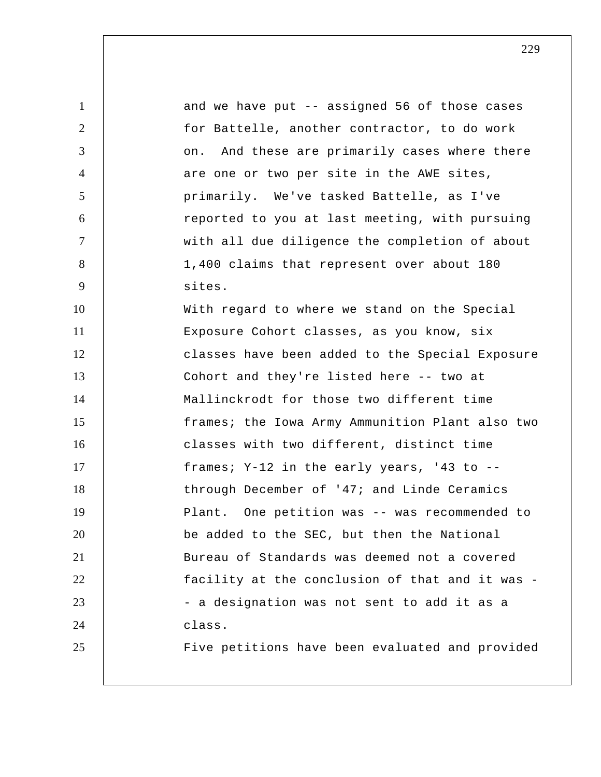1 2 3 4 5 6 7 8 9 10 11 12 13 14 15 16 17 18 19 20 21 22 23 24 25 and we have put -- assigned 56 of those cases for Battelle, another contractor, to do work on. And these are primarily cases where there are one or two per site in the AWE sites, primarily. We've tasked Battelle, as I've reported to you at last meeting, with pursuing with all due diligence the completion of about 1,400 claims that represent over about 180 sites. With regard to where we stand on the Special Exposure Cohort classes, as you know, six classes have been added to the Special Exposure Cohort and they're listed here -- two at Mallinckrodt for those two different time frames; the Iowa Army Ammunition Plant also two classes with two different, distinct time frames; Y-12 in the early years, '43 to - through December of '47; and Linde Ceramics Plant. One petition was -- was recommended to be added to the SEC, but then the National Bureau of Standards was deemed not a covered facility at the conclusion of that and it was - a designation was not sent to add it as a class. Five petitions have been evaluated and provided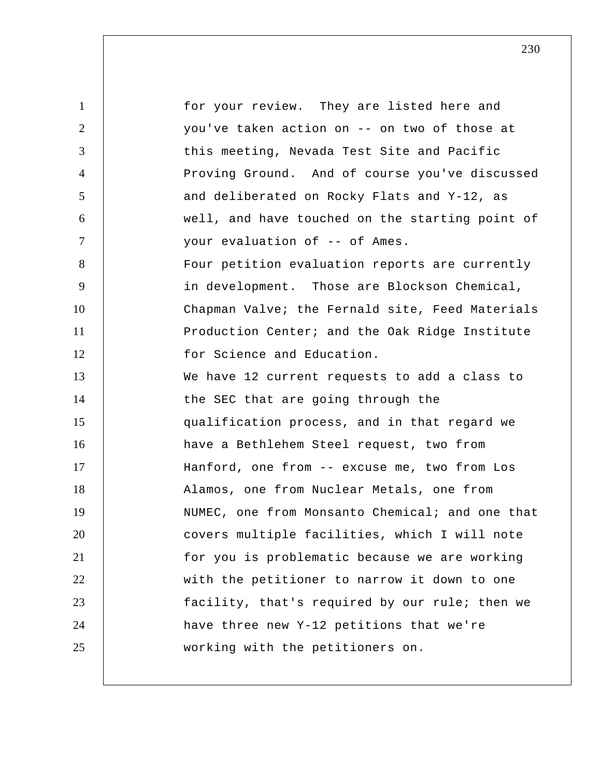1 2 3 4 5 6 7 8 9 10 11 12 13 14 15 16 17 18 19 20 21 22 23 24 25 for your review. They are listed here and you've taken action on -- on two of those at this meeting, Nevada Test Site and Pacific Proving Ground. And of course you've discussed and deliberated on Rocky Flats and Y-12, as well, and have touched on the starting point of your evaluation of -- of Ames. Four petition evaluation reports are currently in development. Those are Blockson Chemical, Chapman Valve; the Fernald site, Feed Materials Production Center; and the Oak Ridge Institute for Science and Education. We have 12 current requests to add a class to the SEC that are going through the qualification process, and in that regard we have a Bethlehem Steel request, two from Hanford, one from -- excuse me, two from Los Alamos, one from Nuclear Metals, one from NUMEC, one from Monsanto Chemical; and one that covers multiple facilities, which I will note for you is problematic because we are working with the petitioner to narrow it down to one facility, that's required by our rule; then we have three new Y-12 petitions that we're working with the petitioners on.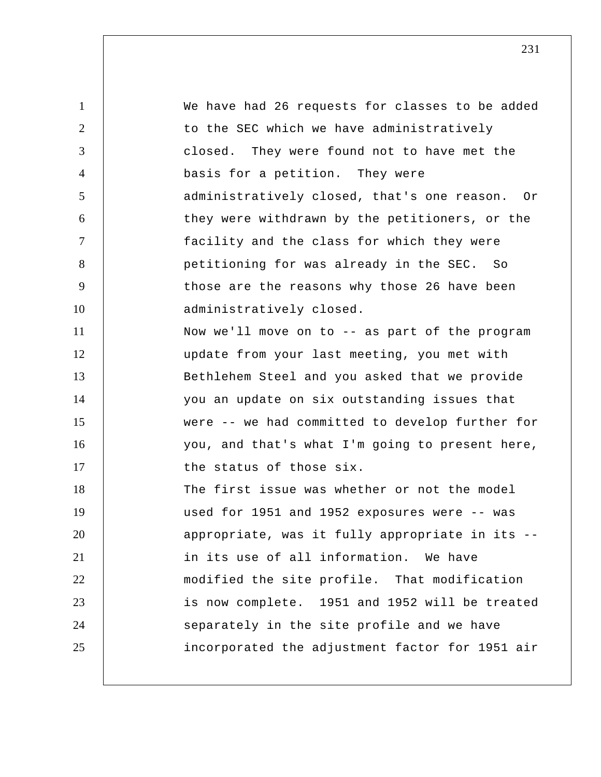1 2 3 4 5 6 7 8 9 10 11 12 13 14 15 16 17 18 19 20 21 22 23 24 25 We have had 26 requests for classes to be added to the SEC which we have administratively closed. They were found not to have met the basis for a petition. They were administratively closed, that's one reason. Or they were withdrawn by the petitioners, or the facility and the class for which they were petitioning for was already in the SEC. So those are the reasons why those 26 have been administratively closed. Now we'll move on to -- as part of the program update from your last meeting, you met with Bethlehem Steel and you asked that we provide you an update on six outstanding issues that were -- we had committed to develop further for you, and that's what I'm going to present here, the status of those six. The first issue was whether or not the model used for 1951 and 1952 exposures were -- was appropriate, was it fully appropriate in its - in its use of all information. We have modified the site profile. That modification is now complete. 1951 and 1952 will be treated separately in the site profile and we have incorporated the adjustment factor for 1951 air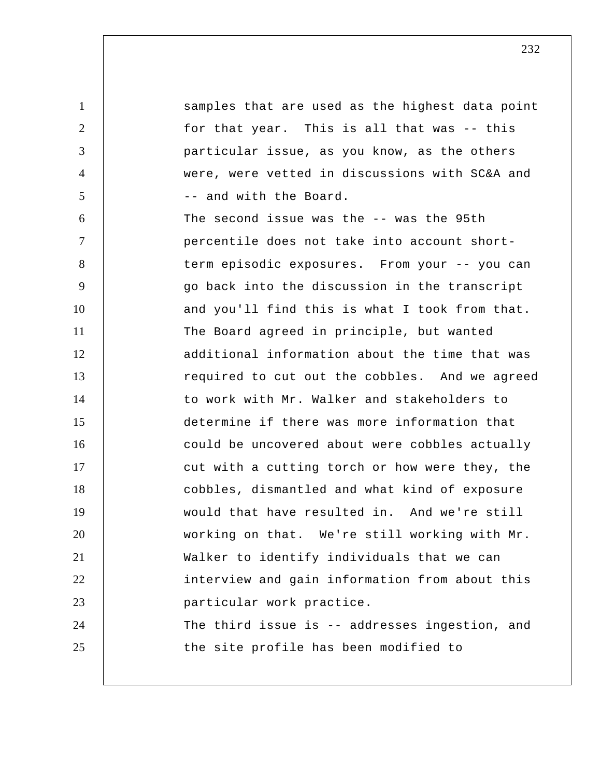1 2 3 4 5 6 7 8 9 10 11 12 13 14 15 16 17 18 19 20 21 22 23 24 25 samples that are used as the highest data point for that year. This is all that was -- this particular issue, as you know, as the others were, were vetted in discussions with SC&A and -- and with the Board. The second issue was the -- was the 95th percentile does not take into account shortterm episodic exposures. From your -- you can go back into the discussion in the transcript and you'll find this is what I took from that. The Board agreed in principle, but wanted additional information about the time that was required to cut out the cobbles. And we agreed to work with Mr. Walker and stakeholders to determine if there was more information that could be uncovered about were cobbles actually cut with a cutting torch or how were they, the cobbles, dismantled and what kind of exposure would that have resulted in. And we're still working on that. We're still working with Mr. Walker to identify individuals that we can interview and gain information from about this particular work practice. The third issue is -- addresses ingestion, and the site profile has been modified to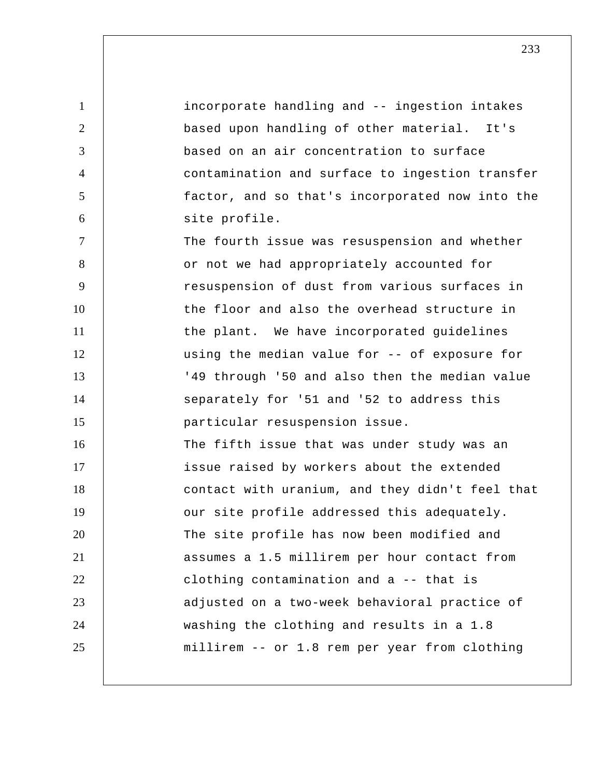1 2 3 4 5 6 7 8 9 10 11 12 13 14 15 16 17 18 19 20 21 22 23 24 25 incorporate handling and -- ingestion intakes based upon handling of other material. It's based on an air concentration to surface contamination and surface to ingestion transfer factor, and so that's incorporated now into the site profile. The fourth issue was resuspension and whether or not we had appropriately accounted for resuspension of dust from various surfaces in the floor and also the overhead structure in the plant. We have incorporated guidelines using the median value for -- of exposure for '49 through '50 and also then the median value separately for '51 and '52 to address this particular resuspension issue. The fifth issue that was under study was an issue raised by workers about the extended contact with uranium, and they didn't feel that our site profile addressed this adequately. The site profile has now been modified and assumes a 1.5 millirem per hour contact from clothing contamination and a -- that is adjusted on a two-week behavioral practice of washing the clothing and results in a 1.8 millirem -- or 1.8 rem per year from clothing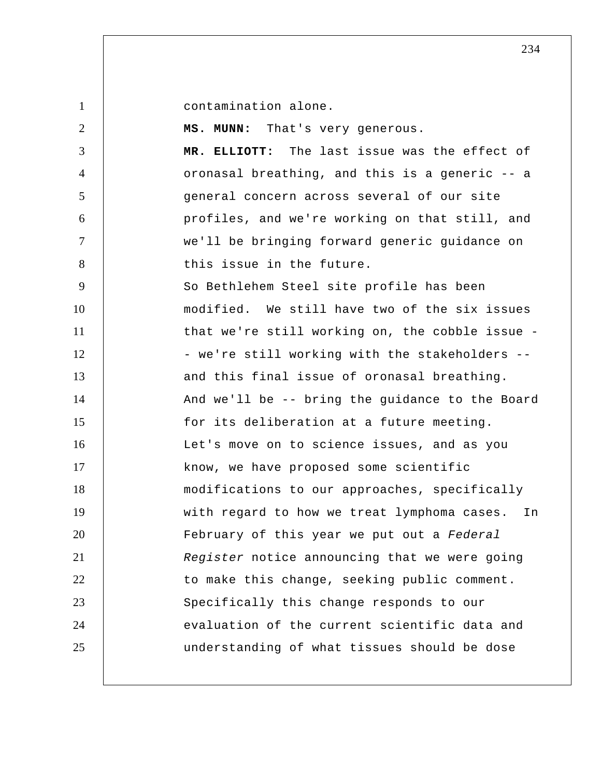1

contamination alone.

2 3 4 5 6 7 8 9 10 11 12 13 14 15 16 17 18 19 20 21 22 23 24 25  **MS. MUNN:** That's very generous.  **MR. ELLIOTT:** The last issue was the effect of oronasal breathing, and this is a generic -- a general concern across several of our site profiles, and we're working on that still, and we'll be bringing forward generic guidance on this issue in the future. So Bethlehem Steel site profile has been modified. We still have two of the six issues that we're still working on, the cobble issue - we're still working with the stakeholders - and this final issue of oronasal breathing. And we'll be -- bring the guidance to the Board for its deliberation at a future meeting. Let's move on to science issues, and as you know, we have proposed some scientific modifications to our approaches, specifically with regard to how we treat lymphoma cases. In February of this year we put out a *Federal Register* notice announcing that we were going to make this change, seeking public comment. Specifically this change responds to our evaluation of the current scientific data and understanding of what tissues should be dose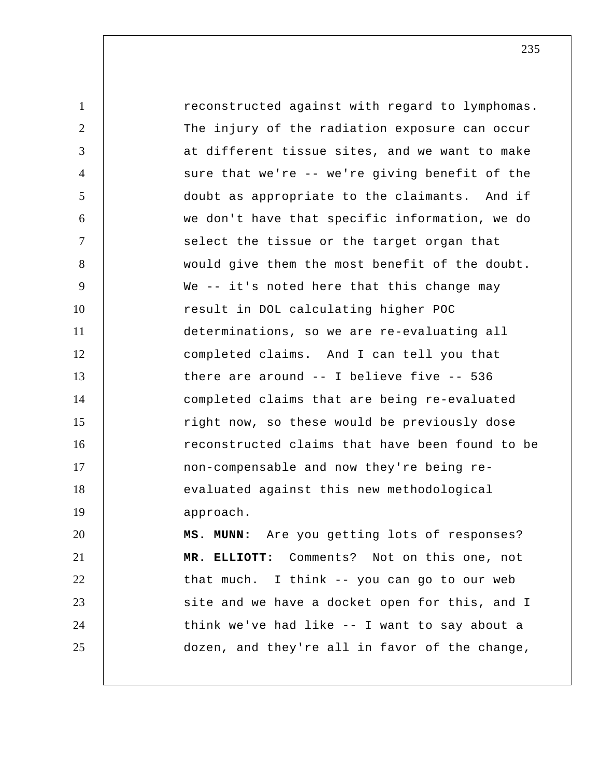1 2 3 4 5 6 7 8 9 10 11 12 13 14 15 16 17 18 19 20 21 22 23 24 25 reconstructed against with regard to lymphomas. The injury of the radiation exposure can occur at different tissue sites, and we want to make sure that we're -- we're giving benefit of the doubt as appropriate to the claimants. And if we don't have that specific information, we do select the tissue or the target organ that would give them the most benefit of the doubt. We -- it's noted here that this change may result in DOL calculating higher POC determinations, so we are re-evaluating all completed claims. And I can tell you that there are around -- I believe five -- 536 completed claims that are being re-evaluated right now, so these would be previously dose reconstructed claims that have been found to be non-compensable and now they're being reevaluated against this new methodological approach.  **MS. MUNN:** Are you getting lots of responses?  **MR. ELLIOTT:** Comments? Not on this one, not that much. I think -- you can go to our web site and we have a docket open for this, and I think we've had like -- I want to say about a dozen, and they're all in favor of the change,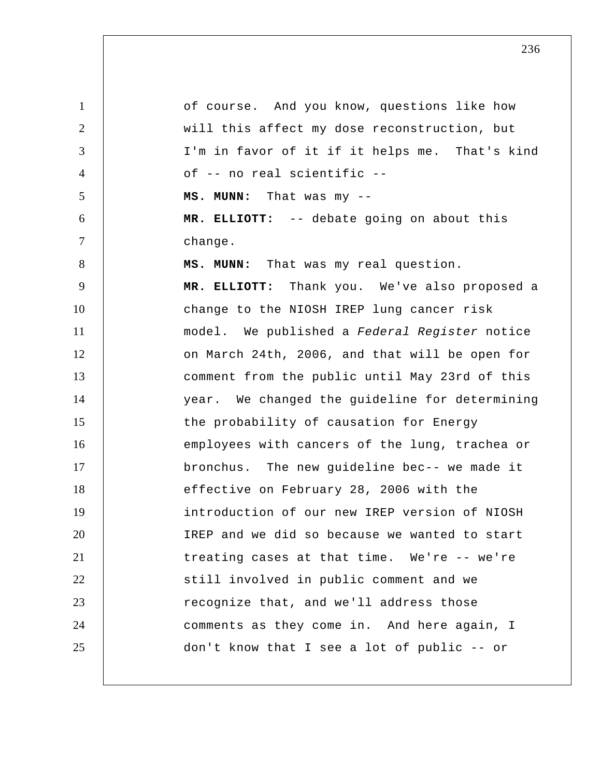1 2 3 4 5 6 7 8 9 10 11 12 13 14 15 16 17 18 19 20 21 22 23 24 25 of course. And you know, questions like how will this affect my dose reconstruction, but I'm in favor of it if it helps me. That's kind of -- no real scientific --  **MS. MUNN:** That was my -- **MR. ELLIOTT:** -- debate going on about this change.  **MS. MUNN:** That was my real question.  **MR. ELLIOTT:** Thank you. We've also proposed a change to the NIOSH IREP lung cancer risk model. We published a *Federal Register* notice on March 24th, 2006, and that will be open for comment from the public until May 23rd of this year. We changed the guideline for determining the probability of causation for Energy employees with cancers of the lung, trachea or bronchus. The new guideline bec-- we made it effective on February 28, 2006 with the introduction of our new IREP version of NIOSH IREP and we did so because we wanted to start treating cases at that time. We're -- we're still involved in public comment and we recognize that, and we'll address those comments as they come in. And here again, I don't know that I see a lot of public -- or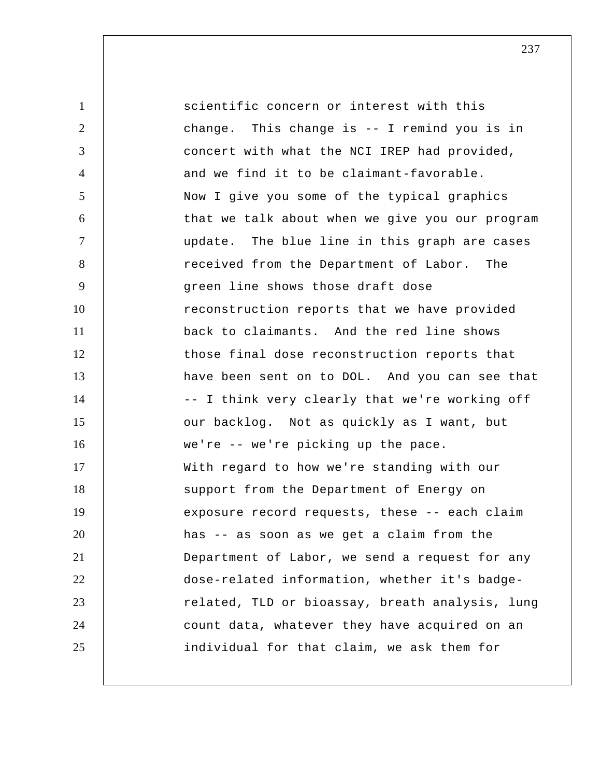1 2 3 4 5 6 7 8 9 10 11 12 13 14 15 16 17 18 19 20 21 22 23 24 25 scientific concern or interest with this change. This change is -- I remind you is in concert with what the NCI IREP had provided, and we find it to be claimant-favorable. Now I give you some of the typical graphics that we talk about when we give you our program update. The blue line in this graph are cases received from the Department of Labor. The green line shows those draft dose reconstruction reports that we have provided back to claimants. And the red line shows those final dose reconstruction reports that have been sent on to DOL. And you can see that -- I think very clearly that we're working off our backlog. Not as quickly as I want, but we're -- we're picking up the pace. With regard to how we're standing with our support from the Department of Energy on exposure record requests, these -- each claim has -- as soon as we get a claim from the Department of Labor, we send a request for any dose-related information, whether it's badgerelated, TLD or bioassay, breath analysis, lung count data, whatever they have acquired on an individual for that claim, we ask them for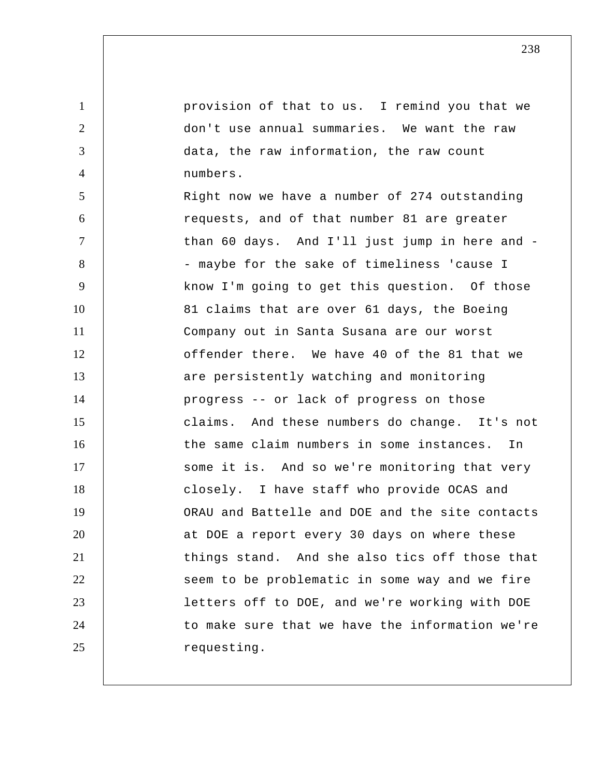provision of that to us. I remind you that we don't use annual summaries. We want the raw data, the raw information, the raw count numbers.

1

2

3

4

5 6 7 8 9 10 11 12 13 14 15 16 17 18 19 20 21 22 23 24 25 Right now we have a number of 274 outstanding requests, and of that number 81 are greater than 60 days. And I'll just jump in here and - maybe for the sake of timeliness 'cause I know I'm going to get this question. Of those 81 claims that are over 61 days, the Boeing Company out in Santa Susana are our worst offender there. We have 40 of the 81 that we are persistently watching and monitoring progress -- or lack of progress on those claims. And these numbers do change. It's not the same claim numbers in some instances. In some it is. And so we're monitoring that very closely. I have staff who provide OCAS and ORAU and Battelle and DOE and the site contacts at DOE a report every 30 days on where these things stand. And she also tics off those that seem to be problematic in some way and we fire letters off to DOE, and we're working with DOE to make sure that we have the information we're requesting.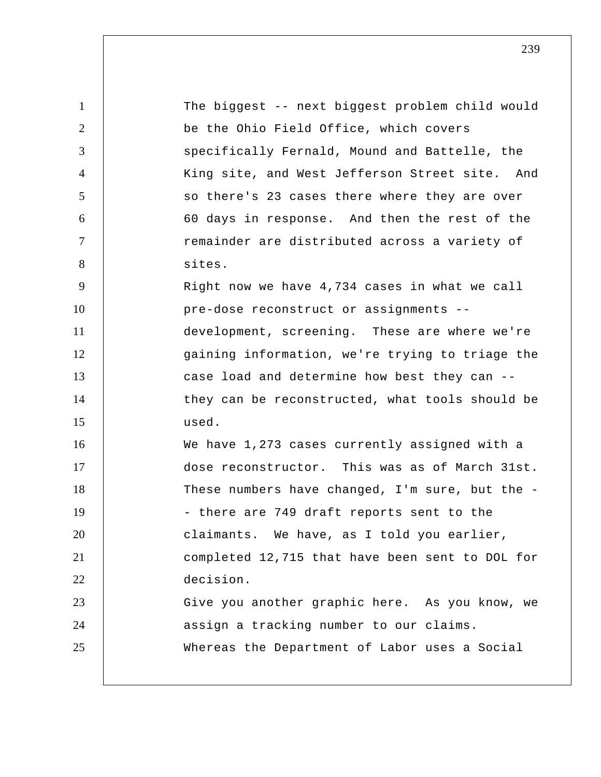| $\mathbf{1}$   | The biggest -- next biggest problem child would |
|----------------|-------------------------------------------------|
| 2              | be the Ohio Field Office, which covers          |
| 3              | specifically Fernald, Mound and Battelle, the   |
| $\overline{4}$ | King site, and West Jefferson Street site. And  |
| 5              | so there's 23 cases there where they are over   |
| 6              | 60 days in response. And then the rest of the   |
| $\tau$         | remainder are distributed across a variety of   |
| 8              | sites.                                          |
| 9              | Right now we have 4,734 cases in what we call   |
| 10             | pre-dose reconstruct or assignments --          |
| 11             | development, screening. These are where we're   |
| 12             | gaining information, we're trying to triage the |
| 13             | case load and determine how best they can --    |
| 14             | they can be reconstructed, what tools should be |
| 15             | used.                                           |
| 16             | We have 1,273 cases currently assigned with a   |
| 17             | dose reconstructor. This was as of March 31st.  |
| 18             | These numbers have changed, I'm sure, but the - |
| 19             | - there are 749 draft reports sent to the       |
| 20             | claimants. We have, as I told you earlier,      |
| 21             | completed 12,715 that have been sent to DOL for |
| 22             | decision.                                       |
| 23             | Give you another graphic here. As you know, we  |
| 24             | assign a tracking number to our claims.         |
| 25             | Whereas the Department of Labor uses a Social   |
|                |                                                 |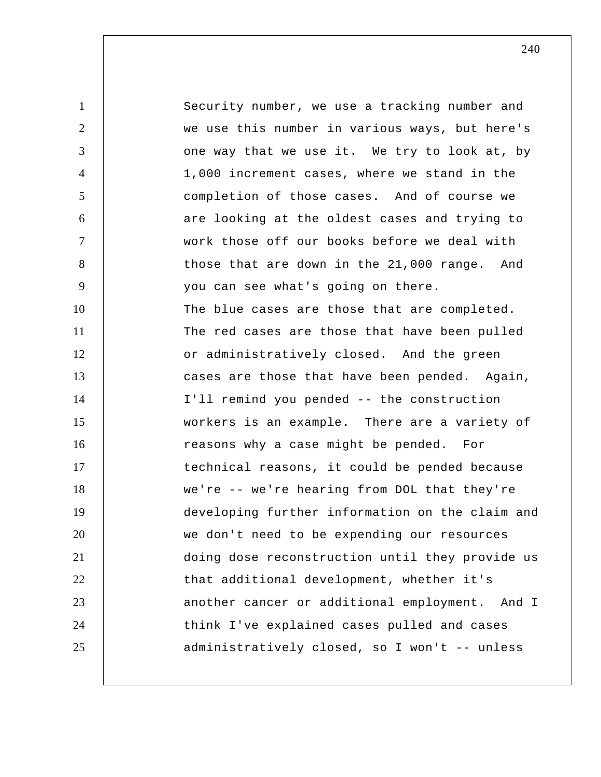1 2 3 4 5 6 7 8 9 10 11 12 13 14 15 16 17 18 19 20 21 22 23 24 25 Security number, we use a tracking number and we use this number in various ways, but here's one way that we use it. We try to look at, by 1,000 increment cases, where we stand in the completion of those cases. And of course we are looking at the oldest cases and trying to work those off our books before we deal with those that are down in the 21,000 range. And you can see what's going on there. The blue cases are those that are completed. The red cases are those that have been pulled or administratively closed. And the green cases are those that have been pended. Again, I'll remind you pended -- the construction workers is an example. There are a variety of reasons why a case might be pended. For technical reasons, it could be pended because we're -- we're hearing from DOL that they're developing further information on the claim and we don't need to be expending our resources doing dose reconstruction until they provide us that additional development, whether it's another cancer or additional employment. And I think I've explained cases pulled and cases administratively closed, so I won't -- unless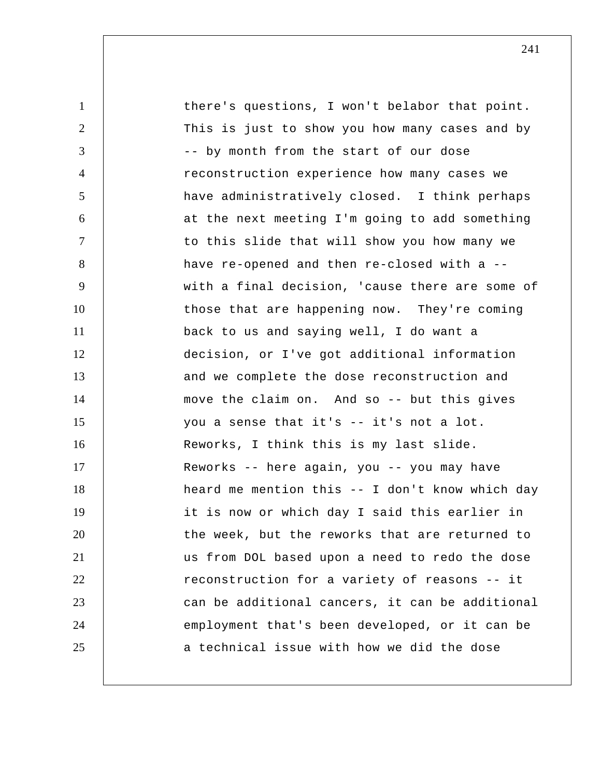1 2 3 4 5 6 7 8 9 10 11 12 13 14 15 16 17 18 19 20 21 22 23 24 25 there's questions, I won't belabor that point. This is just to show you how many cases and by -- by month from the start of our dose reconstruction experience how many cases we have administratively closed. I think perhaps at the next meeting I'm going to add something to this slide that will show you how many we have re-opened and then re-closed with a - with a final decision, 'cause there are some of those that are happening now. They're coming back to us and saying well, I do want a decision, or I've got additional information and we complete the dose reconstruction and move the claim on. And so -- but this gives you a sense that it's -- it's not a lot. Reworks, I think this is my last slide. Reworks -- here again, you -- you may have heard me mention this -- I don't know which day it is now or which day I said this earlier in the week, but the reworks that are returned to us from DOL based upon a need to redo the dose reconstruction for a variety of reasons -- it can be additional cancers, it can be additional employment that's been developed, or it can be a technical issue with how we did the dose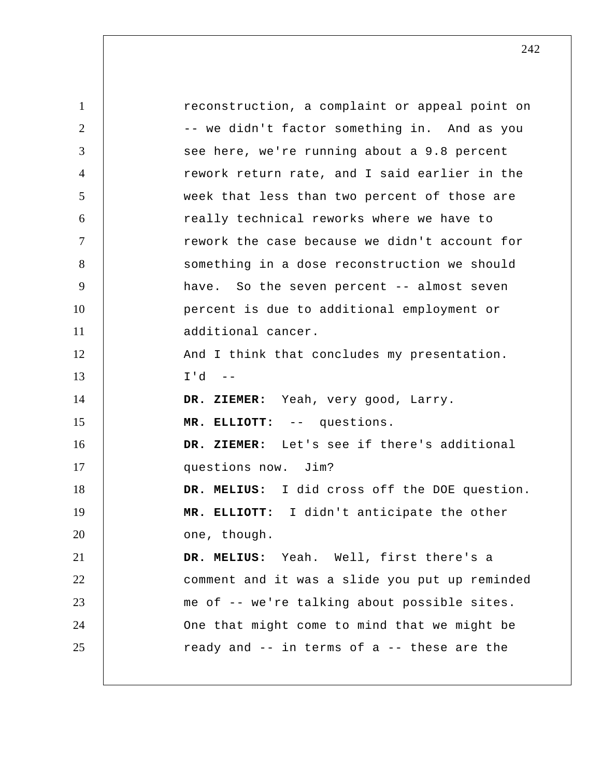1 2 3 4 5 6 7 8 9 10 11 12 13 14 15 16 17 18 19 20 21 22 23 24 25 reconstruction, a complaint or appeal point on -- we didn't factor something in. And as you see here, we're running about a 9.8 percent rework return rate, and I said earlier in the week that less than two percent of those are really technical reworks where we have to rework the case because we didn't account for something in a dose reconstruction we should have. So the seven percent -- almost seven percent is due to additional employment or additional cancer. And I think that concludes my presentation.  $I'd --$  **DR. ZIEMER:** Yeah, very good, Larry.  **MR. ELLIOTT:** -- questions.  **DR. ZIEMER:** Let's see if there's additional questions now. Jim?  **DR. MELIUS:** I did cross off the DOE question.  **MR. ELLIOTT:** I didn't anticipate the other one, though.  **DR. MELIUS:** Yeah. Well, first there's a comment and it was a slide you put up reminded me of -- we're talking about possible sites. One that might come to mind that we might be ready and -- in terms of a -- these are the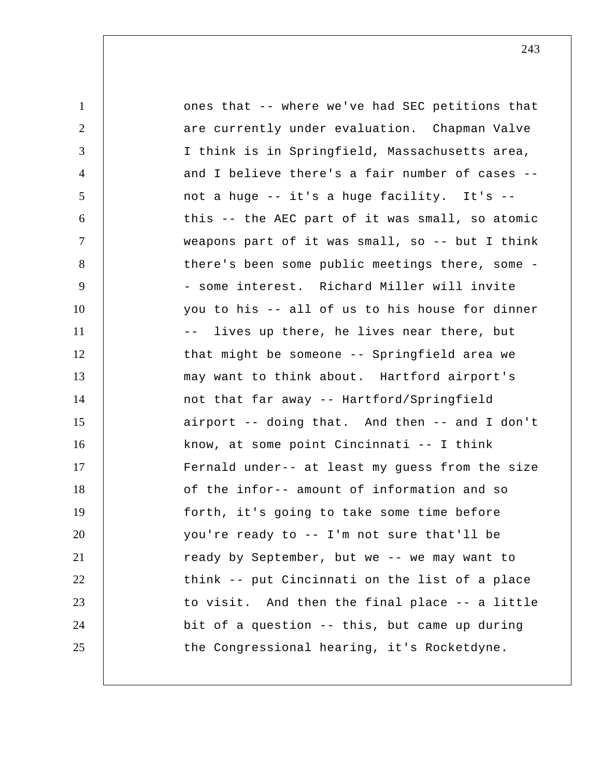| $\mathbf{1}$   | ones that -- where we've had SEC petitions that    |
|----------------|----------------------------------------------------|
| $\overline{2}$ | are currently under evaluation. Chapman Valve      |
| 3              | I think is in Springfield, Massachusetts area,     |
| 4              | and I believe there's a fair number of cases --    |
| 5              | not a huge -- it's a huge facility. It's --        |
| 6              | this -- the AEC part of it was small, so atomic    |
| $\tau$         | weapons part of it was small, so -- but I think    |
| 8              | there's been some public meetings there, some -    |
| 9              | - some interest. Richard Miller will invite        |
| 10             | you to his -- all of us to his house for dinner    |
| 11             | lives up there, he lives near there, but<br>$- \_$ |
| 12             | that might be someone -- Springfield area we       |
| 13             | may want to think about. Hartford airport's        |
| 14             | not that far away -- Hartford/Springfield          |
| 15             | airport -- doing that. And then -- and I don't     |
| 16             | know, at some point Cincinnati -- I think          |
| 17             | Fernald under-- at least my guess from the size    |
| 18             | of the infor-- amount of information and so        |
| 19             | forth, it's going to take some time before         |
| 20             | you're ready to -- I'm not sure that'll be         |
| 21             | ready by September, but we -- we may want to       |
| 22             | think -- put Cincinnati on the list of a place     |
| 23             | to visit. And then the final place -- a little     |
| 24             | bit of a question -- this, but came up during      |
| 25             | the Congressional hearing, it's Rocketdyne.        |
|                |                                                    |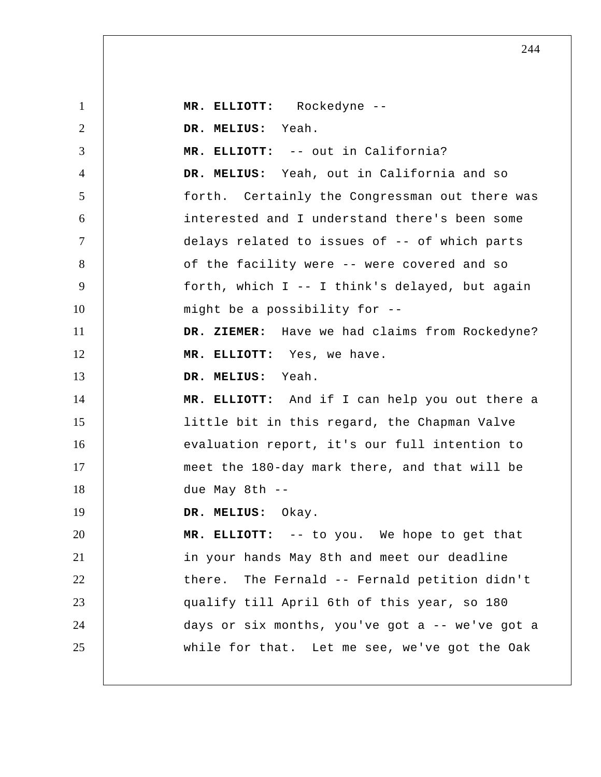1 2 3 4 5 6 7 8 9 10 11 12 13 14 15 16 17 18 19 20 21 22 23 24 25  **MR. ELLIOTT:** Rockedyne -- **DR. MELIUS:** Yeah.  **MR. ELLIOTT:** -- out in California?  **DR. MELIUS:** Yeah, out in California and so forth. Certainly the Congressman out there was interested and I understand there's been some delays related to issues of -- of which parts of the facility were -- were covered and so forth, which I -- I think's delayed, but again might be a possibility for --  **DR. ZIEMER:** Have we had claims from Rockedyne?  **MR. ELLIOTT:** Yes, we have.  **DR. MELIUS:** Yeah.  **MR. ELLIOTT:** And if I can help you out there a little bit in this regard, the Chapman Valve evaluation report, it's our full intention to meet the 180-day mark there, and that will be due May 8th --  **DR. MELIUS:** Okay.  **MR. ELLIOTT:** -- to you. We hope to get that in your hands May 8th and meet our deadline there. The Fernald -- Fernald petition didn't qualify till April 6th of this year, so 180 days or six months, you've got a -- we've got a while for that. Let me see, we've got the Oak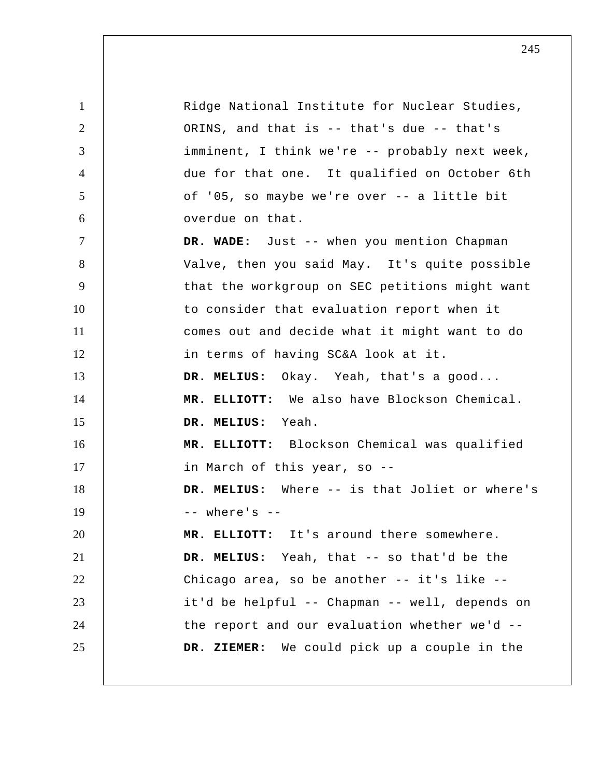1 2 3 4 5 6 7 8 9 10 11 12 13 14 15 16 17 18 19 20 21 22 23 24 25 Ridge National Institute for Nuclear Studies, ORINS, and that is -- that's due -- that's imminent, I think we're -- probably next week, due for that one. It qualified on October 6th of '05, so maybe we're over -- a little bit overdue on that.  **DR. WADE:** Just -- when you mention Chapman Valve, then you said May. It's quite possible that the workgroup on SEC petitions might want to consider that evaluation report when it comes out and decide what it might want to do in terms of having SC&A look at it.  **DR. MELIUS:** Okay. Yeah, that's a good...  **MR. ELLIOTT:** We also have Blockson Chemical.  **DR. MELIUS:** Yeah.  **MR. ELLIOTT:** Blockson Chemical was qualified in March of this year, so --  **DR. MELIUS:** Where -- is that Joliet or where's  $--$  where's  $--$  **MR. ELLIOTT:** It's around there somewhere.  **DR. MELIUS:** Yeah, that -- so that'd be the Chicago area, so be another -- it's like - it'd be helpful -- Chapman -- well, depends on the report and our evaluation whether we'd --  **DR. ZIEMER:** We could pick up a couple in the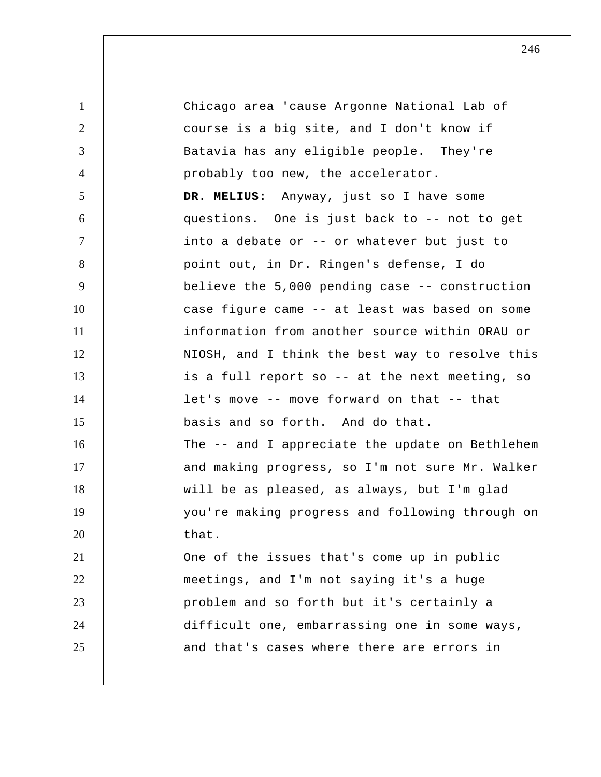1 2 3 4 5 6 7 8 9 10 11 12 13 14 15 16 17 18 19 20 21 22 23 24 25 Chicago area 'cause Argonne National Lab of course is a big site, and I don't know if Batavia has any eligible people. They're probably too new, the accelerator.  **DR. MELIUS:** Anyway, just so I have some questions. One is just back to -- not to get into a debate or -- or whatever but just to point out, in Dr. Ringen's defense, I do believe the 5,000 pending case -- construction case figure came -- at least was based on some information from another source within ORAU or NIOSH, and I think the best way to resolve this is a full report so -- at the next meeting, so let's move -- move forward on that -- that basis and so forth. And do that. The -- and I appreciate the update on Bethlehem and making progress, so I'm not sure Mr. Walker will be as pleased, as always, but I'm glad you're making progress and following through on that. One of the issues that's come up in public meetings, and I'm not saying it's a huge problem and so forth but it's certainly a difficult one, embarrassing one in some ways, and that's cases where there are errors in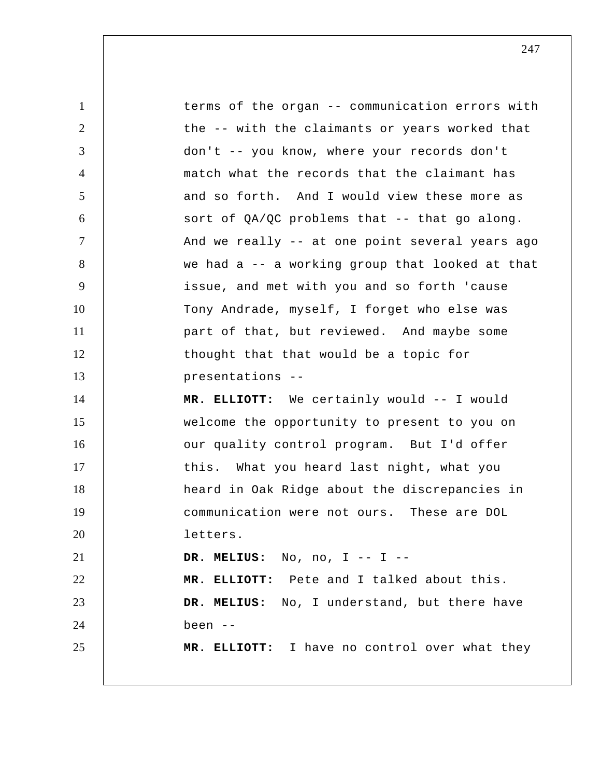1 2 3 4 5 6 7 8 9 10 11 12 13 14 15 16 17 18 19 20 21 22 23 24 25 terms of the organ -- communication errors with the -- with the claimants or years worked that don't -- you know, where your records don't match what the records that the claimant has and so forth. And I would view these more as sort of  $QA/QC$  problems that -- that go along. And we really -- at one point several years ago we had a -- a working group that looked at that issue, and met with you and so forth 'cause Tony Andrade, myself, I forget who else was part of that, but reviewed. And maybe some thought that that would be a topic for presentations -- **MR. ELLIOTT:** We certainly would -- I would welcome the opportunity to present to you on our quality control program. But I'd offer this. What you heard last night, what you heard in Oak Ridge about the discrepancies in communication were not ours. These are DOL letters.  **DR. MELIUS:** No, no, I -- I -- **MR. ELLIOTT:** Pete and I talked about this.  **DR. MELIUS:** No, I understand, but there have been -- **MR. ELLIOTT:** I have no control over what they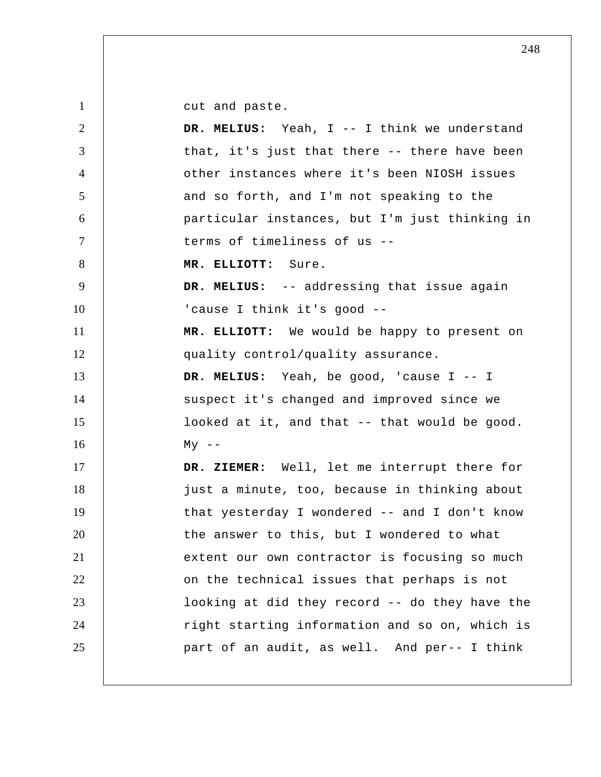cut and paste.

| 2              | DR. MELIUS: Yeah, I -- I think we understand   |
|----------------|------------------------------------------------|
| 3              | that, it's just that there -- there have been  |
| $\overline{4}$ | other instances where it's been NIOSH issues   |
| 5              | and so forth, and I'm not speaking to the      |
| 6              | particular instances, but I'm just thinking in |
| $\tau$         | terms of timeliness of us --                   |
| 8              | MR. ELLIOTT: Sure.                             |
| 9              | DR. MELIUS: -- addressing that issue again     |
| 10             | 'cause I think it's good --                    |
| 11             | MR. ELLIOTT: We would be happy to present on   |
| 12             | quality control/quality assurance.             |
| 13             | DR. MELIUS: Yeah, be good, 'cause I -- I       |
| 14             | suspect it's changed and improved since we     |
| 15             | looked at it, and that -- that would be good.  |
| 16             | $My$ --                                        |
| 17             | DR. ZIEMER: Well, let me interrupt there for   |
| 18             | just a minute, too, because in thinking about  |
| 19             | that yesterday I wondered -- and I don't know  |
| 20             | the answer to this, but I wondered to what     |
| 21             | extent our own contractor is focusing so much  |
| 22             | on the technical issues that perhaps is not    |
| 23             | looking at did they record -- do they have the |
| 24             | right starting information and so on, which is |
| 25             | part of an audit, as well. And per-- I think   |
|                |                                                |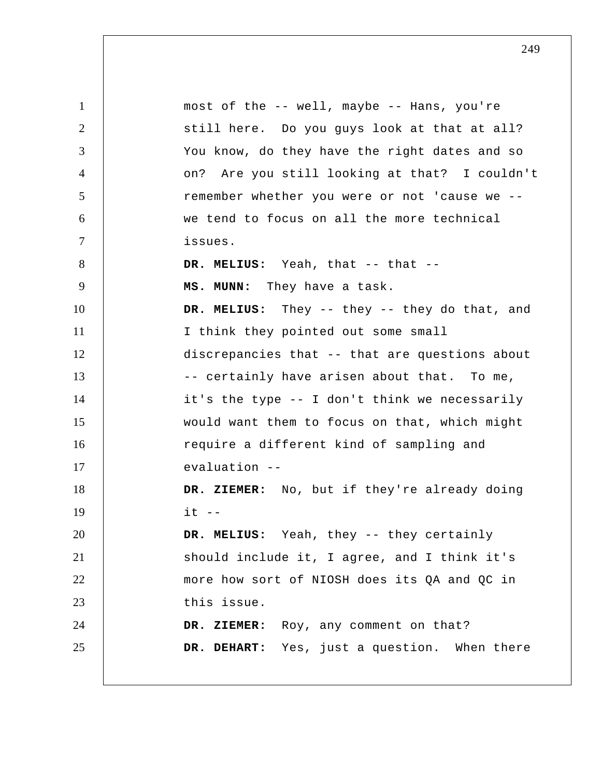1 2 3 4 5 6 7 8 9 10 11 12 13 14 15 16 17 18 19 20 21 22 23 24 25 most of the -- well, maybe -- Hans, you're still here. Do you guys look at that at all? You know, do they have the right dates and so on? Are you still looking at that? I couldn't remember whether you were or not 'cause we - we tend to focus on all the more technical issues. DR. MELIUS: Yeah, that -- that -- **MS. MUNN:** They have a task. DR. MELIUS: They -- they -- they do that, and I think they pointed out some small discrepancies that -- that are questions about -- certainly have arisen about that. To me, it's the type -- I don't think we necessarily would want them to focus on that, which might require a different kind of sampling and evaluation -- **DR. ZIEMER:** No, but if they're already doing  $it$   $--$  **DR. MELIUS:** Yeah, they -- they certainly should include it, I agree, and I think it's more how sort of NIOSH does its QA and QC in this issue.  **DR. ZIEMER:** Roy, any comment on that?  **DR. DEHART:** Yes, just a question. When there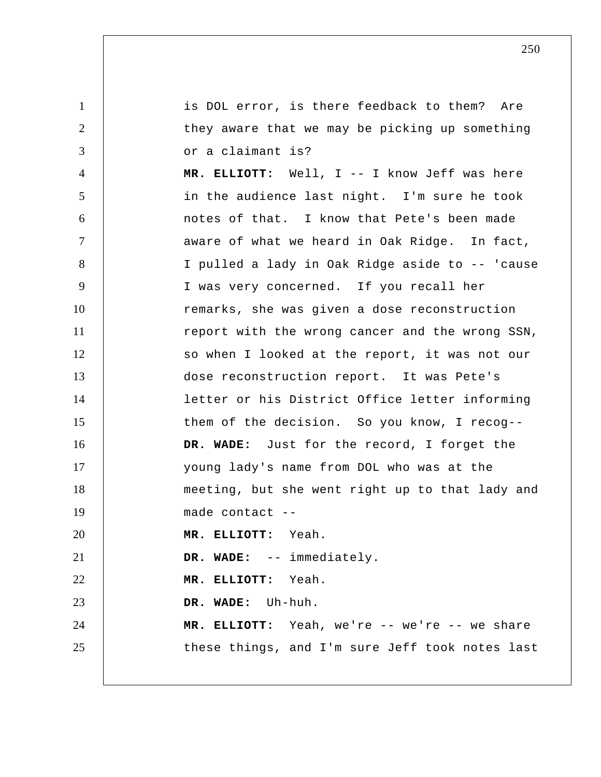1 2 3 4 5 6 7 8 9 10 11 12 13 14 15 16 17 18 19 20 21 22 23 24 25 is DOL error, is there feedback to them? Are they aware that we may be picking up something or a claimant is?  **MR. ELLIOTT:** Well, I -- I know Jeff was here in the audience last night. I'm sure he took notes of that. I know that Pete's been made aware of what we heard in Oak Ridge. In fact, I pulled a lady in Oak Ridge aside to -- 'cause I was very concerned. If you recall her remarks, she was given a dose reconstruction report with the wrong cancer and the wrong SSN, so when I looked at the report, it was not our dose reconstruction report. It was Pete's letter or his District Office letter informing them of the decision. So you know, I recog--  **DR. WADE:** Just for the record, I forget the young lady's name from DOL who was at the meeting, but she went right up to that lady and made contact -- **MR. ELLIOTT:** Yeah.  **DR. WADE:** -- immediately.  **MR. ELLIOTT:** Yeah.  **DR. WADE:** Uh-huh.  **MR. ELLIOTT:** Yeah, we're -- we're -- we share these things, and I'm sure Jeff took notes last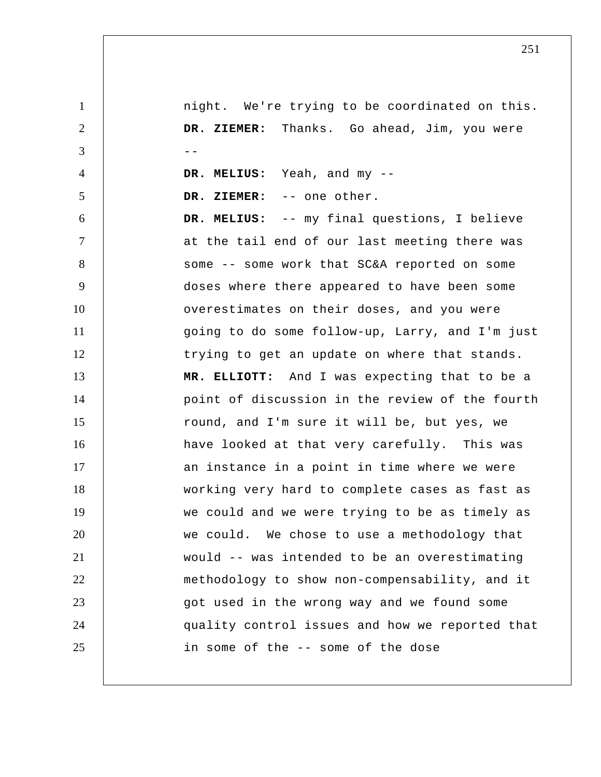1 2 3 4 5 6 7 8 9 10 11 12 13 14 15 16 17 18 19 20 21 22 23 24 25 night. We're trying to be coordinated on this.  **DR. ZIEMER:** Thanks. Go ahead, Jim, you were --  **DR. MELIUS:** Yeah, and my --  **DR. ZIEMER:** -- one other.  **DR. MELIUS:** -- my final questions, I believe at the tail end of our last meeting there was some -- some work that SC&A reported on some doses where there appeared to have been some overestimates on their doses, and you were going to do some follow-up, Larry, and I'm just trying to get an update on where that stands.  **MR. ELLIOTT:** And I was expecting that to be a point of discussion in the review of the fourth round, and I'm sure it will be, but yes, we have looked at that very carefully. This was an instance in a point in time where we were working very hard to complete cases as fast as we could and we were trying to be as timely as we could. We chose to use a methodology that would -- was intended to be an overestimating methodology to show non-compensability, and it got used in the wrong way and we found some quality control issues and how we reported that in some of the -- some of the dose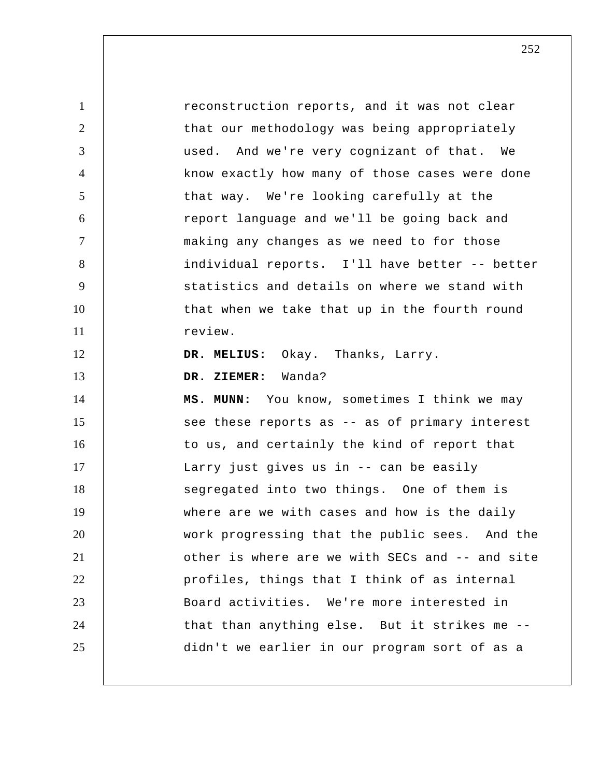1 2 3 4 5 6 7 8 9 10 11 12 13 14 15 16 17 18 19 20 21 22 23 24 25 reconstruction reports, and it was not clear that our methodology was being appropriately used. And we're very cognizant of that. We know exactly how many of those cases were done that way. We're looking carefully at the report language and we'll be going back and making any changes as we need to for those individual reports. I'll have better -- better statistics and details on where we stand with that when we take that up in the fourth round review.  **DR. MELIUS:** Okay. Thanks, Larry.  **DR. ZIEMER:** Wanda?  **MS. MUNN:** You know, sometimes I think we may see these reports as -- as of primary interest to us, and certainly the kind of report that Larry just gives us in -- can be easily segregated into two things. One of them is where are we with cases and how is the daily work progressing that the public sees. And the other is where are we with SECs and -- and site profiles, things that I think of as internal Board activities. We're more interested in that than anything else. But it strikes me - didn't we earlier in our program sort of as a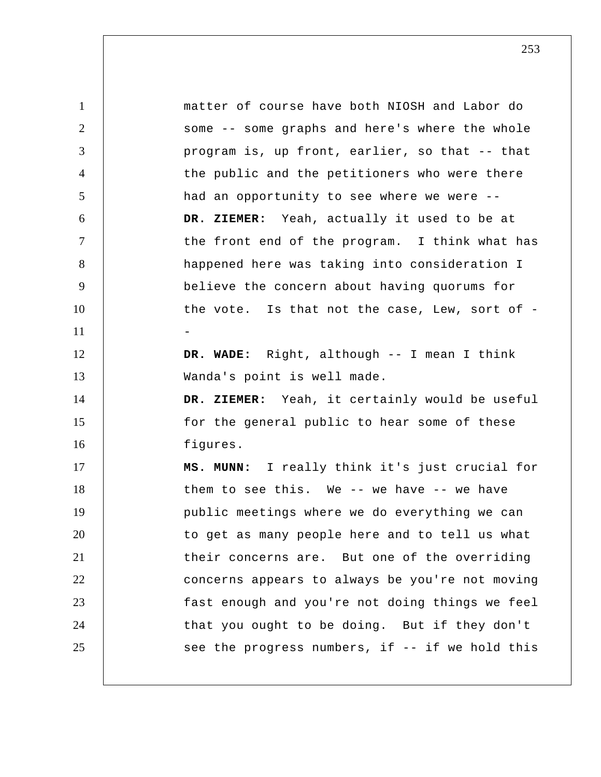1 2 3 4 5 6 7 8 9 10 11 12 13 14 15 16 17 18 19 20 21 22 23 24 25 matter of course have both NIOSH and Labor do some -- some graphs and here's where the whole program is, up front, earlier, so that -- that the public and the petitioners who were there had an opportunity to see where we were --  **DR. ZIEMER:** Yeah, actually it used to be at the front end of the program. I think what has happened here was taking into consideration I believe the concern about having quorums for the vote. Is that not the case, Lew, sort of --  **DR. WADE:** Right, although -- I mean I think Wanda's point is well made.  **DR. ZIEMER:** Yeah, it certainly would be useful for the general public to hear some of these figures.  **MS. MUNN:** I really think it's just crucial for them to see this. We -- we have -- we have public meetings where we do everything we can to get as many people here and to tell us what their concerns are. But one of the overriding concerns appears to always be you're not moving fast enough and you're not doing things we feel that you ought to be doing. But if they don't see the progress numbers, if -- if we hold this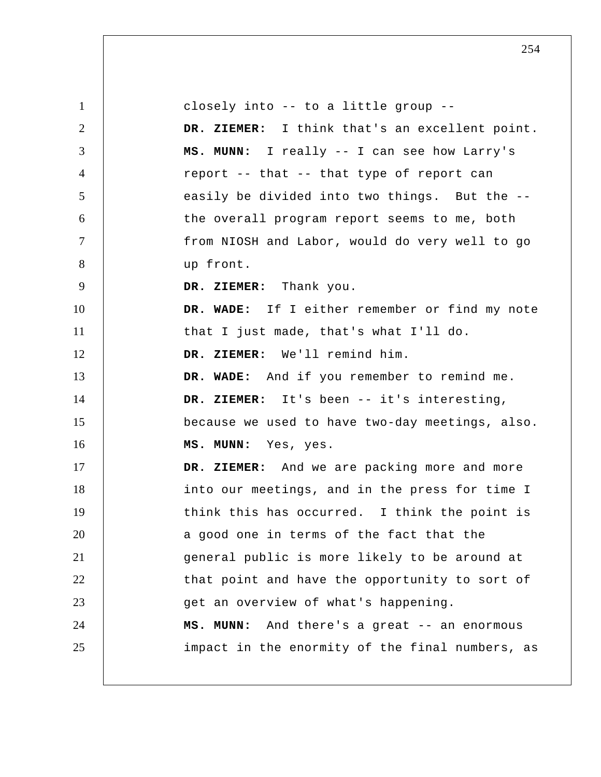1 2 3 4 5 6 7 8 9 10 11 12 13 14 15 16 17 18 19 20 21 22 23 24 25 closely into -- to a little group --  **DR. ZIEMER:** I think that's an excellent point.  **MS. MUNN:** I really -- I can see how Larry's report -- that -- that type of report can easily be divided into two things. But the -the overall program report seems to me, both from NIOSH and Labor, would do very well to go up front.  **DR. ZIEMER:** Thank you.  **DR. WADE:** If I either remember or find my note that I just made, that's what I'll do.  **DR. ZIEMER:** We'll remind him.  **DR. WADE:** And if you remember to remind me.  **DR. ZIEMER:** It's been -- it's interesting, because we used to have two-day meetings, also.  **MS. MUNN:** Yes, yes.  **DR. ZIEMER:** And we are packing more and more into our meetings, and in the press for time I think this has occurred. I think the point is a good one in terms of the fact that the general public is more likely to be around at that point and have the opportunity to sort of get an overview of what's happening.  **MS. MUNN:** And there's a great -- an enormous impact in the enormity of the final numbers, as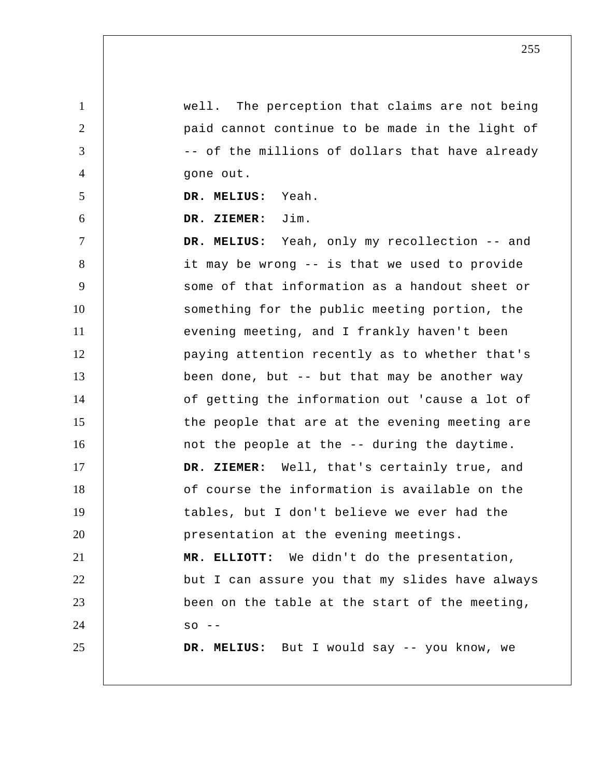well. The perception that claims are not being paid cannot continue to be made in the light of -- of the millions of dollars that have already gone out.

 **DR. MELIUS:** Yeah.

1

2

3

4

5

6

 **DR. ZIEMER:** Jim.

7 8 9 10 11 12 13 14 15 16 17 18 19 20 21 22 23 24 25  **DR. MELIUS:** Yeah, only my recollection -- and it may be wrong -- is that we used to provide some of that information as a handout sheet or something for the public meeting portion, the evening meeting, and I frankly haven't been paying attention recently as to whether that's been done, but -- but that may be another way of getting the information out 'cause a lot of the people that are at the evening meeting are not the people at the -- during the daytime.  **DR. ZIEMER:** Well, that's certainly true, and of course the information is available on the tables, but I don't believe we ever had the presentation at the evening meetings.  **MR. ELLIOTT:** We didn't do the presentation, but I can assure you that my slides have always been on the table at the start of the meeting,  $SO - -$  **DR. MELIUS:** But I would say -- you know, we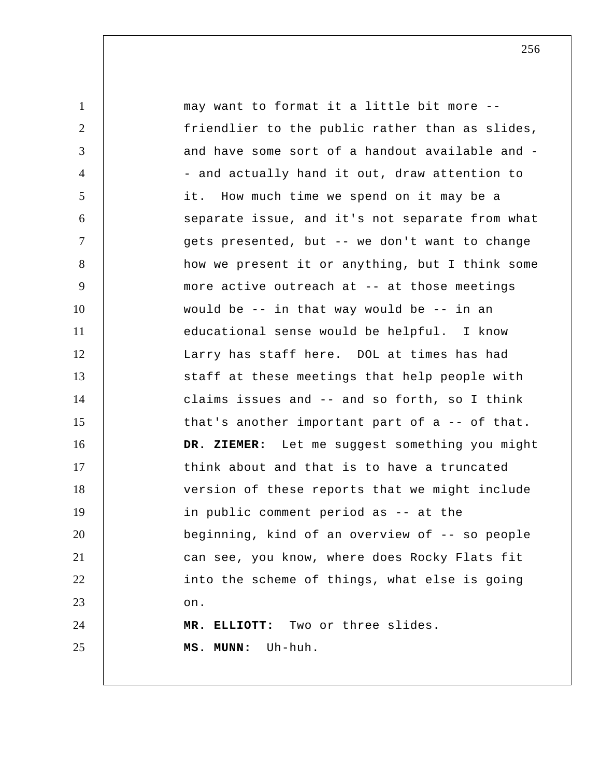1 2 3 4 5 6 7 8 9 10 11 12 13 14 15 16 17 18 19 20 21 22 23 24 25 may want to format it a little bit more - friendlier to the public rather than as slides, and have some sort of a handout available and - and actually hand it out, draw attention to it. How much time we spend on it may be a separate issue, and it's not separate from what gets presented, but -- we don't want to change how we present it or anything, but I think some more active outreach at -- at those meetings would be -- in that way would be -- in an educational sense would be helpful. I know Larry has staff here. DOL at times has had staff at these meetings that help people with claims issues and -- and so forth, so I think that's another important part of a -- of that.  **DR. ZIEMER:** Let me suggest something you might think about and that is to have a truncated version of these reports that we might include in public comment period as -- at the beginning, kind of an overview of -- so people can see, you know, where does Rocky Flats fit into the scheme of things, what else is going on.  **MR. ELLIOTT:** Two or three slides.  **MS. MUNN:** Uh-huh.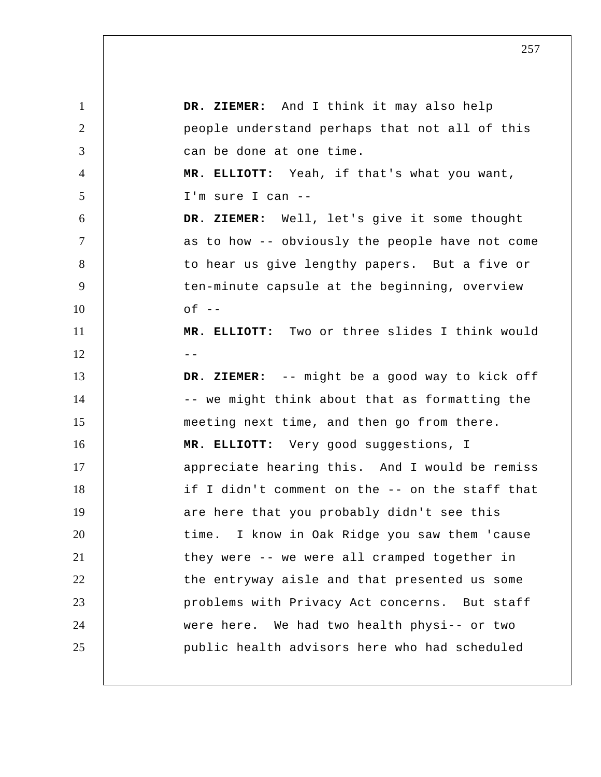1 2 3 4 5 6 7 8 9 10 11  $12$   $-$ 13 14 15 16 17 18 19 20 21 22 23 24 25  **DR. ZIEMER:** And I think it may also help people understand perhaps that not all of this can be done at one time.  **MR. ELLIOTT:** Yeah, if that's what you want, I'm sure I can -- **DR. ZIEMER:** Well, let's give it some thought as to how -- obviously the people have not come to hear us give lengthy papers. But a five or ten-minute capsule at the beginning, overview  $of --$  **MR. ELLIOTT:** Two or three slides I think would  **DR. ZIEMER:** -- might be a good way to kick off -- we might think about that as formatting the meeting next time, and then go from there.  **MR. ELLIOTT:** Very good suggestions, I appreciate hearing this. And I would be remiss if I didn't comment on the -- on the staff that are here that you probably didn't see this time. I know in Oak Ridge you saw them 'cause they were -- we were all cramped together in the entryway aisle and that presented us some problems with Privacy Act concerns. But staff were here. We had two health physi-- or two public health advisors here who had scheduled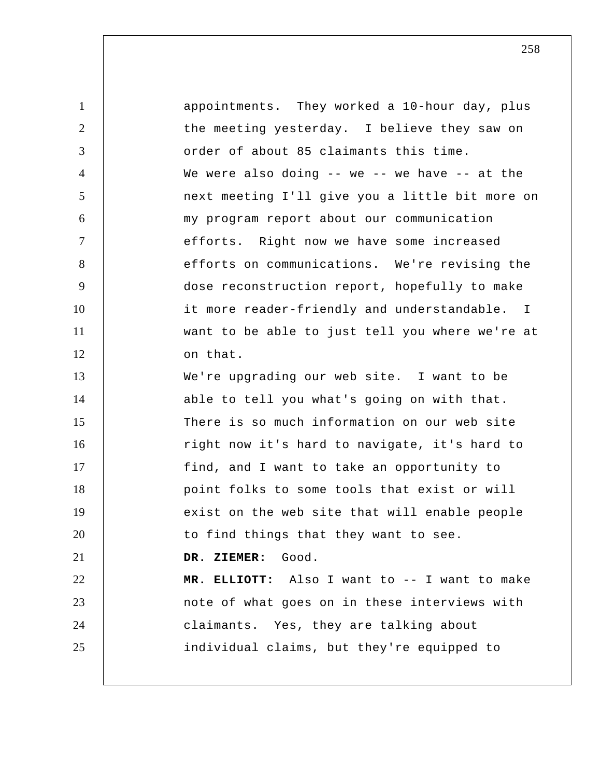| $\mathbf{1}$   | appointments. They worked a 10-hour day, plus    |
|----------------|--------------------------------------------------|
| 2              | the meeting yesterday. I believe they saw on     |
| 3              | order of about 85 claimants this time.           |
| $\overline{4}$ | We were also doing $-$ we $-$ we have $-$ at the |
| 5              | next meeting I'll give you a little bit more on  |
| 6              | my program report about our communication        |
| $\tau$         | efforts. Right now we have some increased        |
| 8              | efforts on communications. We're revising the    |
| 9              | dose reconstruction report, hopefully to make    |
| 10             | it more reader-friendly and understandable. I    |
| 11             | want to be able to just tell you where we're at  |
| 12             | on that.                                         |
| 13             | We're upgrading our web site. I want to be       |
| 14             | able to tell you what's going on with that.      |
| 15             | There is so much information on our web site     |
| 16             | right now it's hard to navigate, it's hard to    |
| 17             | find, and I want to take an opportunity to       |
| 18             | point folks to some tools that exist or will     |
| 19             | exist on the web site that will enable people    |
| 20             | to find things that they want to see.            |
| 21             | DR. ZIEMER:<br>Good.                             |
| 22             | MR. ELLIOTT: Also I want to -- I want to make    |
| 23             | note of what goes on in these interviews with    |
| 24             | claimants. Yes, they are talking about           |
| 25             | individual claims, but they're equipped to       |
|                |                                                  |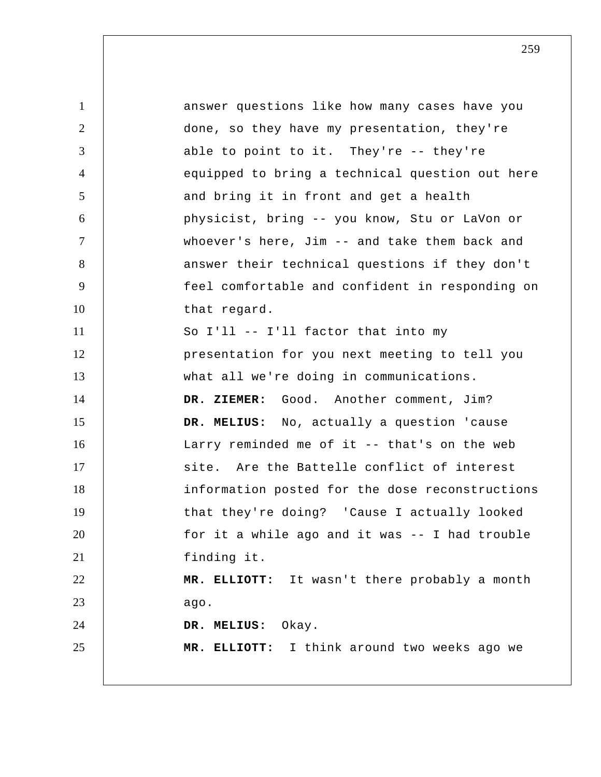1 2 3 4 5 6 7 8 9 10 11 12 13 14 15 16 17 18 19 20 21 22 23 24 25 answer questions like how many cases have you done, so they have my presentation, they're able to point to it. They're -- they're equipped to bring a technical question out here and bring it in front and get a health physicist, bring -- you know, Stu or LaVon or whoever's here, Jim -- and take them back and answer their technical questions if they don't feel comfortable and confident in responding on that regard. So I'll -- I'll factor that into my presentation for you next meeting to tell you what all we're doing in communications. DR. ZIEMER: Good. Another comment, Jim?  **DR. MELIUS:** No, actually a question 'cause Larry reminded me of it -- that's on the web site. Are the Battelle conflict of interest information posted for the dose reconstructions that they're doing? 'Cause I actually looked for it a while ago and it was -- I had trouble finding it.  **MR. ELLIOTT:** It wasn't there probably a month ago.  **DR. MELIUS:** Okay.  **MR. ELLIOTT:** I think around two weeks ago we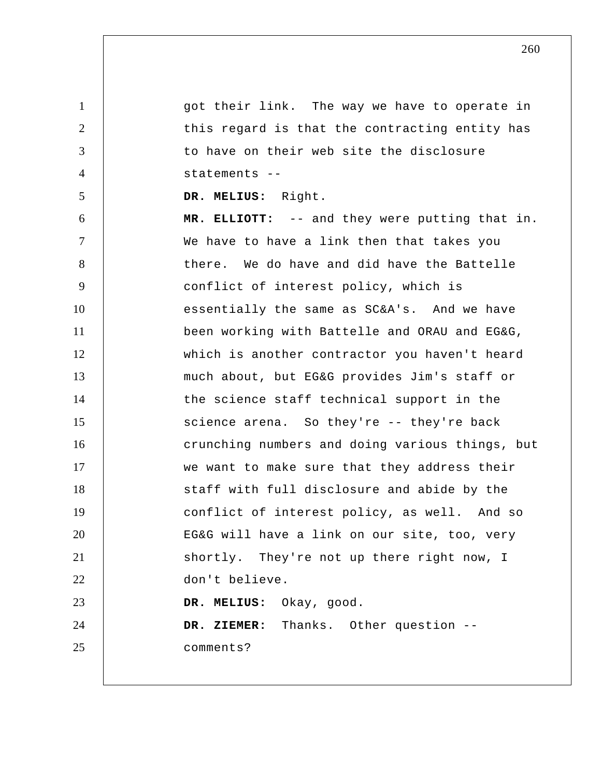1 2 3 4 5 6 7 8 9 10 11 12 13 14 15 16 17 18 19 20 21 22 23 24 25 got their link. The way we have to operate in this regard is that the contracting entity has to have on their web site the disclosure statements -- **DR. MELIUS:** Right.  **MR. ELLIOTT:** -- and they were putting that in. We have to have a link then that takes you there. We do have and did have the Battelle conflict of interest policy, which is essentially the same as SC&A's. And we have been working with Battelle and ORAU and EG&G, which is another contractor you haven't heard much about, but EG&G provides Jim's staff or the science staff technical support in the science arena. So they're -- they're back crunching numbers and doing various things, but we want to make sure that they address their staff with full disclosure and abide by the conflict of interest policy, as well. And so EG&G will have a link on our site, too, very shortly. They're not up there right now, I don't believe.  **DR. MELIUS:** Okay, good.  **DR. ZIEMER:** Thanks. Other question - comments?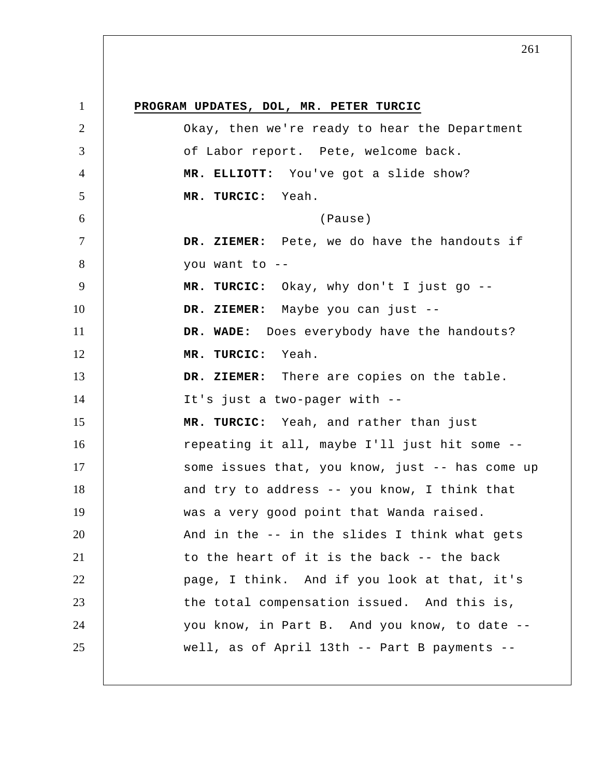1 2 3 4 5 6 7 8 9 10 11 12 13 14 15 16 17 18 19 20 21 22 23 24 25 **PROGRAM UPDATES, DOL, MR. PETER TURCIC**  Okay, then we're ready to hear the Department of Labor report. Pete, welcome back.  **MR. ELLIOTT:** You've got a slide show?  **MR. TURCIC:** Yeah. (Pause)  **DR. ZIEMER:** Pete, we do have the handouts if you want to -- **MR. TURCIC:** Okay, why don't I just go --  **DR. ZIEMER:** Maybe you can just --  **DR. WADE:** Does everybody have the handouts?  **MR. TURCIC:** Yeah.  **DR. ZIEMER:** There are copies on the table. It's just a two-pager with --  **MR. TURCIC:** Yeah, and rather than just repeating it all, maybe I'll just hit some - some issues that, you know, just -- has come up and try to address -- you know, I think that was a very good point that Wanda raised. And in the -- in the slides I think what gets to the heart of it is the back -- the back page, I think. And if you look at that, it's the total compensation issued. And this is, you know, in Part B. And you know, to date - well, as of April 13th -- Part B payments --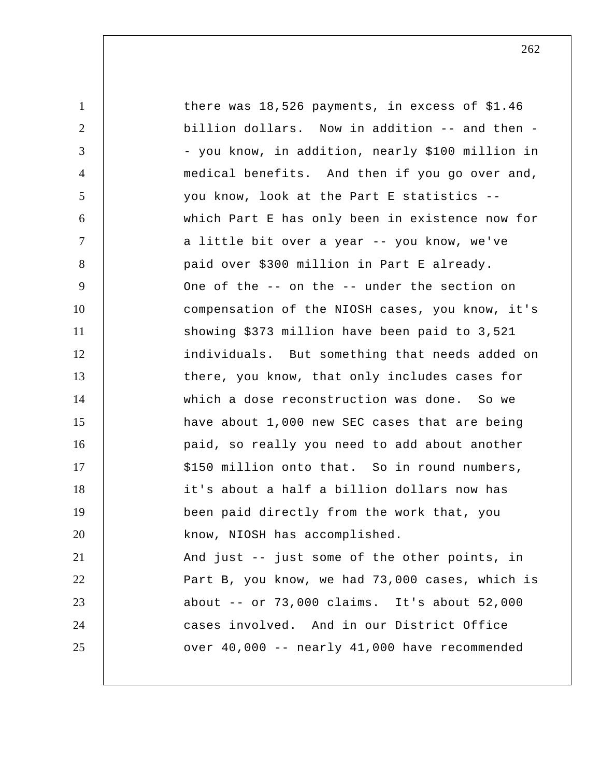| $\mathbf{1}$   | there was $18,526$ payments, in excess of \$1.46 |
|----------------|--------------------------------------------------|
| $\overline{2}$ | billion dollars. Now in addition -- and then -   |
| 3              | - you know, in addition, nearly \$100 million in |
| $\overline{4}$ | medical benefits. And then if you go over and,   |
| 5              | you know, look at the Part E statistics --       |
| 6              | which Part E has only been in existence now for  |
| $\overline{7}$ | a little bit over a year -- you know, we've      |
| 8              | paid over \$300 million in Part E already.       |
| 9              | One of the -- on the -- under the section on     |
| 10             | compensation of the NIOSH cases, you know, it's  |
| 11             | showing \$373 million have been paid to 3,521    |
| 12             | individuals. But something that needs added on   |
| 13             | there, you know, that only includes cases for    |
| 14             | which a dose reconstruction was done. So we      |
| 15             | have about 1,000 new SEC cases that are being    |
| 16             | paid, so really you need to add about another    |
| 17             | \$150 million onto that. So in round numbers,    |
| 18             | it's about a half a billion dollars now has      |
| 19             | been paid directly from the work that, you       |
| 20             | know, NIOSH has accomplished.                    |
| 21             | And just -- just some of the other points, in    |
| 22             | Part B, you know, we had 73,000 cases, which is  |
| 23             | about $--$ or 73,000 claims. It's about 52,000   |
| 24             | cases involved. And in our District Office       |
| 25             | over 40,000 -- nearly 41,000 have recommended    |
|                |                                                  |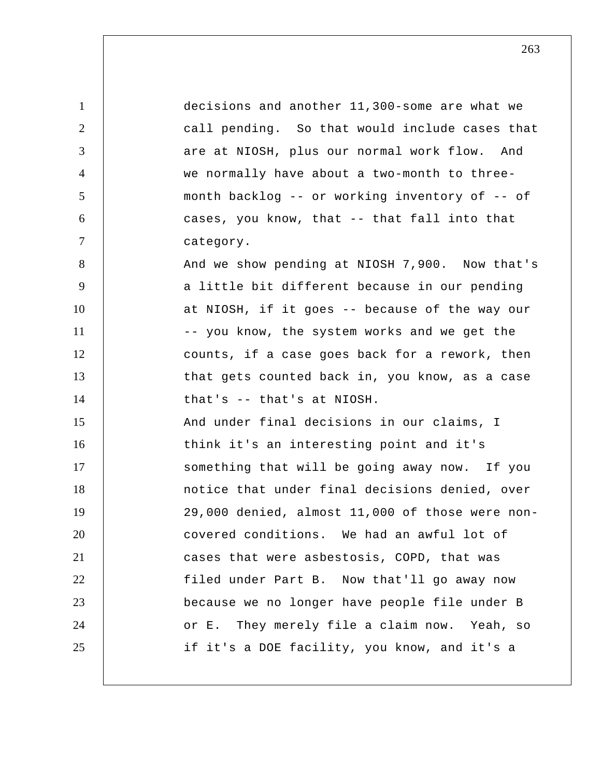1 2 3 4 5 6 7 8 9 10 11 12 13 14 15 16 17 18 19 20 21 22 23 24 25 decisions and another 11,300-some are what we call pending. So that would include cases that are at NIOSH, plus our normal work flow. And we normally have about a two-month to threemonth backlog -- or working inventory of -- of cases, you know, that -- that fall into that category. And we show pending at NIOSH 7,900. Now that's a little bit different because in our pending at NIOSH, if it goes -- because of the way our -- you know, the system works and we get the counts, if a case goes back for a rework, then that gets counted back in, you know, as a case that's -- that's at NIOSH. And under final decisions in our claims, I think it's an interesting point and it's something that will be going away now. If you notice that under final decisions denied, over 29,000 denied, almost 11,000 of those were noncovered conditions. We had an awful lot of cases that were asbestosis, COPD, that was filed under Part B. Now that'll go away now because we no longer have people file under B or E. They merely file a claim now. Yeah, so if it's a DOE facility, you know, and it's a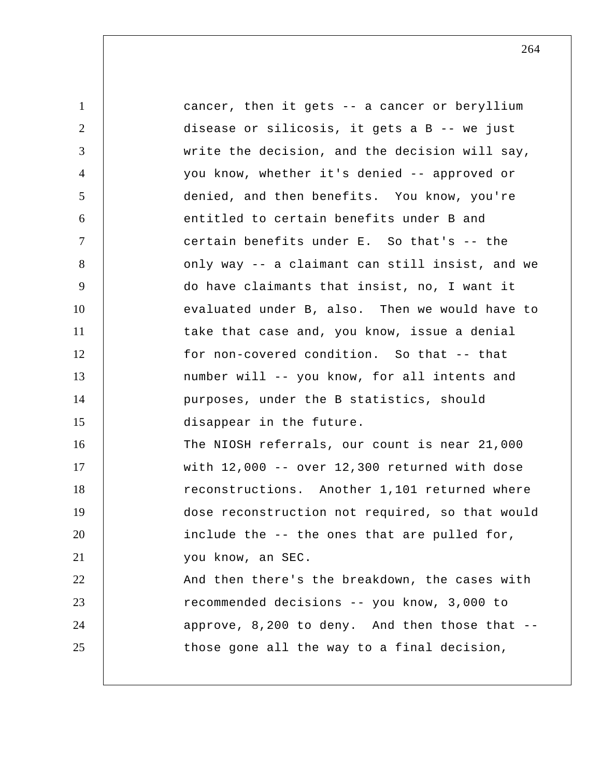1 2 3 4 5 6 7 8 9 10 11 12 13 14 15 16 17 18 19 20 21 22 23 24 25 cancer, then it gets -- a cancer or beryllium disease or silicosis, it gets a B -- we just write the decision, and the decision will say, you know, whether it's denied -- approved or denied, and then benefits. You know, you're entitled to certain benefits under B and certain benefits under E. So that's -- the only way -- a claimant can still insist, and we do have claimants that insist, no, I want it evaluated under B, also. Then we would have to take that case and, you know, issue a denial for non-covered condition. So that -- that number will -- you know, for all intents and purposes, under the B statistics, should disappear in the future. The NIOSH referrals, our count is near 21,000 with 12,000 -- over 12,300 returned with dose reconstructions. Another 1,101 returned where dose reconstruction not required, so that would include the -- the ones that are pulled for, you know, an SEC. And then there's the breakdown, the cases with recommended decisions -- you know, 3,000 to approve, 8,200 to deny. And then those that - those gone all the way to a final decision,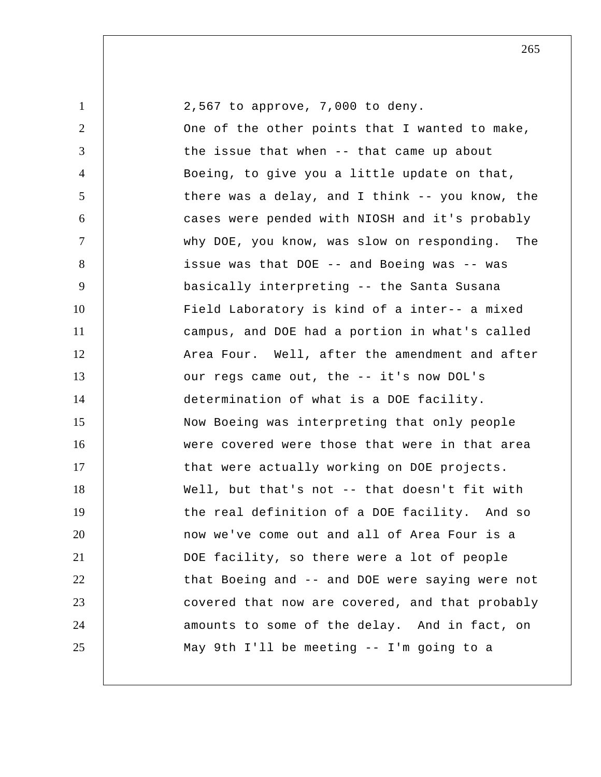| $\mathbf{1}$   | 2,567 to approve, 7,000 to deny.                |
|----------------|-------------------------------------------------|
| $\overline{2}$ | One of the other points that I wanted to make,  |
| 3              | the issue that when -- that came up about       |
| $\overline{4}$ | Boeing, to give you a little update on that,    |
| $\mathfrak{S}$ | there was a delay, and I think -- you know, the |
| 6              | cases were pended with NIOSH and it's probably  |
| $\overline{7}$ | why DOE, you know, was slow on responding. The  |
| 8              | issue was that DOE -- and Boeing was -- was     |
| 9              | basically interpreting -- the Santa Susana      |
| 10             | Field Laboratory is kind of a inter-- a mixed   |
| 11             | campus, and DOE had a portion in what's called  |
| 12             | Area Four. Well, after the amendment and after  |
| 13             | our regs came out, the -- it's now DOL's        |
| 14             | determination of what is a DOE facility.        |
| 15             | Now Boeing was interpreting that only people    |
| 16             | were covered were those that were in that area  |
| 17             | that were actually working on DOE projects.     |
| 18             | Well, but that's not -- that doesn't fit with   |
| 19             | the real definition of a DOE facility. And so   |
| 20             | now we've come out and all of Area Four is a    |
| 21             | DOE facility, so there were a lot of people     |
| 22             | that Boeing and -- and DOE were saying were not |
| 23             | covered that now are covered, and that probably |
| 24             | amounts to some of the delay. And in fact, on   |
| 25             | May 9th I'll be meeting -- I'm going to a       |
|                |                                                 |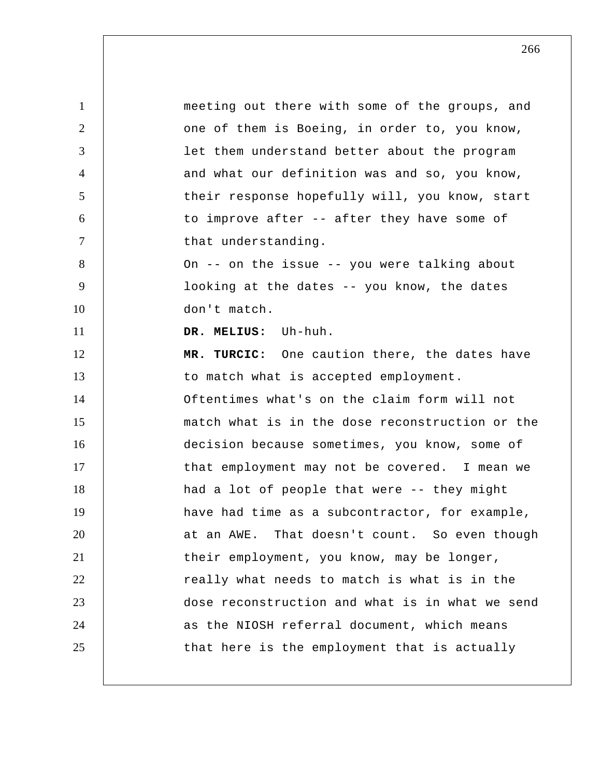1 2 3 4 5 6 7 8 9 10 11 12 13 14 15 16 17 18 19 20 21 22 23 24 25 meeting out there with some of the groups, and one of them is Boeing, in order to, you know, let them understand better about the program and what our definition was and so, you know, their response hopefully will, you know, start to improve after -- after they have some of that understanding. On -- on the issue -- you were talking about looking at the dates -- you know, the dates don't match.  **DR. MELIUS:** Uh-huh.  **MR. TURCIC:** One caution there, the dates have to match what is accepted employment. Oftentimes what's on the claim form will not match what is in the dose reconstruction or the decision because sometimes, you know, some of that employment may not be covered. I mean we had a lot of people that were -- they might have had time as a subcontractor, for example, at an AWE. That doesn't count. So even though their employment, you know, may be longer, really what needs to match is what is in the dose reconstruction and what is in what we send as the NIOSH referral document, which means that here is the employment that is actually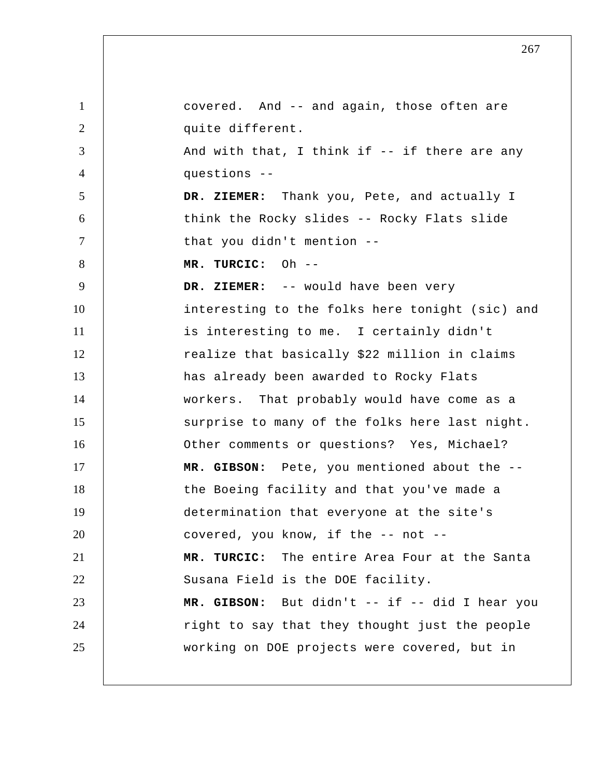1 2 3 4 5 6 7 8 9 10 11 12 13 14 15 16 17 18 19 20 21 22 23 24 25 covered. And -- and again, those often are quite different. And with that, I think if -- if there are any questions --  **DR. ZIEMER:** Thank you, Pete, and actually I think the Rocky slides -- Rocky Flats slide that you didn't mention --  **MR. TURCIC:** Oh -- **DR. ZIEMER:** -- would have been very interesting to the folks here tonight (sic) and is interesting to me. I certainly didn't realize that basically \$22 million in claims has already been awarded to Rocky Flats workers. That probably would have come as a surprise to many of the folks here last night. Other comments or questions? Yes, Michael?  **MR. GIBSON:** Pete, you mentioned about the - the Boeing facility and that you've made a determination that everyone at the site's covered, you know, if the -- not --  **MR. TURCIC:** The entire Area Four at the Santa Susana Field is the DOE facility.  **MR. GIBSON:** But didn't -- if -- did I hear you right to say that they thought just the people working on DOE projects were covered, but in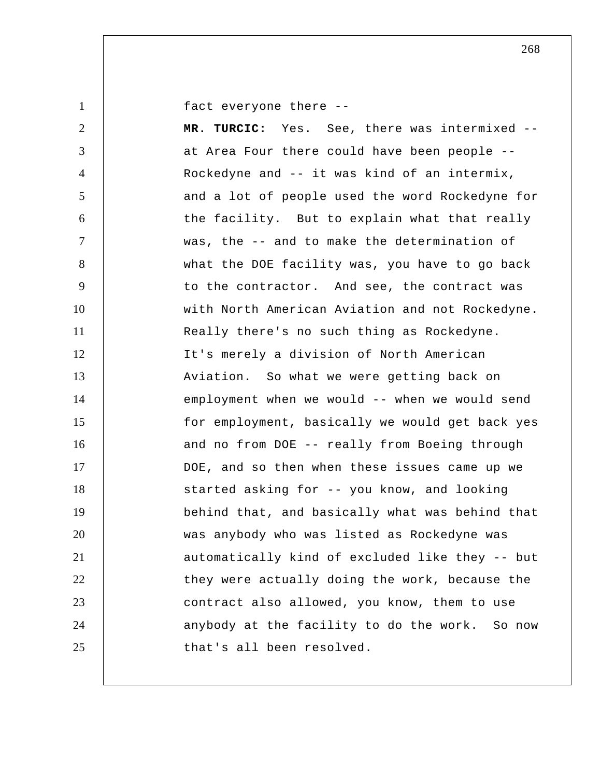1

fact everyone there --

2 3 4 5 6 7 8 9 10 11 12 13 14 15 16 17 18 19 20 21 22 23 24 25  **MR. TURCIC:** Yes. See, there was intermixed - at Area Four there could have been people -- Rockedyne and -- it was kind of an intermix, and a lot of people used the word Rockedyne for the facility. But to explain what that really was, the -- and to make the determination of what the DOE facility was, you have to go back to the contractor. And see, the contract was with North American Aviation and not Rockedyne. Really there's no such thing as Rockedyne. It's merely a division of North American Aviation. So what we were getting back on employment when we would -- when we would send for employment, basically we would get back yes and no from DOE -- really from Boeing through DOE, and so then when these issues came up we started asking for -- you know, and looking behind that, and basically what was behind that was anybody who was listed as Rockedyne was automatically kind of excluded like they -- but they were actually doing the work, because the contract also allowed, you know, them to use anybody at the facility to do the work. So now that's all been resolved.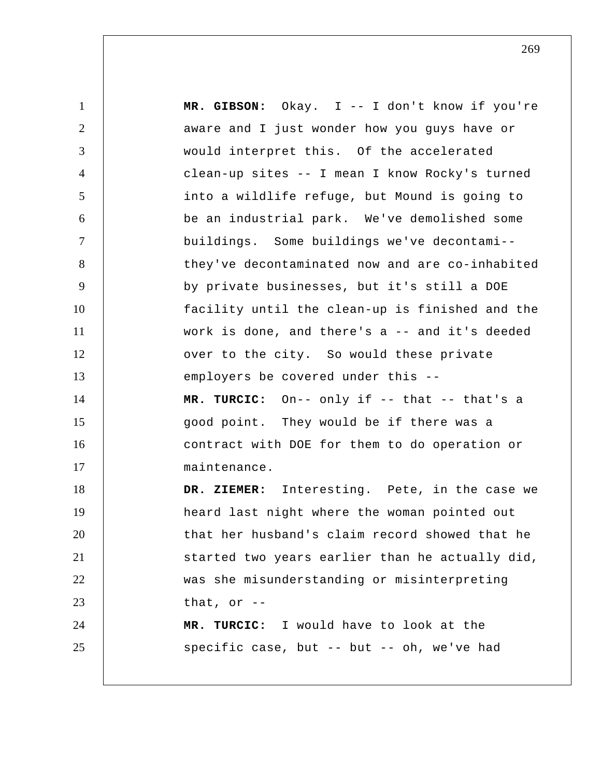1 2 3 4 5 6 7 8 9 10 11 12 13 14 15 16 17 18 19 20 21 22 23 24 25  **MR. GIBSON:** Okay. I -- I don't know if you're aware and I just wonder how you guys have or would interpret this. Of the accelerated clean-up sites -- I mean I know Rocky's turned into a wildlife refuge, but Mound is going to be an industrial park. We've demolished some buildings. Some buildings we've decontami- they've decontaminated now and are co-inhabited by private businesses, but it's still a DOE facility until the clean-up is finished and the work is done, and there's a -- and it's deeded over to the city. So would these private employers be covered under this --  **MR. TURCIC:** On-- only if -- that -- that's a good point. They would be if there was a contract with DOE for them to do operation or maintenance.  **DR. ZIEMER:** Interesting. Pete, in the case we heard last night where the woman pointed out that her husband's claim record showed that he started two years earlier than he actually did, was she misunderstanding or misinterpreting that, or  $-$  **MR. TURCIC:** I would have to look at the specific case, but -- but -- oh, we've had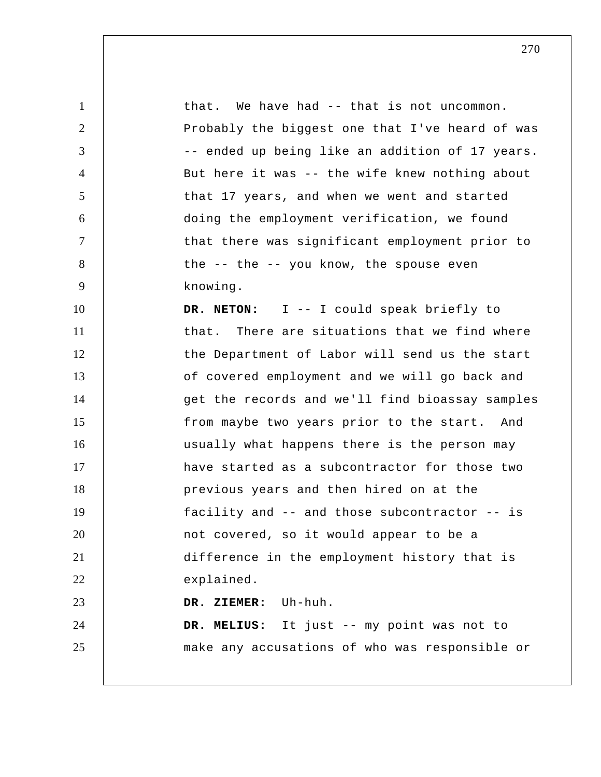1 2 3 4 5 6 7 8 9 10 11 12 13 14 15 16 17 18 19 20 21 22 23 24 25 that. We have had -- that is not uncommon. Probably the biggest one that I've heard of was -- ended up being like an addition of 17 years. But here it was -- the wife knew nothing about that 17 years, and when we went and started doing the employment verification, we found that there was significant employment prior to the -- the -- you know, the spouse even knowing. **DR. NETON:** I -- I could speak briefly to that. There are situations that we find where the Department of Labor will send us the start of covered employment and we will go back and get the records and we'll find bioassay samples from maybe two years prior to the start. And usually what happens there is the person may have started as a subcontractor for those two previous years and then hired on at the facility and -- and those subcontractor -- is not covered, so it would appear to be a difference in the employment history that is explained.  **DR. ZIEMER:** Uh-huh.  **DR. MELIUS:** It just -- my point was not to make any accusations of who was responsible or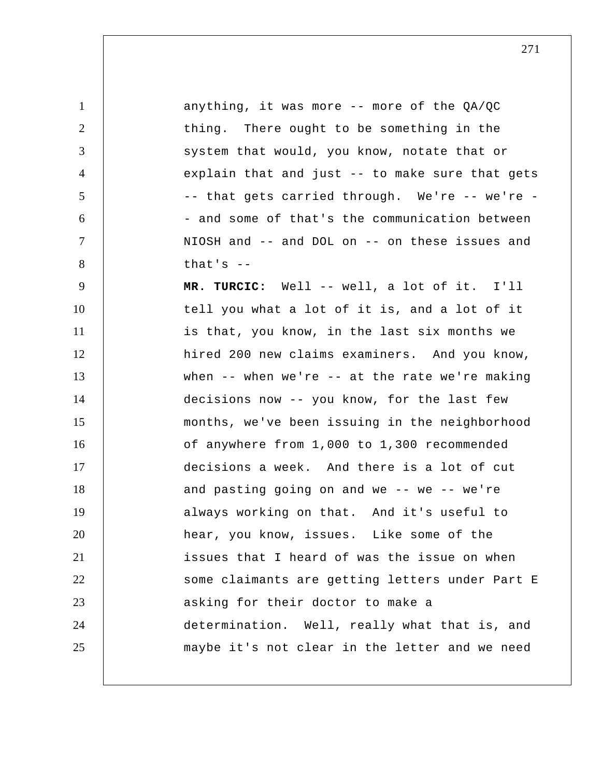1 2 3 4 5 6 7 8 9 10 11 12 13 14 15 16 17 18 19 20 21 22 23 24 25 anything, it was more -- more of the QA/QC thing. There ought to be something in the system that would, you know, notate that or explain that and just -- to make sure that gets -- that gets carried through. We're -- we're -- and some of that's the communication between NIOSH and -- and DOL on -- on these issues and that's  $-$  **MR. TURCIC:** Well -- well, a lot of it. I'll tell you what a lot of it is, and a lot of it is that, you know, in the last six months we hired 200 new claims examiners. And you know, when  $--$  when we're  $--$  at the rate we're making decisions now -- you know, for the last few months, we've been issuing in the neighborhood of anywhere from 1,000 to 1,300 recommended decisions a week. And there is a lot of cut and pasting going on and we  $--$  we  $--$  we're always working on that. And it's useful to hear, you know, issues. Like some of the issues that I heard of was the issue on when some claimants are getting letters under Part E asking for their doctor to make a determination. Well, really what that is, and maybe it's not clear in the letter and we need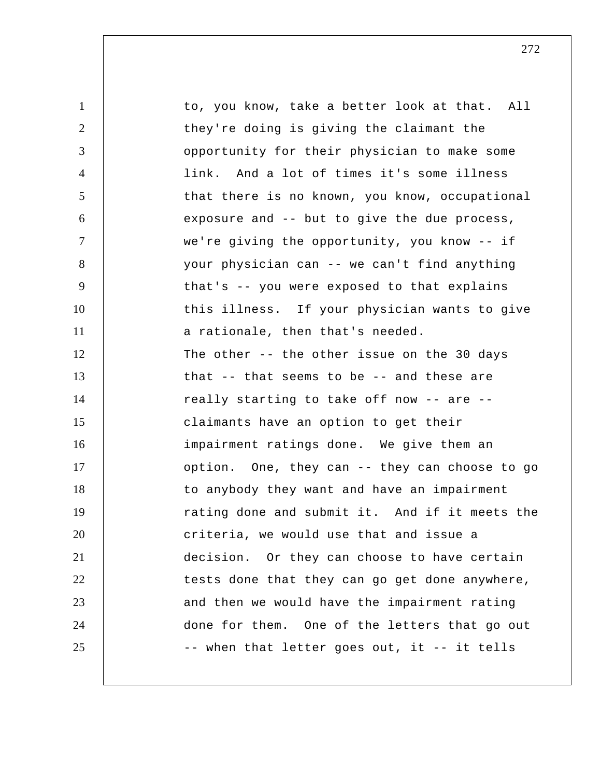1 2 3 4 5 6 7 8 9 10 11 12 13 14 15 16 17 18 19 20 21 22 23 24 25 to, you know, take a better look at that. All they're doing is giving the claimant the opportunity for their physician to make some link. And a lot of times it's some illness that there is no known, you know, occupational exposure and -- but to give the due process, we're giving the opportunity, you know -- if your physician can -- we can't find anything that's -- you were exposed to that explains this illness. If your physician wants to give a rationale, then that's needed. The other -- the other issue on the 30 days that -- that seems to be -- and these are really starting to take off now -- are - claimants have an option to get their impairment ratings done. We give them an option. One, they can -- they can choose to go to anybody they want and have an impairment rating done and submit it. And if it meets the criteria, we would use that and issue a decision. Or they can choose to have certain tests done that they can go get done anywhere, and then we would have the impairment rating done for them. One of the letters that go out -- when that letter goes out, it -- it tells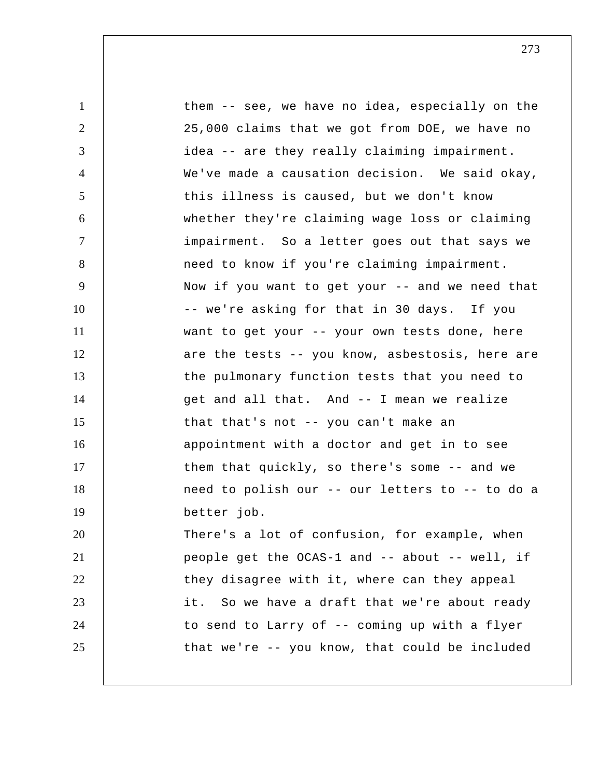| 1              | them -- see, we have no idea, especially on the  |
|----------------|--------------------------------------------------|
| 2              | 25,000 claims that we got from DOE, we have no   |
| 3              | idea -- are they really claiming impairment.     |
| $\overline{4}$ | We've made a causation decision. We said okay,   |
| 5              | this illness is caused, but we don't know        |
| 6              | whether they're claiming wage loss or claiming   |
| $\tau$         | impairment. So a letter goes out that says we    |
| 8              | need to know if you're claiming impairment.      |
| 9              | Now if you want to get your -- and we need that  |
| 10             | -- we're asking for that in 30 days. If you      |
| 11             | want to get your -- your own tests done, here    |
| 12             | are the tests -- you know, asbestosis, here are  |
| 13             | the pulmonary function tests that you need to    |
| 14             | get and all that. And -- I mean we realize       |
| 15             | that that's not -- you can't make an             |
| 16             | appointment with a doctor and get in to see      |
| 17             | them that quickly, so there's some -- and we     |
| 18             | need to polish our -- our letters to -- to do a  |
| 19             | better job.                                      |
| 20             | There's a lot of confusion, for example, when    |
| 21             | people get the OCAS-1 and -- about -- well, if   |
| 22             | they disagree with it, where can they appeal     |
| 23             | So we have a draft that we're about ready<br>it. |
| 24             | to send to Larry of -- coming up with a flyer    |
| 25             | that we're -- you know, that could be included   |
|                |                                                  |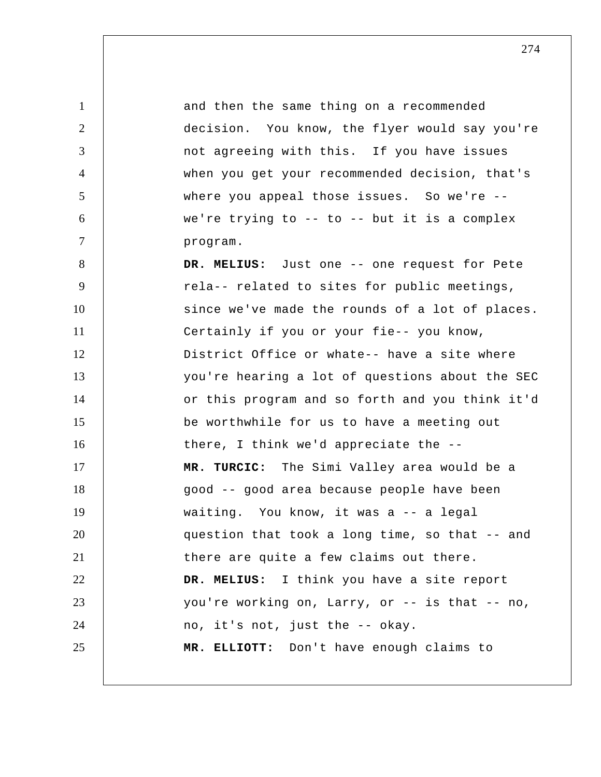1 2 3 4 5 6 7 8 9 10 11 12 13 14 15 16 17 18 19 20 21 22 23 24 25 and then the same thing on a recommended decision. You know, the flyer would say you're not agreeing with this. If you have issues when you get your recommended decision, that's where you appeal those issues. So we're -we're trying to  $-$ - to  $-$ - but it is a complex program.  **DR. MELIUS:** Just one -- one request for Pete rela-- related to sites for public meetings, since we've made the rounds of a lot of places. Certainly if you or your fie-- you know, District Office or whate-- have a site where you're hearing a lot of questions about the SEC or this program and so forth and you think it'd be worthwhile for us to have a meeting out there, I think we'd appreciate the --  **MR. TURCIC:** The Simi Valley area would be a good -- good area because people have been waiting. You know, it was a -- a legal question that took a long time, so that -- and there are quite a few claims out there.  **DR. MELIUS:** I think you have a site report you're working on, Larry, or -- is that -- no, no, it's not, just the -- okay.  **MR. ELLIOTT:** Don't have enough claims to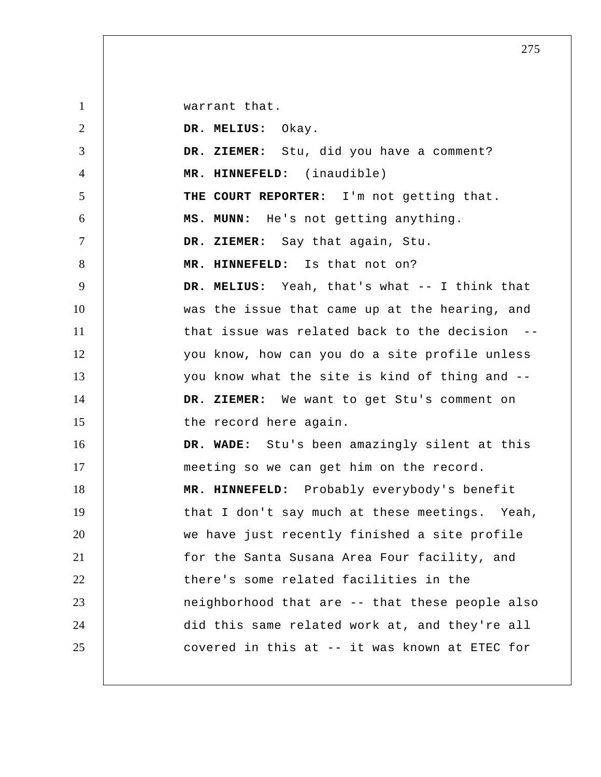1 2 3 4 5 6 7 8 9 10 11 12 13 14 15 16 17 18 19 20 21 22 23 24 25 warrant that.  **DR. MELIUS:** Okay.  **DR. ZIEMER:** Stu, did you have a comment?  **MR. HINNEFELD:** (inaudible) **THE COURT REPORTER:** I'm not getting that.  **MS. MUNN:** He's not getting anything.  **DR. ZIEMER:** Say that again, Stu.  **MR. HINNEFELD:** Is that not on?  **DR. MELIUS:** Yeah, that's what -- I think that was the issue that came up at the hearing, and that issue was related back to the decision you know, how can you do a site profile unless you know what the site is kind of thing and --  **DR. ZIEMER:** We want to get Stu's comment on the record here again.  **DR. WADE:** Stu's been amazingly silent at this meeting so we can get him on the record.  **MR. HINNEFELD:** Probably everybody's benefit that I don't say much at these meetings. Yeah, we have just recently finished a site profile for the Santa Susana Area Four facility, and there's some related facilities in the neighborhood that are -- that these people also did this same related work at, and they're all covered in this at -- it was known at ETEC for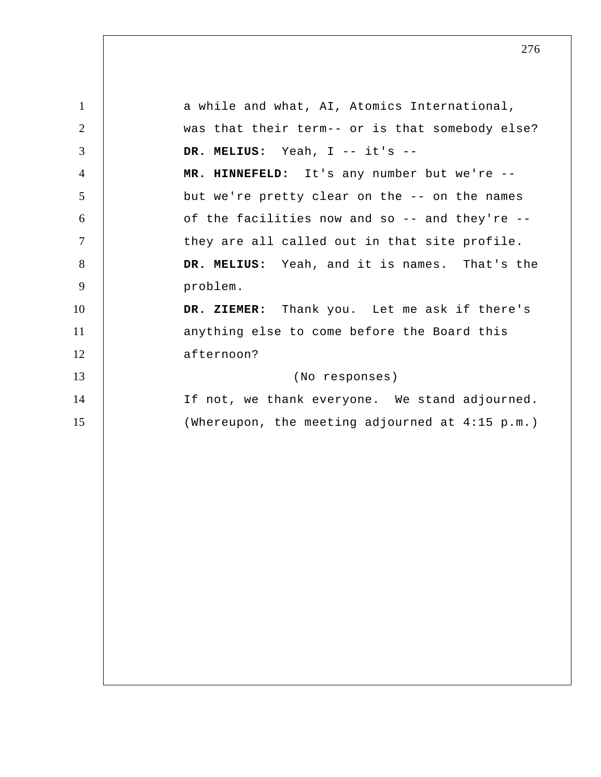1 2 3 4 5 6 7 8 9 10 11 12 13 14 15 a while and what, AI, Atomics International, was that their term-- or is that somebody else?  **DR. MELIUS:** Yeah, I -- it's --  **MR. HINNEFELD:** It's any number but we're - but we're pretty clear on the -- on the names of the facilities now and so -- and they're - they are all called out in that site profile.  **DR. MELIUS:** Yeah, and it is names. That's the problem.  **DR. ZIEMER:** Thank you. Let me ask if there's anything else to come before the Board this afternoon? (No responses) If not, we thank everyone. We stand adjourned. (Whereupon, the meeting adjourned at 4:15 p.m.)